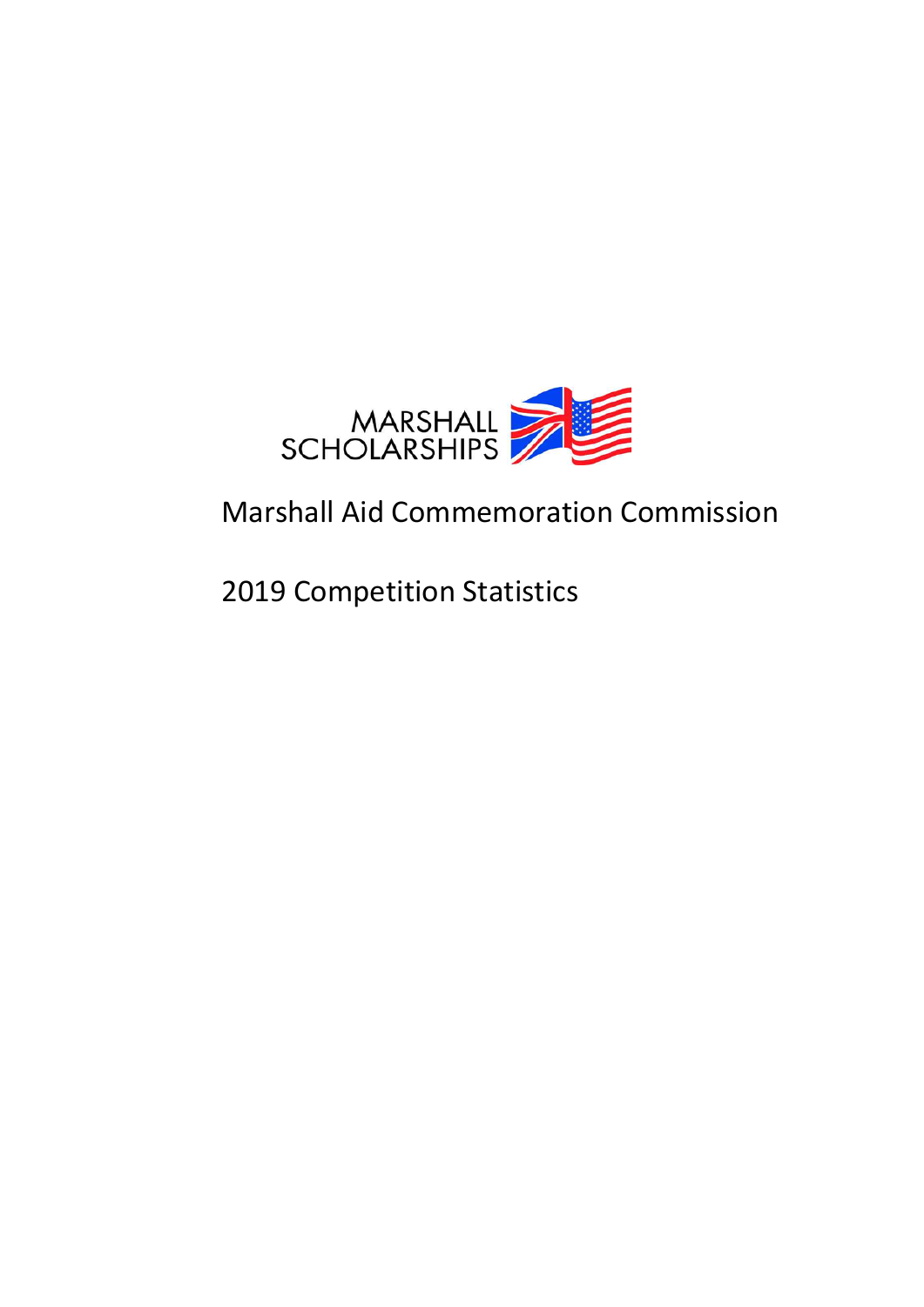

# Marshall Aid Commemoration Commission

2019 Competition Statistics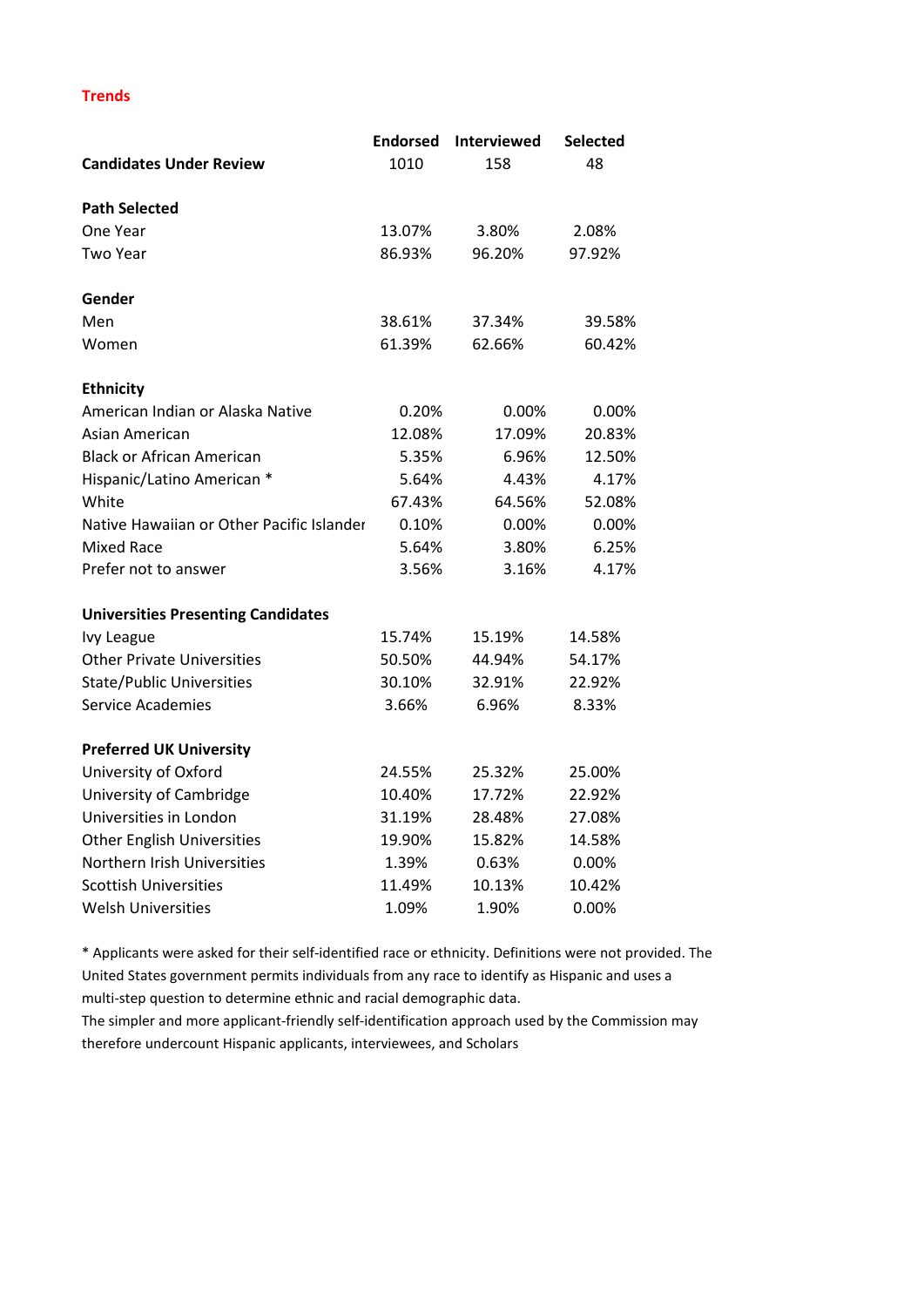### **Trends**

|                                           | <b>Endorsed</b> | <b>Interviewed</b> | <b>Selected</b> |
|-------------------------------------------|-----------------|--------------------|-----------------|
| <b>Candidates Under Review</b>            | 1010            | 158                | 48              |
| <b>Path Selected</b>                      |                 |                    |                 |
| One Year                                  | 13.07%          | 3.80%              | 2.08%           |
| Two Year                                  | 86.93%          | 96.20%             | 97.92%          |
| Gender                                    |                 |                    |                 |
| Men                                       | 38.61%          | 37.34%             | 39.58%          |
| Women                                     | 61.39%          | 62.66%             | 60.42%          |
| <b>Ethnicity</b>                          |                 |                    |                 |
| American Indian or Alaska Native          | 0.20%           | 0.00%              | 0.00%           |
| Asian American                            | 12.08%          | 17.09%             | 20.83%          |
| <b>Black or African American</b>          | 5.35%           | 6.96%              | 12.50%          |
| Hispanic/Latino American *                | 5.64%           | 4.43%              | 4.17%           |
| White                                     | 67.43%          | 64.56%             | 52.08%          |
| Native Hawaiian or Other Pacific Islander | 0.10%           | 0.00%              | 0.00%           |
| <b>Mixed Race</b>                         | 5.64%           | 3.80%              | 6.25%           |
| Prefer not to answer                      | 3.56%           | 3.16%              | 4.17%           |
| <b>Universities Presenting Candidates</b> |                 |                    |                 |
| Ivy League                                | 15.74%          | 15.19%             | 14.58%          |
| <b>Other Private Universities</b>         | 50.50%          | 44.94%             | 54.17%          |
| <b>State/Public Universities</b>          | 30.10%          | 32.91%             | 22.92%          |
| <b>Service Academies</b>                  | 3.66%           | 6.96%              | 8.33%           |
| <b>Preferred UK University</b>            |                 |                    |                 |
| University of Oxford                      | 24.55%          | 25.32%             | 25.00%          |
| University of Cambridge                   | 10.40%          | 17.72%             | 22.92%          |
| Universities in London                    | 31.19%          | 28.48%             | 27.08%          |
| <b>Other English Universities</b>         | 19.90%          | 15.82%             | 14.58%          |
| Northern Irish Universities               | 1.39%           | 0.63%              | 0.00%           |
| <b>Scottish Universities</b>              | 11.49%          | 10.13%             | 10.42%          |
| <b>Welsh Universities</b>                 | 1.09%           | 1.90%              | 0.00%           |

\* Applicants were asked for their self-identified race or ethnicity. Definitions were not provided. The United States government permits individuals from any race to identify as Hispanic and uses a multi-step question to determine ethnic and racial demographic data.

The simpler and more applicant-friendly self-identification approach used by the Commission may therefore undercount Hispanic applicants, interviewees, and Scholars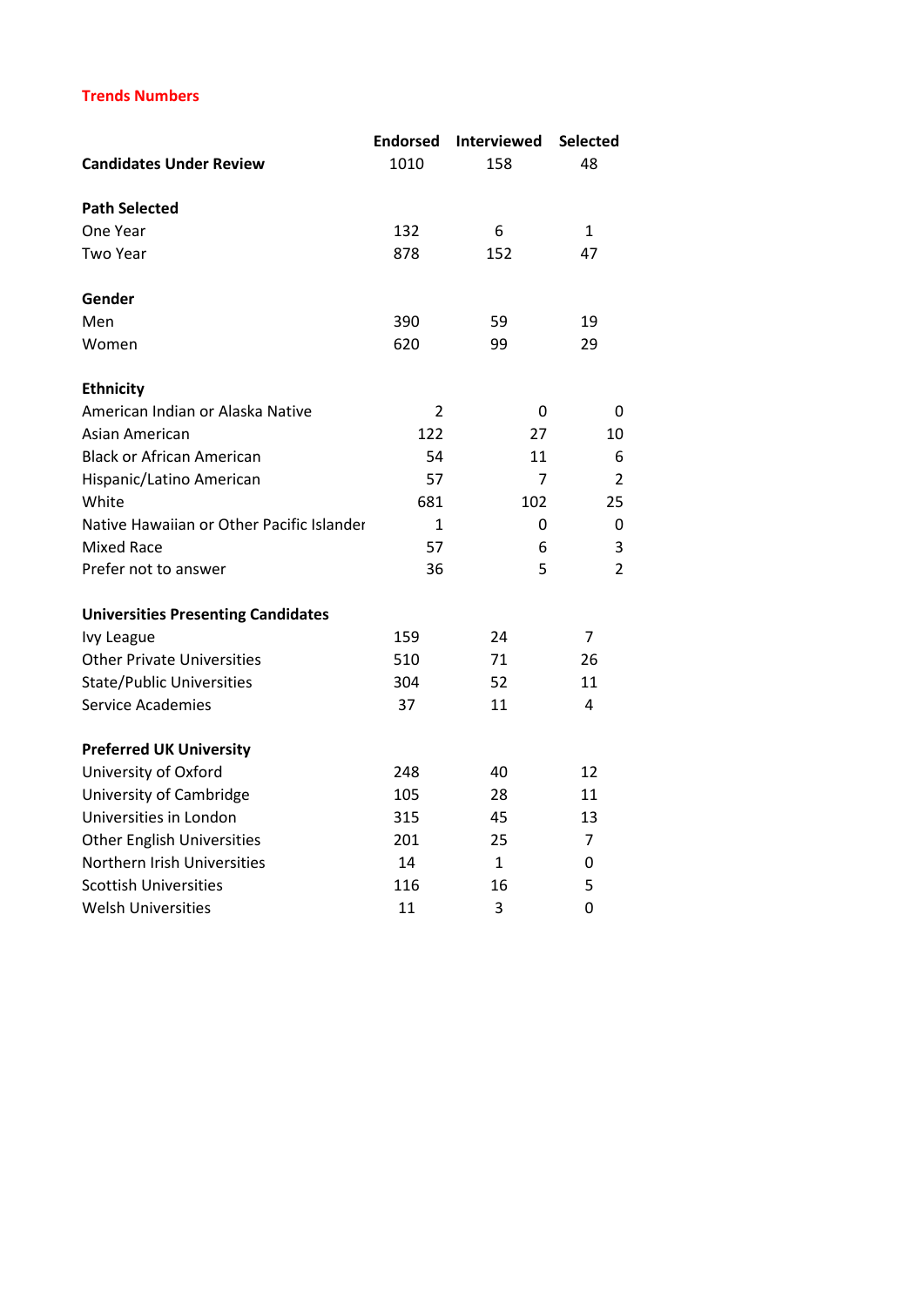# **Trends Numbers**

|                                           | <b>Endorsed</b> | <b>Interviewed</b> | <b>Selected</b> |  |  |
|-------------------------------------------|-----------------|--------------------|-----------------|--|--|
| <b>Candidates Under Review</b>            | 1010            | 158                | 48              |  |  |
| <b>Path Selected</b>                      |                 |                    |                 |  |  |
| One Year                                  | 132             | 6                  | 1               |  |  |
|                                           | 878             |                    |                 |  |  |
| Two Year                                  |                 | 152                | 47              |  |  |
| Gender                                    |                 |                    |                 |  |  |
| Men                                       | 390             | 59                 | 19              |  |  |
| Women                                     | 620             | 99                 | 29              |  |  |
| <b>Ethnicity</b>                          |                 |                    |                 |  |  |
| American Indian or Alaska Native          | 2               | 0                  | 0               |  |  |
| Asian American                            | 122             | 27                 | 10              |  |  |
| <b>Black or African American</b>          | 54              | 11                 | 6               |  |  |
| Hispanic/Latino American                  | 57              | $\overline{7}$     | $\overline{2}$  |  |  |
| White                                     | 681             | 102                | 25              |  |  |
| Native Hawaiian or Other Pacific Islander | $\mathbf{1}$    | 0                  | 0               |  |  |
| <b>Mixed Race</b>                         | 57              | 6                  | 3               |  |  |
| Prefer not to answer                      | 36              | 5                  | $\overline{2}$  |  |  |
| <b>Universities Presenting Candidates</b> |                 |                    |                 |  |  |
| Ivy League                                | 159             | 24                 | 7               |  |  |
| <b>Other Private Universities</b>         | 510             | 71                 | 26              |  |  |
| <b>State/Public Universities</b>          | 304             | 52                 | 11              |  |  |
| <b>Service Academies</b>                  | 37              | 11                 | 4               |  |  |
| <b>Preferred UK University</b>            |                 |                    |                 |  |  |
| University of Oxford                      | 248             | 40                 | 12              |  |  |
| University of Cambridge                   | 105             | 28                 | 11              |  |  |
| Universities in London                    | 315             | 45                 | 13              |  |  |
| <b>Other English Universities</b>         | 201             | 25                 | 7               |  |  |
| Northern Irish Universities               | 14              | $\mathbf{1}$       | 0               |  |  |
| <b>Scottish Universities</b>              | 116             | 16                 | 5               |  |  |
| <b>Welsh Universities</b>                 | 11              | 3                  | 0               |  |  |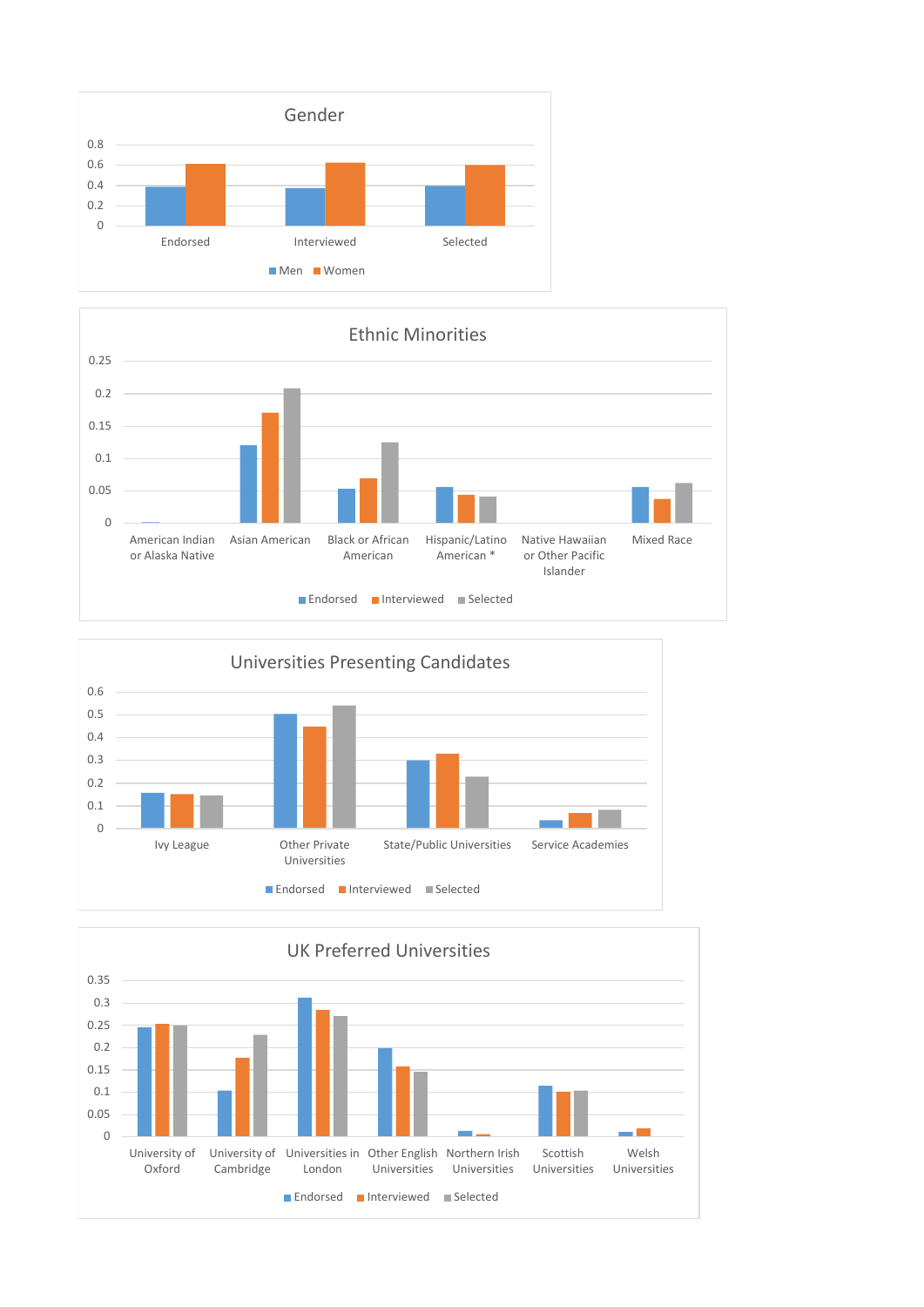





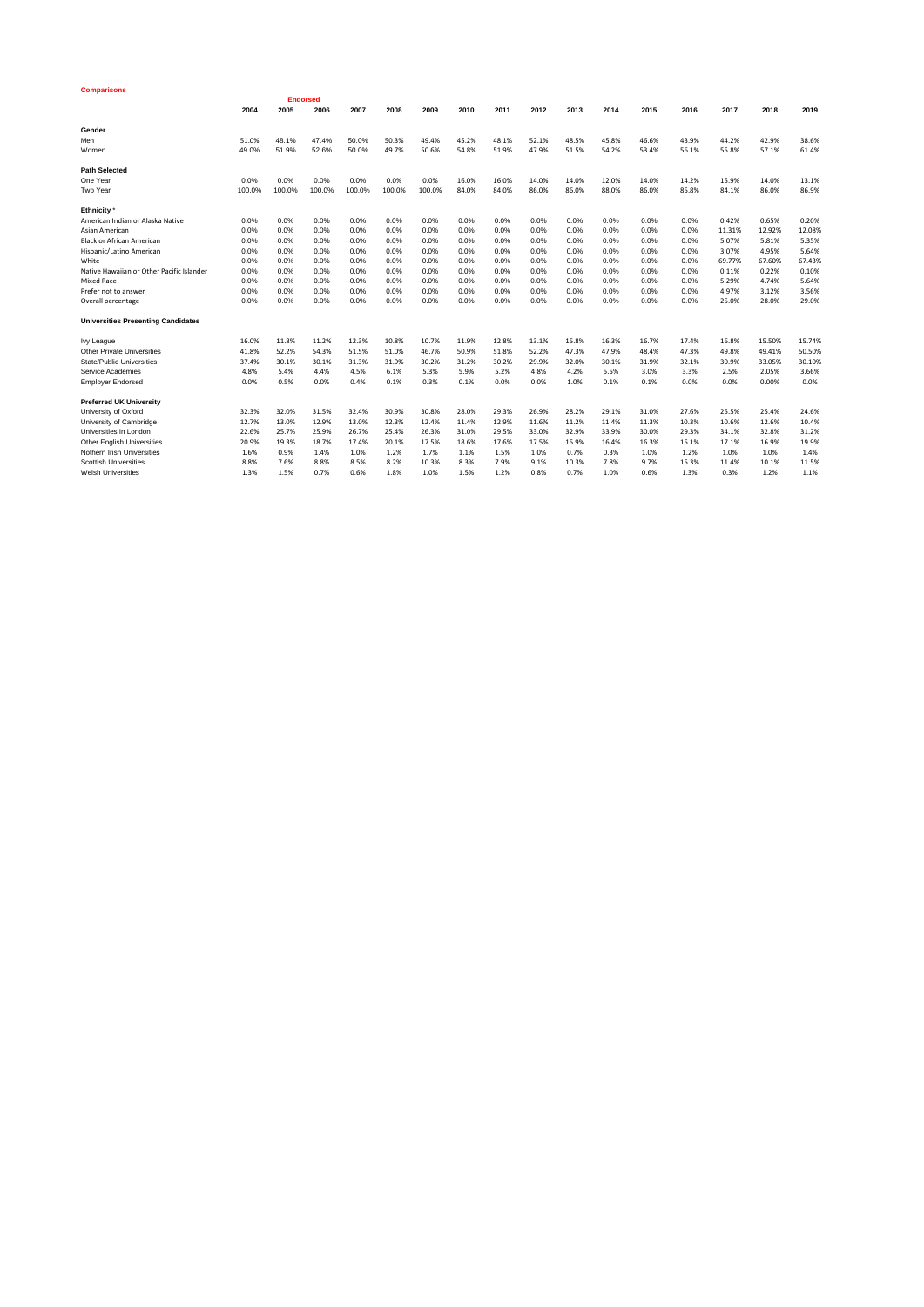| <b>Comparisons</b>                        |        |        |                 |        |        |        |       |       |       |       |       |       |       |        |        |        |
|-------------------------------------------|--------|--------|-----------------|--------|--------|--------|-------|-------|-------|-------|-------|-------|-------|--------|--------|--------|
|                                           |        |        | <b>Endorsed</b> |        |        |        |       |       |       |       |       |       |       |        |        |        |
|                                           | 2004   | 2005   | 2006            | 2007   | 2008   | 2009   | 2010  | 2011  | 2012  | 2013  | 2014  | 2015  | 2016  | 2017   | 2018   | 2019   |
| Gender                                    |        |        |                 |        |        |        |       |       |       |       |       |       |       |        |        |        |
| Men                                       | 51.0%  | 48.1%  | 47.4%           | 50.0%  | 50.3%  | 49.4%  | 45.2% | 48.1% | 52.1% | 48.5% | 45.8% | 46.6% | 43.9% | 44.2%  | 42.9%  | 38.6%  |
| Women                                     | 49.0%  | 51.9%  | 52.6%           | 50.0%  | 49.7%  | 50.6%  | 54.8% | 51.9% | 47.9% | 51.5% | 54.2% | 53.4% | 56.1% | 55.8%  | 57.1%  | 61.4%  |
| <b>Path Selected</b>                      |        |        |                 |        |        |        |       |       |       |       |       |       |       |        |        |        |
| One Year                                  | 0.0%   | 0.0%   | 0.0%            | 0.0%   | 0.0%   | 0.0%   | 16.0% | 16.0% | 14.0% | 14.0% | 12.0% | 14.0% | 14.2% | 15.9%  | 14.0%  | 13.1%  |
| Two Year                                  | 100.0% | 100.0% | 100.0%          | 100.0% | 100.0% | 100.0% | 84.0% | 84.0% | 86.0% | 86.0% | 88.0% | 86.0% | 85.8% | 84.1%  | 86.0%  | 86.9%  |
| Ethnicity <sup>*</sup>                    |        |        |                 |        |        |        |       |       |       |       |       |       |       |        |        |        |
| American Indian or Alaska Native          | 0.0%   | 0.0%   | 0.0%            | 0.0%   | 0.0%   | 0.0%   | 0.0%  | 0.0%  | 0.0%  | 0.0%  | 0.0%  | 0.0%  | 0.0%  | 0.42%  | 0.65%  | 0.20%  |
| Asian American                            | 0.0%   | 0.0%   | 0.0%            | 0.0%   | 0.0%   | 0.0%   | 0.0%  | 0.0%  | 0.0%  | 0.0%  | 0.0%  | 0.0%  | 0.0%  | 11.31% | 12.92% | 12.08% |
| <b>Black or African American</b>          | 0.0%   | 0.0%   | 0.0%            | 0.0%   | 0.0%   | 0.0%   | 0.0%  | 0.0%  | 0.0%  | 0.0%  | 0.0%  | 0.0%  | 0.0%  | 5.07%  | 5.81%  | 5.35%  |
| Hispanic/Latino American                  | 0.0%   | 0.0%   | 0.0%            | 0.0%   | 0.0%   | 0.0%   | 0.0%  | 0.0%  | 0.0%  | 0.0%  | 0.0%  | 0.0%  | 0.0%  | 3.07%  | 4.95%  | 5.64%  |
| White                                     | 0.0%   | 0.0%   | 0.0%            | 0.0%   | 0.0%   | 0.0%   | 0.0%  | 0.0%  | 0.0%  | 0.0%  | 0.0%  | 0.0%  | 0.0%  | 69.77% | 67.60% | 67.43% |
| Native Hawaiian or Other Pacific Islander | 0.0%   | 0.0%   | 0.0%            | 0.0%   | 0.0%   | 0.0%   | 0.0%  | 0.0%  | 0.0%  | 0.0%  | 0.0%  | 0.0%  | 0.0%  | 0.11%  | 0.22%  | 0.10%  |
| <b>Mixed Race</b>                         | 0.0%   | 0.0%   | 0.0%            | 0.0%   | 0.0%   | 0.0%   | 0.0%  | 0.0%  | 0.0%  | 0.0%  | 0.0%  | 0.0%  | 0.0%  | 5.29%  | 4.74%  | 5.64%  |
| Prefer not to answer                      | 0.0%   | 0.0%   | 0.0%            | 0.0%   | 0.0%   | 0.0%   | 0.0%  | 0.0%  | 0.0%  | 0.0%  | 0.0%  | 0.0%  | 0.0%  | 4.97%  | 3.12%  | 3.56%  |
| Overall percentage                        | 0.0%   | 0.0%   | 0.0%            | 0.0%   | 0.0%   | 0.0%   | 0.0%  | 0.0%  | 0.0%  | 0.0%  | 0.0%  | 0.0%  | 0.0%  | 25.0%  | 28.0%  | 29.0%  |
| <b>Universities Presenting Candidates</b> |        |        |                 |        |        |        |       |       |       |       |       |       |       |        |        |        |
| Ivy League                                | 16.0%  | 11.8%  | 11.2%           | 12.3%  | 10.8%  | 10.7%  | 11.9% | 12.8% | 13.1% | 15.8% | 16.3% | 16.7% | 17.4% | 16.8%  | 15.50% | 15.74% |
| Other Private Universities                | 41.8%  | 52.2%  | 54.3%           | 51.5%  | 51.0%  | 46.7%  | 50.9% | 51.8% | 52.2% | 47.3% | 47.9% | 48.4% | 47.3% | 49.8%  | 49.41% | 50.50% |
| <b>State/Public Universities</b>          | 37.4%  | 30.1%  | 30.1%           | 31.3%  | 31.9%  | 30.2%  | 31.2% | 30.2% | 29.9% | 32.0% | 30.1% | 31.9% | 32.1% | 30.9%  | 33.05% | 30.10% |
| Service Academies                         | 4.8%   | 5.4%   | 4.4%            | 4.5%   | 6.1%   | 5.3%   | 5.9%  | 5.2%  | 4.8%  | 4.2%  | 5.5%  | 3.0%  | 3.3%  | 2.5%   | 2.05%  | 3.66%  |
| <b>Emplover Endorsed</b>                  | 0.0%   | 0.5%   | 0.0%            | 0.4%   | 0.1%   | 0.3%   | 0.1%  | 0.0%  | 0.0%  | 1.0%  | 0.1%  | 0.1%  | 0.0%  | 0.0%   | 0.00%  | 0.0%   |
| <b>Preferred UK University</b>            |        |        |                 |        |        |        |       |       |       |       |       |       |       |        |        |        |
| University of Oxford                      | 32.3%  | 32.0%  | 31.5%           | 32.4%  | 30.9%  | 30.8%  | 28.0% | 29.3% | 26.9% | 28.2% | 29.1% | 31.0% | 27.6% | 25.5%  | 25.4%  | 24.6%  |
| University of Cambridge                   | 12.7%  | 13.0%  | 12.9%           | 13.0%  | 12.3%  | 12.4%  | 11.4% | 12.9% | 11.6% | 11.2% | 11.4% | 11.3% | 10.3% | 10.6%  | 12.6%  | 10.4%  |
| Universities in London                    | 22.6%  | 25.7%  | 25.9%           | 26.7%  | 25.4%  | 26.3%  | 31.0% | 29.5% | 33.0% | 32.9% | 33.9% | 30.0% | 29.3% | 34.1%  | 32.8%  | 31.2%  |
| <b>Other English Universities</b>         | 20.9%  | 19.3%  | 18.7%           | 17.4%  | 20.1%  | 17.5%  | 18.6% | 17.6% | 17.5% | 15.9% | 16.4% | 16.3% | 15.1% | 17.1%  | 16.9%  | 19.9%  |
| Nothern Irish Universities                | 1.6%   | 0.9%   | 1.4%            | 1.0%   | 1.2%   | 1.7%   | 1.1%  | 1.5%  | 1.0%  | 0.7%  | 0.3%  | 1.0%  | 1.2%  | 1.0%   | 1.0%   | 1.4%   |
| <b>Scottish Universities</b>              | 8.8%   | 7.6%   | 8.8%            | 8.5%   | 8.2%   | 10.3%  | 8.3%  | 7.9%  | 9.1%  | 10.3% | 7.8%  | 9.7%  | 15.3% | 11.4%  | 10.1%  | 11.5%  |
| <b>Welsh Universities</b>                 | 1.3%   | 1.5%   | 0.7%            | 0.6%   | 1.8%   | 1.0%   | 1.5%  | 1.2%  | 0.8%  | 0.7%  | 1.0%  | 0.6%  | 1.3%  | 0.3%   | 1.2%   | 1.1%   |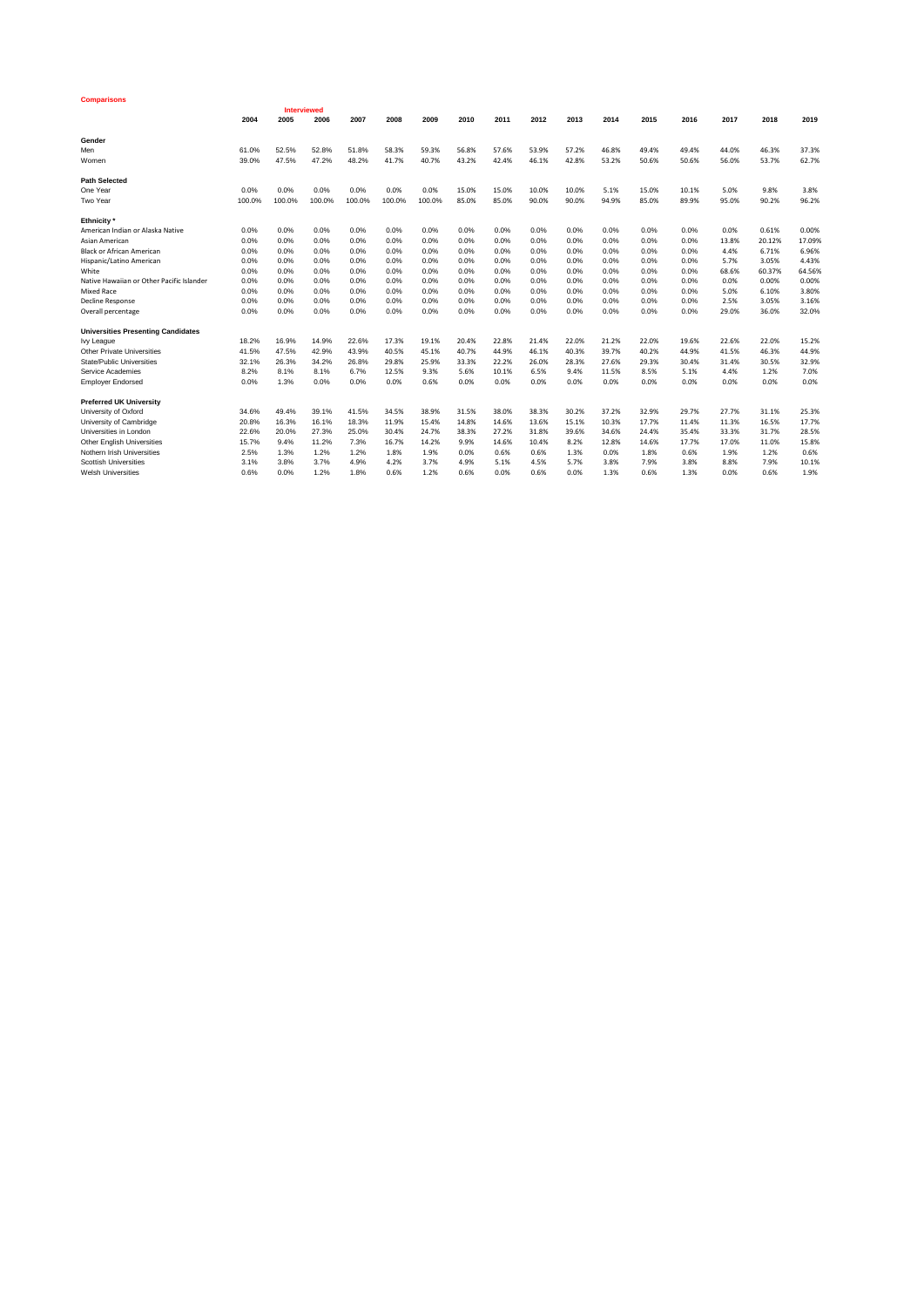| 2015<br>2018<br>2016<br>2017<br>2019<br>37.3%<br>49.4%<br>49.4%<br>44.0%<br>46.3%<br>53.7%<br>62.7%<br>50.6%<br>50.6%<br>56.0%<br>5.0%<br>9.8%<br>3.8%<br>15.0%<br>10.1%<br>90.2%<br>96.2%<br>85.0%<br>89.9%<br>95.0% |
|-----------------------------------------------------------------------------------------------------------------------------------------------------------------------------------------------------------------------|
|                                                                                                                                                                                                                       |
|                                                                                                                                                                                                                       |
|                                                                                                                                                                                                                       |
|                                                                                                                                                                                                                       |
|                                                                                                                                                                                                                       |
|                                                                                                                                                                                                                       |
|                                                                                                                                                                                                                       |
|                                                                                                                                                                                                                       |
|                                                                                                                                                                                                                       |
| 0.0%<br>0.0%<br>0.0%<br>0.61%<br>0.00%                                                                                                                                                                                |
| 0.0%<br>17.09%<br>0.0%<br>13.8%<br>20.12%                                                                                                                                                                             |
| 0.0%<br>0.0%<br>6.71%<br>6.96%<br>4.4%                                                                                                                                                                                |
| 4.43%<br>0.0%<br>0.0%<br>5.7%<br>3.05%                                                                                                                                                                                |
| 0.0%<br>60.37%<br>64.56%<br>0.0%<br>68.6%                                                                                                                                                                             |
| 0.0%<br>0.0%<br>0.0%<br>0.00%<br>0.00%                                                                                                                                                                                |
| 0.0%<br>3.80%<br>0.0%<br>5.0%<br>6.10%                                                                                                                                                                                |
| 0.0%<br>0.0%<br>2.5%<br>3.05%<br>3.16%                                                                                                                                                                                |
| 0.0%<br>0.0%<br>36.0%<br>32.0%<br>29.0%                                                                                                                                                                               |
|                                                                                                                                                                                                                       |
| 22.0%<br>19.6%<br>22.6%<br>22.0%<br>15.2%                                                                                                                                                                             |
| 44.9%<br>40.2%<br>44.9%<br>41.5%<br>46.3%                                                                                                                                                                             |
| 32.9%<br>29.3%<br>30.4%<br>31.4%<br>30.5%                                                                                                                                                                             |
| 7.0%<br>8.5%<br>5.1%<br>4.4%<br>1.2%                                                                                                                                                                                  |
| 0.0%<br>0.0%<br>0.0%<br>0.0%<br>0.0%                                                                                                                                                                                  |
|                                                                                                                                                                                                                       |
| 32.9%<br>29.7%<br>27.7%<br>31.1%<br>25.3%                                                                                                                                                                             |
| 17.7%<br>17.7%<br>16.5%<br>11.4%<br>11.3%                                                                                                                                                                             |
| 28.5%<br>33.3%<br>31.7%<br>24.4%<br>35.4%                                                                                                                                                                             |
| 17.7%<br>17.0%<br>15.8%<br>14.6%<br>11.0%                                                                                                                                                                             |
| 0.6%<br>1.8%<br>0.6%<br>1.9%<br>1.2%                                                                                                                                                                                  |
| 10.1%<br>7.9%<br>3.8%<br>8.8%<br>7.9%                                                                                                                                                                                 |
| 1.9%<br>0.6%<br>1.3%<br>0.0%<br>0.6%                                                                                                                                                                                  |
|                                                                                                                                                                                                                       |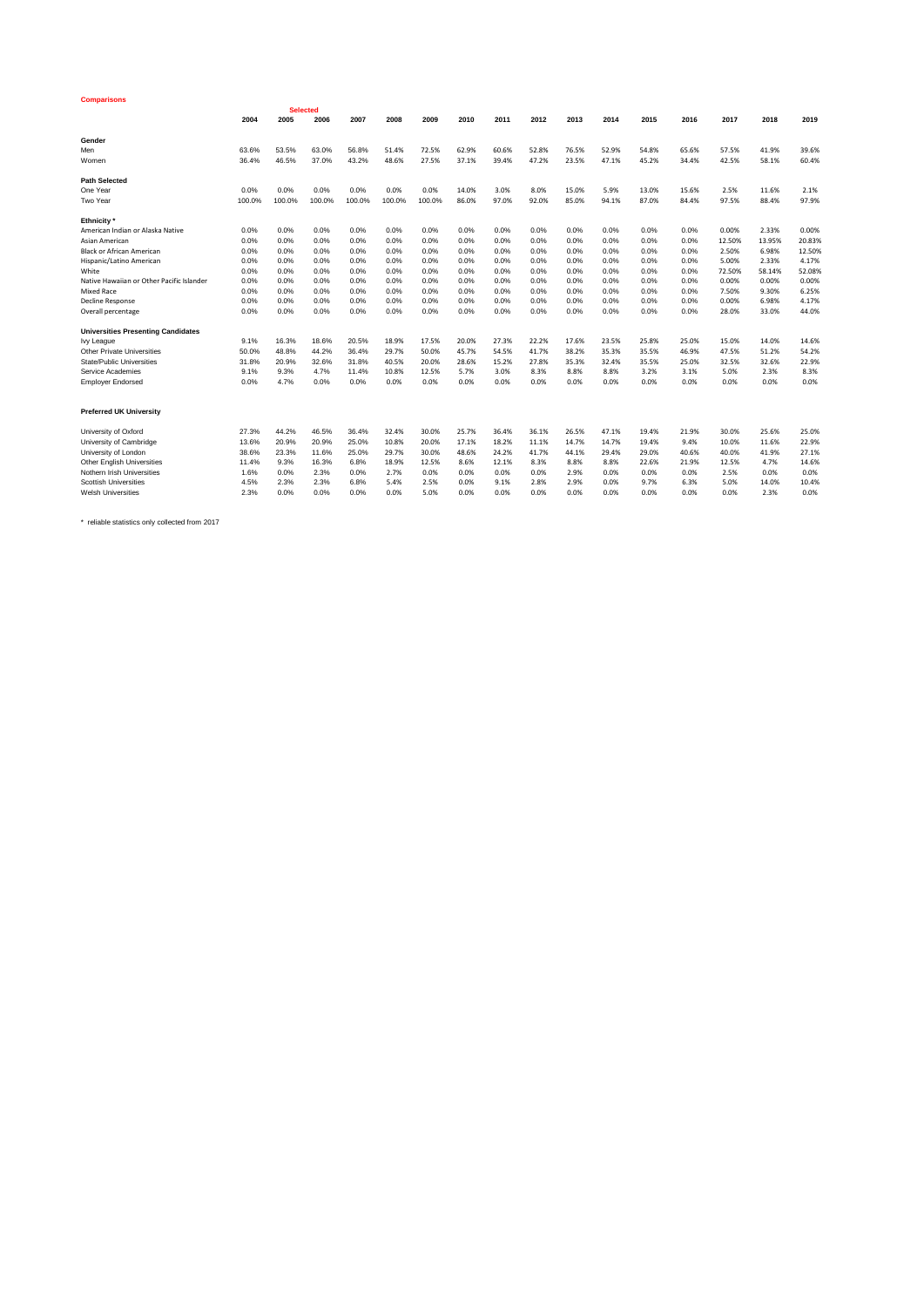| <b>Comparisons</b>                        |        |        |                         |        |        |        |       |       |       |       |       |       |       |        |        |        |
|-------------------------------------------|--------|--------|-------------------------|--------|--------|--------|-------|-------|-------|-------|-------|-------|-------|--------|--------|--------|
|                                           | 2004   | 2005   | <b>Selected</b><br>2006 | 2007   | 2008   | 2009   | 2010  | 2011  | 2012  | 2013  | 2014  | 2015  | 2016  | 2017   | 2018   | 2019   |
|                                           |        |        |                         |        |        |        |       |       |       |       |       |       |       |        |        |        |
| Gender                                    |        |        |                         |        |        |        |       |       |       |       |       |       |       |        |        |        |
| Men                                       | 63.6%  | 53.5%  | 63.0%                   | 56.8%  | 51.4%  | 72.5%  | 62.9% | 60.6% | 52.8% | 76.5% | 52.9% | 54.8% | 65.6% | 57.5%  | 41.9%  | 39.6%  |
| Women                                     | 36.4%  | 46.5%  | 37.0%                   | 43.2%  | 48.6%  | 27.5%  | 37.1% | 39.4% | 47.2% | 23.5% | 47.1% | 45.2% | 34.4% | 42.5%  | 58.1%  | 60.4%  |
| <b>Path Selected</b>                      |        |        |                         |        |        |        |       |       |       |       |       |       |       |        |        |        |
| One Year                                  | 0.0%   | 0.0%   | 0.0%                    | 0.0%   | 0.0%   | 0.0%   | 14.0% | 3.0%  | 8.0%  | 15.0% | 5.9%  | 13.0% | 15.6% | 2.5%   | 11.6%  | 2.1%   |
| Two Year                                  | 100.0% | 100.0% | 100.0%                  | 100.0% | 100.0% | 100.0% | 86.0% | 97.0% | 92.0% | 85.0% | 94.1% | 87.0% | 84.4% | 97.5%  | 88.4%  | 97.9%  |
| Ethnicity <sup>*</sup>                    |        |        |                         |        |        |        |       |       |       |       |       |       |       |        |        |        |
| American Indian or Alaska Native          | 0.0%   | 0.0%   | 0.0%                    | 0.0%   | 0.0%   | 0.0%   | 0.0%  | 0.0%  | 0.0%  | 0.0%  | 0.0%  | 0.0%  | 0.0%  | 0.00%  | 2.33%  | 0.00%  |
| Asian American                            | 0.0%   | 0.0%   | 0.0%                    | 0.0%   | 0.0%   | 0.0%   | 0.0%  | 0.0%  | 0.0%  | 0.0%  | 0.0%  | 0.0%  | 0.0%  | 12.50% | 13.95% | 20.83% |
| Black or African American                 | 0.0%   | 0.0%   | 0.0%                    | 0.0%   | 0.0%   | 0.0%   | 0.0%  | 0.0%  | 0.0%  | 0.0%  | 0.0%  | 0.0%  | 0.0%  | 2.50%  | 6.98%  | 12.50% |
| Hispanic/Latino American                  | 0.0%   | 0.0%   | 0.0%                    | 0.0%   | 0.0%   | 0.0%   | 0.0%  | 0.0%  | 0.0%  | 0.0%  | 0.0%  | 0.0%  | 0.0%  | 5.00%  | 2.33%  | 4.17%  |
| White                                     | 0.0%   | 0.0%   | 0.0%                    | 0.0%   | 0.0%   | 0.0%   | 0.0%  | 0.0%  | 0.0%  | 0.0%  | 0.0%  | 0.0%  | 0.0%  | 72.50% | 58.14% | 52.08% |
| Native Hawaiian or Other Pacific Islander | 0.0%   | 0.0%   | 0.0%                    | 0.0%   | 0.0%   | 0.0%   | 0.0%  | 0.0%  | 0.0%  | 0.0%  | 0.0%  | 0.0%  | 0.0%  | 0.00%  | 0.00%  | 0.00%  |
| <b>Mixed Race</b>                         | 0.0%   | 0.0%   | 0.0%                    | 0.0%   | 0.0%   | 0.0%   | 0.0%  | 0.0%  | 0.0%  | 0.0%  | 0.0%  | 0.0%  | 0.0%  | 7.50%  | 9.30%  | 6.25%  |
| Decline Response                          | 0.0%   | 0.0%   | 0.0%                    | 0.0%   | 0.0%   | 0.0%   | 0.0%  | 0.0%  | 0.0%  | 0.0%  | 0.0%  | 0.0%  | 0.0%  | 0.00%  | 6.98%  | 4.17%  |
| Overall percentage                        | 0.0%   | 0.0%   | 0.0%                    | 0.0%   | 0.0%   | 0.0%   | 0.0%  | 0.0%  | 0.0%  | 0.0%  | 0.0%  | 0.0%  | 0.0%  | 28.0%  | 33.0%  | 44.0%  |
| <b>Universities Presenting Candidates</b> |        |        |                         |        |        |        |       |       |       |       |       |       |       |        |        |        |
| Ivy League                                | 9.1%   | 16.3%  | 18.6%                   | 20.5%  | 18.9%  | 17.5%  | 20.0% | 27.3% | 22.2% | 17.6% | 23.5% | 25.8% | 25.0% | 15.0%  | 14.0%  | 14.6%  |
| <b>Other Private Universities</b>         | 50.0%  | 48.8%  | 44.2%                   | 36.4%  | 29.7%  | 50.0%  | 45.7% | 54.5% | 41.7% | 38.2% | 35.3% | 35.5% | 46.9% | 47.5%  | 51.2%  | 54.2%  |
| <b>State/Public Universities</b>          | 31.8%  | 20.9%  | 32.6%                   | 31.8%  | 40.5%  | 20.0%  | 28.6% | 15.2% | 27.8% | 35.3% | 32.4% | 35.5% | 25.0% | 32.5%  | 32.6%  | 22.9%  |
| Service Academies                         | 9.1%   | 9.3%   | 4.7%                    | 11.4%  | 10.8%  | 12.5%  | 5.7%  | 3.0%  | 8.3%  | 8.8%  | 8.8%  | 3.2%  | 3.1%  | 5.0%   | 2.3%   | 8.3%   |
| <b>Employer Endorsed</b>                  | 0.0%   | 4.7%   | 0.0%                    | 0.0%   | 0.0%   | 0.0%   | 0.0%  | 0.0%  | 0.0%  | 0.0%  | 0.0%  | 0.0%  | 0.0%  | 0.0%   | 0.0%   | 0.0%   |
| <b>Preferred UK University</b>            |        |        |                         |        |        |        |       |       |       |       |       |       |       |        |        |        |
| University of Oxford                      | 27.3%  | 44.2%  | 46.5%                   | 36.4%  | 32.4%  | 30.0%  | 25.7% | 36.4% | 36.1% | 26.5% | 47.1% | 19.4% | 21.9% | 30.0%  | 25.6%  | 25.0%  |
| University of Cambridge                   | 13.6%  | 20.9%  | 20.9%                   | 25.0%  | 10.8%  | 20.0%  | 17.1% | 18.2% | 11.1% | 14.7% | 14.7% | 19.4% | 9.4%  | 10.0%  | 11.6%  | 22.9%  |
| University of London                      | 38.6%  | 23.3%  | 11.6%                   | 25.0%  | 29.7%  | 30.0%  | 48.6% | 24.2% | 41.7% | 44.1% | 29.4% | 29.0% | 40.6% | 40.0%  | 41.9%  | 27.1%  |
| Other English Universities                | 11.4%  | 9.3%   | 16.3%                   | 6.8%   | 18.9%  | 12.5%  | 8.6%  | 12.1% | 8.3%  | 8.8%  | 8.8%  | 22.6% | 21.9% | 12.5%  | 4.7%   | 14.6%  |
| Nothern Irish Universities                | 1.6%   | 0.0%   | 2.3%                    | 0.0%   | 2.7%   | 0.0%   | 0.0%  | 0.0%  | 0.0%  | 2.9%  | 0.0%  | 0.0%  | 0.0%  | 2.5%   | 0.0%   | 0.0%   |
| <b>Scottish Universities</b>              | 4.5%   | 2.3%   | 2.3%                    | 6.8%   | 5.4%   | 2.5%   | 0.0%  | 9.1%  | 2.8%  | 2.9%  | 0.0%  | 9.7%  | 6.3%  | 5.0%   | 14.0%  | 10.4%  |
| <b>Welsh Universities</b>                 | 2.3%   | 0.0%   | 0.0%                    | 0.0%   | 0.0%   | 5.0%   | 0.0%  | 0.0%  | 0.0%  | 0.0%  | 0.0%  | 0.0%  | 0.0%  | 0.0%   | 2.3%   | 0.0%   |
|                                           |        |        |                         |        |        |        |       |       |       |       |       |       |       |        |        |        |

\* reliable statistics only collected from 2017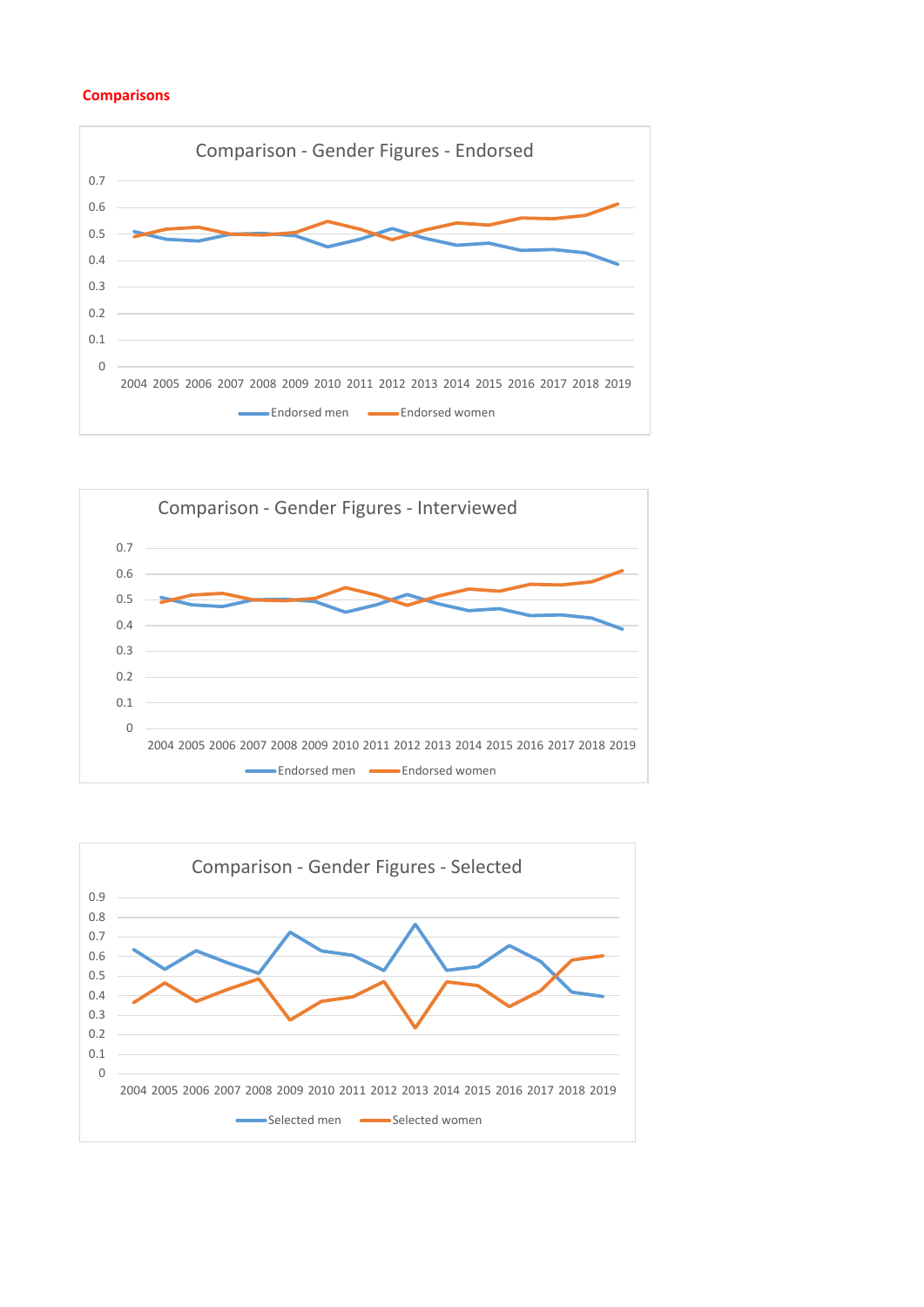# **Comparisons**





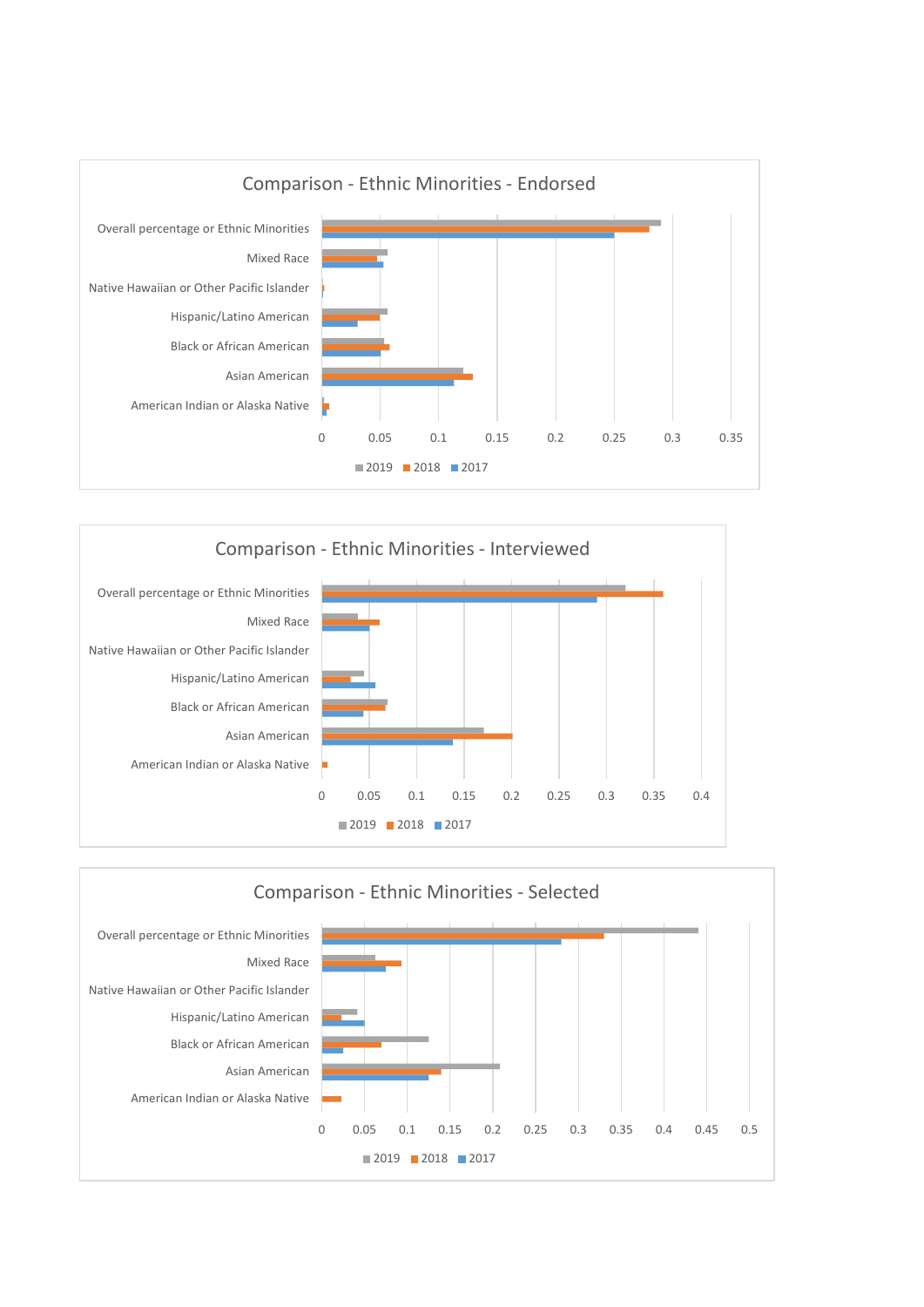



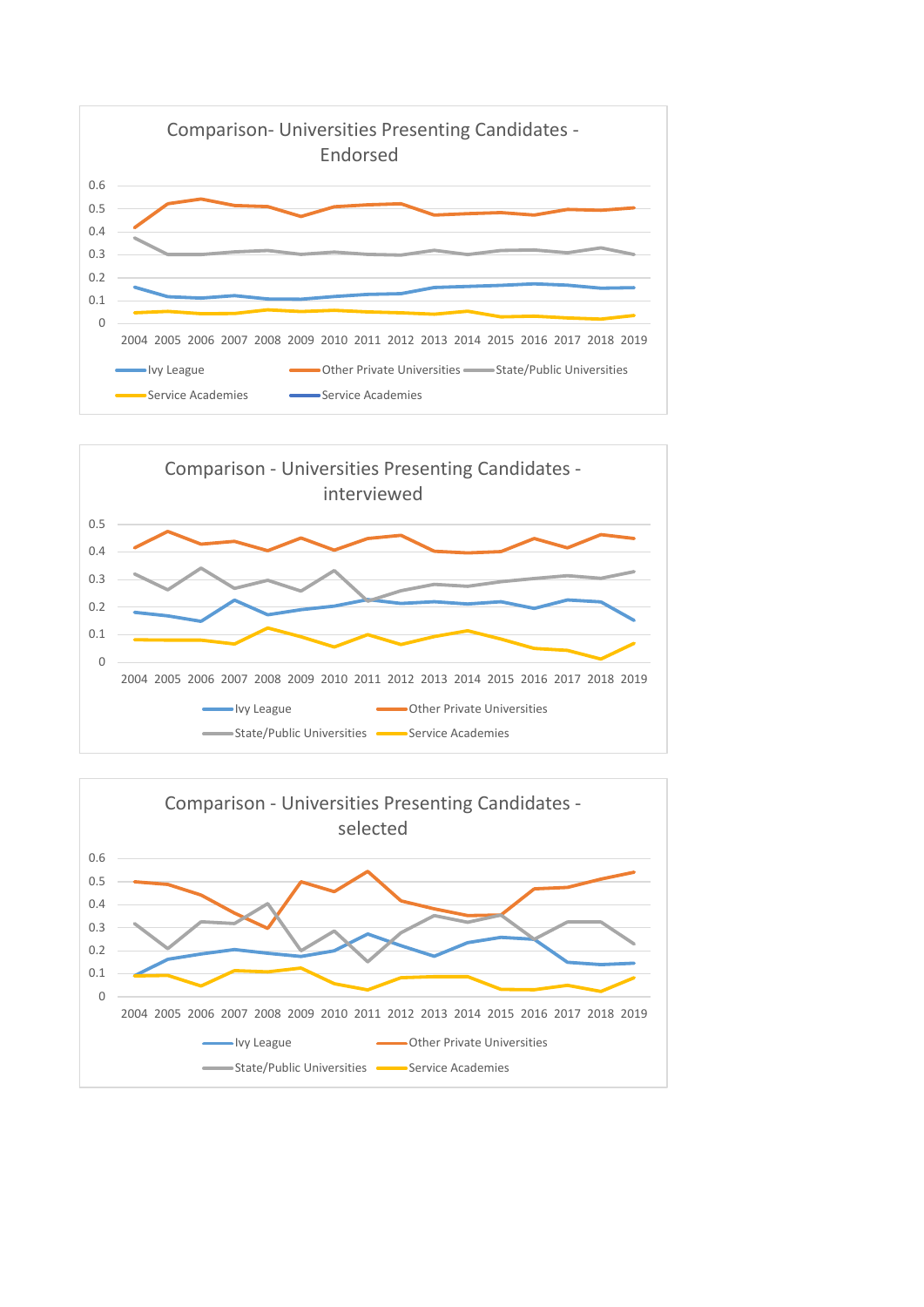



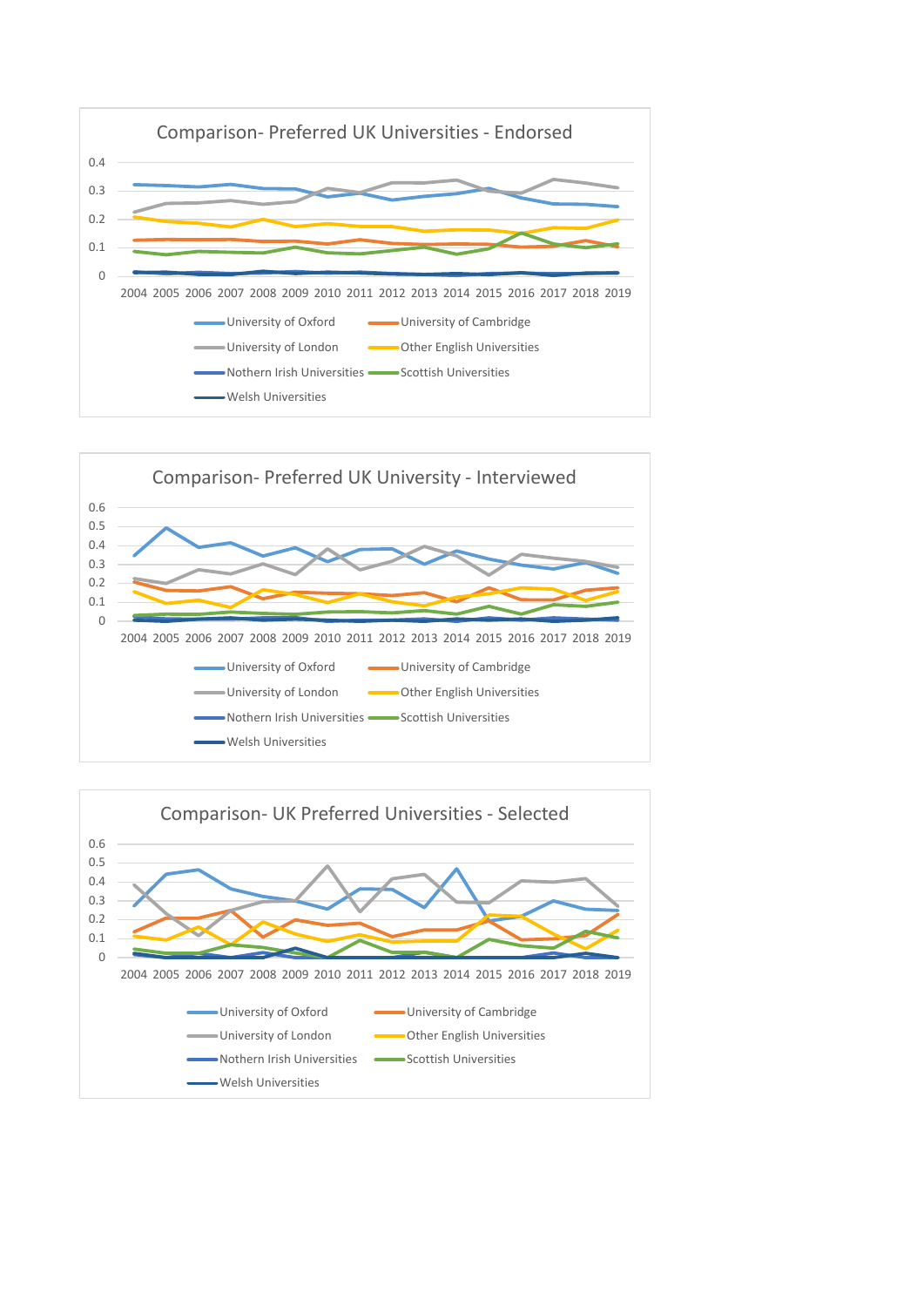



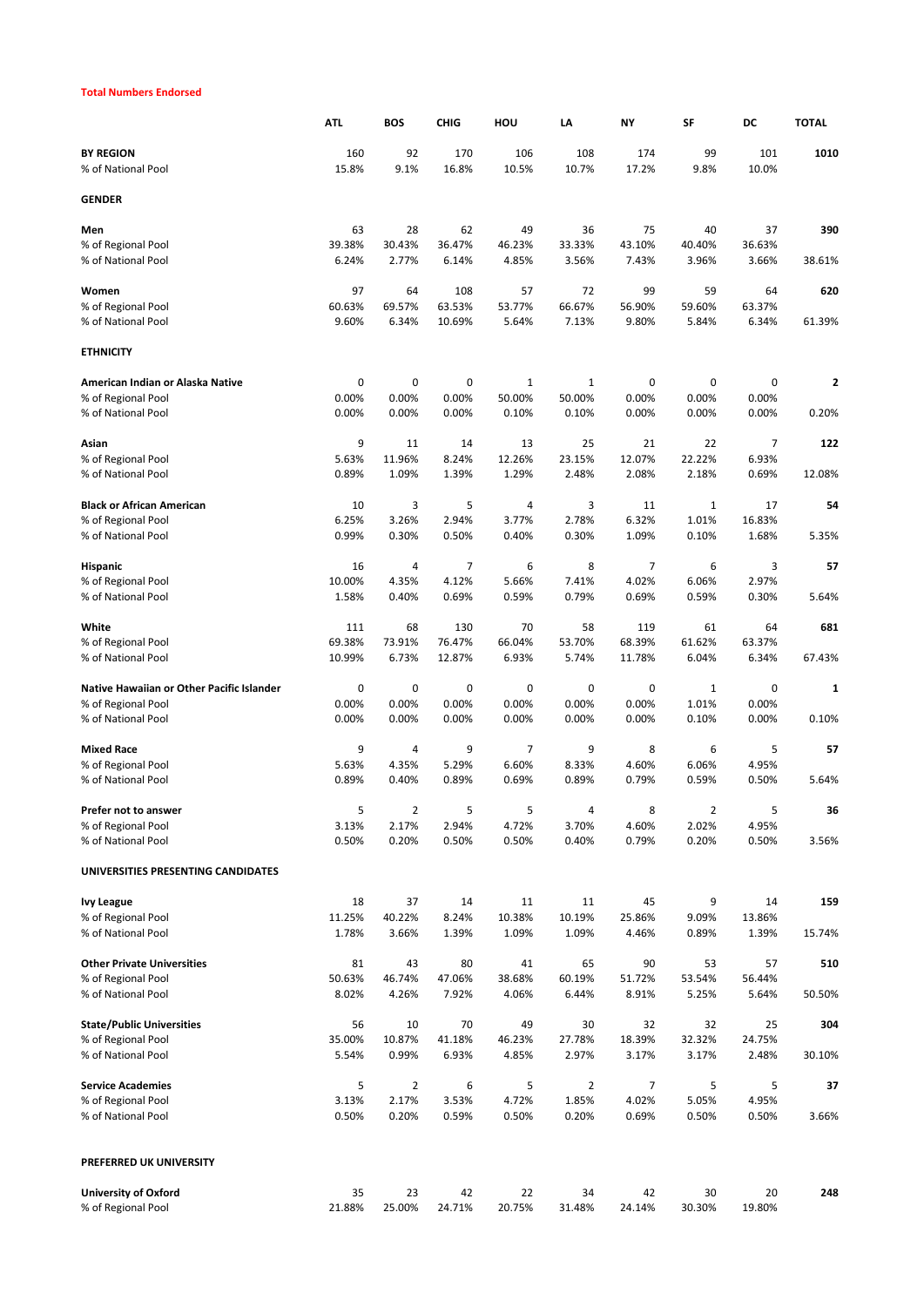#### **Total Numbers Endorsed**

|                                                | <b>ATL</b>     | <b>BOS</b>              | <b>CHIG</b>    | HOU          | LA                      | NΥ             | SF             | DC             | <b>TOTAL</b> |
|------------------------------------------------|----------------|-------------------------|----------------|--------------|-------------------------|----------------|----------------|----------------|--------------|
| <b>BY REGION</b>                               | 160            | 92                      | 170            | 106          | 108                     | 174            | 99             | 101            | 1010         |
| % of National Pool                             | 15.8%          | 9.1%                    | 16.8%          | 10.5%        | 10.7%                   | 17.2%          | 9.8%           | 10.0%          |              |
| <b>GENDER</b>                                  |                |                         |                |              |                         |                |                |                |              |
| Men                                            | 63             | 28                      | 62             | 49           | 36                      | 75             | 40             | 37             | 390          |
| % of Regional Pool                             | 39.38%         | 30.43%                  | 36.47%         | 46.23%       | 33.33%                  | 43.10%         | 40.40%         | 36.63%         |              |
| % of National Pool                             | 6.24%          | 2.77%                   | 6.14%          | 4.85%        | 3.56%                   | 7.43%          | 3.96%          | 3.66%          | 38.61%       |
|                                                |                |                         |                |              |                         |                |                |                |              |
| Women<br>% of Regional Pool                    | 97<br>60.63%   | 64<br>69.57%            | 108<br>63.53%  | 57<br>53.77% | 72<br>66.67%            | 99<br>56.90%   | 59<br>59.60%   | 64<br>63.37%   | 620          |
| % of National Pool                             | 9.60%          | 6.34%                   | 10.69%         | 5.64%        | 7.13%                   | 9.80%          | 5.84%          | 6.34%          | 61.39%       |
| <b>ETHNICITY</b>                               |                |                         |                |              |                         |                |                |                |              |
| American Indian or Alaska Native               | 0              | $\mathbf 0$             | 0              | $\mathbf{1}$ | $\mathbf{1}$            | 0              | 0              | 0              |              |
| % of Regional Pool                             | 0.00%          | 0.00%                   | 0.00%          | 50.00%       | 50.00%                  | 0.00%          | 0.00%          | 0.00%          | 2            |
| % of National Pool                             | 0.00%          | 0.00%                   | 0.00%          | 0.10%        | 0.10%                   | 0.00%          | 0.00%          | 0.00%          | 0.20%        |
|                                                |                |                         |                |              |                         |                |                |                |              |
| Asian                                          | 9              | 11                      | 14             | 13           | 25                      | 21             | 22             | 7              | 122          |
| % of Regional Pool                             | 5.63%          | 11.96%                  | 8.24%          | 12.26%       | 23.15%                  | 12.07%         | 22.22%         | 6.93%          |              |
| % of National Pool                             | 0.89%          | 1.09%                   | 1.39%          | 1.29%        | 2.48%                   | 2.08%          | 2.18%          | 0.69%          | 12.08%       |
| <b>Black or African American</b>               | 10             | 3                       | 5              | 4            | 3                       | 11             | 1              | 17             | 54           |
| % of Regional Pool                             | 6.25%          | 3.26%                   | 2.94%          | 3.77%        | 2.78%                   | 6.32%          | 1.01%          | 16.83%         |              |
| % of National Pool                             | 0.99%          | 0.30%                   | 0.50%          | 0.40%        | 0.30%                   | 1.09%          | 0.10%          | 1.68%          | 5.35%        |
| Hispanic                                       | 16             | 4                       | 7              | 6            | 8                       | 7              | 6              | 3              | 57           |
| % of Regional Pool                             | 10.00%         | 4.35%                   | 4.12%          | 5.66%        | 7.41%                   | 4.02%          | 6.06%          | 2.97%          |              |
| % of National Pool                             | 1.58%          | 0.40%                   | 0.69%          | 0.59%        | 0.79%                   | 0.69%          | 0.59%          | 0.30%          | 5.64%        |
| White                                          | 111            | 68                      | 130            | 70           | 58                      | 119            | 61             | 64             | 681          |
| % of Regional Pool                             | 69.38%         | 73.91%                  | 76.47%         | 66.04%       | 53.70%                  | 68.39%         | 61.62%         | 63.37%         |              |
| % of National Pool                             | 10.99%         | 6.73%                   | 12.87%         | 6.93%        | 5.74%                   | 11.78%         | 6.04%          | 6.34%          | 67.43%       |
| Native Hawaiian or Other Pacific Islander      | 0              | 0                       | 0              | 0            | 0                       | 0              | 1              | 0              | 1            |
| % of Regional Pool                             | 0.00%          | 0.00%                   | 0.00%          | 0.00%        | 0.00%                   | 0.00%          | 1.01%          | 0.00%          |              |
| % of National Pool                             | 0.00%          | 0.00%                   | 0.00%          | 0.00%        | 0.00%                   | 0.00%          | 0.10%          | 0.00%          | 0.10%        |
| <b>Mixed Race</b>                              | 9              | 4                       | 9              | 7            | 9                       | 8              | 6              | 5              | 57           |
| % of Regional Pool                             | 5.63%          | 4.35%                   | 5.29%          | 6.60%        | 8.33%                   | 4.60%          | 6.06%          | 4.95%          |              |
| % of National Pool                             | 0.89%          | 0.40%                   | 0.89%          | 0.69%        | 0.89%                   | 0.79%          | 0.59%          | 0.50%          | 5.64%        |
|                                                |                |                         |                |              |                         |                |                |                |              |
| Prefer not to answer                           | 5              | $\overline{2}$          |                | 4.72%        |                         | 8              |                | 5              | 36           |
| % of Regional Pool<br>% of National Pool       | 3.13%<br>0.50% | 2.17%<br>0.20%          | 2.94%<br>0.50% | 0.50%        | 3.70%<br>0.40%          | 4.60%<br>0.79% | 2.02%<br>0.20% | 4.95%<br>0.50% | 3.56%        |
|                                                |                |                         |                |              |                         |                |                |                |              |
| UNIVERSITIES PRESENTING CANDIDATES             |                |                         |                |              |                         |                |                |                |              |
| Ivy League                                     | 18             | 37                      | 14             | 11           | 11                      | 45             | 9              | 14             | 159          |
| % of Regional Pool                             | 11.25%         | 40.22%                  | 8.24%          | 10.38%       | 10.19%                  | 25.86%         | 9.09%          | 13.86%         |              |
| % of National Pool                             | 1.78%          | 3.66%                   | 1.39%          | 1.09%        | 1.09%                   | 4.46%          | 0.89%          | 1.39%          | 15.74%       |
| <b>Other Private Universities</b>              | 81             | 43                      | 80             | 41           | 65                      | 90             | 53             | 57             | 510          |
| % of Regional Pool                             | 50.63%         | 46.74%                  | 47.06%         | 38.68%       | 60.19%                  | 51.72%         | 53.54%         | 56.44%         |              |
| % of National Pool                             | 8.02%          | 4.26%                   | 7.92%          | 4.06%        | 6.44%                   | 8.91%          | 5.25%          | 5.64%          | 50.50%       |
| <b>State/Public Universities</b>               | 56             | 10                      | 70             | 49           | 30                      | 32             | 32             | 25             | 304          |
| % of Regional Pool                             | 35.00%         | 10.87%                  | 41.18%         | 46.23%       | 27.78%                  | 18.39%         | 32.32%         | 24.75%         |              |
| % of National Pool                             | 5.54%          | 0.99%                   | 6.93%          | 4.85%        | 2.97%                   | 3.17%          | 3.17%          | 2.48%          | 30.10%       |
|                                                |                |                         |                |              |                         |                |                |                |              |
| <b>Service Academies</b><br>% of Regional Pool | 5<br>3.13%     | $\overline{2}$<br>2.17% | 6<br>3.53%     | 5<br>4.72%   | $\overline{2}$<br>1.85% | 7<br>4.02%     | 5<br>5.05%     | 5<br>4.95%     | 37           |
| % of National Pool                             | 0.50%          | 0.20%                   | 0.59%          | 0.50%        | 0.20%                   | 0.69%          | 0.50%          | 0.50%          | 3.66%        |
|                                                |                |                         |                |              |                         |                |                |                |              |
| PREFERRED UK UNIVERSITY                        |                |                         |                |              |                         |                |                |                |              |
| <b>University of Oxford</b>                    | 35             | 23                      | 42             | 22           | 34                      | 42             | 30             | 20             | 248          |
| % of Regional Pool                             | 21.88%         | 25.00%                  | 24.71%         | 20.75%       | 31.48%                  | 24.14%         | 30.30%         | 19.80%         |              |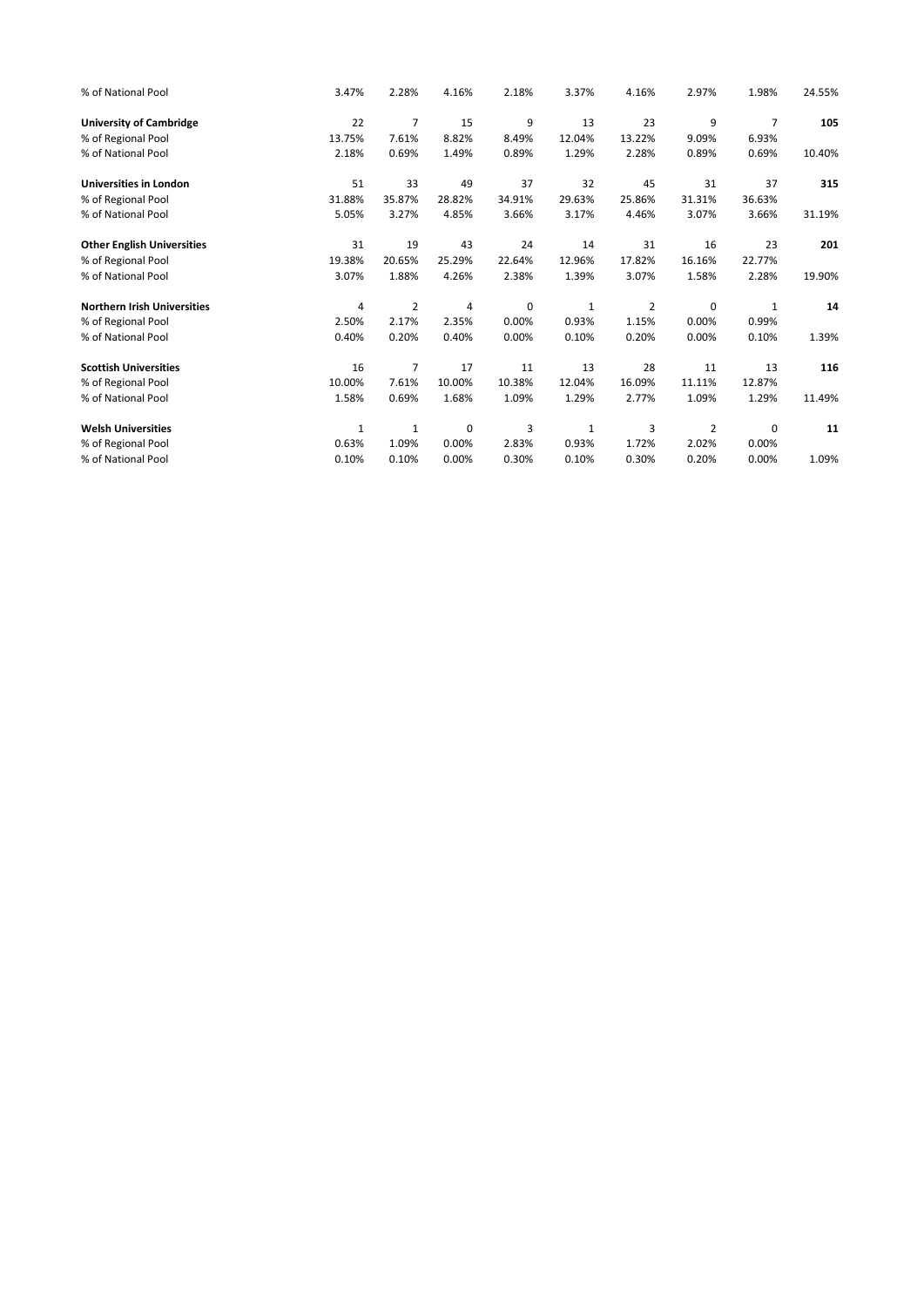| % of National Pool                 | 3.47%  | 2.28%        | 4.16%  | 2.18%  | 3.37%        | 4.16%  | 2.97%  | 1.98%        | 24.55% |
|------------------------------------|--------|--------------|--------|--------|--------------|--------|--------|--------------|--------|
| <b>University of Cambridge</b>     | 22     | 7            | 15     | 9      | 13           | 23     | 9      | 7            | 105    |
| % of Regional Pool                 | 13.75% | 7.61%        | 8.82%  | 8.49%  | 12.04%       | 13.22% | 9.09%  | 6.93%        |        |
| % of National Pool                 | 2.18%  | 0.69%        | 1.49%  | 0.89%  | 1.29%        | 2.28%  | 0.89%  | 0.69%        | 10.40% |
| <b>Universities in London</b>      | 51     | 33           | 49     | 37     | 32           | 45     | 31     | 37           | 315    |
| % of Regional Pool                 | 31.88% | 35.87%       | 28.82% | 34.91% | 29.63%       | 25.86% | 31.31% | 36.63%       |        |
| % of National Pool                 | 5.05%  | 3.27%        | 4.85%  | 3.66%  | 3.17%        | 4.46%  | 3.07%  | 3.66%        | 31.19% |
| <b>Other English Universities</b>  | 31     | 19           | 43     | 24     | 14           | 31     | 16     | 23           | 201    |
| % of Regional Pool                 | 19.38% | 20.65%       | 25.29% | 22.64% | 12.96%       | 17.82% | 16.16% | 22.77%       |        |
| % of National Pool                 | 3.07%  | 1.88%        | 4.26%  | 2.38%  | 1.39%        | 3.07%  | 1.58%  | 2.28%        | 19.90% |
| <b>Northern Irish Universities</b> | 4      | 2            | 4      | 0      | 1            | 2      | 0      | $\mathbf{1}$ | 14     |
| % of Regional Pool                 | 2.50%  | 2.17%        | 2.35%  | 0.00%  | 0.93%        | 1.15%  | 0.00%  | 0.99%        |        |
| % of National Pool                 | 0.40%  | 0.20%        | 0.40%  | 0.00%  | 0.10%        | 0.20%  | 0.00%  | 0.10%        | 1.39%  |
| <b>Scottish Universities</b>       | 16     | 7            | 17     | 11     | 13           | 28     | 11     | 13           | 116    |
| % of Regional Pool                 | 10.00% | 7.61%        | 10.00% | 10.38% | 12.04%       | 16.09% | 11.11% | 12.87%       |        |
| % of National Pool                 | 1.58%  | 0.69%        | 1.68%  | 1.09%  | 1.29%        | 2.77%  | 1.09%  | 1.29%        | 11.49% |
| <b>Welsh Universities</b>          | 1      | $\mathbf{1}$ | 0      | 3      | $\mathbf{1}$ | 3      | 2      | 0            | 11     |
| % of Regional Pool                 | 0.63%  | 1.09%        | 0.00%  | 2.83%  | 0.93%        | 1.72%  | 2.02%  | 0.00%        |        |
| % of National Pool                 | 0.10%  | 0.10%        | 0.00%  | 0.30%  | 0.10%        | 0.30%  | 0.20%  | 0.00%        | 1.09%  |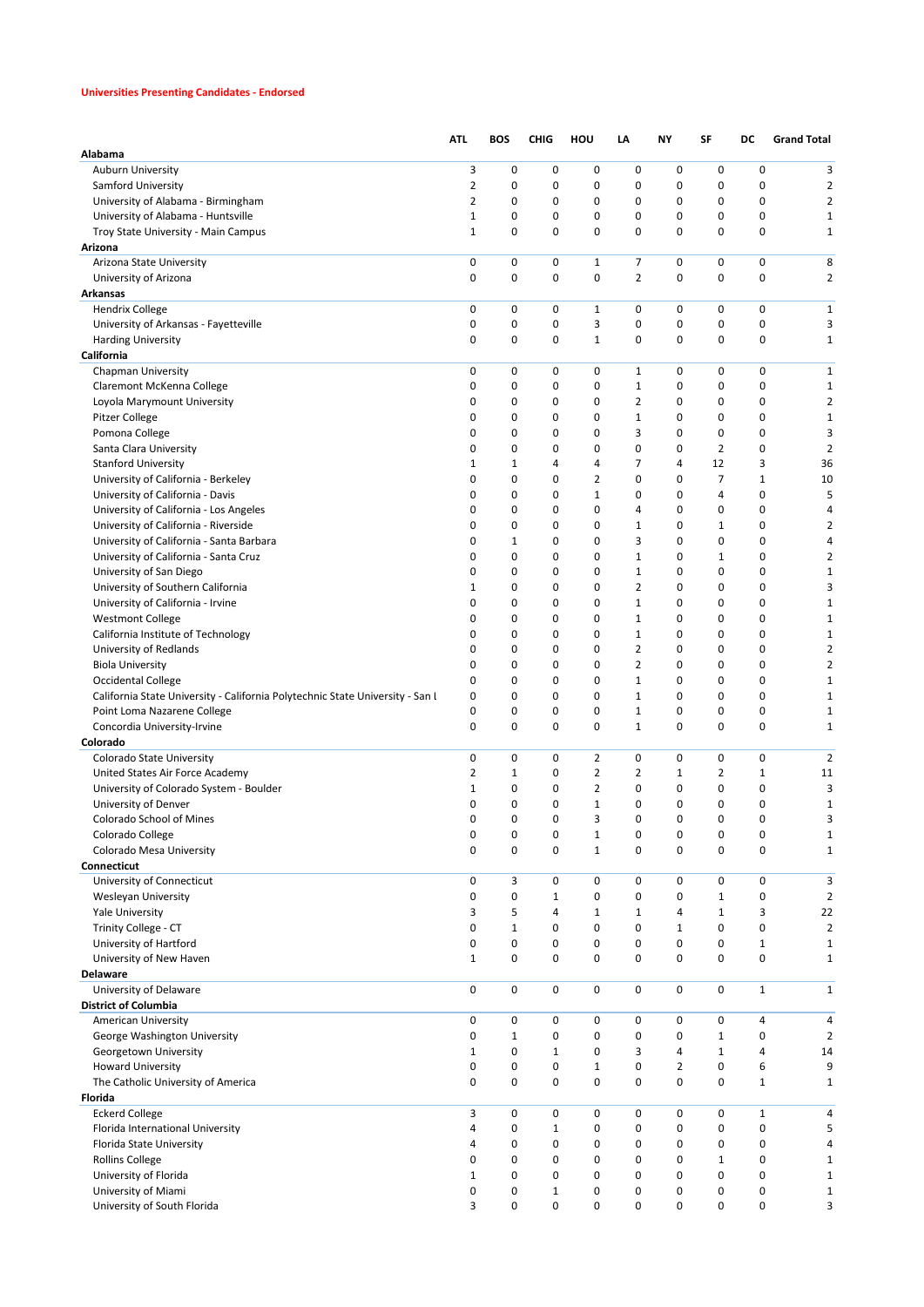## **Universities Presenting Candidates - Endorsed**

|                                                                               | <b>ATL</b>     | <b>BOS</b>   | <b>CHIG</b> | HOU            | LA                          | NY           | SF             | DC                         | <b>Grand Total</b>      |
|-------------------------------------------------------------------------------|----------------|--------------|-------------|----------------|-----------------------------|--------------|----------------|----------------------------|-------------------------|
| Alabama                                                                       |                |              |             |                |                             |              |                |                            |                         |
| Auburn University                                                             | 3              | 0            | 0           | 0              | 0                           | 0            | 0              | 0                          | 3                       |
| Samford University                                                            | $\overline{2}$ | 0            | 0           | 0              | 0                           | 0            | 0              | 0                          | $\overline{2}$          |
| University of Alabama - Birmingham                                            | $\overline{2}$ | 0            | 0           | 0              | 0                           | 0            | 0              | 0                          | 2                       |
| University of Alabama - Huntsville                                            | 1              | 0            | 0           | 0              | 0                           | 0            | 0              | 0                          | $\mathbf{1}$            |
| Troy State University - Main Campus                                           | $\mathbf{1}$   | 0            | 0           | 0              | 0                           | 0            | 0              | 0                          | $\mathbf{1}$            |
| Arizona                                                                       |                |              |             |                |                             |              |                |                            |                         |
| Arizona State University                                                      | 0              | 0            | 0           | $\mathbf{1}$   | 7                           | 0            | 0              | 0                          | 8                       |
| University of Arizona                                                         | 0              | 0            | 0           | 0              | $\overline{2}$              | 0            | 0              | 0                          | $\overline{2}$          |
| Arkansas                                                                      |                |              |             |                |                             |              |                |                            |                         |
| <b>Hendrix College</b>                                                        | 0              | 0            | 0           | 1              | 0                           | 0            | 0              | 0                          | $\mathbf{1}$            |
| University of Arkansas - Fayetteville                                         | 0              | 0            | 0           | 3              | 0                           | 0            | 0              | 0                          | 3                       |
| <b>Harding University</b>                                                     | 0              | 0            | 0           | $\mathbf{1}$   | 0                           | 0            | 0              | $\mathbf 0$                | 1                       |
| California                                                                    |                |              |             |                |                             |              |                |                            |                         |
| Chapman University                                                            | 0              | 0            | 0           | 0              | $\mathbf{1}$                | 0            | 0              | 0                          | $\mathbf{1}$            |
| Claremont McKenna College                                                     | 0              | 0            | 0           | 0              | $\mathbf{1}$                | 0            | 0              | 0                          | $\mathbf{1}$            |
| Loyola Marymount University                                                   | 0              | 0            | 0           | 0              | 2                           | 0            | 0              | 0                          | 2                       |
| <b>Pitzer College</b>                                                         | 0              | 0            | 0           | 0              | $\mathbf 1$                 | 0            | 0              | $\mathbf 0$                | $\mathbf 1$             |
| Pomona College                                                                | 0              | 0            | 0           | 0              | 3                           | 0            | 0              | 0                          | 3                       |
| Santa Clara University                                                        | 0              | 0            | 0           | 0              | 0                           | 0            | $\overline{2}$ | 0                          | $\overline{2}$          |
| <b>Stanford University</b>                                                    | 1              | $\mathbf{1}$ | 4           | 4              | $\overline{7}$              | 4            | 12             | 3                          | 36                      |
| University of California - Berkeley                                           | 0              | 0            | 0           | 2              | 0                           | 0            | 7              | $\mathbf{1}$               | 10                      |
| University of California - Davis                                              | 0              | 0            | 0           | $\mathbf{1}$   | 0                           | 0            | 4              | 0                          | 5                       |
| University of California - Los Angeles                                        | 0              | 0            | 0           | 0              | 4                           | 0            | 0              | 0                          | 4                       |
| University of California - Riverside                                          | 0              | 0            | 0           | 0              | $\mathbf{1}$                | 0            | $\mathbf{1}$   | 0                          | $\overline{2}$          |
| University of California - Santa Barbara                                      | 0              | $\mathbf{1}$ | 0           | 0              | 3                           | 0            | 0              | 0                          | 4                       |
| University of California - Santa Cruz                                         | 0              | 0            | 0           | 0              | $\mathbf{1}$                | 0            | $\mathbf{1}$   | 0                          | $\overline{2}$          |
| University of San Diego                                                       | 0              | 0            | 0           | 0              | $\mathbf{1}$                | 0            | 0              | 0                          | $\mathbf 1$             |
| University of Southern California                                             | 1              | 0            | 0           | 0              | $\overline{2}$              | 0            | 0              | 0                          | 3                       |
| University of California - Irvine                                             | 0              | 0            | 0           | 0              | $\mathbf{1}$                | 0            | 0              | $\mathbf 0$                | $\mathbf{1}$            |
| <b>Westmont College</b>                                                       | 0              | 0            | 0           | 0              | $\mathbf{1}$                | 0            | 0              | 0                          | $\mathbf{1}$            |
| California Institute of Technology                                            | 0              | 0            | 0           | 0              | $\mathbf{1}$                | 0            | 0              | 0                          | $\mathbf 1$             |
| University of Redlands                                                        | 0              | 0            | 0           | 0              | $\overline{2}$              | 0            | 0              | $\mathbf 0$                | $\overline{\mathbf{c}}$ |
| <b>Biola University</b>                                                       | 0              | 0<br>0       | 0<br>0      | 0              | $\overline{2}$              | 0            | 0              | 0<br>$\mathbf 0$           | $\overline{\mathbf{c}}$ |
| Occidental College                                                            | 0              |              |             | 0              | $\mathbf{1}$                | 0            | 0              |                            | $\mathbf{1}$            |
| California State University - California Polytechnic State University - San I | 0<br>0         | 0<br>0       | 0<br>0      | 0<br>0         | $\mathbf{1}$<br>$\mathbf 1$ | 0<br>0       | 0<br>0         | $\mathbf 0$<br>$\mathbf 0$ | $\mathbf{1}$            |
| Point Loma Nazarene College                                                   | 0              | 0            | 0           | 0              | $\mathbf{1}$                | 0            | 0              | 0                          | $\mathbf 1$             |
| Concordia University-Irvine<br>Colorado                                       |                |              |             |                |                             |              |                |                            | $\mathbf 1$             |
| Colorado State University                                                     | 0              | 0            | 0           | $\overline{2}$ | 0                           | 0            | 0              | 0                          | 2                       |
| United States Air Force Academy                                               | $\overline{2}$ | $\mathbf{1}$ | 0           | $\overline{2}$ | 2                           | 1            | 2              | $\mathbf{1}$               | 11                      |
| University of Colorado System - Boulder                                       | 1              | 0            | 0           | $\overline{2}$ | 0                           | 0            | 0              | 0                          | 3                       |
| University of Denver                                                          | 0              | 0            | 0           | $\mathbf{1}$   | 0                           | 0            | 0              | 0                          | $\mathbf 1$             |
| Colorado School of Mines                                                      | 0              | 0            | 0           | 3              | 0                           | 0            | 0              | $\mathbf 0$                | 3                       |
| Colorado College                                                              | 0              | 0            | 0           | $\mathbf{1}$   | 0                           | 0            | 0              | 0                          | $\mathbf{1}$            |
| Colorado Mesa University                                                      | 0              | 0            | 0           | $\mathbf 1$    | $\mathbf 0$                 | 0            | 0              | $\mathbf 0$                | $\mathbf{1}$            |
| Connecticut                                                                   |                |              |             |                |                             |              |                |                            |                         |
| University of Connecticut                                                     | 0              | 3            | 0           | 0              | 0                           | 0            | 0              | 0                          | 3                       |
| Wesleyan University                                                           | 0              | 0            | 1           | 0              | $\mathbf 0$                 | 0            | $\mathbf{1}$   | 0                          | 2                       |
| <b>Yale University</b>                                                        | 3              | 5            | 4           | $\mathbf{1}$   | $\mathbf{1}$                | 4            | $\mathbf{1}$   | 3                          | 22                      |
| Trinity College - CT                                                          | 0              | $\mathbf{1}$ | 0           | 0              | $\mathbf 0$                 | $\mathbf{1}$ | 0              | $\mathbf 0$                | $\overline{2}$          |
| University of Hartford                                                        | 0              | 0            | 0           | 0              | $\mathbf 0$                 | 0            | 0              | $\mathbf 1$                | $\mathbf 1$             |
| University of New Haven                                                       | $\mathbf{1}$   | 0            | 0           | 0              | 0                           | 0            | 0              | 0                          | $\mathbf 1$             |
| <b>Delaware</b>                                                               |                |              |             |                |                             |              |                |                            |                         |
| University of Delaware                                                        | 0              | $\mathbf 0$  | 0           | 0              | $\mathbf 0$                 | $\mathbf 0$  | 0              | $\mathbf{1}$               | $\mathbf{1}$            |
| <b>District of Columbia</b>                                                   |                |              |             |                |                             |              |                |                            |                         |
| American University                                                           | 0              | 0            | 0           | 0              | 0                           | 0            | 0              | 4                          | 4                       |
| George Washington University                                                  | 0              | $\mathbf{1}$ | 0           | 0              | 0                           | 0            | $\mathbf{1}$   | 0                          | 2                       |
| Georgetown University                                                         | $\mathbf{1}$   | 0            | $\mathbf 1$ | 0              | 3                           | 4            | $\mathbf{1}$   | 4                          | 14                      |
| <b>Howard University</b>                                                      | 0              | 0            | 0           | $\mathbf 1$    | $\mathbf 0$                 | 2            | 0              | 6                          | 9                       |
| The Catholic University of America                                            | 0              | 0            | 0           | 0              | $\mathbf 0$                 | 0            | 0              | $\mathbf 1$                | $\mathbf{1}$            |
| Florida                                                                       |                |              |             |                |                             |              |                |                            |                         |
| <b>Eckerd College</b>                                                         | 3              | 0            | 0           | 0              | 0                           | 0            | 0              | $\mathbf{1}$               | 4                       |
| Florida International University                                              | 4              | 0            | 1           | 0              | 0                           | 0            | 0              | 0                          | 5                       |
| Florida State University                                                      | 4              | 0            | 0           | 0              | 0                           | 0            | 0              | $\mathbf 0$                | 4                       |
| <b>Rollins College</b>                                                        | 0              | 0            | 0           | 0              | 0                           | 0            | $\mathbf{1}$   | 0                          | $\mathbf{1}$            |
| University of Florida                                                         | $\mathbf{1}$   | 0            | 0           | 0              | 0                           | 0            | 0              | 0                          | $\mathbf{1}$            |
| University of Miami                                                           | 0              | 0            | 1           | 0              | 0                           | 0            | 0              | 0                          | $\mathbf{1}$            |
| University of South Florida                                                   | 3              | 0            | 0           | 0              | 0                           | $\mathbf 0$  | 0              | 0                          | 3                       |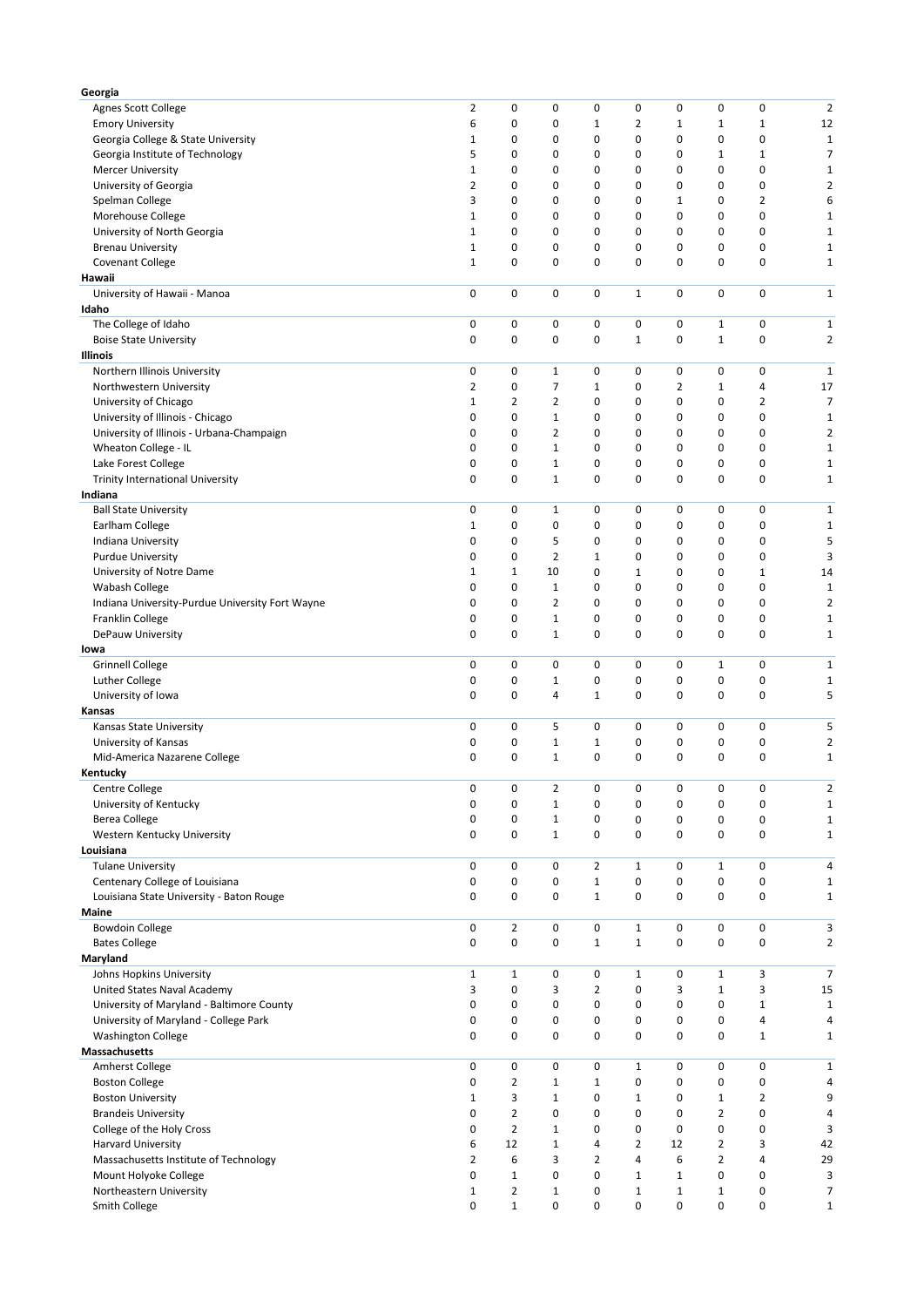| Georgia                                         |              |                |                |              |                |                |              |                |                |
|-------------------------------------------------|--------------|----------------|----------------|--------------|----------------|----------------|--------------|----------------|----------------|
| Agnes Scott College                             | 2            | 0              | $\mathbf 0$    | 0            | 0              | 0              | 0            | 0              | $\overline{c}$ |
| <b>Emory University</b>                         | 6            | 0              | 0              | $\mathbf{1}$ | $\overline{2}$ | $\mathbf{1}$   | $\mathbf{1}$ | $\mathbf{1}$   | 12             |
| Georgia College & State University              | $\mathbf{1}$ | 0              | 0              | 0            | 0              | 0              | 0            | 0              | $\mathbf{1}$   |
| Georgia Institute of Technology                 | 5            | 0              | 0              | 0            | 0              | 0              | $\mathbf{1}$ | $\mathbf{1}$   | $\overline{7}$ |
| <b>Mercer University</b>                        | 1            | 0              | 0              | 0            | 0              | 0              | 0            | 0              | 1              |
| University of Georgia                           | 2            | 0              | 0              | 0            | 0              | 0              | 0            | 0              | $\overline{2}$ |
| Spelman College                                 | 3            | 0              | 0              | 0            | 0              | 1              | 0            | 2              | 6              |
| Morehouse College                               | 1            | 0              | 0              | 0            | 0              | 0              | 0            | 0              | $\mathbf 1$    |
| University of North Georgia                     | 1            | 0              | 0              | 0            | 0              | 0              | 0            | 0              | $\mathbf{1}$   |
| <b>Brenau University</b>                        | $\mathbf{1}$ | 0              | 0              | 0            | 0              | 0              | 0            | 0              | $\mathbf 1$    |
| Covenant College                                | 1            | 0              | 0              | 0            | $\mathbf 0$    | 0              | 0            | 0              | $\mathbf{1}$   |
| Hawaii                                          |              |                |                |              |                |                |              |                |                |
| University of Hawaii - Manoa                    | 0            | 0              | 0              | 0            | $\mathbf{1}$   | 0              | 0            | 0              | $\mathbf 1$    |
| Idaho<br>The College of Idaho                   | 0            | 0              | 0              | 0            | 0              | 0              | $\mathbf{1}$ | 0              | $\mathbf{1}$   |
| <b>Boise State University</b>                   | 0            | 0              | 0              | 0            | $\mathbf{1}$   | 0              | $\mathbf 1$  | 0              | 2              |
| <b>Illinois</b>                                 |              |                |                |              |                |                |              |                |                |
| Northern Illinois University                    | 0            | 0              | $\mathbf{1}$   | 0            | 0              | 0              | 0            | 0              | $\mathbf{1}$   |
| Northwestern University                         | 2            | 0              | 7              | 1            | 0              | $\overline{2}$ | $\mathbf{1}$ | 4              | 17             |
| University of Chicago                           | $\mathbf{1}$ | 2              | $\overline{2}$ | 0            | 0              | 0              | 0            | 2              | 7              |
| University of Illinois - Chicago                | 0            | 0              | $\mathbf{1}$   | 0            | 0              | 0              | 0            | 0              | $\mathbf 1$    |
| University of Illinois - Urbana-Champaign       | 0            | 0              | $\overline{2}$ | 0            | $\mathbf 0$    | 0              | 0            | 0              | $\overline{2}$ |
| Wheaton College - IL                            | 0            | 0              | $\mathbf{1}$   | 0            | 0              | 0              | 0            | 0              | $\mathbf{1}$   |
| Lake Forest College                             | 0            | 0              | $\mathbf{1}$   | 0            | 0              | 0              | 0            | 0              | $\mathbf 1$    |
| <b>Trinity International University</b>         | 0            | 0              | $\mathbf{1}$   | 0            | $\mathbf 0$    | 0              | 0            | 0              | $\mathbf 1$    |
| Indiana                                         |              |                |                |              |                |                |              |                |                |
| <b>Ball State University</b>                    | $\mathbf 0$  | 0              | $\mathbf 1$    | 0            | 0              | 0              | 0            | 0              | $\mathbf{1}$   |
| Earlham College                                 | 1            | 0              | 0              | 0            | 0              | 0              | 0            | 0              | $\mathbf 1$    |
| Indiana University                              | 0            | 0              | 5              | 0            | 0              | 0              | 0            | 0              | 5              |
| <b>Purdue University</b>                        | 0            | 0              | $\overline{2}$ | $\mathbf{1}$ | 0              | 0              | 0            | 0              | 3              |
| University of Notre Dame                        | $\mathbf{1}$ | $\mathbf{1}$   | 10             | 0            | $\mathbf{1}$   | 0              | 0            | $\mathbf{1}$   | 14             |
| Wabash College                                  | 0            | 0              | $\mathbf{1}$   | 0            | 0              | 0              | 0            | 0              | $\mathbf{1}$   |
| Indiana University-Purdue University Fort Wayne | 0            | 0              | $\overline{2}$ | 0            | 0              | 0              | 0            | 0              | $\overline{2}$ |
| Franklin College                                | 0            | 0              | $\mathbf 1$    | 0            | 0              | 0              | 0            | 0              | $\mathbf{1}$   |
| DePauw University                               | 0            | 0              | $\mathbf{1}$   | 0            | 0              | 0              | 0            | 0              | $\mathbf 1$    |
| lowa                                            |              |                |                |              |                |                |              |                |                |
| <b>Grinnell College</b>                         | 0            | 0              | 0              | 0            | 0              | 0              | $\mathbf{1}$ | 0              | $\mathbf{1}$   |
| Luther College                                  | 0            | 0              | $\mathbf 1$    | 0            | 0              | 0              | 0            | 0              | 1              |
| University of Iowa                              | 0            | 0              | 4              | $\mathbf{1}$ | 0              | 0              | 0            | 0              | 5              |
| Kansas                                          |              |                |                |              |                |                |              |                |                |
| Kansas State University                         | 0            | 0              | 5              | 0            | 0              | 0              | 0            | 0              | 5              |
| University of Kansas                            | 0            | 0              | $\mathbf 1$    | $\mathbf{1}$ | 0              | 0              | 0            | 0              | 2              |
| Mid-America Nazarene College                    | 0            | 0              | $\mathbf{1}$   | 0            | $\mathbf 0$    | 0              | 0            | 0              | $\mathbf 1$    |
| Kentucky<br>Centre College                      | $\mathbf 0$  | 0              | $\overline{2}$ | 0            | 0              | 0              | 0            | 0              | $\overline{2}$ |
| University of Kentucky                          | 0            | 0              | $\mathbf 1$    | 0            | 0              | 0              | 0            | 0              | $\mathbf{1}$   |
| <b>Berea College</b>                            | 0            | 0              | $\mathbf{1}$   | 0            | 0              | 0              | 0            | 0              | $\mathbf{1}$   |
| Western Kentucky University                     | 0            | 0              | $1\,$          | 0            | 0              | 0              | 0            | 0              | $\mathbf 1$    |
| Louisiana                                       |              |                |                |              |                |                |              |                |                |
| <b>Tulane University</b>                        | 0            | 0              | 0              | 2            | $\mathbf{1}$   | 0              | 1            | 0              | 4              |
| Centenary College of Louisiana                  | 0            | 0              | 0              | $\mathbf 1$  | 0              | 0              | 0            | 0              | $\mathbf{1}$   |
| Louisiana State University - Baton Rouge        | 0            | 0              | 0              | $\mathbf 1$  | 0              | 0              | 0            | 0              | 1              |
| Maine                                           |              |                |                |              |                |                |              |                |                |
| <b>Bowdoin College</b>                          | 0            | $\overline{2}$ | 0              | 0            | $\mathbf{1}$   | 0              | 0            | 0              | 3              |
| <b>Bates College</b>                            | 0            | 0              | 0              | $\mathbf 1$  | $\mathbf 1$    | 0              | 0            | 0              | $\overline{2}$ |
| Maryland                                        |              |                |                |              |                |                |              |                |                |
| Johns Hopkins University                        | $\mathbf{1}$ | $\mathbf{1}$   | 0              | 0            | $\mathbf{1}$   | 0              | $\mathbf{1}$ | 3              | $\overline{7}$ |
| United States Naval Academy                     | 3            | 0              | 3              | 2            | 0              | 3              | 1            | 3              | 15             |
| University of Maryland - Baltimore County       | 0            | 0              | 0              | 0            | 0              | 0              | 0            | $\mathbf{1}$   | $\mathbf{1}$   |
| University of Maryland - College Park           | 0            | 0              | 0              | 0            | 0              | 0              | 0            | 4              | 4              |
| <b>Washington College</b>                       | 0            | 0              | 0              | 0            | 0              | 0              | 0            | $\mathbf{1}$   | $\mathbf{1}$   |
| Massachusetts                                   |              |                |                |              |                |                |              |                |                |
| Amherst College                                 | 0            | 0              | 0              | 0            | $\mathbf{1}$   | 0              | 0            | 0              | $\mathbf 1$    |
| <b>Boston College</b>                           | 0            | $\overline{2}$ | 1              | 1            | 0              | 0              | 0            | 0              | 4              |
| <b>Boston University</b>                        | 1            | 3              | $\mathbf{1}$   | 0            | $\mathbf{1}$   | 0              | $\mathbf{1}$ | $\overline{2}$ | 9              |
| <b>Brandeis University</b>                      | 0            | $\overline{2}$ | 0              | 0            | 0              | 0              | 2            | 0              | 4              |
| College of the Holy Cross                       | 0            | $\overline{2}$ | $\mathbf{1}$   | 0            | 0              | 0              | 0            | 0              | 3              |
| <b>Harvard University</b>                       | 6            | 12             | $\mathbf{1}$   | 4            | $\overline{2}$ | 12             | 2            | 3              | 42             |
| Massachusetts Institute of Technology           | 2            | 6              | 3              | 2            | $\overline{4}$ | 6              | 2            | 4              | 29             |
| Mount Holyoke College                           | 0            | $\mathbf{1}$   | 0              | 0            | $\mathbf{1}$   | $\mathbf{1}$   | 0            | 0              | 3              |
| Northeastern University                         | 1            | $\overline{2}$ | $\mathbf{1}$   | 0            | $\mathbf{1}$   | $\mathbf{1}$   | $\mathbf{1}$ | 0              | 7              |
| Smith College                                   | 0            | $\mathbf{1}$   | 0              | 0            | 0              | $\mathbf 0$    | 0            | 0              | $\mathbf 1$    |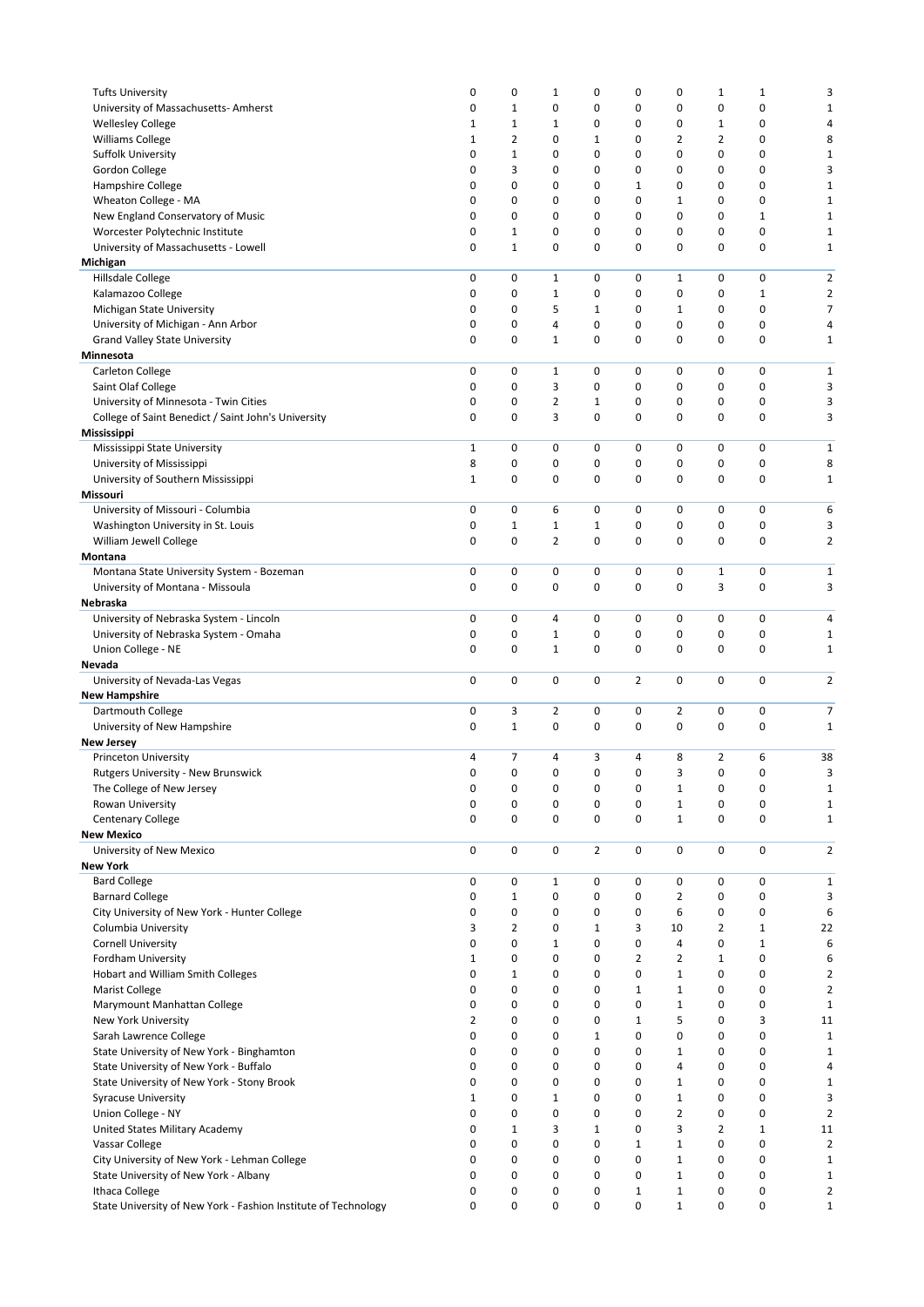| <b>Tufts University</b>                                                 | 0                 | 0                 | 1              | 0              | 0              | 0                           | 1            | 1                 | 3                           |
|-------------------------------------------------------------------------|-------------------|-------------------|----------------|----------------|----------------|-----------------------------|--------------|-------------------|-----------------------------|
| University of Massachusetts- Amherst                                    | 0                 | $\mathbf{1}$      | 0              | 0              | 0              | 0                           | 0            | 0                 | $\mathbf{1}$                |
| <b>Wellesley College</b>                                                | 1                 | $\mathbf{1}$      | 1              | 0              | 0              | 0                           | 1            | 0                 | 4                           |
| Williams College                                                        | 1                 | 2                 | 0              | $\mathbf{1}$   | 0              | 2                           | 2            | 0                 | 8                           |
| Suffolk University                                                      | 0                 | $\mathbf{1}$      | 0              | 0              | 0              | 0                           | 0            | 0                 | $\mathbf{1}$                |
| Gordon College                                                          | 0                 | 3                 | 0              | 0              | 0              | 0                           | 0            | 0                 | 3                           |
| Hampshire College                                                       | 0                 | 0                 | 0              | 0              | 1              | 0                           | 0            | 0                 | $\mathbf{1}$                |
| Wheaton College - MA                                                    | 0                 | 0                 | 0              | 0              | 0              | $\mathbf{1}$                | 0            | 0                 | $\mathbf{1}$                |
| New England Conservatory of Music                                       | 0                 | 0<br>$\mathbf{1}$ | 0<br>0         | 0<br>0         | 0              | 0<br>0                      | 0<br>0       | $\mathbf{1}$<br>0 | $\mathbf 1$                 |
| Worcester Polytechnic Institute<br>University of Massachusetts - Lowell | 0<br>0            | $\mathbf 1$       | 0              | 0              | 0<br>0         | 0                           | 0            | 0                 | $\mathbf{1}$<br>$\mathbf 1$ |
| Michigan                                                                |                   |                   |                |                |                |                             |              |                   |                             |
| <b>Hillsdale College</b>                                                | 0                 | 0                 | $\mathbf{1}$   | 0              | 0              | $\mathbf{1}$                | 0            | 0                 | $\overline{2}$              |
| Kalamazoo College                                                       | 0                 | 0                 | $\mathbf{1}$   | 0              | 0              | 0                           | 0            | 1                 | $\overline{2}$              |
| Michigan State University                                               | 0                 | 0                 | 5              | 1              | 0              | 1                           | 0            | 0                 | $\overline{7}$              |
| University of Michigan - Ann Arbor                                      | 0                 | 0                 | 4              | 0              | 0              | 0                           | 0            | 0                 | 4                           |
| <b>Grand Valley State University</b>                                    | 0                 | 0                 | $\mathbf{1}$   | 0              | 0              | 0                           | 0            | 0                 | $\mathbf{1}$                |
| Minnesota                                                               |                   |                   |                |                |                |                             |              |                   |                             |
| Carleton College                                                        | 0                 | 0                 | $\mathbf{1}$   | 0              | 0              | 0                           | 0            | 0                 | $\mathbf{1}$                |
| Saint Olaf College                                                      | 0                 | 0                 | 3              | 0              | 0              | 0                           | 0            | 0                 | 3                           |
| University of Minnesota - Twin Cities                                   | 0                 | 0                 | 2              | $\mathbf{1}$   | 0              | 0                           | 0            | 0                 | 3                           |
| College of Saint Benedict / Saint John's University                     | 0                 | 0                 | 3              | 0              | 0              | 0                           | 0            | 0                 | 3                           |
| Mississippi                                                             |                   |                   |                |                |                |                             |              |                   |                             |
| Mississippi State University<br>University of Mississippi               | $\mathbf{1}$      | 0<br>0            | 0<br>0         | 0<br>0         | 0<br>0         | 0<br>0                      | 0<br>0       | 0<br>0            | $\mathbf{1}$<br>8           |
|                                                                         | 8<br>$\mathbf{1}$ | 0                 | 0              | 0              | 0              | 0                           | 0            | 0                 | 1                           |
| University of Southern Mississippi<br>Missouri                          |                   |                   |                |                |                |                             |              |                   |                             |
| University of Missouri - Columbia                                       | 0                 | 0                 | 6              | 0              | 0              | 0                           | 0            | 0                 | 6                           |
| Washington University in St. Louis                                      | 0                 | $\mathbf{1}$      | $\mathbf{1}$   | $\mathbf{1}$   | 0              | 0                           | 0            | 0                 | 3                           |
| William Jewell College                                                  | 0                 | 0                 | $\overline{2}$ | 0              | 0              | 0                           | 0            | 0                 | $\overline{2}$              |
| Montana                                                                 |                   |                   |                |                |                |                             |              |                   |                             |
| Montana State University System - Bozeman                               | 0                 | 0                 | 0              | 0              | 0              | 0                           | 1            | 0                 | $\mathbf{1}$                |
| University of Montana - Missoula                                        | 0                 | 0                 | 0              | 0              | 0              | 0                           | 3            | 0                 | 3                           |
| Nebraska                                                                |                   |                   |                |                |                |                             |              |                   |                             |
| University of Nebraska System - Lincoln                                 | 0                 | 0                 | 4              | 0              | 0              | 0                           | 0            | 0                 | 4                           |
| University of Nebraska System - Omaha                                   | 0                 | 0                 | 1              | 0              | 0              | 0                           | 0            | 0                 | 1                           |
| Union College - NE                                                      | 0                 | 0                 | $\mathbf{1}$   | 0              | 0              | 0                           | 0            | 0                 | $\mathbf{1}$                |
| Nevada                                                                  |                   |                   |                |                |                |                             |              |                   |                             |
| University of Nevada-Las Vegas                                          | $\pmb{0}$         | 0                 | 0              | 0              | $\overline{2}$ | 0                           | 0            | 0                 | $\overline{2}$              |
| <b>New Hampshire</b><br>Dartmouth College                               | 0                 | 3                 | $\overline{2}$ | 0              | 0              | 2                           | 0            | 0                 | $\overline{7}$              |
| University of New Hampshire                                             | 0                 | $\mathbf{1}$      | 0              | 0              | 0              | 0                           | 0            | 0                 | $\mathbf{1}$                |
| New Jersey                                                              |                   |                   |                |                |                |                             |              |                   |                             |
| <b>Princeton University</b>                                             | 4                 | 7                 | 4              | 3              | 4              | 8                           | 2            | 6                 | 38                          |
| Rutgers University - New Brunswick                                      | 0                 | 0                 | 0              | $\Omega$       | 0              | 3                           | 0            | 0                 | 3                           |
| The College of New Jersey                                               | 0                 | 0                 | 0              | 0              | 0              | $\mathbf{1}$                | 0            | 0                 | $\mathbf{1}$                |
| Rowan University                                                        | 0                 | 0                 | 0              | 0              | 0              | $\mathbf{1}$                | 0            | 0                 | $\mathbf{1}$                |
| <b>Centenary College</b>                                                | 0                 | 0                 | 0              | 0              | 0              | $\mathbf{1}$                | 0            | 0                 | $\mathbf{1}$                |
| New Mexico                                                              |                   |                   |                |                |                |                             |              |                   |                             |
| University of New Mexico                                                | $\mathbf 0$       | 0                 | 0              | $\overline{2}$ | 0              | 0                           | 0            | 0                 | $\overline{2}$              |
| <b>New York</b>                                                         |                   |                   |                |                |                |                             |              |                   |                             |
| <b>Bard College</b>                                                     |                   |                   |                |                |                | 0                           | 0            | 0                 | $\mathbf{1}$                |
| <b>Barnard College</b>                                                  | 0                 | 0                 | $\mathbf{1}$   | 0              | 0              |                             |              |                   | 3                           |
|                                                                         | 0                 | $1\,$             | 0              | 0              | 0              | $\overline{2}$              | 0            | 0                 |                             |
| City University of New York - Hunter College                            | 0                 | 0                 | 0              | 0              | 0              | 6                           | 0            | 0                 | 6                           |
| Columbia University                                                     | 3                 | $\overline{2}$    | 0              | $\mathbf{1}$   | 3              | 10                          | 2            | $\mathbf{1}$      | 22                          |
| <b>Cornell University</b>                                               | 0                 | 0                 | 1              | 0              | 0              | 4                           | 0            | 1                 | 6                           |
| Fordham University                                                      | 1                 | 0                 | 0              | 0              | 2              | 2                           | $\mathbf{1}$ | 0                 | 6                           |
| Hobart and William Smith Colleges                                       | 0                 | $\mathbf{1}$      | 0              | 0              | 0              | $\mathbf{1}$                | 0            | 0                 | $\overline{2}$              |
| Marist College                                                          | 0                 | 0                 | 0              | 0              | 1              | 1                           | 0            | 0                 | $\overline{2}$              |
| Marymount Manhattan College                                             | 0                 | 0                 | 0              | 0              | 0              | $\mathbf{1}$                | 0            | 0                 | $\mathbf{1}$                |
| New York University                                                     | 2                 | 0                 | 0              | 0              | $\mathbf{1}$   | 5                           | 0            | 3                 | 11                          |
| Sarah Lawrence College                                                  | 0                 | 0                 | 0              | $\mathbf{1}$   | 0              | 0                           | 0            | 0                 | $\mathbf{1}$                |
| State University of New York - Binghamton                               | 0                 | 0                 | 0              | 0              | 0              | 1<br>4                      | 0            | 0                 | $\mathbf{1}$                |
| State University of New York - Buffalo                                  | 0<br>0            | 0<br>$\mathbf 0$  | 0<br>0         | 0<br>0         | 0<br>0         |                             | 0<br>0       | 0<br>0            | 4                           |
| State University of New York - Stony Brook                              | $\mathbf{1}$      | 0                 | $\mathbf{1}$   | 0              | 0              | 1<br>$\mathbf{1}$           | 0            | 0                 | $\mathbf{1}$<br>3           |
| <b>Syracuse University</b><br>Union College - NY                        | 0                 | 0                 | 0              | 0              | 0              | $\overline{2}$              | 0            | 0                 | $\overline{2}$              |
| United States Military Academy                                          | 0                 | $\mathbf{1}$      | 3              | $\mathbf{1}$   | 0              | 3                           | 2            | 1                 | 11                          |
| Vassar College                                                          | 0                 | 0                 | 0              | 0              | 1              | $\mathbf{1}$                | 0            | 0                 | $\overline{2}$              |
| City University of New York - Lehman College                            | 0                 | 0                 | 0              | 0              | 0              | $\mathbf{1}$                | 0            | 0                 | $\mathbf{1}$                |
| State University of New York - Albany                                   | 0                 | 0                 | 0              | 0              | 0              | $\mathbf{1}$                | 0            | 0                 | $\mathbf{1}$                |
| <b>Ithaca College</b>                                                   | 0<br>0            | 0<br>0            | 0<br>0         | 0<br>0         | 1<br>0         | $\mathbf{1}$<br>$\mathbf 1$ | 0<br>0       | 0<br>0            | $\overline{2}$              |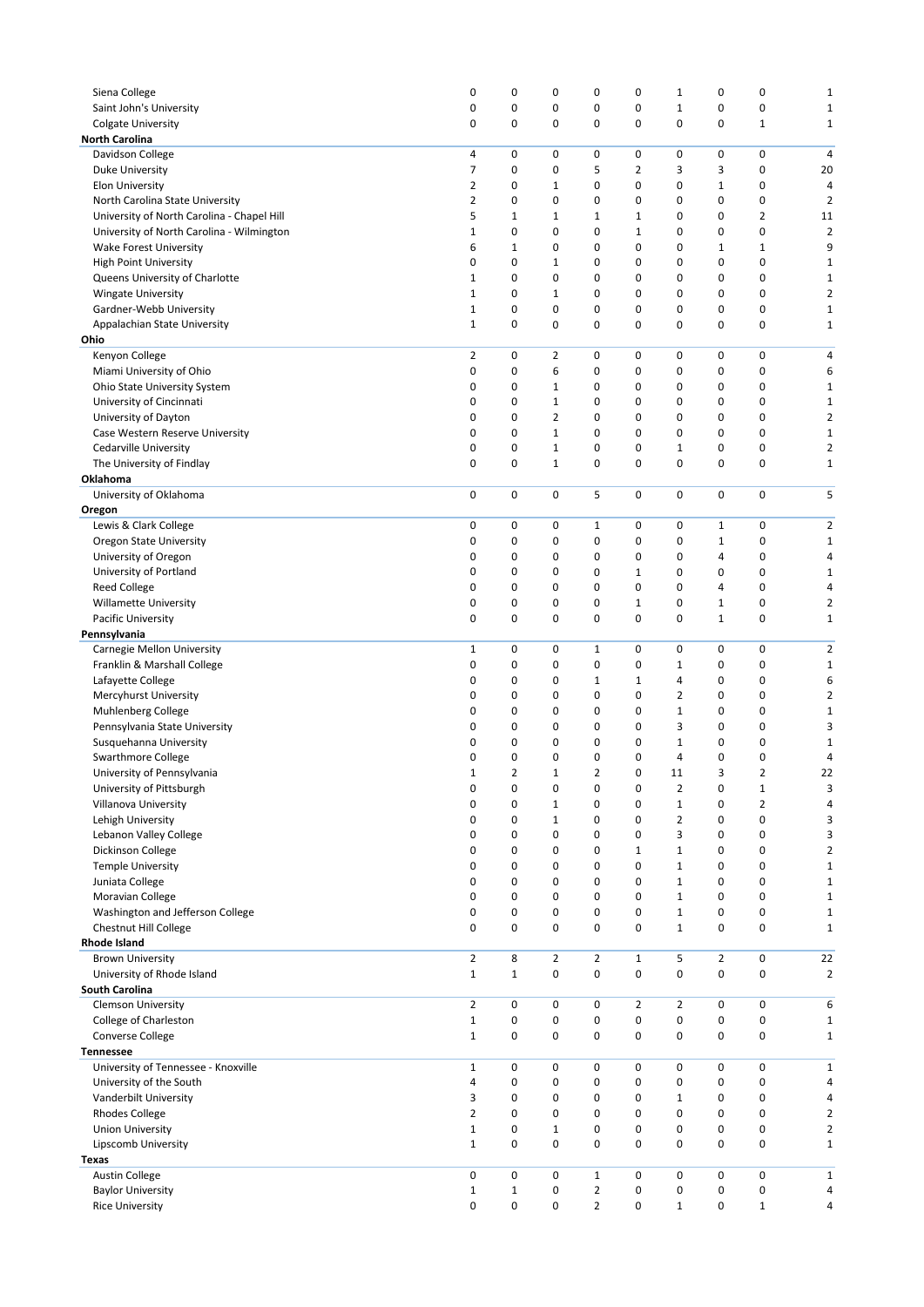| Siena College                              | 0              | 0              | 0              | 0              | 0              | $\mathbf{1}$   | 0              | 0              | $\mathbf{1}$   |
|--------------------------------------------|----------------|----------------|----------------|----------------|----------------|----------------|----------------|----------------|----------------|
| Saint John's University                    | 0              | 0              | 0              | 0              | 0              | $\mathbf 1$    | 0              | 0              | 1              |
| <b>Colgate University</b>                  | 0              | 0              | 0              | 0              | $\mathbf 0$    | 0              | 0              | $\mathbf{1}$   | 1              |
| <b>North Carolina</b>                      |                |                |                |                |                |                |                |                |                |
| Davidson College                           | 4              | 0              | 0              | 0              | 0              | 0              | 0              | 0              | 4              |
| Duke University                            | 7              | 0              | 0              | 5              | $\overline{2}$ | 3              | 3              | 0              | 20             |
| <b>Elon University</b>                     | 2              | 0              | $\mathbf{1}$   | 0              | 0              | 0              | $\mathbf{1}$   | 0              | 4              |
| North Carolina State University            | 2              | 0              | 0              | 0              | 0              | 0              | 0              | 0              | 2              |
| University of North Carolina - Chapel Hill | 5              | $\mathbf{1}$   | $\mathbf 1$    | 1              | $\mathbf{1}$   | 0              | 0              | $\overline{2}$ | 11             |
|                                            |                |                |                |                |                |                |                |                |                |
| University of North Carolina - Wilmington  | $\mathbf{1}$   | 0              | 0              | 0              | $\mathbf{1}$   | 0              | 0              | 0              | $\overline{2}$ |
| Wake Forest University                     | 6              | $\mathbf{1}$   | 0              | 0              | $\mathbf 0$    | 0              | 1              | $\mathbf{1}$   | 9              |
| <b>High Point University</b>               | 0              | 0              | $\mathbf 1$    | 0              | 0              | 0              | 0              | 0              | $\mathbf 1$    |
| Queens University of Charlotte             | 1              | 0              | 0              | 0              | 0              | 0              | 0              | 0              | $\mathbf 1$    |
| <b>Wingate University</b>                  | 1              | 0              | $\mathbf{1}$   | 0              | $\mathbf 0$    | 0              | 0              | 0              | $\overline{2}$ |
| Gardner-Webb University                    | 1              | 0              | 0              | 0              | 0              | 0              | 0              | 0              | $\mathbf 1$    |
| Appalachian State University               | $\mathbf{1}$   | 0              | 0              | 0              | 0              | 0              | 0              | 0              | $\mathbf 1$    |
| Ohio                                       |                |                |                |                |                |                |                |                |                |
| Kenyon College                             | $\overline{2}$ | 0              | 2              | 0              | 0              | 0              | 0              | 0              | 4              |
| Miami University of Ohio                   | 0              | 0              | 6              | 0              | 0              | 0              | 0              | 0              | 6              |
| Ohio State University System               | 0              | 0              | $\mathbf{1}$   | 0              | 0              | 0              | 0              | 0              | $\mathbf{1}$   |
| University of Cincinnati                   | 0              | 0              | $\mathbf{1}$   | 0              | 0              | 0              | 0              | 0              | $\mathbf 1$    |
|                                            | 0              | 0              | 2              | 0              | 0              | 0              | 0              | 0              | $\overline{2}$ |
| University of Dayton                       |                |                |                |                |                |                |                |                |                |
| Case Western Reserve University            | 0              | 0              | $\mathbf 1$    | 0              | 0              | 0              | 0              | 0              | $\mathbf 1$    |
| Cedarville University                      | 0              | 0              | $\mathbf 1$    | 0              | 0              | $\mathbf{1}$   | 0              | 0              | 2              |
| The University of Findlay                  | 0              | 0              | $\mathbf{1}$   | 0              | $\mathbf 0$    | 0              | 0              | 0              | $\mathbf 1$    |
| Oklahoma                                   |                |                |                |                |                |                |                |                |                |
| University of Oklahoma                     | 0              | 0              | 0              | 5              | 0              | 0              | 0              | 0              | 5              |
| Oregon                                     |                |                |                |                |                |                |                |                |                |
| Lewis & Clark College                      | 0              | 0              | 0              | $\mathbf{1}$   | 0              | 0              | $\mathbf{1}$   | 0              | $\overline{2}$ |
| Oregon State University                    | 0              | 0              | 0              | 0              | 0              | 0              | $\mathbf{1}$   | 0              | $\mathbf{1}$   |
| University of Oregon                       | 0              | 0              | 0              | 0              | 0              | 0              | 4              | 0              | 4              |
| University of Portland                     | 0              | 0              | 0              | 0              | $\mathbf{1}$   | 0              | 0              | 0              | $\mathbf 1$    |
| <b>Reed College</b>                        | 0              | 0              | 0              | 0              | 0              | 0              | 4              | 0              | 4              |
| <b>Willamette University</b>               | 0              | 0              | 0              | 0              | $\mathbf{1}$   | 0              | $\mathbf{1}$   | 0              | $\overline{2}$ |
|                                            | 0              | 0              | 0              | 0              | 0              | 0              | $\mathbf{1}$   | 0              |                |
| Pacific University                         |                |                |                |                |                |                |                |                | $\mathbf{1}$   |
| Pennsylvania                               |                |                |                |                |                |                |                |                |                |
| Carnegie Mellon University                 | $\mathbf{1}$   | 0              | 0              | 1              | 0              | 0              | 0              | 0              | 2              |
| Franklin & Marshall College                | 0              | 0              | 0              | 0              | 0              | $\mathbf{1}$   | 0              | 0              | $\mathbf 1$    |
| Lafayette College                          | 0              | 0              | 0              | $\mathbf{1}$   | $\mathbf{1}$   | 4              | 0              | 0              | 6              |
| Mercyhurst University                      | 0              | 0              | 0              | 0              | $\mathbf 0$    | $\overline{2}$ | 0              | 0              | $\overline{2}$ |
| Muhlenberg College                         | 0              | 0              | 0              | 0              | 0              | $\mathbf{1}$   | 0              | 0              | $\mathbf 1$    |
| Pennsylvania State University              | 0              | 0              | 0              | 0              | 0              | 3              | 0              | 0              | 3              |
| Susquehanna University                     | 0              | 0              | 0              | 0              | 0              | $\mathbf{1}$   | 0              | 0              | $\mathbf 1$    |
| <b>Swarthmore College</b>                  | 0              | 0              | 0              | 0              | 0              | 4              | 0              | 0              | 4              |
| University of Pennsylvania                 | $\mathbf{1}$   | $\overline{2}$ | $\mathbf{1}$   | $\overline{2}$ | $\mathbf 0$    | 11             | 3              | $\overline{2}$ | 22             |
| University of Pittsburgh                   | 0              | 0              | 0              | 0              | 0              | $\overline{2}$ | 0              | $\mathbf{1}$   | 3              |
| Villanova University                       | 0              | 0              | $\mathbf 1$    | 0              | 0              | $\mathbf 1$    | 0              | $\overline{2}$ | 4              |
| Lehigh University                          | 0              | 0              | $\mathbf{1}$   | 0              | 0              | $\overline{2}$ | 0              | 0              | 3              |
|                                            |                |                |                |                |                | 3              | 0              |                |                |
| Lebanon Valley College                     | 0              | 0              | 0              | 0              | 0              |                |                | 0              | 3              |
| Dickinson College                          | 0              | 0              | 0              | 0              | $\mathbf{1}$   | $\mathbf{1}$   | 0              | 0              | $\overline{2}$ |
| <b>Temple University</b>                   | 0              | 0              | 0              | 0              | 0              | $\mathbf{1}$   | 0              | 0              | $\mathbf 1$    |
| Juniata College                            | 0              | 0              | 0              | 0              | 0              | $\mathbf{1}$   | 0              | 0              | $\mathbf 1$    |
| Moravian College                           | 0              | 0              | 0              | 0              | $\mathbf 0$    | $\mathbf 1$    | 0              | 0              | $\mathbf{1}$   |
| Washington and Jefferson College           | 0              | 0              | 0              | 0              | 0              | $\mathbf 1$    | 0              | 0              | $\mathbf 1$    |
| Chestnut Hill College                      | 0              | 0              | $\mathbf 0$    | 0              | $\mathbf 0$    | $\mathbf{1}$   | 0              | 0              | $\mathbf 1$    |
| <b>Rhode Island</b>                        |                |                |                |                |                |                |                |                |                |
| <b>Brown University</b>                    | $\overline{2}$ | 8              | $\overline{2}$ | $\overline{2}$ | $\mathbf{1}$   | 5              | $\overline{2}$ | 0              | 22             |
| University of Rhode Island                 | $\mathbf{1}$   | $\mathbf 1$    | 0              | 0              | 0              | 0              | 0              | 0              | 2              |
| <b>South Carolina</b>                      |                |                |                |                |                |                |                |                |                |
| <b>Clemson University</b>                  | $\overline{2}$ | 0              | 0              | 0              | $\overline{2}$ | $\overline{2}$ | 0              | 0              | 6              |
| College of Charleston                      | $\mathbf{1}$   | 0              | 0              | 0              | 0              | 0              | 0              | 0              | 1              |
| Converse College                           | $\mathbf{1}$   | 0              | 0              | 0              | $\mathbf 0$    | 0              | 0              | 0              | $\mathbf{1}$   |
|                                            |                |                |                |                |                |                |                |                |                |
| <b>Tennessee</b>                           |                |                |                |                |                |                |                |                |                |
| University of Tennessee - Knoxville        | $\mathbf{1}$   | 0              | 0              | 0              | 0              | 0              | 0              | $\mathbf 0$    | 1              |
| University of the South                    | 4              | 0              | 0              | 0              | 0              | 0              | 0              | 0              | 4              |
| Vanderbilt University                      | 3              | 0              | 0              | 0              | 0              | $\mathbf{1}$   | 0              | 0              | 4              |
| <b>Rhodes College</b>                      | $\overline{2}$ | 0              | 0              | 0              | 0              | $\mathbf 0$    | 0              | 0              | $\overline{2}$ |
| <b>Union University</b>                    | $\mathbf{1}$   | 0              | $\mathbf 1$    | 0              | 0              | 0              | 0              | 0              | 2              |
| Lipscomb University                        | $\mathbf{1}$   | 0              | 0              | 0              | 0              | 0              | 0              | 0              | $\mathbf 1$    |
| <b>Texas</b>                               |                |                |                |                |                |                |                |                |                |
| <b>Austin College</b>                      | 0              | 0              | 0              | 1              | 0              | 0              | 0              | 0              | $\mathbf{1}$   |
| <b>Baylor University</b>                   | $\mathbf{1}$   | $\mathbf 1$    | 0              | $\overline{2}$ | 0              | 0              | 0              | 0              | 4              |
| <b>Rice University</b>                     | 0              | 0              | 0              | $\overline{2}$ | 0              | $\mathbf 1$    | 0              | $\mathbf 1$    | 4              |
|                                            |                |                |                |                |                |                |                |                |                |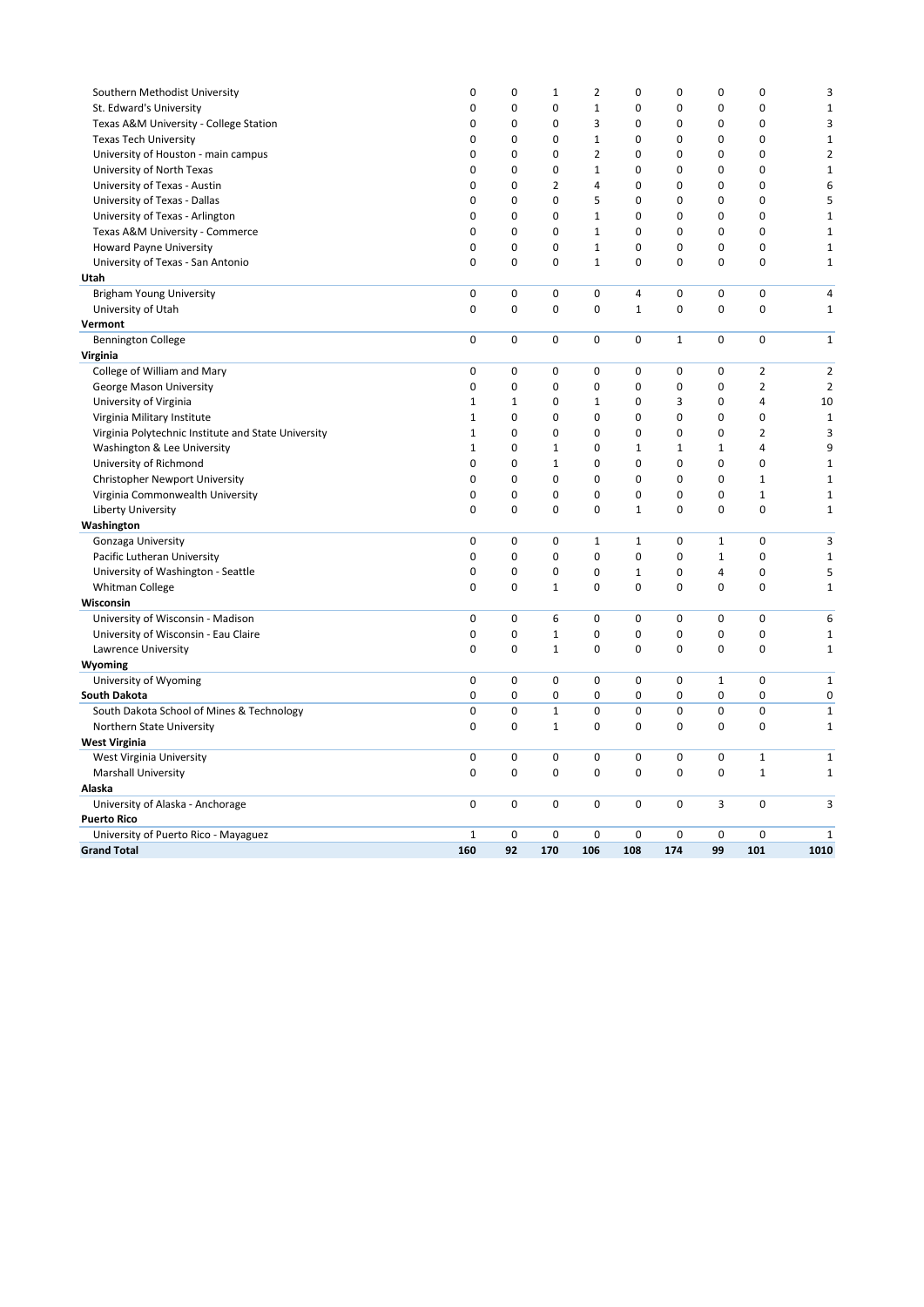| Southern Methodist University                       | 0            | $\mathbf 0$      | $\mathbf{1}$                | $\overline{2}$ | 0                | 0            | 0            | 0                          | 3              |
|-----------------------------------------------------|--------------|------------------|-----------------------------|----------------|------------------|--------------|--------------|----------------------------|----------------|
| St. Edward's University                             | 0            | 0                | $\Omega$                    | $\mathbf 1$    | 0                | 0            | 0            | 0                          | $\mathbf 1$    |
| Texas A&M University - College Station              | 0            | $\mathbf 0$      | $\mathbf 0$                 | 3              | 0                | 0            | 0            | 0                          | 3              |
| <b>Texas Tech University</b>                        | 0            | $\mathbf 0$      | $\mathbf 0$                 | $\mathbf 1$    | 0                | 0            | $\mathbf 0$  | $\mathbf 0$                | $\mathbf 1$    |
| University of Houston - main campus                 | 0            | 0                | $\Omega$                    | $\overline{2}$ | 0                | 0            | 0            | $\Omega$                   | $\overline{2}$ |
| University of North Texas                           | 0            | $\mathbf 0$      | $\mathbf 0$                 | $\mathbf{1}$   | 0                | 0            | 0            | 0                          | $\mathbf 1$    |
| University of Texas - Austin                        | 0            | $\mathbf 0$      | $\overline{2}$              | 4              | 0                | 0            | 0            | $\mathbf 0$                | 6              |
| University of Texas - Dallas                        | 0            | 0                | 0                           | 5              | 0                | 0            | 0            | 0                          | 5              |
| University of Texas - Arlington                     | 0            | $\mathbf 0$      | 0                           | $\mathbf{1}$   | 0                | 0            | 0            | $\mathbf 0$                | $\mathbf{1}$   |
| Texas A&M University - Commerce                     | 0            | $\mathbf 0$      | 0                           | $\mathbf{1}$   | 0                | 0            | 0            | $\mathbf 0$                | $\mathbf{1}$   |
| Howard Payne University                             | 0            | $\mathbf 0$      | 0                           | $\mathbf{1}$   | 0                | 0            | 0            | $\mathbf 0$                | $\mathbf 1$    |
| University of Texas - San Antonio                   | 0            | $\mathbf 0$      | 0                           | $\mathbf{1}$   | 0                | 0            | 0            | $\mathbf 0$                | 1              |
| Utah                                                |              |                  |                             |                |                  |              |              |                            |                |
| <b>Brigham Young University</b>                     | 0            | $\mathbf 0$      | $\mathbf 0$                 | 0              | $\overline{4}$   | 0            | 0            | $\mathbf 0$                | 4              |
| University of Utah                                  | 0            | $\mathbf 0$      | $\mathbf 0$                 | 0              | $\mathbf{1}$     | 0            | 0            | $\mathbf 0$                | $\mathbf{1}$   |
| Vermont                                             |              |                  |                             |                |                  |              |              |                            |                |
| <b>Bennington College</b>                           | 0            | $\mathbf 0$      | $\mathbf 0$                 | 0              | $\mathbf 0$      | $\mathbf{1}$ | 0            | 0                          | $\mathbf 1$    |
| Virginia                                            |              |                  |                             |                |                  |              |              |                            |                |
| College of William and Mary                         | 0            | 0                | 0                           | 0              | 0                | 0            | 0            | $\overline{2}$             | $\overline{2}$ |
| George Mason University                             | 0            | $\mathbf 0$      | $\mathbf 0$                 | 0              | 0                | 0            | 0            | $\overline{2}$             | $\overline{2}$ |
| University of Virginia                              | $\mathbf 1$  | $\mathbf 1$      | 0                           | $\mathbf 1$    | 0                | 3            | 0            | $\overline{4}$             | 10             |
| Virginia Military Institute                         | $\mathbf 1$  | 0                | 0                           | 0              | 0                | 0            | 0            | 0                          | $\mathbf 1$    |
| Virginia Polytechnic Institute and State University | 1            | $\mathbf 0$      | 0                           | 0              | 0                | 0            | 0            | $\overline{2}$             | 3              |
| Washington & Lee University                         | $\mathbf 1$  | 0                | 1                           | 0              | $\mathbf 1$      | $\mathbf{1}$ | $\mathbf{1}$ | $\overline{4}$             | 9              |
| University of Richmond                              | 0            | 0                | $\mathbf 1$                 | 0              | 0                | 0            | 0            | 0                          | $\mathbf 1$    |
| <b>Christopher Newport University</b>               | 0            | $\mathbf 0$      | 0                           | 0              | 0                | 0            | 0            | $\mathbf{1}$               | $\mathbf{1}$   |
| Virginia Commonwealth University                    | 0            | 0                | 0                           | 0              | 0                | 0            | 0            | $\mathbf 1$                | $\mathbf 1$    |
| Liberty University                                  | 0            | 0                | 0                           | 0              | $\mathbf 1$      | 0            | 0            | 0                          | $\mathbf 1$    |
| Washington                                          |              |                  |                             |                |                  |              |              |                            |                |
| Gonzaga University                                  | 0            | 0                | 0                           | $\mathbf{1}$   | $\mathbf{1}$     | 0            | $\mathbf{1}$ | 0                          | 3              |
|                                                     | 0            | $\mathbf 0$      | 0                           | 0              | 0                | 0            | $\mathbf{1}$ | 0                          | $\mathbf 1$    |
| Pacific Lutheran University                         | 0            | 0                | 0                           | 0              | $\mathbf{1}$     | 0            | 4            | 0                          | 5              |
| University of Washington - Seattle                  | 0            | 0                | $\mathbf 1$                 | 0              | $\mathbf 0$      | 0            | $\mathbf 0$  | $\mathbf 0$                |                |
| Whitman College<br>Wisconsin                        |              |                  |                             |                |                  |              |              |                            | $\mathbf 1$    |
|                                                     |              | 0                |                             | 0              | 0                | 0            | 0            | $\mathbf 0$                | 6              |
| University of Wisconsin - Madison                   | 0            |                  | 6                           |                |                  |              |              |                            |                |
| University of Wisconsin - Eau Claire                | 0<br>0       | 0<br>$\mathbf 0$ | $\mathbf 1$<br>$\mathbf{1}$ | 0<br>0         | 0<br>$\mathbf 0$ | 0<br>0       | 0<br>0       | 0<br>$\mathbf 0$           | 1              |
| Lawrence University                                 |              |                  |                             |                |                  |              |              |                            | $\mathbf{1}$   |
| Wyoming                                             |              |                  |                             |                |                  |              |              |                            |                |
| University of Wyoming                               | 0            | 0                | 0                           | 0              | 0                | 0            | $\mathbf{1}$ | 0                          | $\mathbf 1$    |
| South Dakota                                        | 0            | $\mathbf 0$      | 0                           | 0              | 0                | 0            | 0            | $\mathbf 0$<br>$\mathbf 0$ | 0              |
| South Dakota School of Mines & Technology           | 0            | $\pmb{0}$        | $\mathbf{1}$                | 0              | 0                | 0            | 0            |                            | $\mathbf 1$    |
| Northern State University                           | 0            | 0                | $\mathbf{1}$                | 0              | 0                | 0            | 0            | 0                          | $\mathbf{1}$   |
| West Virginia                                       |              |                  |                             |                |                  |              |              |                            |                |
| West Virginia University                            | 0            | $\mathbf 0$      | $\mathbf 0$                 | 0              | $\mathbf 0$      | 0            | 0            | $\mathbf 1$                | $\mathbf 1$    |
| <b>Marshall University</b>                          | 0            | $\pmb{0}$        | 0                           | 0              | 0                | 0            | 0            | $\mathbf 1$                | $\mathbf 1$    |
| Alaska                                              |              |                  |                             |                |                  |              |              |                            |                |
| University of Alaska - Anchorage                    | 0            | $\pmb{0}$        | $\pmb{0}$                   | 0              | 0                | 0            | 3            | $\mathbf 0$                | 3              |
| Puerto Rico                                         |              |                  |                             |                |                  |              |              |                            |                |
| University of Puerto Rico - Mayaguez                | $\mathbf{1}$ | 0                | 0                           | 0              | 0                | 0            | 0            | $\mathbf 0$                | $\mathbf{1}$   |
| <b>Grand Total</b>                                  | 160          | 92               | 170                         | 106            | 108              | 174          | 99           | 101                        | 1010           |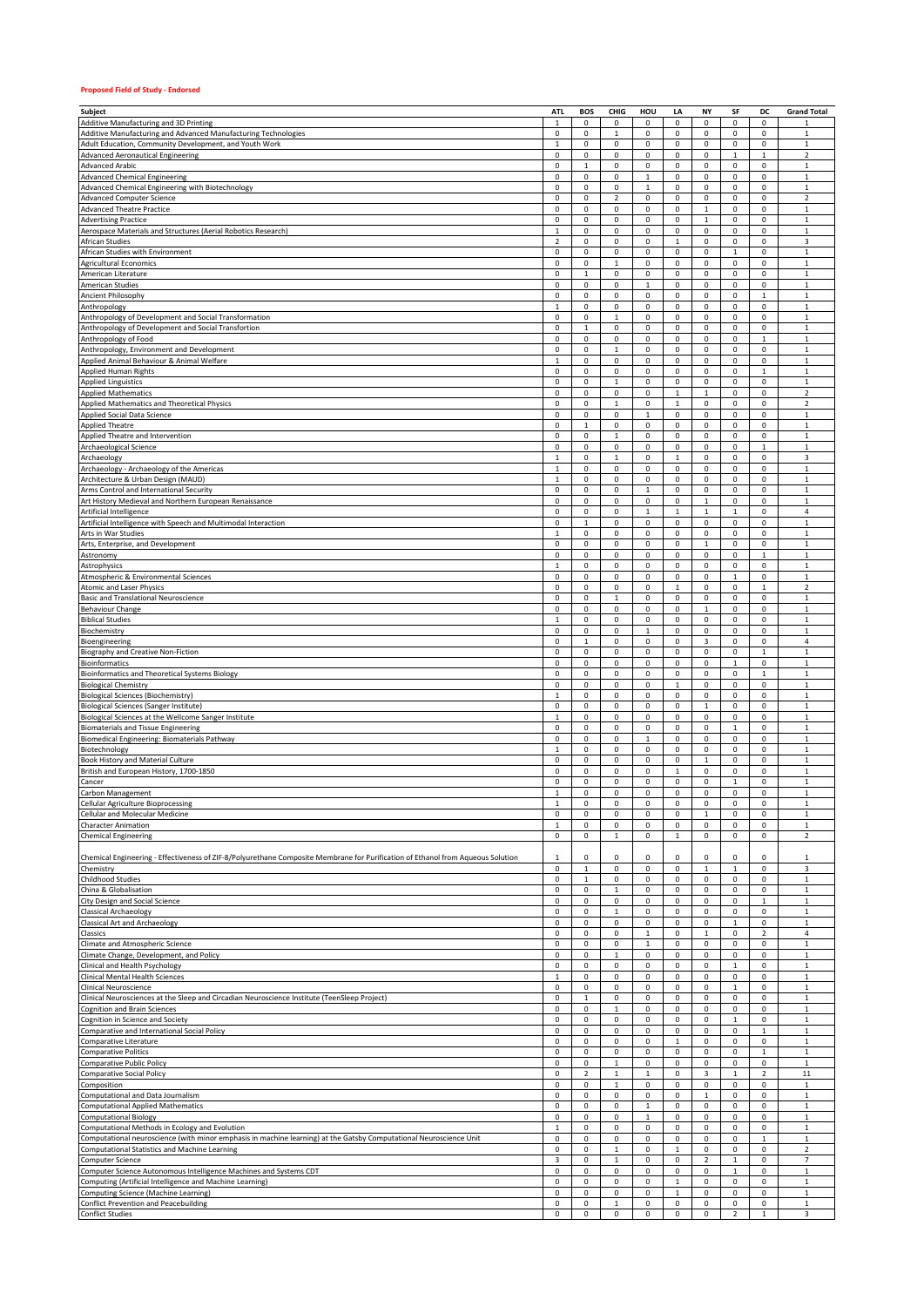#### **Proposed Field of Study - Endorsed**

| Subject                                                                                                                         | ATL                      | <b>BOS</b>                 | CHIG                        | HOU                         | LA                                  | NY                           | SF                            | DC                            | <b>Grand Total</b>           |
|---------------------------------------------------------------------------------------------------------------------------------|--------------------------|----------------------------|-----------------------------|-----------------------------|-------------------------------------|------------------------------|-------------------------------|-------------------------------|------------------------------|
| Additive Manufacturing and 3D Printing                                                                                          | $\mathbf 1$              | 0                          | 0                           | 0                           | $\mathsf 0$                         | $\mathsf 0$                  | 0                             | $\mathsf 0$                   | 1                            |
| Additive Manufacturing and Advanced Manufacturing Technologies                                                                  | 0                        | 0                          | $\mathbf{1}$                | 0                           | 0                                   | 0                            | 0                             | 0                             | 1                            |
| Adult Education, Community Development, and Youth Work<br><b>Advanced Aeronautical Engineering</b>                              | $\mathbf{1}$<br>0        | 0<br>0                     | 0<br>0                      | 0<br>0                      | 0<br>0                              | 0<br>0                       | 0<br>$\mathbf{1}$             | 0<br>$\mathbf 1$              | $\mathbf{1}$<br>2            |
| <b>Advanced Arabic</b>                                                                                                          | 0                        | $\mathbf 1$                | 0                           | 0                           | 0                                   | 0                            | 0                             | 0                             | $\mathbf{1}$                 |
| <b>Advanced Chemical Engineering</b>                                                                                            | 0                        | 0                          | 0                           | $\mathbf{1}$                | 0                                   | 0                            | 0                             | 0                             | 1                            |
| Advanced Chemical Engineering with Biotechnology                                                                                | 0                        | 0                          | 0                           | $\mathbf 1$                 | 0                                   | 0                            | 0                             | $\mathsf 0$                   | $\mathbf{1}$                 |
| <b>Advanced Computer Science</b>                                                                                                | 0                        | 0                          | 2                           | 0                           | 0                                   | 0                            | 0                             | 0                             | 2                            |
| <b>Advanced Theatre Practice</b><br><b>Advertising Practice</b>                                                                 | $\mathbf 0$<br>0         | 0<br>0                     | 0<br>0                      | $\pmb{0}$<br>0              | 0<br>0                              | $\mathbf{1}$<br>$\mathbf{1}$ | 0<br>$\mathsf 0$              | 0<br>$\mathsf 0$              | $\mathbf{1}$<br>$\mathbf{1}$ |
| Aerospace Materials and Structures (Aerial Robotics Research)                                                                   | $\,1\,$                  | 0                          | 0                           | $\mathbf 0$                 | 0                                   | 0                            | 0                             | 0                             | 1                            |
| African Studies                                                                                                                 | $\overline{2}$           | $\mathsf 0$                | 0                           | $\mathbf 0$                 | $\mathbf{1}$                        | $\mathsf 0$                  | 0                             | 0                             | 3                            |
| African Studies with Environment                                                                                                | 0                        | 0                          | 0                           | $\mathsf 0$                 | 0                                   | 0                            | $\mathbf{1}$                  | $\mathsf 0$                   | $\mathbf{1}$                 |
| <b>Agricultural Economics</b>                                                                                                   | 0                        | 0                          | 1                           | 0                           | 0                                   | 0                            | 0                             | 0                             | $\mathbf{1}$                 |
| American Literature<br>American Studies                                                                                         | $\mathbf 0$<br>0         | $\mathbf{1}$<br>0          | 0<br>0                      | $\pmb{0}$<br>$1\,$          | $\mathsf 0$<br>0                    | 0<br>0                       | 0<br>0                        | 0<br>0                        | $\mathbf{1}$<br>$\mathbf{1}$ |
| Ancient Philosophy                                                                                                              | 0                        | 0                          | 0                           | 0                           | 0                                   | 0                            | 0                             | $\,1\,$                       | 1                            |
| Anthropology                                                                                                                    | 1                        | 0                          | 0                           | $\mathsf 0$                 | 0                                   | 0                            | 0                             | $\mathsf 0$                   | $\mathbf{1}$                 |
| Anthropology of Development and Social Transformation                                                                           | 0                        | 0                          | 1                           | 0                           | 0                                   | 0                            | 0                             | 0                             | $\mathbf{1}$                 |
| Anthropology of Development and Social Transfortion                                                                             | 0                        | $\mathbf 1$                | 0                           | $\pmb{0}$                   | 0                                   | 0                            | 0                             | 0                             | $\mathbf{1}$                 |
| Anthropology of Food<br>Anthropology, Environment and Development                                                               | 0<br>0                   | 0<br>0                     | 0                           | $\mathbf 0$<br>$\mathbf 0$  | 0<br>0                              | 0<br>0                       | 0<br>0                        | $\,1\,$<br>0                  | $\mathbf{1}$                 |
| Applied Animal Behaviour & Animal Welfare                                                                                       | 1                        | 0                          | $\mathsf 0$                 | $\mathbf 0$                 | $\mathsf 0$                         | $\mathsf 0$                  | 0                             | 0                             | $\mathbf{1}$                 |
| <b>Applied Human Rights</b>                                                                                                     | 0                        | 0                          | 0                           | $\mathsf 0$                 | 0                                   | 0                            | 0                             | $\mathbf 1$                   | $\mathbf{1}$                 |
| <b>Applied Linguistics</b>                                                                                                      | $\pmb{0}$                | 0                          | $\mathbf{1}$                | $\pmb{0}$                   | 0                                   | 0                            | 0                             | 0                             | 1                            |
| <b>Applied Mathematics</b><br>Applied Mathematics and Theoretical Physics                                                       | 0<br>0                   | $\mathsf 0$<br>0           | 0<br>$\mathbf{1}$           | $\mathsf 0$<br>0            | 1<br>$\mathbf{1}$                   | $\mathbf{1}$<br>0            | 0<br>0                        | 0<br>0                        | $\overline{2}$<br>2          |
| Applied Social Data Science                                                                                                     | 0                        | 0                          | 0                           | $\,$ 1                      | 0                                   | 0                            | 0                             | 0                             | $\mathbf{1}$                 |
| <b>Applied Theatre</b>                                                                                                          | $\mathbf 0$              | $\mathbf{1}$               | 0                           | $\mathsf 0$                 | $\mathsf 0$                         | 0                            | 0                             | $\mathsf 0$                   | $\mathbf{1}$                 |
| Applied Theatre and Intervention                                                                                                | 0                        | 0                          | $\mathbf{1}$                | 0                           | 0                                   | 0                            | 0                             | 0                             | 1                            |
| Archaeological Science<br>Archaeology                                                                                           | $\pmb{0}$<br>$\mathbf 1$ | $\mathsf 0$                | 0                           | $\pmb{0}$                   | 0                                   | 0<br>0                       | 0<br>0                        | $\overline{1}$<br>$\mathsf 0$ | $\mathbf{1}$<br>3            |
| Archaeology - Archaeology of the Americas                                                                                       | $\mathbf{1}$             | 0<br>0                     | $\mathbf{1}$<br>0           | 0<br>0                      | 1<br>0                              | 0                            | 0                             | 0                             | $\mathbf{1}$                 |
| Architecture & Urban Design (MAUD)                                                                                              | $\,1\,$                  | 0                          | 0                           | $\pmb{0}$                   | 0                                   | 0                            | 0                             | 0                             | $\mathbf{1}$                 |
| Arms Control and International Security                                                                                         | 0                        | 0                          | 0                           | $\mathbf{1}$                | 0                                   | 0                            | 0                             | $\mathsf 0$                   | $\mathbf{1}$                 |
| Art History Medieval and Northern European Renaissance                                                                          | 0<br>0                   | 0<br>$\mathsf 0$           | 0<br>0                      | 0<br>$\,$ 1 $\,$            | 0<br>$\mathbf 1$                    | $\mathbf{1}$<br>$\mathbf{1}$ | 0<br>$1\,$                    | 0<br>0                        | 1<br>$\overline{4}$          |
| Artificial Intelligence<br>Artificial Intelligence with Speech and Multimodal Interaction                                       | 0                        | $\mathbf{1}$               | 0                           | 0                           | 0                                   | $\mathsf 0$                  | 0                             | 0                             | 1                            |
| Arts in War Studies                                                                                                             | 1                        | 0                          | 0                           | 0                           | 0                                   | 0                            | 0                             | 0                             | 1                            |
| Arts, Enterprise, and Development                                                                                               | $\mathsf 0$              | 0                          | 0                           | $\pmb{0}$                   | $\pmb{0}$                           | $\mathbf{1}$                 | 0                             | 0                             | $\mathbf{1}$                 |
| Astronomy                                                                                                                       | 0                        | 0                          | 0                           | 0                           | 0                                   | 0                            | 0                             | $\,1\,$                       | $\mathbf{1}$                 |
| Astrophysics<br>Atmospheric & Environmental Sciences                                                                            | 1<br>0                   | 0<br>0                     | 0<br>0                      | 0<br>$\mathsf 0$            | 0<br>0                              | 0<br>0                       | 0<br>$\mathbf{1}$             | 0<br>0                        | 1<br>$\mathbf{1}$            |
| Atomic and Laser Physics                                                                                                        | 0                        | 0                          | 0                           | 0                           | $\mathbf 1$                         | 0                            | 0                             | $\mathbf{1}$                  | $\overline{2}$               |
| Basic and Translational Neuroscience                                                                                            | 0                        | 0                          | 1                           | 0                           | 0                                   | 0                            | 0                             | 0                             | 1                            |
| <b>Behaviour Change</b>                                                                                                         | 0                        | 0                          | 0                           | $\mathsf 0$                 | $\mathsf 0$                         | $\mathbf{1}$                 | 0                             | $\mathsf 0$                   | $\mathbf{1}$                 |
| <b>Biblical Studies</b><br>Biochemistry                                                                                         | 1<br>0                   | 0<br>0                     | 0<br>0                      | 0<br>$1\,$                  | 0<br>0                              | 0<br>$\mathsf 0$             | 0<br>0                        | 0<br>0                        | $\mathbf{1}$<br>$\mathbf{1}$ |
| Bioengineering                                                                                                                  | 0                        | 1                          | 0                           | $\mathsf 0$                 | 0                                   | 3                            | 0                             | $\mathsf 0$                   | 4                            |
| Biography and Creative Non-Fiction                                                                                              | $\pmb{0}$                | 0                          | 0                           | $\pmb{0}$                   | 0                                   | 0                            | 0                             | $\overline{1}$                | $\mathbf{1}$                 |
| <b>Bioinformatics</b>                                                                                                           | 0                        | $\mathsf 0$                | 0                           | $\mathbf 0$                 | $\mathsf 0$                         | $\mathsf 0$                  | $\mathbf{1}$                  | 0                             | $\mathbf{1}$                 |
| Bioinformatics and Theoretical Systems Biology<br><b>Biological Chemistry</b>                                                   | 0<br>0                   | 0<br>0                     | 0<br>0                      | $\mathsf 0$<br>0            | $\mathsf 0$<br>$\mathbf 1$          | 0<br>0                       | 0<br>0                        | $\mathbf{1}$<br>0             | 1<br>$\mathbf{1}$            |
| <b>Biological Sciences (Biochemistry)</b>                                                                                       | $\mathbf{1}$             | $\mathsf 0$                | 0                           | $\mathbf 0$                 | $\mathsf 0$                         | 0                            | 0                             | $\mathsf 0$                   | $\mathbf{1}$                 |
| <b>Biological Sciences (Sanger Institute)</b>                                                                                   | 0                        | 0                          | 0                           | 0                           | 0                                   | $\mathbf{1}$                 | 0                             | 0                             | 1                            |
| Biological Sciences at the Wellcome Sanger Institute                                                                            | $\mathbf{1}$             | 0                          | 0                           | 0                           | 0                                   | 0                            | 0                             | 0                             | $\mathbf{1}$                 |
| <b>Biomaterials and Tissue Engineering</b><br>Biomedical Engineering: Biomaterials Pathway                                      | 0<br>0                   | 0<br>0                     | 0<br>0                      | $\mathsf 0$<br>$1\,$        | 0<br>0                              | 0<br>0                       | $1\,$<br>0                    | 0<br>0                        | $\mathbf{1}$<br>1            |
| Biotechnology                                                                                                                   | $\mathbf{1}$             | 0                          | 0                           | $\pmb{0}$                   | 0                                   | 0                            | 0                             | 0                             | $\mathbf{1}$                 |
| Book History and Material Culture                                                                                               | 0                        | 0                          | 0                           | 0                           | 0                                   | 1                            | 0                             | $\mathsf 0$                   | $\mathbf{1}$                 |
| British and European History, 1700-1850                                                                                         | 0<br>0                   | 0                          | 0<br>$\mathsf 0$            | $\mathsf 0$                 | $\mathbf{1}$<br>$\mathsf 0$         | 0                            | 0<br>$1\,$                    | 0                             | $\mathbf{1}$<br>$\mathbf{1}$ |
| Cancer<br>Carbon Management                                                                                                     | $\mathbf 1$              | $\mathsf 0$<br>0           | 0                           | $\mathbf 0$<br>$\mathsf 0$  | $\mathsf 0$                         | $\mathsf 0$<br>0             | 0                             | 0<br>$\mathsf 0$              | $\mathbf{1}$                 |
| Cellular Agriculture Bioprocessing                                                                                              |                          | 0                          | 0                           | 0                           | 0                                   | 0                            | 0                             | 0                             |                              |
| Cellular and Molecular Medicine                                                                                                 | 0                        | $\pmb{0}$                  | 0                           | $\pmb{0}$                   | $\pmb{0}$                           | $\mathbf{1}$                 | 0                             | $\pmb{0}$                     | $\mathbf 1$                  |
| <b>Character Animation</b>                                                                                                      | $\,1\,$                  | 0                          | 0                           | 0                           | 0                                   | $\mathsf 0$                  | 0                             | 0                             | $\mathbf{1}$                 |
| <b>Chemical Engineering</b>                                                                                                     | $\mathsf 0$              | 0                          | $\mathbf 1$                 | $\mathbf 0$                 | $\mathbf 1$                         | 0                            | 0                             | 0                             | $\overline{\mathbf{2}}$      |
| Chemical Engineering - Effectiveness of ZIF-8/Polyurethane Composite Membrane for Purification of Ethanol from Aqueous Solution | $\mathbf{1}$             | 0                          | 0                           | 0                           | 0                                   | 0                            | 0                             | 0                             | 1                            |
| Chemistry                                                                                                                       | 0                        | $\mathbf 1$                | 0                           | $\mathbf 0$                 | $\mathsf 0$                         | $\mathbf{1}$                 | $\,1$                         | 0                             | 3                            |
| <b>Childhood Studies</b><br>China & Globalisation                                                                               | 0<br>0                   | $\mathbf{1}$<br>0          | 0                           | $\mathsf 0$                 | 0<br>0                              | $\mathsf 0$<br>$\mathsf 0$   | 0<br>0                        | 0<br>0                        | $\mathbf{1}$<br>$\mathbf{1}$ |
| City Design and Social Science                                                                                                  | 0                        | 0                          | $\mathbf 1$<br>0            | 0<br>$\mathbf 0$            | 0                                   | $\mathsf 0$                  | 0                             | $\,$ 1                        | $\mathbf 1$                  |
| Classical Archaeology                                                                                                           | 0                        | $\mathsf 0$                | $\mathbf{1}$                | $\mathsf 0$                 | $\mathsf 0$                         | 0                            | 0                             | 0                             | $\mathbf{1}$                 |
| Classical Art and Archaeology                                                                                                   | $\pmb{0}$                | 0                          | 0                           | $\pmb{0}$                   | $\mathsf 0$                         | $\mathbf 0$                  | $\mathbf 1$                   | 0                             | $\mathbf 1$                  |
| Classics<br>Climate and Atmospheric Science                                                                                     | 0<br>0                   | $\mathbf 0$<br>$\mathbf 0$ | 0<br>0                      | $\mathbf 1$<br>$\mathbf{1}$ | $\mathbf 0$<br>$\mathbf 0$          | $\mathbf{1}$<br>0            | 0<br>0                        | $\mathbf 2$<br>0              | 4<br>$\mathbf{1}$            |
| Climate Change, Development, and Policy                                                                                         | $\pmb{0}$                | 0                          | $\mathbf{1}$                | $\mathbf 0$                 | 0                                   | $\mathsf 0$                  | 0                             | 0                             | $\mathbf{1}$                 |
| Clinical and Health Psychology                                                                                                  | $\pmb{0}$                | $\mathsf{O}\xspace$        | 0                           | $\mathsf 0$                 | $\mathbf 0$                         | 0                            | $\mathbf{1}$                  | 0                             | $\mathbf{1}$                 |
| Clinical Mental Health Sciences                                                                                                 | $\mathbf{1}$             | 0                          | 0                           | 0                           | 0                                   | 0                            | 0                             | 0                             | $\mathbf{1}$                 |
| Clinical Neuroscience<br>Clinical Neurosciences at the Sleep and Circadian Neuroscience Institute (TeenSleep Project)           | $\mathsf 0$<br>0         | 0<br>$\mathbf 1$           | 0<br>0                      | $\pmb{0}$<br>$\mathsf 0$    | $\mathsf 0$<br>0                    | 0<br>0                       | $\,1$<br>0                    | 0<br>$\mathsf 0$              | $\mathbf{1}$<br>$\mathbf{1}$ |
| <b>Cognition and Brain Sciences</b>                                                                                             | 0                        | 0                          | $\mathbf{1}$                | $\mathbf 0$                 | 0                                   | $\mathsf 0$                  | 0                             | 0                             | $\mathbf{1}$                 |
| Cognition in Science and Society                                                                                                | 0                        | $\mathsf 0$                | 0                           | $\pmb{0}$                   | 0                                   | 0                            | $\mathbf 1$                   | $\pmb{0}$                     | $\,1\,$                      |
| Comparative and International Social Policy                                                                                     | 0                        | $\mathbf 0$                | 0                           | $\mathsf 0$                 | $\mathbf 0$                         | $\mathsf 0$                  | $\mathsf 0$                   | $\mathbf 1$                   | $\mathbf{1}$                 |
| Comparative Literature<br><b>Comparative Politics</b>                                                                           | 0<br>0                   | 0<br>$\mathsf 0$           | 0<br>0                      | $\mathbf 0$<br>$\mathbf 0$  | $\mathbf{1}$<br>$\mathsf 0$         | 0<br>$\mathsf 0$             | 0<br>0                        | 0<br>$\,1\,$                  | $\mathbf{1}$<br>$\mathbf{1}$ |
| Comparative Public Policy                                                                                                       | 0                        | $\mathbf 0$                | $\mathbf{1}$                | $\mathsf 0$                 | $\mathsf 0$                         | 0                            | 0                             | 0                             | $\mathbf{1}$                 |
| <b>Comparative Social Policy</b>                                                                                                | 0                        | $\overline{2}$             | $\mathbf{1}$                | $\,$ 1 $\,$                 | $\mathbf 0$                         | 3                            | $\mathbf{1}$                  | $\mathbf 2$                   | $11\,$                       |
| Composition                                                                                                                     | 0                        | $\mathbf 0$                | $\mathbf{1}$                | $\mathbf 0$                 | $\mathsf 0$                         | $\mathsf 0$                  | 0                             | 0                             | $\mathbf 1$                  |
| Computational and Data Journalism<br><b>Computational Applied Mathematics</b>                                                   | 0<br>0                   | $\mathbf 0$<br>0           | 0<br>0                      | $\mathsf 0$<br>$\mathbf{1}$ | $\mathbf 0$<br>0                    | $\mathbf{1}$<br>0            | $\mathbf 0$<br>0              | 0<br>0                        | $\mathbf{1}$<br>1            |
| <b>Computational Biology</b>                                                                                                    | 0                        | $\mathbf 0$                | 0                           | $\mathbf{1}$                | $\mathbf 0$                         | $\mathsf 0$                  | $\mathsf 0$                   | 0                             | $\mathbf{1}$                 |
| Computational Methods in Ecology and Evolution                                                                                  | $\mathbf{1}$             | 0                          | 0                           | 0                           | 0                                   | 0                            | 0                             | 0                             | $\mathbf{1}$                 |
| Computational neuroscience (with minor emphasis in machine learning) at the Gatsby Computational Neuroscience Unit              | 0                        | 0                          | $\mathsf 0$                 | $\mathbf 0$                 | $\mathbf 0$                         | $\mathsf 0$                  | 0                             | $\,$ 1                        | $\mathbf{1}$                 |
| Computational Statistics and Machine Learning<br>Computer Science                                                               | 0<br>3                   | $\mathsf 0$<br>$\mathsf 0$ | $\mathbf{1}$<br>$\mathbf 1$ | $\mathsf 0$<br>$\mathbf 0$  | $\mathbf{1}$<br>$\mathsf{O}\xspace$ | 0<br>$\overline{2}$          | 0<br>$\mathbf 1$              | $\mathsf 0$<br>0              | 2<br>$\overline{7}$          |
| Computer Science Autonomous Intelligence Machines and Systems CDT                                                               | 0                        | 0                          | $\mathsf 0$                 | $\mathbf 0$                 | $\mathbf 0$                         | $\mathsf 0$                  | $\,1$                         | 0                             | $\mathbf{1}$                 |
| Computing (Artificial Intelligence and Machine Learning)                                                                        | 0                        | 0                          | 0                           | $\mathsf 0$                 | $\mathbf{1}$                        | 0                            | 0                             | 0                             | $\mathbf{1}$                 |
| Computing Science (Machine Learning)                                                                                            | 0                        | $\mathsf 0$                | 0                           | $\mathsf 0$                 | $\mathbf 1$                         | 0                            | 0                             | $\mathsf 0$                   | $\,1\,$                      |
| Conflict Prevention and Peacebuilding<br><b>Conflict Studies</b>                                                                | 0<br>0                   | $\mathbf 0$<br>$\mathbf 0$ | $\mathbf{1}$<br>0           | $\mathbf 0$<br>$\mathsf 0$  | $\mathbf 0$<br>$\mathsf 0$          | $\mathsf 0$<br>$\mathsf 0$   | $\mathbf 0$<br>$\overline{2}$ | 0<br>$\mathbf 1$              | $\mathbf 1$<br>3             |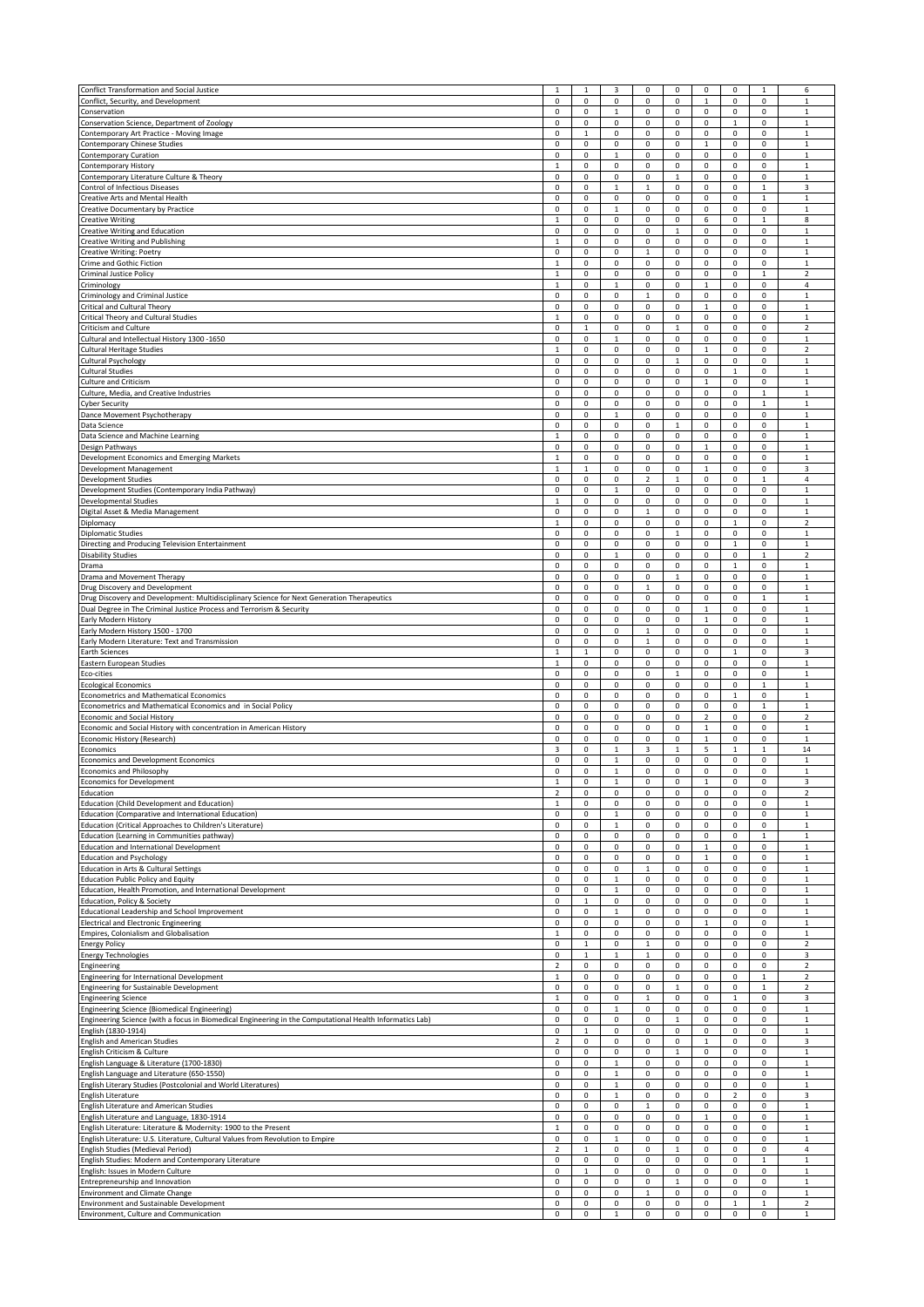| Conflict Transformation and Social Justice                                                                                                        | $\mathbf{1}$                   | $\mathbf 1$                | 3                           | 0                 | 0                 | $\mathbf 0$                    | 0                          | $\,$ 1                     | 6                              |
|---------------------------------------------------------------------------------------------------------------------------------------------------|--------------------------------|----------------------------|-----------------------------|-------------------|-------------------|--------------------------------|----------------------------|----------------------------|--------------------------------|
| Conflict, Security, and Development                                                                                                               | $\mathbf 0$<br>0               | $\mathsf 0$<br>0           | $\mathsf 0$                 | 0                 | $\mathsf 0$<br>0  | $\mathbf{1}$                   | $\mathbf 0$<br>0           | $\mathbf 0$<br>0           | $\mathbf{1}$<br>1              |
| Conservation<br>Conservation Science, Department of Zoology                                                                                       | 0                              | $\mathsf 0$                | $\mathbf 1$<br>0            | 0<br>0            | 0                 | 0<br>0                         | $\mathbf 1$                | $\pmb{0}$                  | $\mathbf 1$                    |
| Contemporary Art Practice - Moving Image                                                                                                          | 0                              | $\mathbf{1}$               | 0                           | 0                 | 0                 | 0                              | $\mathsf 0$                | 0                          | $\mathbf{1}$                   |
| Contemporary Chinese Studies                                                                                                                      | 0                              | 0                          | 0                           | 0                 | 0                 | $\mathbf{1}$                   | 0                          | 0                          | $\mathbf{1}$                   |
| Contemporary Curation<br>Contemporary History                                                                                                     | $\mathsf 0$<br>1               | $\mathsf 0$<br>0           | $\mathbf{1}$<br>0           | 0<br>0            | 0<br>0            | 0<br>0                         | 0<br>$\mathsf 0$           | $\mathbf 0$<br>$\mathbf 0$ | $\mathbf{1}$<br>$\mathbf{1}$   |
| Contemporary Literature Culture & Theory                                                                                                          | 0                              | $\mathsf 0$                | 0                           | 0                 | $\mathbf{1}$      | 0                              | 0                          | $\mathsf 0$                | $\mathbf{1}$                   |
| Control of Infectious Diseases                                                                                                                    | $\mathsf 0$                    | 0                          | $\mathbf 1$                 | $\mathbf 1$       | 0                 | $\mathsf 0$                    | 0                          | $\,$ 1                     | 3                              |
| Creative Arts and Mental Health<br>Creative Documentary by Practice                                                                               | $\mathsf 0$<br>$\mathbf 0$     | 0<br>0                     | 0<br>$\mathbf 1$            | 0<br>0            | 0<br>0            | 0<br>0                         | 0<br>0                     | $\mathbf 1$<br>$\mathbf 0$ | $\mathbf{1}$<br>1              |
| <b>Creative Writing</b>                                                                                                                           | $\mathbf{1}$                   | 0                          | $\mathsf 0$                 | 0                 | 0                 | 6                              | 0                          | $\mathbf 1$                | 8                              |
| Creative Writing and Education                                                                                                                    | 0                              | 0                          | 0                           | 0                 | 1                 | 0                              | 0                          | 0                          | $\mathbf{1}$                   |
| Creative Writing and Publishing<br>Creative Writing: Poetry                                                                                       | 1<br>$\mathsf 0$               | 0<br>$\mathsf 0$           | 0<br>$\mathsf 0$            | 0<br>$\,1\,$      | 0<br>$\mathsf 0$  | 0<br>0                         | 0<br>$\mathbf 0$           | $\mathsf 0$<br>$\mathbf 0$ | $\mathbf{1}$<br>$\mathbf{1}$   |
| Crime and Gothic Fiction                                                                                                                          | $\mathbf{1}$                   | 0                          | 0                           | 0                 | 0                 | 0                              | 0                          | 0                          | $\mathbf{1}$                   |
| <b>Criminal Justice Policy</b>                                                                                                                    | 1                              | 0                          | 0                           | 0                 | 0                 | 0                              | 0                          | $\mathbf{1}$               | $\overline{2}$                 |
| Criminology<br>Criminology and Criminal Justice                                                                                                   | 1<br>0                         | 0<br>0                     | $\mathbf{1}$<br>0           | 0<br>$\mathbf 1$  | 0<br>0            | 1<br>0                         | 0<br>$\mathsf 0$           | 0<br>$\mathbf 0$           | 4<br>$\mathbf{1}$              |
| Critical and Cultural Theory                                                                                                                      | $\mathsf 0$                    | 0                          | 0                           | 0                 | 0                 | $\mathbf{1}$                   | $\mathsf 0$                | $\pmb{0}$                  | 1                              |
| Critical Theory and Cultural Studies                                                                                                              | $\mathbf 1$                    | $\mathsf 0$                | $\mathsf 0$                 | 0                 | 0                 | 0                              | 0                          | $\mathbf 0$                | $\mathbf{1}$                   |
| <b>Criticism and Culture</b><br>Cultural and Intellectual History 1300 -1650                                                                      | $\pmb{0}$<br>$\mathsf 0$       | $\mathbf 1$<br>0           | $\mathsf 0$<br>$\mathbf{1}$ | 0<br>0            | $\mathbf{1}$<br>0 | 0<br>0                         | 0<br>0                     | $\pmb{0}$<br>$\mathsf 0$   | $\mathbf 2$<br>$\,1\,$         |
| Cultural Heritage Studies                                                                                                                         | 1                              | 0                          | 0                           | 0                 | 0                 | $\mathbf{1}$                   | 0                          | $\mathsf 0$                | $\overline{2}$                 |
| Cultural Psychology                                                                                                                               | 0                              | 0                          | 0                           | 0                 | $\mathbf{1}$      | 0                              | 0                          | 0                          | $\mathbf{1}$                   |
| Cultural Studies<br><b>Culture and Criticism</b>                                                                                                  | $\mathsf 0$<br>0               | $\mathsf 0$<br>0           | $\mathsf 0$<br>0            | 0<br>0            | 0<br>0            | 0<br>$\mathbf{1}$              | $\mathbf{1}$<br>0          | $\mathsf 0$<br>0           | $\mathbf 1$<br>$\mathbf{1}$    |
| Culture, Media, and Creative Industries                                                                                                           | $\pmb{0}$                      | 0                          | 0                           | 0                 | 0                 | $\mathsf 0$                    | $\mathsf 0$                | $\mathbf{1}$               | $\mathbf{1}$                   |
| <b>Cyber Security</b>                                                                                                                             | 0                              | $\mathsf 0$                | 0                           | 0                 | 0                 | 0                              | 0                          | 1                          | $\mathbf 1$                    |
| Dance Movement Psychotherapy<br>Data Science                                                                                                      | 0<br>$\mathsf 0$               | 0<br>$\mathsf 0$           | $\mathbf 1$<br>$\mathsf 0$  | 0<br>0            | 0<br>$\mathbf{1}$ | 0<br>0                         | 0<br>$\mathsf 0$           | $\mathsf 0$<br>$\pmb{0}$   | $\mathbf{1}$<br>$\mathbf{1}$   |
| Data Science and Machine Learning                                                                                                                 | $\mathbf{1}$                   | $\mathsf 0$                | $\mathsf 0$                 | 0                 | 0                 | $\mathsf 0$                    | 0                          | $\mathbf 0$                | $\mathbf{1}$                   |
| Design Pathways                                                                                                                                   | 0                              | 0                          | 0                           | 0                 | 0                 | 1                              | 0                          | $\mathsf 0$                | $\mathbf{1}$                   |
| Development Economics and Emerging Markets<br>Development Management                                                                              | $\mathbf{1}$<br>1              | 0<br>$\mathbf{1}$          | 0<br>0                      | 0<br>0            | 0<br>0            | $\mathsf 0$<br>1               | 0<br>0                     | $\pmb{0}$<br>$\mathsf 0$   | $\mathbf{1}$<br>3              |
| <b>Development Studies</b>                                                                                                                        | $\mathbf 0$                    | 0                          | $\mathsf 0$                 | $\overline{2}$    | $\mathbf 1$       | 0                              | 0                          | $\,$ 1                     | 4                              |
| Development Studies (Contemporary India Pathway)                                                                                                  | $\mathsf 0$                    | 0                          | $\mathbf 1$                 | 0                 | 0                 | $\mathsf 0$                    | 0                          | $\pmb{0}$                  | $\mathbf{1}$                   |
| Developmental Studies<br>Digital Asset & Media Management                                                                                         | $\mathbf{1}$<br>0              | 0<br>0                     | 0<br>$\mathsf 0$            | 0<br>$\,1\,$      | 0<br>0            | 0<br>0                         | 0<br>0                     | 0<br>$\pmb{0}$             | $\mathbf{1}$<br>$\mathbf{1}$   |
| Diplomacy                                                                                                                                         | $\mathbf{1}$                   | $\mathsf 0$                | $\mathsf 0$                 | 0                 | 0                 | 0                              | $\mathbf{1}$               | $\mathbf 0$                | $\overline{2}$                 |
| Diplomatic Studies                                                                                                                                | $\mathsf 0$                    | 0                          | 0                           | 0                 | 1                 | 0                              | 0                          | 0                          | $\mathbf{1}$                   |
| Directing and Producing Television Entertainment<br><b>Disability Studies</b>                                                                     | 0<br>$\mathsf 0$               | 0<br>0                     | 0<br>$\mathbf 1$            | 0<br>0            | 0<br>0            | 0<br>$\mathsf 0$               | $\mathbf 1$<br>0           | 0<br>$\mathbf 1$           | 1<br>$\overline{2}$            |
| Drama                                                                                                                                             | 0                              | 0                          | 0                           | 0                 | 0                 | 0                              | $\mathbf{1}$               | 0                          | $\mathbf{1}$                   |
| Drama and Movement Therapy                                                                                                                        | $\mathsf 0$                    | 0                          | 0                           | 0                 | $\mathbf{1}$      | 0                              | $\mathsf 0$                | $\mathbf 0$                | $\mathbf{1}$                   |
| Drug Discovery and Development<br>Drug Discovery and Development: Multidisciplinary Science for Next Generation Therapeutics                      | $\mathsf 0$<br>$\mathsf 0$     | $\mathsf 0$<br>0           | $\mathsf 0$<br>0            | $\mathbf 1$<br>0  | 0<br>0            | 0<br>0                         | 0<br>$\mathsf 0$           | $\mathbf 0$                | $\mathbf 1$<br>$\mathbf{1}$    |
| Dual Degree in The Criminal Justice Process and Terrorism & Security                                                                              | $\mathsf 0$                    | 0                          | $\mathsf 0$                 | 0                 | 0                 | $\mathbf{1}$                   | 0                          | $\mathsf 0$                | $\mathbf 1$                    |
| Early Modern History                                                                                                                              | 0<br>$\mathsf 0$               | $\mathsf 0$<br>$\mathsf 0$ | $\mathsf 0$<br>$\mathsf 0$  | 0<br>$\,1\,$      | 0<br>0            | 1                              | 0<br>$\mathsf 0$           | $\mathbf 0$<br>$\mathbf 0$ | $\mathbf{1}$<br>$\mathbf{1}$   |
| Early Modern History 1500 - 1700<br>Early Modern Literature: Text and Transmission                                                                | $\mathsf 0$                    | 0                          | $\mathsf 0$                 | $\mathbf 1$       | 0                 | 0<br>0                         | 0                          | $\mathsf 0$                | $\mathbf{1}$                   |
| Earth Sciences                                                                                                                                    |                                |                            |                             |                   |                   |                                |                            |                            |                                |
|                                                                                                                                                   | 1                              | $\mathbf{1}$               | 0                           | 0                 | 0                 | 0                              | $\mathbf{1}$               | 0                          | 3                              |
| Eastern European Studies                                                                                                                          | $\mathbf{1}$                   | 0                          | $\mathsf 0$                 | 0                 | 0                 | 0                              | 0                          | $\pmb{0}$                  | $\mathbf 1$                    |
| Eco-cities<br><b>Ecological Economics</b>                                                                                                         | $\mathsf 0$<br>0               | 0<br>0                     | $\mathsf 0$<br>0            | 0<br>0            | $\mathbf{1}$<br>0 | 0<br>0                         | $\mathbf 0$<br>0           | $\mathsf 0$<br>1           | $\mathbf{1}$<br>$\mathbf{1}$   |
| Econometrics and Mathematical Economics                                                                                                           | 0                              | $\mathsf 0$                | $\mathsf 0$                 | 0                 | 0                 | 0                              | $\mathbf{1}$               | 0                          | $\mathbf{1}$                   |
| Econometrics and Mathematical Economics and in Social Policy                                                                                      | $\mathsf 0$                    | $\mathsf 0$                | 0                           | 0                 | 0                 | 0                              | 0                          | $\mathbf 1$                | $\mathbf{1}$                   |
| Economic and Social History<br>Economic and Social History with concentration in American History                                                 | 0<br>$\mathsf 0$               | 0<br>$\mathsf 0$           | 0<br>$\mathsf 0$            | 0<br>0            | 0<br>0            | $\overline{2}$<br>$\mathbf{1}$ | 0<br>0                     | 0<br>$\pmb{0}$             | 2<br>$\mathbf 1$               |
| Economic History (Research)                                                                                                                       | 0                              | 0                          | 0                           | 0                 | 0                 | $\mathbf{1}$                   | 0                          | $\mathsf 0$                | $\mathbf 1$                    |
| Economics                                                                                                                                         | 3                              | 0                          | $\mathbf 1$                 | 3                 | $\mathbf{1}$      | 5                              | $\mathbf 1$                | $1\,$                      | $14\,$                         |
| Economics and Development Economics<br><b>Economics and Philosophy</b>                                                                            | $\mathsf 0$<br>$\mathsf 0$     | 0<br>$\mathsf 0$           | $\mathbf 1$<br>$\mathbf 1$  | 0<br>0            | 0<br>$\mathsf 0$  | $\mathsf 0$<br>0               | 0<br>0                     | $\mathsf 0$<br>$\mathbf 0$ | $\mathbf 1$<br>$\mathbf{1}$    |
| Economics for Development                                                                                                                         |                                | 0                          |                             | 0                 |                   |                                |                            | 0                          |                                |
| Education                                                                                                                                         | $\overline{2}$                 | 0                          | 0                           | 0                 | 0                 | 0                              | $\mathsf 0$                | $\pmb{0}$                  | $\mathbf 2$                    |
| <b>Education (Child Development and Education)</b><br>Education (Comparative and International Education)                                         | $\mathbf{1}$<br>0              | 0<br>0                     | 0<br>$\mathbf 1$            | 0<br>0            | 0<br>0            | 0<br>0                         | 0<br>0                     | 0<br>0                     | $\mathbf{1}$<br>1              |
| Education (Critical Approaches to Children's Literature)                                                                                          | $\mathsf 0$                    | 0                          | $\mathbf{1}$                | 0                 | 0                 | $\mathsf 0$                    | 0                          | $\pmb{0}$                  | $\mathbf{1}$                   |
| Education (Learning in Communities pathway)                                                                                                       | $\mathbf 0$                    | 0                          | 0                           | 0                 | 0                 | 0                              | 0                          | $\mathbf{1}$               | $\mathbf{1}$<br>1              |
| <b>Education and International Development</b><br>Education and Psychology                                                                        | 0<br>$\mathsf 0$               | 0<br>$\mathsf 0$           | 0<br>0                      | 0<br>0            | 0<br>0            | $\mathbf{1}$<br>$\mathbf{1}$   | 0<br>0                     | $\pmb{0}$<br>$\mathbf 0$   | $\mathbf{1}$                   |
| Education in Arts & Cultural Settings                                                                                                             | $\pmb{0}$                      | 0                          | 0                           | $\mathbf 1$       | 0                 | 0                              | 0                          | $\pmb{0}$                  | $\mathbf 1$                    |
| <b>Education Public Policy and Equity</b><br>Education, Health Promotion, and International Development                                           | $\mathbf 0$<br>$\mathsf 0$     | 0<br>0                     | $\mathbf 1$<br>$\mathbf{1}$ | 0<br>0            | 0<br>0            | $\mathsf 0$<br>0               | 0<br>0                     | $\pmb{0}$<br>$\mathsf 0$   | 1<br>$\mathbf{1}$              |
| Education, Policy & Society                                                                                                                       | $\mathbf 0$                    | $\mathbf 1$                | $\mathsf 0$                 | 0                 | 0                 | 0                              | 0                          | $\pmb{0}$                  | $\,$ 1                         |
| Educational Leadership and School Improvement                                                                                                     | $\mathsf 0$                    | 0                          | $\mathbf{1}$                | 0                 | 0                 | $\mathsf 0$                    | 0                          | $\mathsf 0$                | $\mathbf 1$                    |
| <b>Electrical and Electronic Engineering</b><br>Empires, Colonialism and Globalisation                                                            | 0<br>$\mathbf{1}$              | 0<br>0                     | 0<br>$\mathsf 0$            | 0<br>0            | 0<br>0            | $\mathbf{1}$<br>$\mathsf 0$    | 0<br>0                     | 0<br>$\pmb{0}$             | $\mathbf{1}$<br>$\mathbf 1$    |
| <b>Energy Policy</b>                                                                                                                              | $\mathbf 0$                    | $\mathbf{1}$               | 0                           | $\,1\,$           | 0                 | $\mathsf 0$                    | 0                          | $\mathsf 0$                | $\overline{\mathbf{c}}$        |
| <b>Energy Technologies</b>                                                                                                                        | 0                              | $\mathbf{1}$               | $\mathbf 1$                 | $\mathbf{1}$      | 0                 | 0                              | 0                          | 0                          | 3                              |
| Engineering<br><b>Engineering for International Development</b>                                                                                   | $\overline{2}$<br>$\mathbf{1}$ | 0<br>$\mathsf 0$           | $\mathsf 0$<br>$\mathsf 0$  | 0<br>0            | 0<br>0            | 0<br>$\mathsf 0$               | 0<br>0                     | $\pmb{0}$<br>$\mathbf 1$   | $\mathbf 2$<br>$\overline{2}$  |
| Engineering for Sustainable Development                                                                                                           | $\mathsf 0$                    | 0                          | $\mathsf 0$                 | 0                 | $\mathbf{1}$      | 0                              | 0                          | $\mathbf{1}$               | $\overline{2}$                 |
| <b>Engineering Science</b><br>Engineering Science (Biomedical Engineering)                                                                        | $\mathbf{1}$<br>$\mathsf 0$    | 0<br>0                     | 0<br>$\mathbf{1}$           | $\,$ 1<br>0       | 0<br>0            | 0<br>$\mathbf 0$               | $\mathbf 1$<br>$\mathbf 0$ | $\pmb{0}$<br>$\mathsf 0$   | 3<br>$\mathbf{1}$              |
| Engineering Science (with a focus in Biomedical Engineering in the Computational Health Informatics Lab)                                          | $\mathsf 0$                    | 0                          | 0                           | 0                 | $\mathbf{1}$      | 0                              | 0                          | $\mathsf 0$                | $\mathbf{1}$                   |
| English (1830-1914)                                                                                                                               | $\mathbf 0$                    | $\mathbf 1$                | 0                           | 0                 | 0                 | $\mathsf 0$                    | 0                          | $\pmb{0}$                  | $\mathbf{1}$                   |
| <b>English and American Studies</b><br>English Criticism & Culture                                                                                | $\overline{2}$<br>$\mathbf 0$  | $\mathsf 0$<br>0           | 0<br>$\mathsf 0$            | 0<br>0            | 0<br>$\mathbf 1$  | 1<br>$\mathsf 0$               | 0<br>0                     | $\mathsf 0$<br>$\mathbf 0$ | 3<br>$\mathbf 1$               |
| English Language & Literature (1700-1830)                                                                                                         | $\mathbf 0$                    | 0                          | $\,$ 1                      | 0                 | 0                 | $\mathsf 0$                    | 0                          | $\pmb{0}$                  | $\mathbf 1$                    |
| English Language and Literature (650-1550)                                                                                                        | 0                              | 0                          | $\mathbf 1$                 | 0                 | 0                 | 0                              | 0                          | 0                          | $\mathbf{1}$                   |
| English Literary Studies (Postcolonial and World Literatures)<br>English Literature                                                               | $\mathbf 0$<br>$\mathsf 0$     | 0<br>0                     | $\mathbf{1}$<br>$\mathbf 1$ | 0<br>0            | 0<br>0            | 0<br>$\mathsf 0$               | 0<br>$\overline{2}$        | 0<br>$\pmb{0}$             | 1<br>3                         |
| <b>English Literature and American Studies</b>                                                                                                    | $\mathsf 0$                    | 0                          | $\mathsf 0$                 | $\,1\,$           | 0                 | $\mathsf 0$                    | 0                          | 0                          | $\mathbf{1}$                   |
| English Literature and Language, 1830-1914                                                                                                        | 0<br>$\mathbf{1}$              | 0<br>0                     | 0<br>$\mathsf 0$            | 0<br>0            | 0<br>0            | $\mathbf{1}$<br>0              | 0<br>0                     | $\pmb{0}$<br>$\mathsf 0$   | 1<br>$\mathbf{1}$              |
| English Literature: Literature & Modernity: 1900 to the Present<br>English Literature: U.S. Literature, Cultural Values from Revolution to Empire | $\mathbf 0$                    | 0                          | $\mathbf 1$                 | 0                 | 0                 | 0                              | 0                          | $\pmb{0}$                  | $\mathbf{1}$                   |
| English Studies (Medieval Period)                                                                                                                 | $\overline{2}$                 | $\mathbf 1$                | $\mathsf 0$                 | 0                 | $\mathbf 1$       | $\mathsf 0$                    | 0                          | $\mathbf 0$                | 4                              |
| English Studies: Modern and Contemporary Literature<br>English: Issues in Modern Culture                                                          | $\mathsf 0$<br>$\mathsf 0$     | 0<br>$\mathbf 1$           | $\mathsf 0$<br>$\mathsf 0$  | 0<br>0            | 0<br>0            | 0<br>$\mathsf 0$               | 0<br>0                     | $\mathbf 1$<br>$\mathbf 0$ | $\mathbf{1}$<br>$\mathbf 1$    |
| Entrepreneurship and Innovation                                                                                                                   | $\mathsf 0$                    | 0                          | $\mathsf 0$                 | 0                 | $\mathbf{1}$      | $\mathsf 0$                    | 0                          | $\mathsf 0$                | $\,$ 1                         |
| <b>Environment and Climate Change</b><br>Environment and Sustainable Development                                                                  | $\mathsf 0$<br>$\mathbf 0$     | 0<br>0                     | 0<br>0                      | $\mathbf{1}$<br>0 | 0<br>0            | 0<br>$\mathsf 0$               | 0<br>$\,$ 1                | $\mathsf 0$<br>$\,$ 1      | $\mathbf{1}$<br>$\overline{2}$ |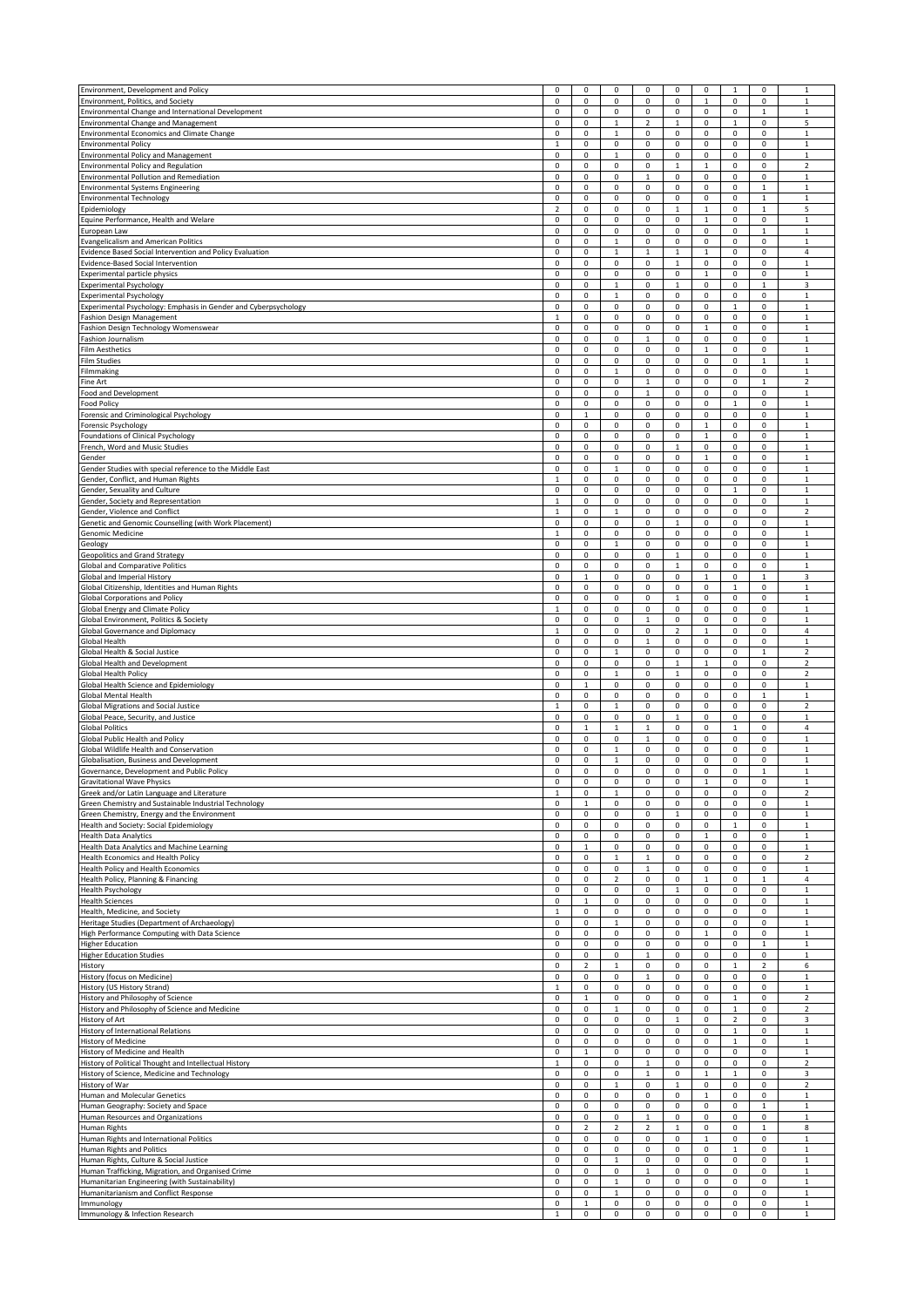| Environment, Development and Policy                                       | $\mathbf 0$    | 0                   | 0                | 0                       | $\pmb{0}$               | $\pmb{0}$    | $\,$ 1              | $\pmb{0}$      | $\,$ 1         |
|---------------------------------------------------------------------------|----------------|---------------------|------------------|-------------------------|-------------------------|--------------|---------------------|----------------|----------------|
| Environment, Politics, and Society                                        | $\mathbf 0$    | $\mathsf 0$         | $\mathsf 0$      | $\mathsf 0$             | $\mathsf 0$             | $\mathbf 1$  | $\mathsf 0$         | $\mathsf 0$    | $\mathbf{1}$   |
| Environmental Change and International Development                        | 0              | 0                   | 0                | 0                       | 0                       | 0            | 0                   | $\mathbf{1}$   | $\mathbf{1}$   |
| Environmental Change and Management                                       | 0              | 0                   | $\mathbf{1}$     | $\overline{\mathbf{2}}$ | $\mathbf 1$             | 0            | $\,$ 1              | $\pmb{0}$      | 5              |
|                                                                           |                |                     |                  |                         | 0                       | 0            | 0                   | $\mathbf 0$    | $\mathbf 1$    |
| Environmental Economics and Climate Change<br><b>Environmental Policy</b> | 0<br>1         | 0<br>0              | $\mathbf 1$<br>0 | 0<br>0                  | 0                       | 0            | 0                   | $\mathsf 0$    | $\mathbf{1}$   |
|                                                                           | $\mathbf 0$    |                     | $\mathbf{1}$     |                         | $\mathsf 0$             |              | 0                   |                | $\mathbf 1$    |
| Environmental Policy and Management                                       |                | 0                   |                  | $\pmb{0}$               |                         | 0            |                     | $\pmb{0}$      |                |
| <b>Environmental Policy and Regulation</b>                                | $\mathsf 0$    | $\mathsf 0$         | $\mathsf 0$      | $\mathsf 0$             | $\mathbf{1}$            | $\mathbf{1}$ | 0                   | $\mathbf 0$    | $\overline{2}$ |
| <b>Environmental Pollution and Remediation</b>                            | 0              | 0                   | 0                | $\mathbf{1}$            | $\mathsf 0$             | 0            | 0                   | $\mathsf 0$    | $\mathbf{1}$   |
| <b>Environmental Systems Engineering</b>                                  | $\mathsf 0$    | 0                   | 0                | $\mathsf 0$             | $\pmb{0}$               | $\mathsf 0$  | 0                   | $\,$ 1         | $\mathbf 1$    |
| <b>Environmental Technology</b>                                           | $\mathsf 0$    | 0                   | $\mathsf 0$      | $\mathsf 0$             | $\mathbf 0$             | 0            | 0                   | $\mathbf 1$    | $\mathbf{1}$   |
| Epidemiology                                                              | $\overline{2}$ | $\mathsf 0$         | 0                | $\mathsf 0$             | $\mathbf{1}$            | $\mathbf{1}$ | 0                   | $\,$ 1         | 5              |
| Equine Performance, Health and Welare                                     | $\mathsf 0$    | 0                   | 0                | $\mathsf 0$             | $\mathsf 0$             | $\mathbf{1}$ | 0                   | $\pmb{0}$      | $\mathbf{1}$   |
| European Law                                                              | 0              | 0                   | 0                | 0                       | 0                       | 0            | 0                   | $\mathbf{1}$   | $\mathbf 1$    |
| Evangelicalism and American Politics                                      | 0              | 0                   | $\mathbf 1$      | 0                       | $\mathsf 0$             | $\mathsf 0$  | 0                   | $\pmb{0}$      | $\,1\,$        |
| Evidence Based Social Intervention and Policy Evaluation                  | $\mathsf 0$    | 0                   | $\mathbf{1}$     | $\mathbf 1$             | $\mathbf 1$             | $\mathbf{1}$ | 0                   | $\pmb{0}$      | 4              |
| Evidence-Based Social Intervention                                        | 0              | 0                   | 0                | $\mathsf 0$             | $\,$ 1 $\,$             | 0            | 0                   | $\pmb{0}$      | $\mathbf 1$    |
| <b>Experimental particle physics</b>                                      | 0              | 0                   | 0                | 0                       | $\mathbf 0$             | $\mathbf{1}$ | 0                   | $\mathbf 0$    | $\mathbf 1$    |
| <b>Experimental Psychology</b>                                            | $\mathsf 0$    | 0                   | $\mathbf{1}$     | $\mathsf 0$             | $\mathbf{1}$            | 0            | 0                   | $\mathbf 1$    | 3              |
|                                                                           |                |                     |                  |                         |                         |              |                     |                |                |
| <b>Experimental Psychology</b>                                            | 0              | 0                   | $\mathbf 1$      | $\pmb{0}$               | 0                       | 0            | 0                   | $\pmb{0}$      | $\mathbf 1$    |
| Experimental Psychology: Emphasis in Gender and Cyberpsychology           | $\mathsf 0$    | 0                   | 0                | $\mathsf 0$             | 0                       | 0            | $\mathbf 1$         | $\pmb{0}$      | $\mathbf 1$    |
| Fashion Design Management                                                 | 1              | $\mathsf 0$         | $\mathsf 0$      | $\mathsf 0$             | $\mathsf 0$             | 0            | 0                   | $\mathbf 0$    | $\mathbf{1}$   |
| Fashion Design Technology Womenswear                                      | $\mathbf 0$    | 0                   | 0                | $\pmb{0}$               | 0                       | $\mathbf 1$  | 0                   | $\pmb{0}$      | $\,1\,$        |
| Fashion Journalism                                                        | $\mathsf 0$    | 0                   | 0                | $\mathbf{1}$            | $\mathsf 0$             | $\mathsf 0$  | 0                   | $\mathsf 0$    | $\,$ 1         |
| <b>Film Aesthetics</b>                                                    | $\mathsf 0$    | 0                   | 0                | $\mathsf 0$             | $\mathbf 0$             | $\mathbf{1}$ | 0                   | $\mathsf 0$    | $\mathbf{1}$   |
| <b>Film Studies</b>                                                       | 0              | 0                   | 0                | 0                       | 0                       | 0            | $\mathsf 0$         | $\mathbf{1}$   | $\,1\,$        |
| Filmmaking                                                                | $\mathsf 0$    | 0                   | $\mathbf{1}$     | $\mathsf 0$             | $\mathsf 0$             | $\mathsf 0$  | 0                   | $\pmb{0}$      | $\mathbf 1$    |
| Fine Art                                                                  | 0              | 0                   | 0                | $\mathbf{1}$            | 0                       | 0            | 0                   | $\mathbf{1}$   | 2              |
| Food and Development                                                      | $\mathbf 0$    | 0                   | 0                | $\mathbf{1}$            | 0                       | 0            | 0                   | $\pmb{0}$      | $\,$ 1         |
| <b>Food Policy</b>                                                        | $\mathsf 0$    | 0                   | $\mathsf 0$      | $\mathsf 0$             | 0                       | 0            | $\mathbf{1}$        | $\mathbf 0$    | $\mathbf 1$    |
| Forensic and Criminological Psychology                                    | 0              | $\mathbf{1}$        | 0                | $\mathsf 0$             | 0                       | 0            | 0                   | $\pmb{0}$      | $\mathbf{1}$   |
|                                                                           | $\mathsf 0$    |                     | 0                |                         | $\mathsf 0$             | $\mathbf{1}$ | $\mathsf 0$         |                | $\mathbf{1}$   |
| Forensic Psychology                                                       |                | 0                   |                  | $\pmb{0}$               |                         |              |                     | $\pmb{0}$      |                |
| Foundations of Clinical Psychology                                        | $\mathsf 0$    | $\mathsf 0$         | $\mathsf 0$      | 0                       | $\mathsf 0$             | $\mathbf{1}$ | 0                   | $\mathbf 0$    | $\mathbf{1}$   |
| French, Word and Music Studies                                            | 0              | $\mathsf 0$         | $\mathsf 0$      | $\mathsf 0$             | $\mathbf{1}$            | 0            | 0                   | $\mathsf 0$    | $\mathbf{1}$   |
| Gender                                                                    | $\mathsf 0$    | 0                   | 0                | $\pmb{0}$               | $\pmb{0}$               | $\mathbf{1}$ | 0                   | $\pmb{0}$      | $\mathbf 1$    |
| Gender Studies with special reference to the Middle East                  | $\mathsf 0$    | 0                   | $\mathbf{1}$     | $\mathsf 0$             | $\mathsf 0$             | 0            | 0                   | $\mathsf 0$    | $\mathbf{1}$   |
| Gender, Conflict, and Human Rights                                        | $\mathbf{1}$   | $\mathsf 0$         | 0                | $\mathsf 0$             | 0                       | 0            | $\mathsf 0$         | $\mathbf 0$    | $\mathbf{1}$   |
| Gender, Sexuality and Culture                                             | $\mathsf 0$    | 0                   | 0                | $\mathsf 0$             | $\pmb{0}$               | $\mathsf 0$  | $\mathbf{1}$        | $\pmb{0}$      | $\mathbf{1}$   |
| Gender, Society and Representation                                        | $\mathbf{1}$   | 0                   | 0                | 0                       | 0                       | 0            | 0                   | 0              | $\mathbf{1}$   |
| Gender, Violence and Conflict                                             | 1              | 0                   | $\mathbf 1$      | 0                       | 0                       | $\mathsf 0$  | 0                   | $\mathsf 0$    | 2              |
| Genetic and Genomic Counselling (with Work Placement)                     | $\mathsf 0$    | 0                   | $\mathsf 0$      | $\pmb{0}$               | $\,1\,$                 | 0            | 0                   | $\mathbf 0$    | $\mathbf{1}$   |
| Genomic Medicine                                                          | $\mathbf{1}$   | 0                   | 0                | 0                       | 0                       | 0            | 0                   | 0              | $\mathbf{1}$   |
|                                                                           |                |                     |                  |                         |                         |              |                     |                |                |
| Geology                                                                   | 0              | 0                   | $\mathbf 1$      | 0                       | 0                       | 0            | 0                   | $\pmb{0}$      | $\mathbf 1$    |
| Geopolitics and Grand Strategy                                            | $\mathsf 0$    | 0                   | $\mathsf 0$      | $\pmb{0}$               | $\mathbf{1}$            | 0            | 0                   | $\mathsf 0$    | $\mathbf{1}$   |
| <b>Global and Comparative Politics</b>                                    | 0              | 0                   | 0                | $\mathbf 0$             | $\,1\,$                 | 0            | 0                   | $\mathbf 0$    | $\,1\,$        |
| Global and Imperial History                                               | 0              | $\mathbf 1$         | 0                | $\mathsf 0$             | $\mathsf 0$             | $\mathbf{1}$ | 0                   | $\mathbf{1}$   | 3              |
| Global Citizenship, Identities and Human Rights                           | 0              | 0                   | $\mathsf 0$      | $\mathsf 0$             | $\mathsf 0$             | 0            | $\mathbf{1}$        | $\mathbf 0$    | $\mathbf{1}$   |
| <b>Global Corporations and Policy</b>                                     | $\pmb{0}$      | 0                   | 0                | $\pmb{0}$               | $\mathbf{1}$            | 0            | 0                   | $\mathbf 0$    | $\,1\,$        |
| Global Energy and Climate Policy                                          | $\mathbf{1}$   | 0                   | 0                | $\mathsf 0$             | $\mathsf 0$             | 0            | 0                   | $\mathsf 0$    | $\,1\,$        |
| Global Environment, Politics & Society                                    | 0              | 0                   | $\mathsf 0$      | $\mathbf 1$             | $\mathsf 0$             | 0            | 0                   | $\mathbf 0$    | $\mathbf{1}$   |
| <b>Global Governance and Diplomacy</b>                                    | $\mathbf{1}$   | 0                   | 0                | $\pmb{0}$               | $\overline{\mathbf{2}}$ | $\mathbf 1$  | $\mathsf 0$         | $\mathbf 0$    | $\overline{4}$ |
| Global Health                                                             | $\mathsf 0$    | 0                   | $\mathsf 0$      | $1\,$                   | $\mathsf 0$             | 0            | 0                   | $\pmb{0}$      | $\,$ 1         |
| Global Health & Social Justice                                            |                |                     |                  |                         |                         | 0            |                     |                | 2              |
|                                                                           |                |                     |                  |                         |                         |              |                     |                |                |
|                                                                           | 0              | 0                   | $\mathbf 1$      | 0                       | 0                       |              | 0                   | $1\,$          |                |
| Global Health and Development                                             | $\pmb{0}$      | 0                   | 0                | $\pmb{0}$               | $\,$ 1                  | $\mathbf 1$  | 0                   | $\pmb{0}$      | $\mathbf 2$    |
| Global Health Policy                                                      | $\mathbf 0$    | 0                   | $\mathbf{1}$     | $\mathsf 0$             | $\mathbf 1$             | 0            | 0                   | $\mathsf 0$    | $\overline{2}$ |
| Global Health Science and Epidemiology                                    | 0              | $\mathbf{1}$        | 0                | 0                       | 0                       | 0            | 0                   | 0              | $\mathbf{1}$   |
| Global Mental Health                                                      | 0              | 0                   | $\mathsf 0$      | 0                       | $\mathsf 0$             | 0            | $\mathsf 0$         | $\mathbf{1}$   | $\,1\,$        |
| <b>Global Migrations and Social Justice</b>                               | 1              | 0                   | $\mathbf{1}$     | $\mathsf 0$             | $\mathsf 0$             | 0            | 0                   | $\mathsf 0$    | $\overline{2}$ |
| Global Peace, Security, and Justice                                       | 0              | 0                   | 0                | 0                       | $\mathbf{1}$            | 0            | 0                   | $\mathsf 0$    | $\mathbf{1}$   |
| <b>Global Politics</b>                                                    | 0              | $\mathbf 1$         | $\mathbf 1$      | $\mathbf 1$             | 0                       | 0            | $\mathbf 1$         | $\pmb{0}$      | 4              |
| Global Public Health and Policy                                           | 0              | 0                   | $\mathsf 0$      | $\mathbf{1}$            | 0                       | 0            | 0                   | $\mathsf 0$    | $\mathbf{1}$   |
| Global Wildlife Health and Conservation                                   | $\pmb{0}$      | $\mathsf 0$         | $\mathbf{1}$     | $\mathsf 0$             | 0                       | 0            | 0                   | $\mathsf 0$    | $\mathbf{1}$   |
|                                                                           |                |                     |                  |                         |                         |              |                     |                |                |
| Globalisation, Business and Development                                   | $\mathsf 0$    | 0                   | $\mathbf 1$      | $\mathsf 0$             | $\mathsf 0$             | $\mathsf 0$  | 0                   | $\mathbf 0$    | $\mathbf{1}$   |
| Governance, Development and Public Policy                                 | 0              | $\mathsf 0$         | $\mathsf 0$      | $\mathsf 0$             | $\mathsf 0$             | 0            | 0                   | $\mathbf{1}$   | $\mathbf{1}$   |
| Gravitational Wave Physics                                                | 0              | 0                   | 0                | 0                       | 0                       |              | 0                   | 0              |                |
| Greek and/or Latin Language and Literature                                | $\mathbf 1$    | 0                   | $\mathbf 1$      | $\pmb{0}$               | $\pmb{0}$               | $\mathsf 0$  | 0                   | $\pmb{0}$      | $\overline{2}$ |
| Green Chemistry and Sustainable Industrial Technology                     | 0              | $\mathbf{1}$        | 0                | 0                       | 0                       | 0            | 0                   | 0              | $\mathbf{1}$   |
| Green Chemistry, Energy and the Environment                               | 0              | $\mathsf 0$         | 0                | 0                       | $\mathbf{1}$            | 0            | 0                   | 0              | $\mathbf{1}$   |
| Health and Society: Social Epidemiology                                   | $\mathsf 0$    | 0                   | 0                | $\mathsf 0$             | $\mathbf 0$             | $\mathsf 0$  | $\mathbf{1}$        | $\pmb{0}$      | $\mathbf 1$    |
| <b>Health Data Analytics</b>                                              | $\mathbf 0$    | 0                   | 0                | $\pmb{0}$               | 0                       | $\mathbf 1$  | $\mathsf 0$         | $\pmb{0}$      | $\mathbf 1$    |
| <b>Health Data Analytics and Machine Learning</b>                         | 0              | $\mathbf 1$         | 0                | 0                       | 0                       | $\mathsf 0$  | $\mathsf 0$         | $\pmb{0}$      | $\mathbf 1$    |
| Health Economics and Health Policy                                        | $\mathsf 0$    | 0                   | $\mathbf{1}$     | $\mathbf{1}$            | $\mathsf 0$             | 0            | 0                   | $\mathbf 0$    | $\overline{2}$ |
| Health Policy and Health Economics                                        | $\pmb{0}$      | 0                   | 0                | $\mathbf{1}$            | 0                       | 0            | 0                   | $\pmb{0}$      | $\,1$          |
| Health Policy, Planning & Financing                                       | $\mathbf 0$    | 0                   | 2                | $\mathbf 0$             | $\mathbf 0$             | $\mathbf{1}$ | $\mathsf 0$         | $\,$ 1         | 4              |
| <b>Health Psychology</b>                                                  | 0              | 0                   | 0                | $\mathsf 0$             | $\mathbf{1}$            | 0            | 0                   | $\mathsf 0$    | $\mathbf{1}$   |
| <b>Health Sciences</b>                                                    | $\mathbf 0$    | $\,$ 1              | $\mathsf 0$      | $\pmb{0}$               | 0                       | $\mathsf 0$  | 0                   | $\mathbf 0$    | $\,$ 1         |
|                                                                           |                |                     |                  |                         |                         |              |                     |                |                |
| Health, Medicine, and Society                                             | $\mathbf{1}$   | 0                   | 0                | $\mathsf 0$             | $\mathsf 0$             | $\mathsf 0$  | 0                   | $\mathsf 0$    | $\mathbf 1$    |
| Heritage Studies (Department of Archaeology)                              | 0              | $\mathsf 0$         | $\mathbf{1}$     | 0                       | 0                       | 0            | 0                   | $\mathbf 0$    | $\mathbf{1}$   |
| High Performance Computing with Data Science                              | $\mathbf 0$    | 0                   | 0                | $\pmb{0}$               | 0                       | $\mathbf{1}$ | $\mathsf 0$         | $\pmb{0}$      | $\mathbf{1}$   |
| <b>Higher Education</b>                                                   | $\mathsf 0$    | $\pmb{0}$           | 0                | $\mathsf 0$             | $\mathbf 0$             | $\mathsf 0$  | $\mathsf 0$         | $\mathbf{1}$   | $\,$ 1         |
| <b>Higher Education Studies</b>                                           | $\pmb{0}$      | $\mathsf 0$         | 0                | $\mathbf{1}$            | 0                       | 0            | 0                   | 0              | $\mathbf{1}$   |
| History                                                                   | $\mathbf 0$    | $\mathbf 2$         | $\mathbf 1$      | 0                       | 0                       | $\mathsf 0$  | $\mathbf 1$         | $\overline{2}$ | 6              |
| History (focus on Medicine)                                               | $\mathsf 0$    | 0                   | 0                | $\mathbf 1$             | $\mathsf 0$             | 0            | 0                   | $\mathsf 0$    | $\mathbf{1}$   |
| History (US History Strand)                                               | $\mathbf{1}$   | 0                   | 0                | $\mathsf 0$             | 0                       | 0            | $\mathsf 0$         | $\mathsf 0$    | $\mathbf{1}$   |
| History and Philosophy of Science                                         | $\mathbf 0$    | $\,$ 1              | 0                | $\pmb{0}$               | 0                       | 0            | $\mathbf 1$         | $\pmb{0}$      | $\overline{2}$ |
| History and Philosophy of Science and Medicine                            | $\mathsf 0$    | $\mathsf 0$         | $\mathbf{1}$     | $\mathsf 0$             | $\mathbf 0$             | 0            | $\mathbf{1}$        | $\mathsf 0$    | $\overline{2}$ |
| History of Art                                                            | $\mathsf 0$    | $\mathsf{O}\xspace$ | $\mathsf 0$      | $\mathsf 0$             | $\mathbf{1}$            | 0            | $\overline{2}$      | $\mathsf 0$    | 3              |
| History of International Relations                                        | $\mathbf 0$    | 0                   | 0                | $\mathsf 0$             | $\mathsf 0$             | $\mathsf 0$  | $\mathbf 1$         | $\pmb{0}$      | $\mathbf 1$    |
|                                                                           | $\mathsf 0$    | 0                   | $\mathsf 0$      | 0                       | $\mathsf 0$             | $\mathsf 0$  | $\mathbf{1}$        | $\mathsf 0$    | $\mathbf{1}$   |
| History of Medicine                                                       |                |                     |                  |                         |                         |              |                     |                |                |
| History of Medicine and Health                                            | $\mathbf 0$    | $\mathbf{1}$        | 0                | $\mathsf 0$             | $\mathsf 0$             | $\mathsf 0$  | $\mathsf 0$         | $\mathbf 0$    | $\mathbf 1$    |
| History of Political Thought and Intellectual History                     | $\mathbf{1}$   | 0                   | 0                | $\,$ 1 $\,$             | $\mathsf 0$             | $\mathsf 0$  | $\mathsf 0$         | $\pmb{0}$      | $\overline{2}$ |
| History of Science, Medicine and Technology                               | 0              | 0                   | 0                | $\mathbf{1}$            | 0                       | $\mathbf{1}$ | $\mathbf{1}$        | $\pmb{0}$      | 3              |
| History of War                                                            | 0              | 0                   | $\mathbf{1}$     | 0                       | $\mathbf{1}$            | 0            | 0                   | 0              | $\overline{2}$ |
| <b>Human and Molecular Genetics</b>                                       | $\mathsf 0$    | 0                   | 0                | $\mathsf 0$             | $\mathbf 0$             | $\mathbf{1}$ | 0                   | $\mathbf 0$    | $\mathbf{1}$   |
| Human Geography: Society and Space                                        | 0              | 0                   | 0                | 0                       | 0                       | $\mathsf 0$  | 0                   | $\mathbf{1}$   | $\mathbf{1}$   |
| Human Resources and Organizations                                         | 0              | 0                   | 0                | $1\,$                   | $\mathsf 0$             | $\mathsf 0$  | $\mathsf{o}\,$      | $\pmb{0}$      | $\mathbf{1}$   |
| Human Rights                                                              | $\mathsf 0$    | $\overline{2}$      | $\mathbf 2$      | $\overline{2}$          | $\mathbf{1}$            | 0            | 0                   | $\mathbf 1$    | 8              |
| Human Rights and International Politics                                   | $\pmb{0}$      | 0                   | 0                | $\mathsf 0$             | 0                       | $\mathbf 1$  | $\mathsf{O}\xspace$ | $\pmb{0}$      | $\,1\,$        |
| Human Rights and Politics                                                 | $\pmb{0}$      | 0                   | 0                | $\mathbf 0$             | 0                       | 0            | $\mathbf{1}$        | $\mathbf 0$    | $\mathbf 1$    |
| Human Rights, Culture & Social Justice                                    | $\mathsf 0$    | 0                   | $\mathbf{1}$     | $\mathsf 0$             | $\mathbf 0$             | 0            | 0                   | $\mathsf 0$    | $\mathbf{1}$   |
| Human Trafficking, Migration, and Organised Crime                         | $\mathbf 0$    | 0                   | $\mathsf 0$      | $\mathbf{1}$            | 0                       | $\mathsf 0$  | 0                   | $\pmb{0}$      | $\,$ 1         |
| Humanitarian Engineering (with Sustainability)                            | $\mathsf 0$    | 0                   | $\mathbf{1}$     | $\mathsf 0$             | $\mathsf 0$             | $\mathsf 0$  | 0                   | $\mathsf 0$    | $\mathbf{1}$   |
| Humanitarianism and Conflict Response                                     | 0              | 0                   | $\mathbf{1}$     | $\mathsf 0$             | $\mathbf 0$             | 0            | 0                   | $\mathsf 0$    | $\mathbf{1}$   |
| Immunology                                                                | $\mathbf 0$    | $\,$ 1              | 0                | $\pmb{0}$               | 0                       | 0            | 0                   | $\mathbf 0$    | $\mathbf 1$    |
| Immunology & Infection Research                                           | $\mathbf{1}$   | $\mathbf 0$         | $\mathsf 0$      | $\mathbf 0$             | 0                       | 0            | 0                   | $\mathsf 0$    | $\mathbf 1$    |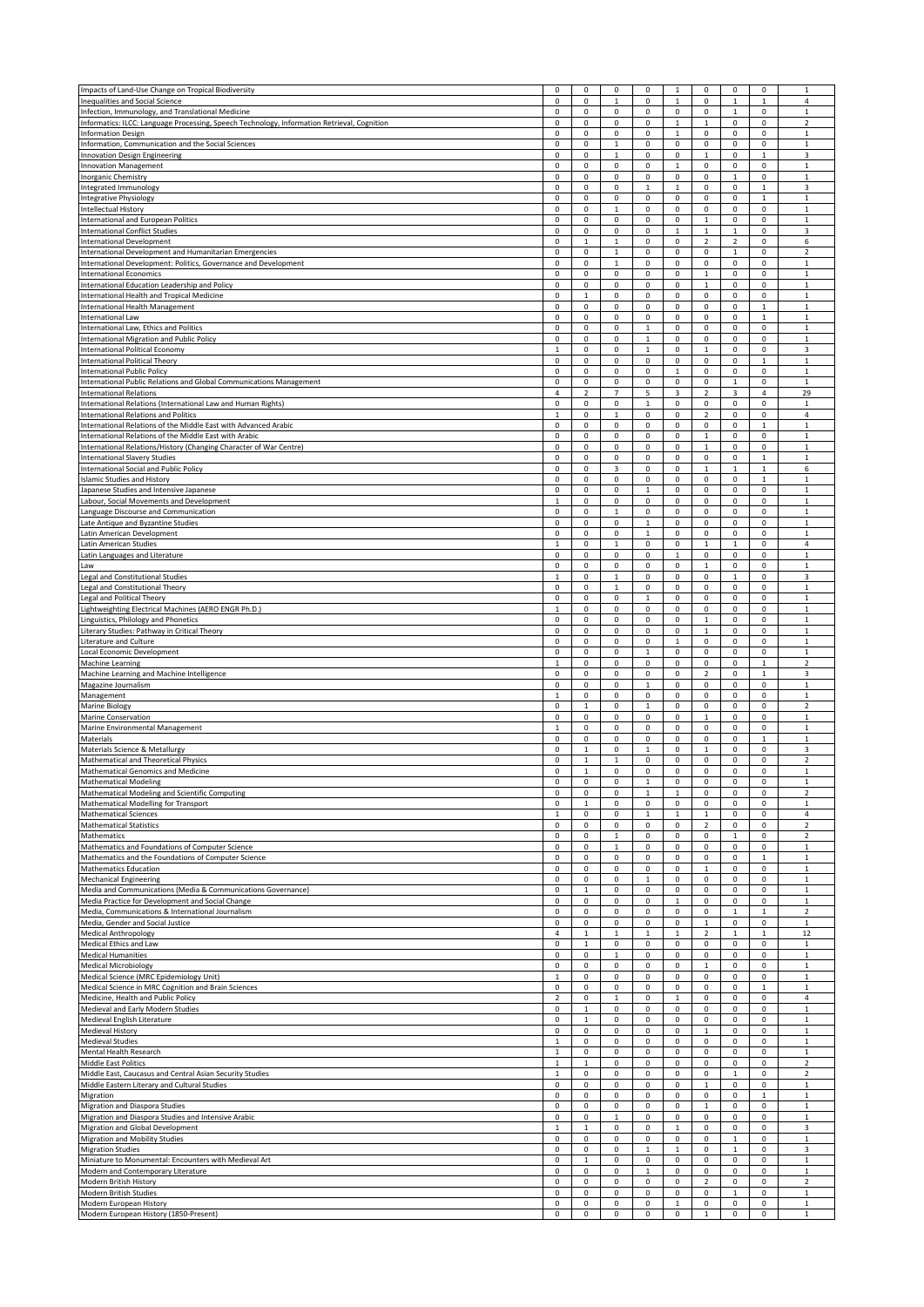| Impacts of Land-Use Change on Tropical Biodiversity                                                   | $\mathsf 0$                   | 0                           | 0                           | 0                 | $\mathbf{1}$      | $\mathsf 0$                    | $\mathsf 0$                   | $\mathsf 0$                  | $\mathbf 1$                    |
|-------------------------------------------------------------------------------------------------------|-------------------------------|-----------------------------|-----------------------------|-------------------|-------------------|--------------------------------|-------------------------------|------------------------------|--------------------------------|
| Inequalities and Social Science                                                                       | 0                             | 0                           | $\mathbf{1}$                | 0                 | $\mathbf{1}$      | 0                              | $\mathbf{1}$                  | $\mathbf{1}$                 | $\sqrt{4}$                     |
| Infection, Immunology, and Translational Medicine                                                     | $\mathsf 0$                   | 0                           | 0                           | 0                 | 0                 | $\mathsf 0$                    | $\mathbf 1$                   | $\pmb{0}$                    | $\mathbf{1}$                   |
| Informatics: ILCC: Language Processing, Speech Technology, Information Retrieval, Cognition           | 0                             | 0                           | 0                           | 0                 | $\mathbf{1}$      | 1                              | 0                             | $\mathsf 0$                  | $\overline{2}$                 |
| <b>Information Design</b>                                                                             | $\mathbf 0$                   | 0                           | 0                           | 0                 | $\mathbf{1}$      | 0                              | 0                             | $\mathbf 0$                  | 1                              |
| Information, Communication and the Social Sciences                                                    | $\mathsf 0$                   | 0                           | $\mathbf 1$                 | 0                 | 0                 | $\mathsf 0$                    | 0                             | $\pmb{0}$                    | $\mathbf{1}$                   |
| Innovation Design Engineering<br><b>Innovation Management</b>                                         | 0<br>0                        | 0<br>0                      | $\mathbf 1$<br>0            | 0<br>0            | 0<br>1            | 1<br>0                         | 0<br>0                        | $\mathbf{1}$<br>0            | 3<br>$\mathbf 1$               |
| <b>Inorganic Chemistry</b>                                                                            | $\mathsf 0$                   | $\mathsf 0$                 | $\mathsf 0$                 | 0                 | 0                 | 0                              | $\mathbf{1}$                  | $\mathbf 0$                  | $\mathbf{1}$                   |
| Integrated Immunology                                                                                 | 0                             | 0                           | 0                           | 1                 | $\mathbf 1$       | 0                              | 0                             | 1                            | 3                              |
| Integrative Physiology                                                                                | 0                             | 0                           | 0                           | 0                 | 0                 | 0                              | 0                             | $\mathbf{1}$                 | 1                              |
| Intellectual History                                                                                  | 0                             | 0                           | $\mathbf{1}$                | 0                 | 0                 | 0                              | 0                             | 0                            | $\mathbf{1}$                   |
| International and European Politics<br><b>International Conflict Studies</b>                          | $\mathsf 0$<br>$\mathsf 0$    | 0<br>0                      | 0<br>0                      | $\mathsf 0$       | 0                 | $\mathbf{1}$                   | $\mathsf 0$                   | $\mathbf 0$<br>$\pmb{0}$     | $\,1\,$<br>3                   |
| <b>International Development</b>                                                                      | $\mathsf 0$                   | $\mathbf{1}$                | $\mathbf 1$                 | 0<br>0            | 1<br>0            | $\mathbf{1}$<br>$\overline{2}$ | $\mathbf 1$<br>$\overline{2}$ | $\mathbf 0$                  | 6                              |
| International Development and Humanitarian Emergencies                                                | $\mathbf 0$                   | 0                           | $\mathbf{1}$                | 0                 | 0                 | 0                              |                               | $\mathbf 0$                  | $\overline{2}$                 |
| International Development: Politics, Governance and Development                                       | $\mathsf 0$                   | 0                           | $\mathbf{1}$                | 0                 | 0                 | $\mathsf 0$                    | 0                             | $\mathsf 0$                  | $\mathbf{1}$                   |
| <b>International Economics</b>                                                                        | 0                             | 0                           | 0                           | 0                 | 0                 | 1                              | 0                             | 0                            | $\mathbf{1}$                   |
| International Education Leadership and Policy                                                         | 0                             | 0                           | 0                           | 0                 | 0                 | $\mathbf{1}$                   | 0                             | 0                            | $\mathbf{1}$                   |
| International Health and Tropical Medicine                                                            | $\mathsf 0$                   | $\mathbf 1$                 | $\mathsf 0$                 | 0                 | 0                 | 0                              | 0                             | $\mathsf 0$                  | $\,$ 1                         |
| International Health Management<br>International Law                                                  | 0<br>$\pmb{0}$                | 0<br>0                      | 0<br>0                      | 0<br>0            | 0<br>0            | 0<br>0                         | 0<br>$\mathsf 0$              | $\mathbf{1}$<br>$\mathbf{1}$ | $\mathbf{1}$<br>$\mathbf{1}$   |
| International Law, Ethics and Politics                                                                | 0                             | 0                           | 0                           | $\mathbf 1$       | 0                 | 0                              | 0                             | 0                            | $\mathbf 1$                    |
| International Migration and Public Policy                                                             | 0                             | 0                           | 0                           | $\mathbf{1}$      | 0                 | 0                              | 0                             | 0                            | $\mathbf{1}$                   |
| International Political Economy                                                                       | $\overline{1}$                | $\mathsf 0$                 | $\mathsf 0$                 | $\mathbf 1$       | 0                 | $\mathbf{1}$                   | $\mathsf 0$                   | $\pmb{0}$                    | 3                              |
| International Political Theory                                                                        | $\mathsf 0$                   | $\mathsf 0$                 | 0                           | 0                 | 0                 | $\mathsf 0$                    | $\mathsf 0$                   | 1                            | $\mathbf{1}$                   |
| <b>International Public Policy</b>                                                                    | 0                             | 0                           | 0                           | 0                 | 1                 | 0                              | 0                             | 0                            | $\mathbf{1}$                   |
| International Public Relations and Global Communications Management<br><b>International Relations</b> | $\mathsf 0$<br>$\overline{4}$ | 0<br>$\overline{2}$         | 0<br>$\overline{7}$         | 0<br>5            | 0<br>3            | 0<br>$\overline{2}$            | $\mathbf 1$<br>3              | $\pmb{0}$<br>4               | $\mathbf 1$<br>29              |
| International Relations (International Law and Human Rights)                                          | $\mathbf 0$                   | 0                           | 0                           | $\mathbf{1}$      | 0                 | 0                              | 0                             | $\mathsf 0$                  | $\mathbf{1}$                   |
| International Relations and Politics                                                                  | $\mathbf 1$                   | 0                           | $\mathbf 1$                 | 0                 | 0                 | $\overline{2}$                 | 0                             | $\pmb{0}$                    | 4                              |
| International Relations of the Middle East with Advanced Arabic                                       | 0                             | 0                           | 0                           | 0                 | 0                 | 0                              | 0                             | 1                            | $\mathbf{1}$                   |
| International Relations of the Middle East with Arabic                                                | 0                             | 0                           | 0                           | 0                 | 0                 | $\mathbf{1}$                   | 0                             | 0                            | $\mathbf{1}$                   |
| International Relations/History (Changing Character of War Centre)                                    | $\mathsf 0$                   | $\mathsf 0$                 | $\mathsf 0$                 | 0                 | $\mathsf 0$       | $\mathbf{1}$                   | 0                             | $\pmb{0}$                    | $\mathbf{1}$                   |
| <b>International Slavery Studies</b><br><b>International Social and Public Policy</b>                 | 0                             | 0                           | 0                           | 0                 | 0                 | 0                              | 0                             | $\mathbf{1}$                 | $\mathbf{1}$                   |
| Islamic Studies and History                                                                           | 0<br>$\mathsf 0$              | 0<br>0                      | 3<br>$\mathsf 0$            | 0<br>0            | 0<br>0            | $\mathbf{1}$<br>$\mathsf 0$    | 1<br>0                        | $\mathbf{1}$<br>$\mathbf 1$  | 6<br>$\mathbf{1}$              |
| Japanese Studies and Intensive Japanese                                                               | 0                             | 0                           | 0                           | 1                 | 0                 | 0                              | 0                             | 0                            | $\mathbf{1}$                   |
| Labour, Social Movements and Development                                                              | $\mathbf{1}$                  | 0                           | 0                           | 0                 | 0                 | 0                              | $\mathsf 0$                   | $\pmb{0}$                    | $\mathbf 1$                    |
| Language Discourse and Communication                                                                  | $\mathsf 0$                   | $\mathsf 0$                 | $\mathbf{1}$                | 0                 | 0                 | 0                              | $\mathsf 0$                   | $\mathbf 0$                  | $\mathbf 1$                    |
| Late Antique and Byzantine Studies                                                                    | $\mathsf 0$                   | 0                           | 0                           | $\mathbf{1}$      | 0                 | 0                              | $\mathsf 0$                   | $\mathbf 0$                  | $\mathbf{1}$                   |
| Latin American Development                                                                            | $\mathsf 0$                   | 0                           | 0                           | $\mathbf 1$       | 0                 | $\mathsf 0$                    | 0                             | $\mathsf 0$                  | $\mathbf 1$                    |
| Latin American Studies<br>atin Languages and Literature                                               | 1<br>$\mathsf 0$              | $\mathsf 0$<br>$\mathsf 0$  | $\mathbf{1}$<br>$\mathsf 0$ | 0<br>0            | 0<br>$\mathbf{1}$ | 1<br>$\mathbf 0$               | $\mathbf{1}$<br>$\mathsf 0$   | 0<br>0                       | 4<br>$\overline{1}$            |
| Law                                                                                                   | $\mathsf 0$                   | 0                           | 0                           | 0                 | 0                 | $\mathbf{1}$                   | 0                             | $\pmb{0}$                    | $\mathbf{1}$                   |
| Legal and Constitutional Studies                                                                      | 1                             | 0                           | $\mathbf 1$                 | 0                 | 0                 | 0                              | $\mathbf{1}$                  | 0                            | 3                              |
| Legal and Constitutional Theory                                                                       | $\pmb{0}$                     | 0                           | $\mathbf 1$                 | 0                 | 0                 | 0                              | 0                             | $\pmb{0}$                    | $\,$ 1                         |
| Legal and Political Theory                                                                            | $\mathsf 0$                   | 0                           | $\mathsf 0$                 | $\mathbf 1$       | 0                 | 0                              | $\mathsf 0$                   | $\mathbf 0$                  | $\mathbf{1}$                   |
| Lightweighting Electrical Machines (AERO ENGR Ph.D.)                                                  | $\mathbf{1}$                  | 0                           | 0                           | 0                 | 0                 | 0                              | 0                             | 0                            | $\mathbf{1}$                   |
| Linguistics, Philology and Phonetics                                                                  | 0                             | 0                           | 0                           | 0                 | 0                 | $\mathbf{1}$                   | 0                             | 0                            | $\mathbf{1}$                   |
| Literary Studies: Pathway in Critical Theory<br>Literature and Culture                                | 0<br>0                        | $\mathsf 0$<br>0            | 0<br>0                      | 0<br>0            | 0<br>$\mathbf{1}$ | $\mathbf{1}$<br>0              | 0<br>0                        | 0<br>0                       | $\mathbf 1$<br>$\mathbf{1}$    |
| Local Economic Development                                                                            | $\mathsf 0$                   | 0                           | $\mathsf 0$                 | $\,1\,$           | 0                 | 0                              | 0                             | $\pmb{0}$                    | $\mathbf 1$                    |
| Machine Learning                                                                                      | 1                             | 0                           | 0                           | 0                 | 0                 | 0                              | 0                             | $\mathbf 1$                  | $\overline{2}$                 |
| Machine Learning and Machine Intelligence                                                             | 0                             | 0                           | 0                           | 0                 | 0                 | 2                              | 0                             | $\mathbf{1}$                 | 3                              |
| Magazine Journalism                                                                                   | $\mathsf 0$                   | 0                           | 0                           | $\,$ 1 $\,$       | 0                 | $\mathsf 0$                    | 0                             | $\pmb{0}$                    | $\mathbf 1$                    |
| Management                                                                                            | 1                             | 0                           | 0                           | 0                 | 0                 | $\mathsf 0$                    | 0                             | $\mathbf 0$                  | $\mathbf 1$                    |
| Marine Biology<br>Marine Conservation                                                                 | 0<br>$\mathsf 0$              | 1<br>0                      | 0<br>$\mathsf 0$            | 1<br>0            | 0<br>$\mathsf 0$  | 0<br>$\mathbf{1}$              | 0<br>0                        | 0<br>$\pmb{0}$               | 2<br>$\mathbf{1}$              |
| Marine Environmental Management                                                                       | $\,1\,$                       | 0                           | 0                           | 0                 | 0                 | 0                              | 0                             | 0                            | $\mathbf{1}$                   |
| Materials                                                                                             | $\mathbf 0$                   | 0                           | 0                           | 0                 | 0                 | 0                              | 0                             | $\mathbf{1}$                 | 1                              |
| Materials Science & Metallurgy                                                                        | 0                             | $\mathbf{1}$                | 0                           | $\mathbf{1}$      | 0                 | 1                              | 0                             | 0                            | 3                              |
| Mathematical and Theoretical Physics                                                                  | 0                             | $\mathbf 1$                 | $\mathbf{1}$                | 0                 | 0                 | 0                              | 0                             | 0                            | $\overline{2}$                 |
| <b>Mathematical Genomics and Medicine</b><br><b>Mathematical Modeling</b>                             | 0<br>0                        | $\mathbf 1$<br>$\Omega$     | 0<br>$\Omega$               | 0                 | 0<br>0            | 0<br>0                         | $\mathsf 0$<br>$\mathbf 0$    | $\pmb{0}$<br>0               | $\mathbf{1}$<br>-1             |
| Mathematical Modeling and Scientific Computing                                                        | $\pmb{0}$                     | 0                           | 0                           | $\,1\,$           | 1                 | 0                              | $\mathsf 0$                   | $\pmb{0}$                    | $\overline{2}$                 |
| Mathematical Modelling for Transport                                                                  | $\mathbf 0$                   | $\mathbf 1$                 | $\mathsf 0$                 | 0                 | 0                 | $\mathsf 0$                    | 0                             | $\mathbf 0$                  | $\mathbf 1$                    |
| <b>Mathematical Sciences</b>                                                                          | $\mathbf{1}$                  | 0                           | 0                           | $\mathbf{1}$      | $\mathbf{1}$      | $\mathbf{1}$                   | 0                             | $\mathsf 0$                  | 4                              |
| <b>Mathematical Statistics</b>                                                                        | $\mathbf 0$                   | 0                           | $\mathsf 0$                 | 0                 | 0                 | $\overline{2}$                 | 0                             | $\pmb{0}$                    | $\mathbf 2$                    |
| Mathematics                                                                                           | $\mathsf 0$                   | 0                           | $\mathbf 1$                 | 0                 | 0                 | $\mathsf 0$                    | $\mathbf{1}$                  | $\mathsf 0$                  | $\overline{2}$                 |
| Mathematics and Foundations of Computer Science                                                       | $\mathsf 0$                   | 0                           | $\mathbf{1}$                | 0                 | 0                 | 0                              | 0                             | $\mathsf 0$                  | $\mathbf{1}$                   |
| Mathematics and the Foundations of Computer Science<br><b>Mathematics Education</b>                   | $\mathbf 0$<br>$\mathsf 0$    | 0<br>0                      | $\mathsf 0$<br>$\mathsf 0$  | 0<br>0            | 0<br>0            | $\mathsf 0$<br>$\mathbf{1}$    | 0<br>0                        | $\mathbf{1}$<br>$\mathsf 0$  | $\mathbf 1$<br>$\mathbf 1$     |
| <b>Mechanical Engineering</b>                                                                         | 0                             | 0                           | 0                           | $\mathbf{1}$      | 0                 | 0                              | 0                             | 0                            | $\mathbf{1}$                   |
| Media and Communications (Media & Communications Governance)                                          | $\mathbf 0$                   | $\mathbf 1$                 | $\mathsf 0$                 | 0                 | 0                 | 0                              | 0                             | $\pmb{0}$                    | $\mathbf{1}$                   |
| Media Practice for Development and Social Change                                                      | $\mathsf 0$                   | 0                           | $\mathsf 0$                 | 0                 | $\mathbf{1}$      | 0                              | 0                             | $\mathsf 0$                  | $\mathbf{1}$                   |
| Media, Communications & International Journalism                                                      | $\mathsf 0$                   | $\mathsf 0$                 | $\mathsf 0$                 | 0                 | 0                 | 0                              | $\mathbf{1}$                  | 1                            | $\overline{2}$                 |
| Media, Gender and Social Justice<br>Medical Anthropology                                              | $\mathbf 0$<br>$\overline{4}$ | 0<br>$\mathbf{1}$           | 0<br>$\mathbf{1}$           | 0<br>$\mathbf{1}$ | 0<br>$\mathbf{1}$ | $\mathbf{1}$<br>$\overline{2}$ | 0<br>$\mathbf{1}$             | $\pmb{0}$<br>$\mathbf 1$     | $\mathbf{1}$<br>12             |
| Medical Ethics and Law                                                                                | $\mathsf 0$                   | $\mathbf{1}$                | 0                           | 0                 | 0                 | 0                              | 0                             | $\mathsf 0$                  | $\mathbf{1}$                   |
| <b>Medical Humanities</b>                                                                             | $\mathsf 0$                   | 0                           | $\mathbf 1$                 | 0                 | 0                 | $\mathsf 0$                    | 0                             | $\pmb{0}$                    | $\mathbf{1}$                   |
| Medical Microbiology                                                                                  | $\mathsf 0$                   | 0                           | 0                           | 0                 | 0                 | 1                              | 0                             | $\mathsf 0$                  | $\mathbf{1}$                   |
| Medical Science (MRC Epidemiology Unit)                                                               | $\,$ 1                        | 0                           | 0                           | 0                 | 0                 | $\mathsf 0$                    | 0                             | $\mathsf 0$                  | $\mathbf 1$                    |
| Medical Science in MRC Cognition and Brain Sciences                                                   | $\mathsf 0$                   | 0                           | 0                           | 0                 | 0                 | $\mathsf 0$                    | 0                             | $\mathbf 1$                  | $\mathbf 1$                    |
| Medicine, Health and Public Policy                                                                    | $\overline{2}$                | 0                           | $\mathbf 1$                 | 0                 | $\mathbf{1}$      | 0                              | 0                             | 0                            | 4                              |
| Medieval and Early Modern Studies<br>Medieval English Literature                                      | 0<br>$\mathsf 0$              | $\mathbf{1}$<br>$\mathbf 1$ | 0<br>$\mathsf 0$            | 0<br>0            | 0<br>0            | 0<br>$\mathsf 0$               | 0<br>0                        | 0<br>$\pmb{0}$               | $\mathbf 1$<br>$\mathbf{1}$    |
| Medieval History                                                                                      | $\mathsf 0$                   | 0                           | 0                           | 0                 | 0                 | $\mathbf{1}$                   | 0                             | $\mathbf 0$                  | $\mathbf 1$                    |
| Medieval Studies                                                                                      | $\mathbf{1}$                  | 0                           | 0                           | 0                 | 0                 | 0                              | 0                             | $\mathsf 0$                  | $\mathbf 1$                    |
| Mental Health Research                                                                                | $\mathbf{1}$                  | 0                           | $\mathsf 0$                 | 0                 | 0                 | 0                              | 0                             | $\mathsf 0$                  | $\mathbf{1}$                   |
| Middle East Politics                                                                                  | $\mathbf{1}$                  | $\mathbf 1$                 | 0                           | 0                 | 0                 | 0                              | 0                             | $\pmb{0}$                    | $\mathbf 2$                    |
| Middle East, Caucasus and Central Asian Security Studies                                              | $\,$ 1                        | 0                           | $\mathsf 0$                 | 0                 | 0                 | $\mathsf 0$                    | $\mathbf{1}$                  | $\mathsf 0$                  | $\mathbf 2$                    |
| Middle Eastern Literary and Cultural Studies                                                          | $\mathsf 0$                   | 0                           | $\mathsf 0$<br>0            | 0<br>0            | 0<br>0            | $\mathbf{1}$<br>0              | 0<br>0                        | $\mathsf 0$                  | $\mathbf{1}$<br>$\mathbf{1}$   |
| Migration<br>Migration and Diaspora Studies                                                           |                               |                             |                             |                   |                   | $\mathbf{1}$                   | 0                             | $\mathsf 0$                  | $\mathbf 1$                    |
|                                                                                                       | $\mathsf 0$                   | 0                           |                             |                   |                   |                                |                               |                              |                                |
| Migration and Diaspora Studies and Intensive Arabic                                                   | $\mathsf 0$<br>$\mathsf 0$    | 0<br>0                      | 0<br>$\mathbf{1}$           | 0<br>0            | 0<br>0            | 0                              | 0                             | $\mathsf 0$                  | $\mathbf{1}$                   |
| Migration and Global Development                                                                      | $\,$ 1                        | $\,$ 1                      | $\mathsf 0$                 | 0                 | $\,$ 1 $\,$       | $\mathsf 0$                    | 0                             | $\pmb{0}$                    | 3                              |
| Migration and Mobility Studies                                                                        | $\mathsf 0$                   | 0                           | $\mathsf 0$                 | 0                 | 0                 | 0                              | $\mathbf{1}$                  | $\mathsf 0$                  | $\mathbf 1$                    |
| <b>Migration Studies</b>                                                                              | 0                             | 0                           | 0                           | $\mathbf{1}$      | $\mathbf{1}$      | 0                              | $\mathbf{1}$                  | 0                            | 3                              |
| Miniature to Monumental: Encounters with Medieval Art                                                 | $\mathbf 0$                   | $\mathbf 1$                 | 0                           | 0                 | 0                 | 0                              | 0                             | $\pmb{0}$                    | $\,$ 1                         |
| Modern and Contemporary Literature                                                                    | $\mathsf 0$                   | $\mathsf 0$                 | $\mathsf 0$                 | $\mathbf 1$       | 0                 | 0                              | 0                             | $\mathbf 0$                  | $\mathbf{1}$                   |
| Modern British History                                                                                | 0                             | 0                           | 0                           | 0                 | 0                 | $\overline{2}$                 | 0<br>$\mathbf 1$              | $\mathsf 0$                  | $\overline{2}$<br>$\mathbf{1}$ |
| Modern British Studies<br>Modern European History                                                     | $\mathbf 0$<br>$\mathsf 0$    | 0<br>0                      | 0<br>0                      | 0<br>0            | 0<br>$\mathbf{1}$ | $\mathsf 0$<br>0               | 0                             | $\pmb{0}$<br>$\mathsf 0$     | $\mathbf 1$                    |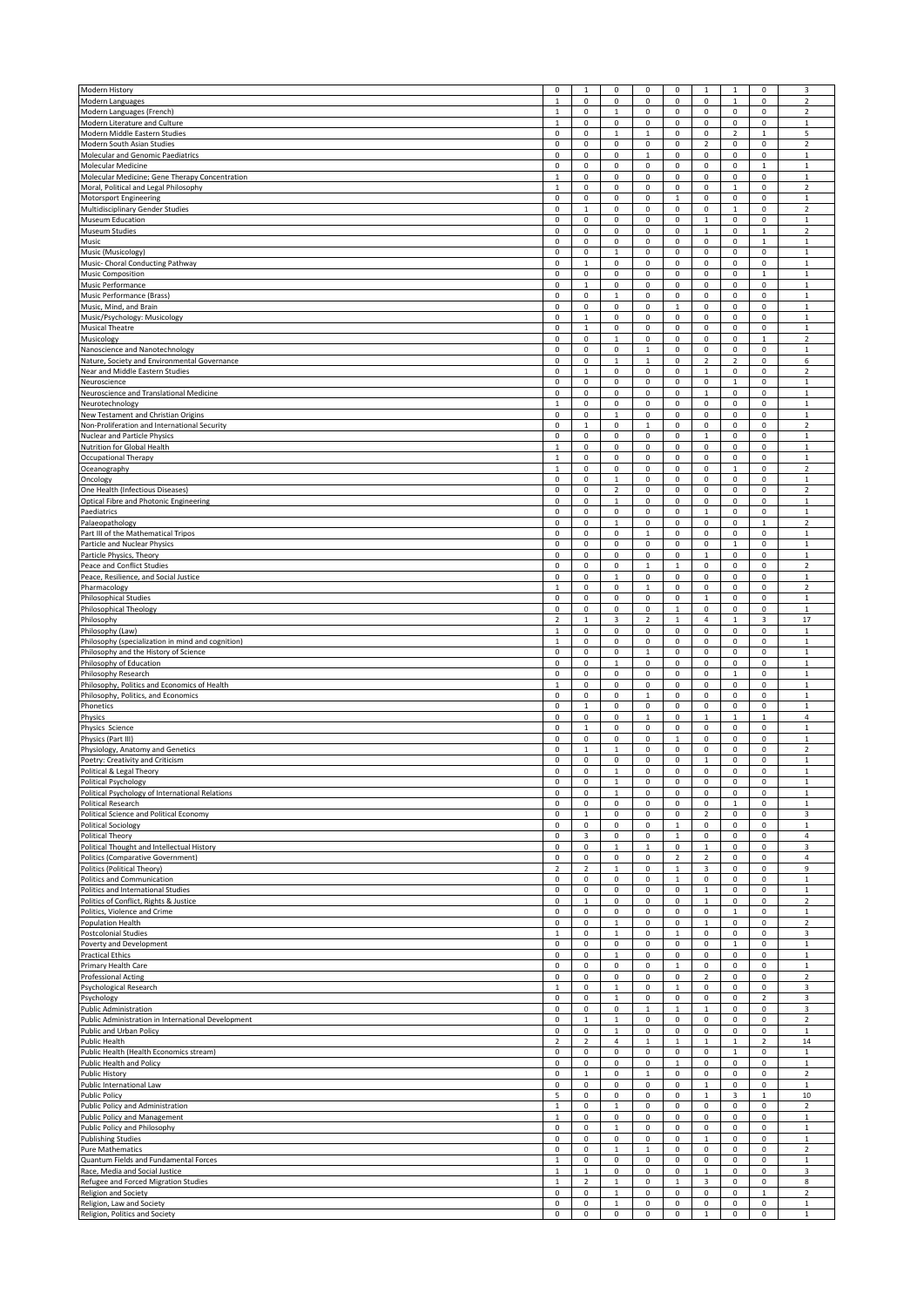| Modern History                                                                 | $\mathsf 0$                    | $\mathbf{1}$        | $\mathsf 0$                 | $\mathsf 0$                   | $\mathsf 0$                 | 1                            | $\mathbf 1$                 | $\mathbf 0$                   | 3                                       |
|--------------------------------------------------------------------------------|--------------------------------|---------------------|-----------------------------|-------------------------------|-----------------------------|------------------------------|-----------------------------|-------------------------------|-----------------------------------------|
| Modern Languages                                                               | $\mathbf{1}$                   | $\mathsf 0$         | $\mathsf 0$                 | $\mathsf 0$                   | $\mathsf 0$                 | 0                            | $\mathbf{1}$                | $\mathsf 0$                   | $\overline{\mathbf{c}}$                 |
| Modern Languages (French)                                                      | $\mathbf{1}$                   | 0                   | $\,$ 1                      | $\mathsf 0$                   | $\mathsf 0$                 | $\mathsf 0$                  | $\mathsf 0$                 | $\pmb{0}$                     | $\overline{2}$                          |
| Modern Literature and Culture<br>Modern Middle Eastern Studies                 | $\mathbf{1}$<br>$\mathbf 0$    | 0<br>$\mathsf 0$    | 0                           | $\mathsf 0$                   | $\mathbf 0$<br>0            | 0                            | 0                           | $\mathsf 0$<br>$\,$ 1         | $\mathbf{1}$                            |
| Modern South Asian Studies                                                     | $\mathsf 0$                    | 0                   | $\mathbf{1}$<br>0           | $\mathbf{1}$<br>$\mathsf 0$   | $\pmb{0}$                   | 0<br>$\overline{2}$          | $\overline{2}$<br>0         | $\pmb{0}$                     | 5<br>$\overline{2}$                     |
| Molecular and Genomic Paediatrics                                              | 0                              | 0                   | 0                           | $1\,$                         | 0                           | $\mathsf 0$                  | 0                           | 0                             | $\mathbf{1}$                            |
| Molecular Medicine                                                             | $\mathsf 0$                    | 0                   | $\mathsf 0$                 | 0                             | $\mathsf 0$                 | $\mathsf 0$                  | 0                           | $\,$ 1                        | $\mathbf{1}$                            |
| Molecular Medicine; Gene Therapy Concentration                                 | $\mathbf 1$                    | 0                   | $\mathsf 0$                 | $\pmb{0}$                     | $\pmb{0}$                   | 0                            | 0                           | $\pmb{0}$                     | $\mathbf{1}$                            |
| Moral, Political and Legal Philosophy                                          | $\mathbf{1}$<br>0              | 0<br>0              | 0<br>0                      | 0<br>0                        | 0<br>$\mathbf{1}$           | 0<br>0                       | $\mathbf{1}$<br>0           | $\pmb{0}$<br>$\pmb{0}$        | $\overline{2}$                          |
| Motorsport Engineering<br>Multidisciplinary Gender Studies                     | $\mathsf 0$                    | $\mathbf{1}$        | $\mathsf 0$                 | $\mathsf 0$                   | $\mathsf 0$                 | 0                            | $\mathbf{1}$                | $\mathsf 0$                   | 1<br>$\overline{2}$                     |
| <b>Museum Education</b>                                                        | 0                              | 0                   | 0                           | $\pmb{0}$                     | 0                           | $\mathbf 1$                  | 0                           | $\pmb{0}$                     | $\mathbf{1}$                            |
| Museum Studies                                                                 | $\mathsf 0$                    | 0                   | 0                           | $\mathsf 0$                   | $\pmb{0}$                   | $\mathbf{1}$                 | 0                           | $\,$ 1                        | $\mathbf 2$                             |
| Music                                                                          | 0<br>0                         | $\mathsf 0$         | $\mathsf 0$<br>$\mathbf{1}$ | $\mathsf 0$                   | $\mathsf 0$<br>$\mathsf 0$  | 0<br>0                       | 0<br>0                      | $\mathbf{1}$<br>$\mathbf 0$   | $\mathbf 1$<br>$\mathbf{1}$             |
| Music (Musicology)<br>Music- Choral Conducting Pathway                         | $\mathsf 0$                    | 0<br>$\mathbf 1$    | 0                           | $\pmb{0}$<br>$\mathsf 0$      | $\mathbf 0$                 | $\mathsf 0$                  | 0                           | $\mathsf 0$                   | $\mathbf{1}$                            |
| <b>Music Composition</b>                                                       | $\mathsf 0$                    | 0                   | 0                           | $\mathsf 0$                   | $\mathbf 0$                 | 0                            | 0                           | $\mathbf 1$                   | $\mathbf{1}$                            |
| Music Performance                                                              | $\mathsf 0$                    | $\,$ 1              | 0                           | 0                             | $\mathsf 0$                 | $\mathsf 0$                  | 0                           | $\pmb{0}$                     | $\mathbf{1}$                            |
| Music Performance (Brass)<br>Music, Mind, and Brain                            | $\mathsf 0$<br>0               | 0<br>$\mathsf 0$    | $\mathbf 1$<br>0            | $\mathsf 0$<br>0              | $\mathsf 0$<br>$\mathbf{1}$ | $\mathsf 0$<br>0             | $\mathsf 0$<br>0            | $\pmb{0}$<br>$\mathsf 0$      | $\,$ 1<br>$\mathbf{1}$                  |
| Music/Psychology: Musicology                                                   | $\mathbf 0$                    | $\,$ 1              | 0                           | $\pmb{0}$                     | 0                           | 0                            | 0                           | $\pmb{0}$                     | $\,$ 1                                  |
| <b>Musical Theatre</b>                                                         | $\mathsf 0$                    | $\mathbf{1}$        | $\mathsf 0$                 | $\mathsf 0$                   | $\mathsf 0$                 | 0                            | 0                           | $\mathbf 0$                   | $\mathbf 1$                             |
| Musicology                                                                     | $\pmb{0}$                      | $\mathsf 0$         | $\mathbf 1$                 | $\mathsf 0$                   | 0                           | 0                            | $\mathsf 0$                 | $\mathbf{1}$                  | $\overline{2}$                          |
| Nanoscience and Nanotechnology<br>Nature, Society and Environmental Governance | $\mathsf 0$<br>$\mathsf 0$     | 0<br>0              | $\mathsf 0$<br>$\mathbf{1}$ | $\mathbf{1}$<br>$\mathbf 1$   | $\mathsf 0$<br>$\mathsf 0$  | 0<br>$\overline{2}$          | 0<br>$\overline{2}$         | $\pmb{0}$<br>$\mathbf 0$      | $\mathbf{1}$<br>6                       |
| Near and Middle Eastern Studies                                                | 0                              | $\mathbf 1$         | $\mathsf 0$                 | $\pmb{0}$                     | $\mathsf 0$                 | $\mathbf{1}$                 | 0                           | $\mathsf 0$                   | $\overline{2}$                          |
| Neuroscience                                                                   | 0                              | 0                   | 0                           | $\pmb{0}$                     | $\pmb{0}$                   | 0                            | $\mathbf 1$                 | $\pmb{0}$                     | $\mathbf 1$                             |
| Neuroscience and Translational Medicine                                        | $\mathsf 0$                    | 0                   | $\mathsf 0$                 | $\mathsf 0$                   | $\mathsf 0$                 | $\mathbf{1}$                 | 0                           | $\mathbf 0$                   | $\mathbf{1}$                            |
| Neurotechnology<br>New Testament and Christian Origins                         | $\,$ 1<br>$\mathsf 0$          | $\mathsf 0$<br>0    | 0<br>$\mathbf 1$            | $\mathsf 0$<br>$\mathsf 0$    | $\mathbf 0$<br>$\mathsf 0$  | $\mathsf 0$<br>$\mathsf 0$   | 0<br>$\mathsf 0$            | $\pmb{0}$<br>$\pmb{0}$        | $\mathbf{1}$<br>$\mathbf 1$             |
| Non-Proliferation and International Security                                   | $\mathsf 0$                    | $\mathbf{1}$        | $\mathsf 0$                 | $\mathbf 1$                   | $\mathsf 0$                 | 0                            | 0                           | $\mathbf 0$                   | $\overline{2}$                          |
| Nuclear and Particle Physics                                                   | 0                              | 0                   | 0                           | 0                             | 0                           | $\mathbf{1}$                 | 0                           | $\pmb{0}$                     | $\mathbf 1$                             |
| Nutrition for Global Health                                                    | $\mathbf{1}$                   | 0                   | $\mathsf 0$                 | $\mathsf 0$                   | $\mathsf 0$                 | $\mathsf 0$                  | 0                           | $\pmb{0}$                     | $\mathbf{1}$                            |
| Occupational Therapy<br>Oceanography                                           | $\mathbf{1}$<br>1              | 0<br>0              | 0<br>0                      | 0<br>$\mathsf 0$              | 0<br>0                      | 0<br>0                       | $\mathsf 0$<br>$\mathbf 1$  | 0<br>$\mathsf 0$              | $\mathbf{1}$<br>$\overline{\mathbf{c}}$ |
| Oncology                                                                       | $\mathsf 0$                    | 0                   | $\mathbf{1}$                | $\mathsf 0$                   | $\mathsf 0$                 | 0                            | 0                           | $\mathsf 0$                   | $\mathbf{1}$                            |
| One Health (Infectious Diseases)                                               | 0                              | 0                   | $\overline{2}$              | $\mathsf 0$                   | $\mathsf 0$                 | 0                            | 0                           | $\mathbf 0$                   | $\mathbf 2$                             |
| Optical Fibre and Photonic Engineering                                         | 0                              | 0                   | $\mathbf 1$                 | $\mathsf 0$                   | 0                           | 0                            | 0                           | $\pmb{0}$                     | $\mathbf 1$                             |
| Paediatrics<br>Palaeopathology                                                 | 0<br>$\pmb{0}$                 | 0<br>0              | 0<br>$\mathbf{1}$           | $\mathsf 0$<br>$\pmb{0}$      | $\mathsf 0$<br>$\pmb{0}$    | $\mathbf{1}$<br>0            | 0<br>0                      | $\mathbf 0$                   | $\mathbf{1}$<br>$\overline{2}$          |
| Part III of the Mathematical Tripos                                            | $\mathsf 0$                    | 0                   | 0                           | $\mathbf{1}$                  | $\mathsf 0$                 | 0                            | 0                           | $\mathsf 0$                   | $\mathbf{1}$                            |
| Particle and Nuclear Physics                                                   | $\mathsf 0$                    | 0                   | $\mathsf 0$                 | $\pmb{0}$                     | $\mathsf 0$                 | 0                            | $\mathbf{1}$                | $\mathbf 0$                   | $\mathbf{1}$                            |
| Particle Physics, Theory                                                       | $\mathsf 0$                    | 0                   | $\mathsf 0$                 | $\pmb{0}$                     | $\mathsf 0$                 | $\mathbf 1$                  | 0                           | $\pmb{0}$                     | $\,1\,$                                 |
| Peace and Conflict Studies<br>Peace, Resilience, and Social Justice            | $\mathsf 0$<br>0               | 0<br>$\mathsf 0$    | $\mathsf 0$<br>$\mathbf{1}$ | $1\,$<br>0                    | 1<br>0                      | $\mathsf 0$<br>0             | 0<br>0                      | $\mathsf 0$<br>$\pmb{0}$      | $\mathbf 2$<br>$\mathbf{1}$             |
| Pharmacology                                                                   | $\,1\,$                        | 0                   | 0                           | $\,$ 1                        | 0                           | 0                            | 0                           | $\pmb{0}$                     | $\mathbf 2$                             |
| <b>Philosophical Studies</b>                                                   | $\mathsf 0$                    | 0                   | 0                           | $\mathsf 0$                   | $\mathsf 0$                 | $\mathbf{1}$                 | 0                           | $\mathsf 0$                   | $\,1\,$                                 |
| Philosophical Theology                                                         | 0                              | 0                   | 0                           | $\pmb{0}$                     | $\mathbf{1}$                | 0                            | 0                           | 0                             | $\mathbf{1}$                            |
| Philosophy<br>Philosophy (Law)                                                 | $\overline{2}$<br>$\mathbf{1}$ | $\,$ 1<br>0         | 3<br>$\mathsf 0$            | $\overline{2}$<br>$\mathsf 0$ | $\mathbf{1}$<br>$\mathsf 0$ | 4<br>0                       | $\,$ 1<br>0                 | 3<br>$\mathbf 0$              | 17<br>$\mathbf 1$                       |
| Philosophy (specialization in mind and cognition)                              | 1                              | 0                   | 0                           | $\mathsf 0$                   | $\mathsf 0$                 | 0                            | 0                           | $\pmb{0}$                     | $\mathbf{1}$                            |
| Philosophy and the History of Science                                          | $\mathsf 0$                    | 0                   | 0                           | $\mathbf 1$                   | 0                           | 0                            | 0                           | $\pmb{0}$                     | $\mathbf 1$                             |
| Philosophy of Education                                                        | $\mathsf 0$                    | 0                   | $\mathbf 1$                 | $\mathsf 0$                   | $\mathsf 0$                 | 0                            | 0                           | $\mathbf 0$                   | $\mathbf{1}$                            |
| Philosophy Research<br>Philosophy, Politics and Economics of Health            | 0<br>$\mathbf{1}$              | $\pmb{0}$<br>0      | 0<br>0                      | $\mathsf 0$<br>$\mathsf 0$    | 0<br>$\mathsf 0$            | 0<br>$\mathsf 0$             | $\,1\,$<br>$\mathsf 0$      | $\mathsf 0$<br>$\pmb{0}$      | $\mathbf{1}$<br>$\mathbf 1$             |
| Philosophy, Politics, and Economics                                            | $\mathsf 0$                    | 0                   | $\mathsf 0$                 | $\mathbf 1$                   | $\mathsf 0$                 | 0                            | 0                           | $\mathbf 0$                   | $\mathbf{1}$                            |
| Phonetics                                                                      | 0                              | 1                   | 0                           | 0                             | 0                           | 0                            | 0                           | $\pmb{0}$                     | 1                                       |
| Physics                                                                        | $\mathsf 0$                    | 0                   | 0                           | $\mathbf 1$                   | $\pmb{0}$                   | $\mathbf{1}$                 | $\mathbf{1}$                | $\mathbf{1}$                  | 4                                       |
| Physics Science<br>Physics (Part III)                                          | 0<br>0                         | $\mathbf 1$<br>0    | 0<br>0                      | 0<br>0                        | 0<br>$\mathbf{1}$           | $\mathsf 0$<br>0             | $\mathsf 0$<br>0            | $\pmb{0}$<br>0                | $\mathbf{1}$<br>1                       |
| Physiology, Anatomy and Genetics                                               | 0                              | $\mathbf{1}$        | $\mathbf{1}$                | $\mathsf 0$                   | $\mathsf 0$                 | 0                            | 0                           | $\mathsf 0$                   | $\overline{2}$                          |
| Poetry: Creativity and Criticism                                               | 0                              | 0                   | 0                           | 0                             | 0                           | $\mathbf 1$                  | 0                           | 0                             | $\mathbf{1}$                            |
| Political & Legal Theory                                                       | 0                              | 0                   | $\mathbf 1$                 | $\pmb{0}$                     | 0                           | 0                            | $\mathsf 0$                 | $\pmb{0}$                     | $\mathbf{1}$                            |
| <b>Political Psychology</b><br>Political Psychology of International Relations | 0<br>$\pmb{0}$                 | $\mathbf 0$<br>0    | $\mathbf{1}$<br>$\,$ 1      | 0<br>$\pmb{0}$                | 0<br>0                      | 0<br>0                       | 0<br>$\mathsf 0$            | 0<br>$\pmb{0}$                | -1<br>$\,1\,$                           |
| Political Research                                                             | $\mathbf 0$                    | 0                   | 0                           | $\mathsf 0$                   | $\mathbf 0$                 | 0                            | $\mathbf{1}$                | $\mathbf 0$                   | $\mathbf 1$                             |
| Political Science and Political Economy                                        | $\mathsf 0$                    | $\mathbf{1}$        | 0                           | $\mathsf 0$                   | $\mathbf 0$                 | $\overline{2}$               | 0                           | $\mathsf 0$                   | 3                                       |
| <b>Political Sociology</b>                                                     | $\mathbf 0$                    | 0                   | 0                           | $\pmb{0}$                     | $\mathbf 1$                 | $\mathsf 0$                  | $\mathsf 0$                 | $\pmb{0}$                     | $\mathbf 1$                             |
| Political Theory<br>Political Thought and Intellectual History                 | $\mathsf 0$<br>$\mathsf 0$     | 3<br>0              | 0<br>$\mathbf{1}$           | $\mathsf 0$<br>$\mathbf{1}$   | $\mathbf{1}$<br>$\mathbf 0$ | $\mathbf 0$<br>$\mathbf{1}$  | 0<br>0                      | $\mathsf 0$<br>$\mathsf 0$    | $\overline{4}$<br>3                     |
| Politics (Comparative Government)                                              | $\mathbf 0$                    | 0                   | 0                           | $\mathsf 0$                   | $\mathbf 2$                 | $\overline{2}$               | $\mathsf 0$                 | $\pmb{0}$                     | 4                                       |
| Politics (Political Theory)                                                    | $\overline{2}$                 | $\mathbf 2$         | $\mathbf 1$                 | $\mathbf 0$                   | $\mathbf{1}$                | 3                            | 0                           | $\mathbf 0$                   | 9                                       |
| Politics and Communication                                                     | 0                              | 0                   | 0                           | 0                             | $\mathbf{1}$                | 0                            | $\mathbf 0$                 | 0                             | $\mathbf{1}$                            |
| Politics and International Studies<br>Politics of Conflict, Rights & Justice   | $\mathbf 0$<br>$\mathsf 0$     | 0<br>$\mathbf{1}$   | 0<br>0                      | $\pmb{0}$<br>$\mathsf 0$      | $\mathsf 0$<br>$\mathsf 0$  | $\mathbf{1}$<br>$\mathbf{1}$ | $\mathsf 0$<br>$\mathbf 0$  | $\pmb{0}$<br>$\mathsf 0$      | $\,$ 1<br>$\overline{2}$                |
| Politics, Violence and Crime                                                   | $\pmb{0}$                      | 0                   | 0                           | $\mathsf 0$                   | 0                           | 0                            | $\mathbf 1$                 | $\mathsf 0$                   | $\mathbf{1}$                            |
| Population Health                                                              | $\mathbf 0$                    | 0                   | $\,$ 1                      | $\mathbf 0$                   | $\mathsf 0$                 | $\mathbf{1}$                 | 0                           | $\pmb{0}$                     | $\overline{2}$                          |
| <b>Postcolonial Studies</b>                                                    | $\mathbf{1}$<br>$\mathsf 0$    | $\mathsf 0$         | $\mathbf 1$                 | $\mathsf 0$                   | $\mathbf{1}$<br>$\mathbf 0$ | 0                            | 0<br>$\mathbf{1}$           | $\mathsf 0$<br>$\mathsf 0$    | 3                                       |
| Poverty and Development<br><b>Practical Ethics</b>                             | $\mathsf 0$                    | $\mathsf 0$<br>0    | 0<br>$\mathbf{1}$           | $\mathbf 0$<br>$\mathsf 0$    | $\mathbf 0$                 | 0<br>$\mathbf 0$             | 0                           | $\mathbf 0$                   | $\mathbf{1}$<br>$\mathbf{1}$            |
| Primary Health Care                                                            | $\mathsf 0$                    | 0                   | 0                           | 0                             | $\mathbf{1}$                | $\mathbf 0$                  | $\mathsf 0$                 | $\mathsf 0$                   | $\mathbf{1}$                            |
| <b>Professional Acting</b>                                                     | $\mathbf 0$                    | $\mathsf 0$         | $\mathsf 0$                 | $\mathsf 0$                   | $\mathbf 0$                 | $\overline{2}$               | 0                           | $\mathsf 0$                   | $\overline{2}$                          |
| Psychological Research<br>Psychology                                           | $\mathbf{1}$<br>$\mathbf 0$    | 0<br>$\mathsf 0$    | $\mathbf 1$<br>$\mathbf{1}$ | $\mathsf 0$<br>0              | $\mathbf{1}$<br>$\mathbf 0$ | 0<br>$\mathbf 0$             | $\mathsf 0$<br>$\mathbf 0$  | $\mathbf 0$<br>$\overline{2}$ | 3<br>3                                  |
| Public Administration                                                          | $\mathbf 0$                    | $\mathsf 0$         | $\mathsf 0$                 | $\mathbf{1}$                  | $\mathbf{1}$                | $\mathbf{1}$                 | 0                           | $\mathsf 0$                   | 3                                       |
| Public Administration in International Development                             | $\mathsf 0$                    | $\mathbf{1}$        | $\mathbf{1}$                | $\mathsf 0$                   | $\mathbf 0$                 | $\mathbf 0$                  | 0                           | $\mathsf 0$                   | $\overline{2}$                          |
| Public and Urban Policy                                                        | 0                              | 0                   | $\mathbf{1}$                | 0                             | 0                           | $\mathsf 0$                  | 0                           | 0                             | $\mathbf{1}$                            |
| Public Health<br>Public Health (Health Economics stream)                       | $\overline{2}$<br>$\mathsf 0$  | $\overline{2}$<br>0 | 4<br>0                      | $\mathbf{1}$<br>$\mathsf 0$   | $\mathbf{1}$<br>$\mathbf 0$ | $\mathbf{1}$<br>$\mathsf 0$  | $\mathbf 1$<br>$\mathbf{1}$ | $\sqrt{2}$<br>$\mathsf 0$     | $14\,$<br>$\mathbf{1}$                  |
| Public Health and Policy                                                       | $\mathbf 0$                    | 0                   | 0                           | $\mathsf 0$                   | $\mathbf 1$                 | 0                            | $\mathsf{O}\xspace$         | $\pmb{0}$                     | $\,$ 1 $\,$                             |
| Public History                                                                 | 0                              | $\mathbf 1$         | 0                           | $\,1\,$                       | $\mathsf 0$                 | $\mathsf 0$                  | $\mathsf 0$                 | $\mathbf 0$                   | 2                                       |
| Public International Law                                                       | $\mathsf 0$                    | 0                   | 0                           | $\mathsf 0$                   | $\mathbf 0$                 | $\mathbf{1}$                 | 0                           | $\mathsf 0$                   | $\mathbf{1}$                            |
| <b>Public Policy</b><br>Public Policy and Administration                       | 5<br>$\mathbf{1}$              | 0<br>0              | $\mathsf 0$<br>$\mathbf{1}$ | $\mathbf 0$<br>$\mathsf 0$    | $\mathsf 0$<br>$\mathbf 0$  | $\,1\,$<br>0                 | 3<br>0                      | $\mathsf 0$                   | 10<br>$\overline{2}$                    |
| Public Policy and Management                                                   | $\mathbf{1}$                   | 0                   | 0                           | $\mathsf 0$                   | $\mathbf 0$                 | 0                            | 0                           | $\mathsf 0$                   | $\mathbf{1}$                            |
| Public Policy and Philosophy                                                   | $\mathbf 0$                    | 0                   | $\mathbf 1$                 | 0                             | $\mathsf 0$                 | $\mathsf 0$                  | $\mathsf 0$                 | $\pmb{0}$                     | $\mathbf 1$                             |
| <b>Publishing Studies</b>                                                      | $\mathsf 0$                    | $\mathsf 0$         | $\mathsf{O}\xspace$         | $\mathbf 0$                   | $\mathbf 0$                 | $\mathbf{1}$                 | 0                           | $\mathsf 0$                   | $\mathbf 1$                             |
| Pure Mathematics<br>Quantum Fields and Fundamental Forces                      | $\mathsf 0$<br>$\mathbf{1}$    | 0<br>0              | $\mathbf{1}$<br>$\mathsf 0$ | $\mathbf{1}$<br>$\pmb{0}$     | $\mathbf 0$<br>$\mathsf 0$  | 0<br>$\mathsf 0$             | $\mathbf 0$<br>$\mathsf 0$  | 0<br>$\pmb{0}$                | $\overline{2}$<br>$\mathbf 1$           |
| Race, Media and Social Justice                                                 | 1                              | $\mathbf{1}$        | 0                           | 0                             | $\mathsf 0$                 | $\mathbf{1}$                 | 0                           | $\mathsf 0$                   | 3                                       |
| Refugee and Forced Migration Studies                                           | 1                              | $\overline{2}$      | $\mathbf 1$                 | $\pmb{0}$                     | $\mathbf{1}$                | 3                            | 0                           | $\mathsf 0$                   | 8                                       |
| <b>Religion and Society</b><br>Religion, Law and Society                       | $\mathbf 0$<br>$\mathsf 0$     | $\pmb{0}$<br>0      | $\,$ 1<br>$\mathbf{1}$      | $\mathsf 0$<br>$\mathbf 0$    | $\mathbf 0$<br>$\mathbf 0$  | $\mathsf 0$<br>0             | $\mathsf 0$<br>0            | $\,$ 1<br>$\mathsf 0$         | $\overline{2}$<br>$\mathbf{1}$          |
| Religion, Politics and Society                                                 | 0                              | $\mathsf 0$         | $\mathsf 0$                 | $\mathsf 0$                   | 0                           | $\mathbf 1$                  | 0                           | $\mathbf 0$                   | $\mathbf{1}$                            |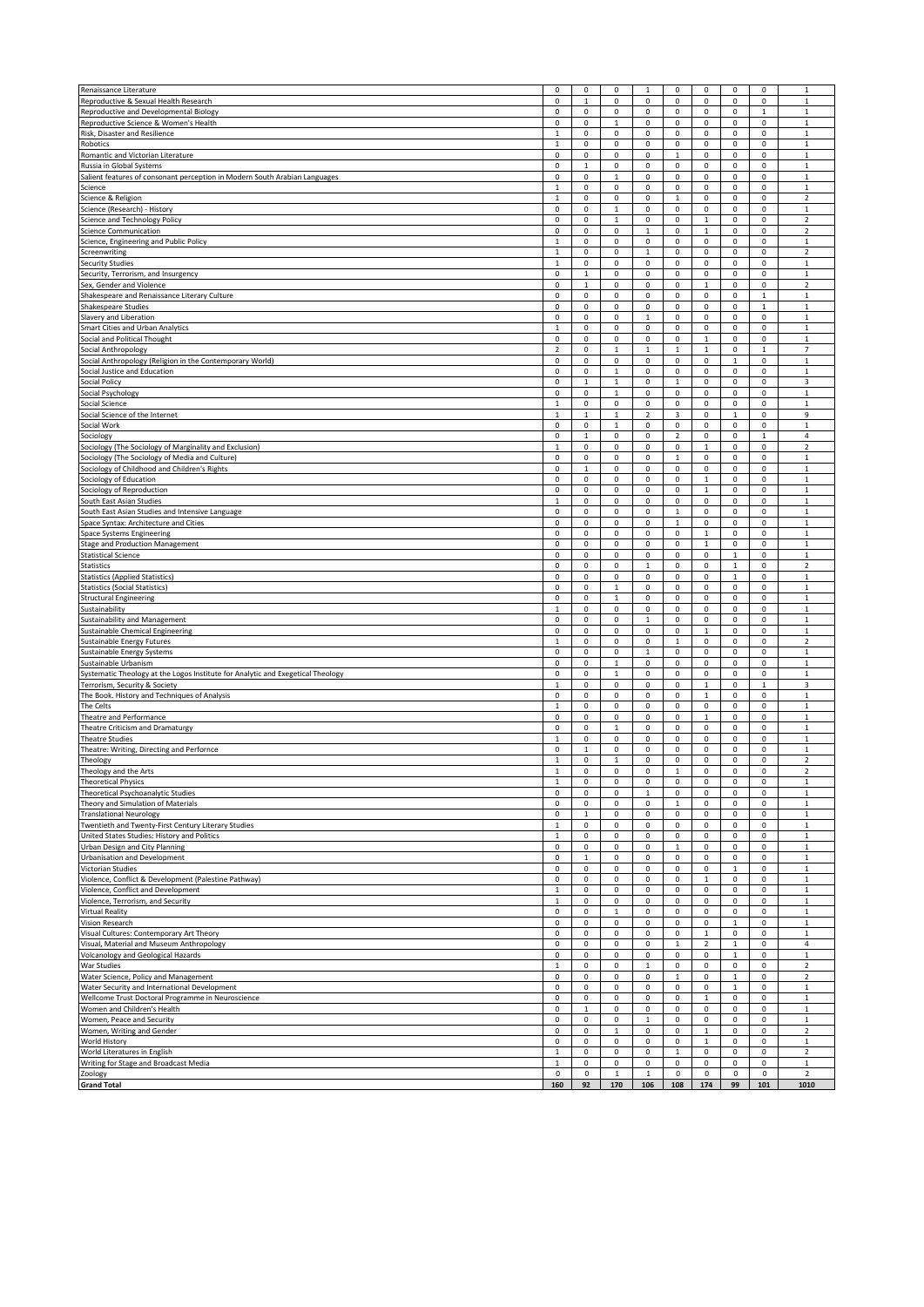|                                                                                 | $\mathsf 0$              |                   |                    |                     |                    | 0              | 0            |                    | $\,1\,$                 |
|---------------------------------------------------------------------------------|--------------------------|-------------------|--------------------|---------------------|--------------------|----------------|--------------|--------------------|-------------------------|
| Renaissance Literature                                                          |                          | 0                 | 0                  | $\mathbf{1}$        | $\mathsf 0$        |                |              | $\mathbf 0$        |                         |
| Reproductive & Sexual Health Research                                           | 0                        | $\mathbf 1$       | $\mathsf 0$        | $\mathsf 0$         | $\mathsf 0$        | 0              | 0            | $\mathsf 0$        | $\mathbf{1}$            |
| Reproductive and Developmental Biology                                          | 0                        | 0                 | 0                  | 0                   | 0                  | 0              | 0            | $\,$ 1             | $\,$ 1                  |
| Reproductive Science & Women's Health                                           | $\mathsf 0$              | 0                 | $\mathbf{1}$       | $\mathsf 0$         | $\mathsf 0$        | 0              | 0            | $\mathsf 0$        | $\mathbf 1$             |
| Risk, Disaster and Resilience                                                   | $\mathbf{1}$             | 0                 | 0                  | 0                   | 0                  | 0              | 0            | 0                  | $\mathbf{1}$            |
|                                                                                 | 1                        | 0                 | 0                  |                     | 0                  | 0              | $\mathsf 0$  | $\pmb{0}$          | $\mathbf{1}$            |
| Robotics                                                                        |                          |                   |                    | 0                   |                    |                |              |                    |                         |
| Romantic and Victorian Literature                                               | 0                        | 0                 | $\mathsf 0$        | 0                   | $\mathbf{1}$       | 0              | 0            | $\mathbf 0$        | $\mathbf 1$             |
| Russia in Global Systems                                                        | 0                        | $\mathbf 1$       | 0                  | $\pmb{0}$           | $\mathsf 0$        | 0              | 0            | $\mathsf 0$        | $\mathbf{1}$            |
| Salient features of consonant perception in Modern South Arabian Languages      | $\mathbf 0$              | 0                 | $\mathbf{1}$       | $\pmb{0}$           | 0                  | 0              | 0            | $\pmb{0}$          | $\mathbf 1$             |
| Science                                                                         | 1                        | 0                 | 0                  | 0                   | $\mathsf 0$        | 0              | 0            | $\mathsf 0$        | $\mathbf{1}$            |
|                                                                                 |                          |                   |                    |                     |                    |                |              |                    |                         |
| Science & Religion                                                              | 1                        | 0                 | 0                  | $\mathsf 0$         | $\mathbf 1$        | 0              | 0            | $\pmb{0}$          | $\overline{2}$          |
| Science (Research) - History                                                    | $\mathsf 0$              | 0                 | $\mathbf{1}$       | $\pmb{0}$           | $\mathsf 0$        | 0              | 0            | $\pmb{0}$          | $\mathbf 1$             |
| Science and Technology Policy                                                   | $\mathsf 0$              | $\mathsf 0$       | $\mathbf 1$        | $\mathsf 0$         | $\mathsf 0$        | $\mathbf{1}$   | 0            | $\mathbf 0$        | $\overline{2}$          |
| <b>Science Communication</b>                                                    | $\mathsf 0$              | 0                 | 0                  | $1\,$               | $\mathsf 0$        | $\mathbf{1}$   | 0            | $\mathsf 0$        | $\mathbf 2$             |
|                                                                                 | $\mathbf{1}$             | 0                 | 0                  | $\mathsf 0$         | $\pmb{0}$          | $\mathsf 0$    | 0            | $\pmb{0}$          | $\mathbf{1}$            |
| Science, Engineering and Public Policy                                          |                          |                   |                    |                     |                    |                |              |                    |                         |
| Screenwriting                                                                   | 1                        | 0                 | 0                  | $\mathbf{1}$        | $\mathbf 0$        | 0              | 0            | $\mathsf 0$        | $\overline{2}$          |
| Security Studies                                                                | 1                        | 0                 | 0                  | 0                   | 0                  | 0              | 0            | 0                  | 1                       |
| Security, Terrorism, and Insurgency                                             | $\mathsf 0$              | $\mathbf 1$       | $\mathsf 0$        | $\mathsf 0$         | $\mathsf 0$        | $\mathsf 0$    | 0            | $\pmb{0}$          | $\mathbf 1$             |
| Sex, Gender and Violence                                                        | 0                        | $\mathbf 1$       | 0                  | 0                   | 0                  | $\mathbf 1$    | 0            | 0                  | $\mathbf 2$             |
|                                                                                 |                          |                   |                    |                     |                    |                |              |                    |                         |
| Shakespeare and Renaissance Literary Culture                                    | 0                        | 0                 | 0                  | 0                   | 0                  | 0              | 0            | $\,$ 1             | 1                       |
| Shakespeare Studies                                                             | $\mathsf 0$              | $\mathsf 0$       | $\mathsf 0$        | $\mathsf 0$         | $\mathsf 0$        | 0              | 0            | $\mathbf 1$        | $\mathbf{1}$            |
| Slavery and Liberation                                                          | 0                        | 0                 | 0                  | $1\,$               | 0                  | 0              | 0            | $\pmb{0}$          | $\mathbf{1}$            |
| Smart Cities and Urban Analytics                                                | 1                        | 0                 | 0                  | $\mathsf 0$         | $\mathsf 0$        | $\mathsf 0$    | 0            | $\pmb{0}$          | $\mathbf{1}$            |
| Social and Political Thought                                                    | 0                        | 0                 | $\mathsf 0$        | $\pmb{0}$           | $\mathsf 0$        | $\mathbf{1}$   | 0            | $\mathsf 0$        | $\mathbf{1}$            |
|                                                                                 | $\overline{\phantom{a}}$ | 0                 | $\mathbf{1}$       |                     | $\mathbf{1}$       | $\mathbf{1}$   |              |                    | $\overline{7}$          |
| Social Anthropology                                                             |                          |                   |                    | $\mathbf{1}$        |                    |                | $\mathsf 0$  |                    |                         |
| Social Anthropology (Religion in the Contemporary World)                        | $\mathsf 0$              | 0                 | 0                  | $\mathsf 0$         | $\mathsf 0$        | $\mathsf 0$    | $\mathbf{1}$ | $\pmb{0}$          | $\,$ 1                  |
| Social Justice and Education                                                    | $\mathsf 0$              | $\mathsf 0$       | $\mathbf{1}$       | $\mathsf 0$         | $\mathsf 0$        | 0              | 0            | $\mathbf 0$        | $\mathbf 1$             |
| Social Policy                                                                   | $\pmb{0}$                | $\mathbf{1}$      | $\mathbf 1$        | $\pmb{0}$           | $\,$ 1             | 0              | 0            | $\pmb{0}$          | 3                       |
| Social Psychology                                                               | $\mathsf 0$              | $\mathsf 0$       | $\mathbf 1$        | $\mathsf 0$         | $\mathbf 0$        | 0              | 0            | $\mathsf 0$        | $\mathbf 1$             |
|                                                                                 |                          |                   |                    |                     |                    |                |              |                    |                         |
| Social Science                                                                  | 1                        | $\mathsf 0$       | 0                  | 0                   | $\mathbf 0$        | 0              | 0            | 0                  | $\mathbf{1}$            |
| Social Science of the Internet                                                  | 1                        | $\mathbf 1$       | $\mathbf{1}$       | $\overline{2}$      | 3                  | 0              | $\,$ 1       | $\pmb{0}$          | 9                       |
| Social Work                                                                     | $\mathbf 0$              | $\pmb{0}$         | $\mathbf 1$        | $\pmb{0}$           | $\mathsf 0$        | 0              | 0            | $\mathsf 0$        | $\mathbf{1}$            |
|                                                                                 |                          |                   |                    |                     |                    |                |              |                    |                         |
| Sociology                                                                       | 0                        | $\mathbf{1}$      | 0                  | 0                   | $\overline{2}$     | 0              | 0            | $\mathbf{1}$       | 4                       |
| Sociology (The Sociology of Marginality and Exclusion)                          | $\mathbf{1}$             | 0                 | 0                  | $\pmb{0}$           | 0                  | $\mathbf 1$    | 0            | $\pmb{0}$          | $\overline{2}$          |
| Sociology (The Sociology of Media and Culture)                                  | 0                        | 0                 | $\mathsf 0$        | 0                   | $\mathbf{1}$       | 0              | 0            | $\mathsf 0$        | $\mathbf 1$             |
|                                                                                 |                          |                   |                    |                     |                    |                |              | $\mathsf 0$        |                         |
| Sociology of Childhood and Children's Rights                                    | 0                        | $\mathbf{1}$      | 0                  | $\pmb{0}$           | 0                  | 0              | 0            |                    | $\mathbf{1}$            |
| Sociology of Education                                                          | $\mathsf 0$              | 0                 | $\mathsf 0$        | $\pmb{0}$           | $\mathsf 0$        | $\mathbf{1}$   | 0            | $\pmb{0}$          | $\mathbf 1$             |
| Sociology of Reproduction                                                       | $\mathsf 0$              | $\mathsf 0$       | $\mathsf 0$        | $\mathsf 0$         | $\mathsf 0$        | $\mathbf{1}$   | 0            | $\mathbf 0$        | $\mathbf{1}$            |
| South East Asian Studies                                                        | $\mathbf{1}$             | 0                 | 0                  | $\mathsf 0$         | $\mathsf 0$        | $\mathsf 0$    | 0            | $\mathbf 0$        | $\mathbf 1$             |
|                                                                                 |                          |                   |                    |                     |                    |                |              |                    |                         |
| South East Asian Studies and Intensive Language                                 | $\mathsf 0$              | 0                 | 0                  | $\pmb{0}$           | $\mathbf 1$        | $\mathsf 0$    | 0            | $\pmb{0}$          | $\mathbf{1}$            |
| Space Syntax: Architecture and Cities                                           | $\mathsf 0$              | 0                 | $\mathsf 0$        | $\mathsf 0$         | $\mathbf{1}$       | 0              | 0            | $\mathsf 0$        | $\mathbf{1}$            |
| Space Systems Engineering                                                       | 0                        | 0                 | 0                  | 0                   | 0                  | $\mathbf{1}$   | 0            | 0                  | $\mathbf{1}$            |
|                                                                                 | $\mathsf 0$              | 0                 | 0                  | $\mathsf 0$         | $\pmb{0}$          | $\mathbf{1}$   | $\mathsf 0$  | $\pmb{0}$          | $\mathbf 1$             |
| Stage and Production Management                                                 |                          |                   |                    |                     |                    |                |              |                    |                         |
| <b>Statistical Science</b>                                                      | 0                        | 0                 | 0                  | 0                   | 0                  | 0              | $\mathbf{1}$ | 0                  | $\mathbf{1}$            |
| Statistics                                                                      | 0                        | 0                 | 0                  | $\mathbf{1}$        | 0                  | $\mathsf 0$    | $\mathbf 1$  | $\pmb{0}$          | $\overline{\mathbf{2}}$ |
| <b>Statistics (Applied Statistics)</b>                                          | $\mathsf 0$              | $\mathsf 0$       | $\mathsf 0$        | $\mathsf 0$         | $\mathsf 0$        | 0              | $\mathbf{1}$ | $\mathsf 0$        | $\mathbf 1$             |
|                                                                                 |                          |                   |                    |                     |                    |                |              |                    |                         |
| <b>Statistics (Social Statistics)</b>                                           | $\pmb{0}$                | 0                 | $\mathbf 1$        | 0                   | 0                  | 0              | 0            | $\pmb{0}$          | $\mathbf{1}$            |
| <b>Structural Engineering</b>                                                   | 0                        | 0                 | $\mathbf 1$        | 0                   | 0                  | $\mathsf 0$    | 0            | $\mathbf 0$        | $\mathbf{1}$            |
| Sustainability                                                                  | 1                        | 0                 | 0                  | $\mathsf 0$         | $\mathsf 0$        | 0              | 0            | $\mathsf 0$        | $\mathbf{1}$            |
| Sustainability and Management                                                   | 0                        | 0                 | 0                  | 1                   | 0                  | 0              | 0            | $\pmb{0}$          | $\mathbf 1$             |
|                                                                                 | 0                        | 0                 | 0                  | $\pmb{0}$           | $\pmb{0}$          | $\mathbf 1$    | 0            | $\pmb{0}$          | $\mathbf{1}$            |
| Sustainable Chemical Engineering                                                |                          |                   |                    |                     |                    |                |              |                    |                         |
| Sustainable Energy Futures                                                      | 1                        | $\mathsf 0$       | $\mathsf 0$        | $\mathbf 0$         | $\mathbf{1}$       | 0              | $\mathsf 0$  | $\mathbf 0$        | $\overline{2}$          |
| Sustainable Energy Systems                                                      | $\pmb{0}$                | 0                 | 0                  | $\,$ 1              | 0                  | 0              | 0            | $\pmb{0}$          | $\,1\,$                 |
| Sustainable Urbanism                                                            | $\mathsf 0$              | 0                 | $\mathbf 1$        | $\mathsf 0$         | $\mathsf 0$        | $\mathsf 0$    | 0            | $\pmb{0}$          | $\,$ 1                  |
|                                                                                 | $\mathsf 0$              | 0                 | $\mathbf{1}$       | $\mathsf 0$         | $\mathbf 0$        | 0              | 0            | $\mathsf 0$        | $\mathbf{1}$            |
| Systematic Theology at the Logos Institute for Analytic and Exegetical Theology |                          |                   |                    |                     |                    |                |              |                    |                         |
| Terrorism, Security & Society                                                   | 1                        | 0                 | 0                  | 0                   | 0                  | $\mathbf{1}$   | 0            | $\,$ 1             | 3                       |
| The Book. History and Techniques of Analysis                                    | $\mathbf 0$              | $\mathsf 0$       | $\mathsf 0$        | $\mathsf 0$         | $\mathsf 0$        | $\mathbf{1}$   | $\mathsf 0$  | $\mathbf 0$        | $\mathbf{1}$            |
| The Celts                                                                       | 1                        | 0                 | 0                  | 0                   | 0                  | 0              | 0            | 0                  | $\mathbf{1}$            |
| Theatre and Performance                                                         | 0                        | 0                 | 0                  | 0                   | 0                  | $\mathbf 1$    | 0            | $\pmb{0}$          | $\mathbf 1$             |
|                                                                                 |                          |                   |                    |                     |                    |                |              |                    |                         |
| Theatre Criticism and Dramaturgy                                                | 0                        | 0                 | $\mathbf 1$        | 0                   | $\mathsf 0$        | 0              | 0            | $\mathsf 0$        | $\mathbf 1$             |
| <b>Theatre Studies</b>                                                          | 1                        | 0                 | 0                  | $\mathsf 0$         | 0                  | 0              | 0            | $\mathsf 0$        | $\mathbf{1}$            |
| Theatre: Writing, Directing and Perfornce                                       | 0                        | $\mathbf 1$       | $\mathsf 0$        | $\pmb{0}$           | $\mathsf 0$        | 0              | 0            | $\pmb{0}$          | $\mathbf 1$             |
| Theology                                                                        | $\mathbf{1}$             | 0                 | $\mathbf{1}$       | $\mathsf 0$         | $\mathsf 0$        | 0              | 0            | $\mathbf 0$        | $\overline{2}$          |
|                                                                                 |                          |                   |                    |                     |                    |                |              |                    |                         |
| Theology and the Arts                                                           | $\mathbf{1}$             | 0                 | $\mathsf 0$        | $\mathsf 0$         | $\mathbf{1}$       | 0              | $\mathsf 0$  | $\mathsf 0$        | $\overline{2}$          |
| Theoretical Physics                                                             |                          |                   |                    |                     | 0                  | 0              | 0            | $\pmb{0}$          | 1                       |
| Theoretical Psychoanalytic Studies                                              | 1                        | 0                 | 0                  | $\pmb{0}$           |                    |                | $\mathsf 0$  | 0                  | $\mathbf{1}$            |
|                                                                                 | $\mathsf 0$              | 0                 | 0                  | $\mathbf{1}$        | 0                  | 0              |              |                    |                         |
|                                                                                 |                          |                   |                    |                     |                    |                |              |                    |                         |
| Theory and Simulation of Materials                                              | $\mathbf 0$              | $\mathsf 0$       | $\mathsf 0$        | 0                   | $\mathbf{1}$       | 0              | 0            | $\mathsf 0$        | $\mathbf{1}$            |
| <b>Translational Neurology</b>                                                  | $\mathbf 0$              | $\mathbf{1}$      | 0                  | $\mathsf 0$         | $\mathbf 0$        | $\mathsf 0$    | $\mathsf 0$  | $\mathbf 0$        | $\mathbf 1$             |
| Twentieth and Twenty-First Century Literary Studies                             | $\mathbf{1}$             | 0                 | 0                  | 0                   | 0                  | 0              | 0            | 0                  | $\mathbf{1}$            |
| United States Studies: History and Politics                                     | $\mathbf{1}$             | 0                 | 0                  | 0                   | 0                  | 0              | $\mathsf 0$  | $\mathbf 0$        | $\mathbf 1$             |
|                                                                                 |                          |                   |                    |                     |                    |                |              |                    |                         |
| <b>Urban Design and City Planning</b>                                           | $\mathsf 0$              | 0                 | 0                  | $\pmb{0}$           | $\mathbf{1}$       | 0              | $\mathsf 0$  | $\pmb{0}$          | $\mathbf{1}$            |
| Urbanisation and Development                                                    | $\pmb{0}$                | $\mathbf{1}$      | 0                  | 0                   | 0                  | 0              | $\mathsf 0$  | $\pmb{0}$          | $\mathbf{1}$            |
| Victorian Studies                                                               | 0                        | 0                 | 0                  | 0                   | 0                  | 0              | $\mathbf{1}$ | 0                  | $\mathbf{1}$            |
| Violence, Conflict & Development (Palestine Pathway)                            | $\mathsf 0$              | 0                 | 0                  | $\mathsf 0$         | $\mathbf 0$        | $\mathbf{1}$   | 0            | $\mathsf 0$        | $\mathbf{1}$            |
|                                                                                 |                          |                   |                    |                     |                    |                |              |                    |                         |
| Violence, Conflict and Development                                              | $\mathbf{1}$             | 0                 | 0                  | 0                   | 0                  | 0              | 0            | 0                  | $\mathbf{1}$            |
| Violence, Terrorism, and Security                                               | 1                        | 0                 | 0                  | 0                   | $\mathsf 0$        | $\mathsf 0$    | $\mathsf 0$  | $\mathsf 0$        | $\mathbf 1$             |
| Virtual Reality                                                                 | 0                        | 0                 | $\mathbf{1}$       | $\pmb{0}$           | $\mathsf 0$        | 0              | 0            | $\mathsf 0$        | $\mathbf{1}$            |
| Vision Research                                                                 | $\mathbf 0$              | 0                 | 0                  | $\pmb{0}$           | 0                  | $\mathsf 0$    | $\,$ 1       | $\pmb{0}$          | $\,$ 1                  |
|                                                                                 |                          |                   |                    |                     |                    |                |              |                    |                         |
| Visual Cultures: Contemporary Art Theory                                        | $\mathsf 0$              | 0                 | 0                  | $\mathsf 0$         | $\mathbf 0$        | $\mathbf{1}$   | $\mathsf 0$  | $\mathsf 0$        | $\mathbf 1$             |
| Visual, Material and Museum Anthropology                                        | $\mathsf 0$              | 0                 | 0                  | $\mathbf 0$         | $\mathbf{1}$       | $\overline{2}$ | $\mathbf{1}$ | $\mathsf 0$        | $\overline{4}$          |
| <b>Volcanology and Geological Hazards</b>                                       | 0                        | 0                 | 0                  | 0                   | 0                  | 0              | $\mathbf 1$  | $\pmb{0}$          | $\mathbf 1$             |
| War Studies                                                                     | 1                        | 0                 | 0                  | $\mathbf{1}$        | $\mathbf 0$        | 0              | 0            | $\mathsf 0$        | $\overline{2}$          |
|                                                                                 |                          |                   |                    |                     |                    |                |              |                    |                         |
| Water Science, Policy and Management                                            | 0                        | 0                 | 0                  | 0                   | $\mathbf{1}$       | 0              | $\mathbf{1}$ | 0                  | 2                       |
| Water Security and International Development                                    | $\mathbf 0$              | 0                 | 0                  | 0                   | 0                  | 0              | $\mathbf 1$  | 0                  | $\mathbf 1$             |
| Wellcome Trust Doctoral Programme in Neuroscience                               | $\mathsf 0$              | $\mathsf 0$       | 0                  | 0                   | $\mathbf 0$        | $\mathbf{1}$   | 0            | $\mathsf 0$        | $\mathbf{1}$            |
| Women and Children's Health                                                     | 0                        | $\mathbf{1}$      | 0                  | 0                   | 0                  | 0              | 0            | $\mathsf 0$        | $\mathbf{1}$            |
|                                                                                 |                          |                   |                    |                     |                    |                |              |                    |                         |
| Women, Peace and Security                                                       | $\mathsf 0$              | 0                 | 0                  | $\mathbf{1}$        | $\mathsf 0$        | 0              | 0            | $\pmb{0}$          | $\mathbf{1}$            |
| Women, Writing and Gender                                                       | $\mathsf 0$              | 0                 | $\mathbf{1}$       | 0                   | 0                  | $\mathbf{1}$   | $\mathsf 0$  | $\mathsf 0$        | $\overline{2}$          |
| World History                                                                   | 0                        | 0                 | 0                  | 0                   | 0                  | $\mathbf{1}$   | 0            | $\mathsf 0$        | $\mathbf{1}$            |
| World Literatures in English                                                    | $\mathbf{1}$             | 0                 | 0                  | $\mathbf 0$         | $\mathbf{1}$       | 0              | $\mathsf 0$  | $\pmb{0}$          | $\overline{2}$          |
|                                                                                 |                          |                   |                    |                     |                    |                |              |                    |                         |
| Writing for Stage and Broadcast Media                                           | 1                        | 0                 | 0                  | $\mathbf 0$         | $\mathbf 0$        | 0              | 0            | $\mathsf 0$        | $\mathbf{1}$            |
| Zoology<br><b>Grand Total</b>                                                   | 0<br>160                 | $\mathsf 0$<br>92 | $\mathbf 1$<br>170 | $\mathbf{1}$<br>106 | $\mathbf 0$<br>108 | 0<br>174       | 0<br>99      | $\mathbf 0$<br>101 | 2<br>1010               |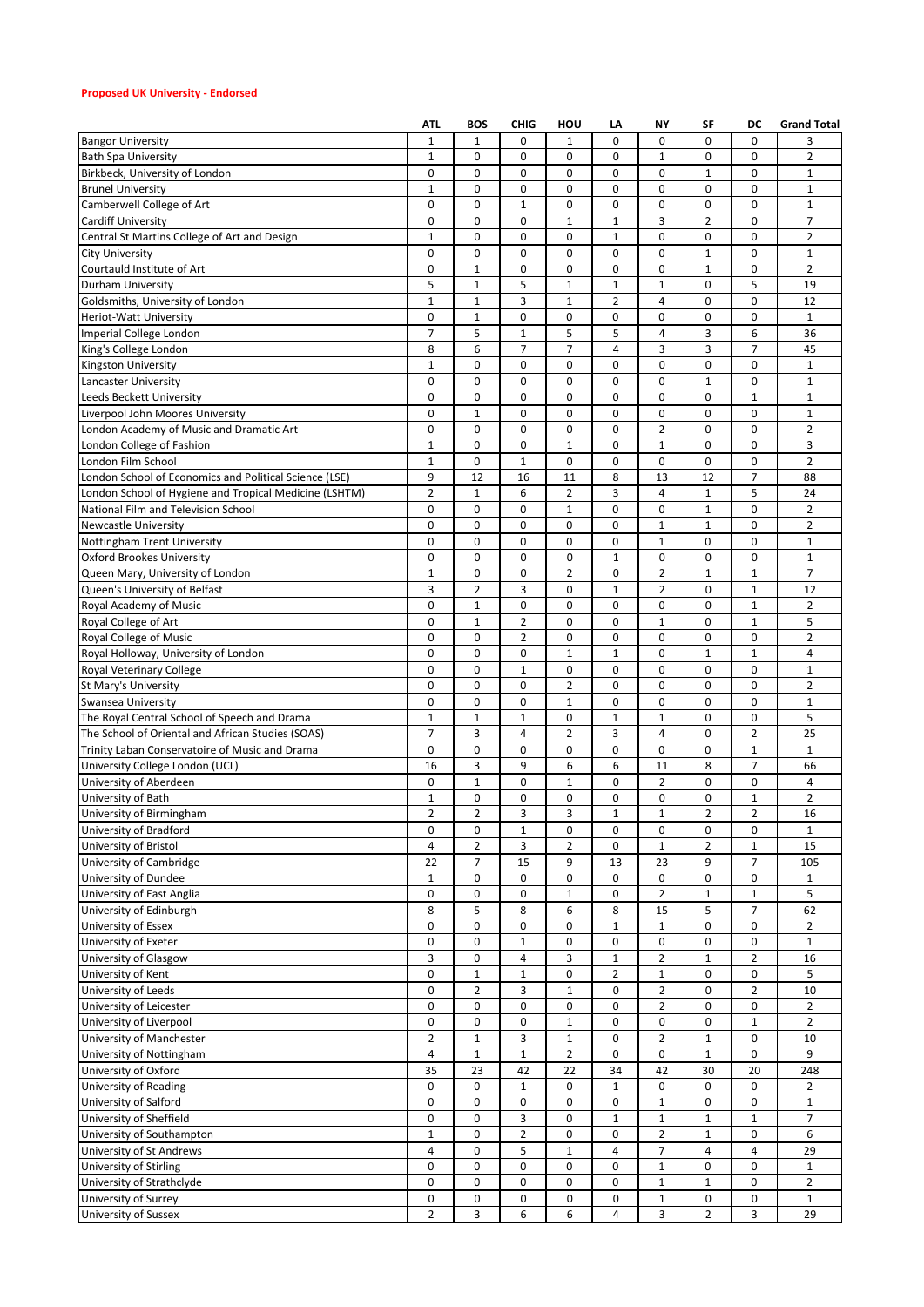## **Proposed UK University - Endorsed**

|                                                        | <b>ATL</b>     | <b>BOS</b>     | <b>CHIG</b>    | HOU                     | LA             | NΥ             | SF             | DC                  | <b>Grand Total</b> |
|--------------------------------------------------------|----------------|----------------|----------------|-------------------------|----------------|----------------|----------------|---------------------|--------------------|
| <b>Bangor University</b>                               | $\mathbf{1}$   | 1              | 0              | 1                       | $\mathbf 0$    | 0              | $\mathbf 0$    | 0                   | 3                  |
| <b>Bath Spa University</b>                             | $\mathbf 1$    | 0              | 0              | 0                       | 0              | $\mathbf{1}$   | $\mathbf 0$    | 0                   | $\overline{2}$     |
| Birkbeck, University of London                         | 0              | $\mathbf 0$    | $\mathbf 0$    | $\mathbf 0$             | $\mathbf 0$    | 0              | $\mathbf{1}$   | 0                   | $\mathbf{1}$       |
| <b>Brunel University</b>                               | 1              | 0              | $\mathbf 0$    | 0                       | $\mathbf 0$    | 0              | $\mathbf 0$    | 0                   | $\mathbf{1}$       |
| Camberwell College of Art                              | 0              | 0              | $\mathbf{1}$   | 0                       | $\mathbf 0$    | 0              | $\mathbf 0$    | 0                   | $\mathbf{1}$       |
| Cardiff University                                     | 0              | 0              | 0              | $\mathbf 1$             | 1              | 3              | $\overline{2}$ | 0                   | 7                  |
| Central St Martins College of Art and Design           | $\mathbf 1$    | $\mathbf 0$    | $\mathbf 0$    | $\mathbf 0$             | $\mathbf 1$    | $\mathbf 0$    | $\mathbf 0$    | 0                   | $\overline{2}$     |
| City University                                        | 0              | 0              | $\mathbf 0$    | 0                       | $\mathbf 0$    | 0              | $\mathbf 1$    | $\pmb{0}$           | $\mathbf 1$        |
| Courtauld Institute of Art                             | 0              | $\mathbf{1}$   | 0              | 0                       | 0              | 0              | $\mathbf 1$    | 0                   | $\overline{2}$     |
| Durham University                                      | 5              | $\mathbf{1}$   | 5              | $1\,$                   | $\mathbf 1$    | $\mathbf{1}$   | $\mathbf 0$    | 5                   | 19                 |
| Goldsmiths, University of London                       | $\mathbf 1$    | $\mathbf{1}$   | $\overline{3}$ | $\mathbf{1}$            | $\overline{2}$ | 4              | $\mathbf 0$    | 0                   | 12                 |
| Heriot-Watt University                                 | 0              | $\mathbf{1}$   | 0              | 0                       | 0              | 0              | $\mathbf 0$    | 0                   | $\mathbf{1}$       |
| Imperial College London                                | 7              | 5              | 1              | 5                       | 5              | 4              | 3              | 6                   | 36                 |
| King's College London                                  | 8              | 6              | $\overline{7}$ | $\overline{7}$          | $\overline{4}$ | 3              | 3              | $\overline{7}$      | 45                 |
| Kingston University                                    | $\mathbf 1$    | $\mathbf 0$    | $\mathbf 0$    | 0                       | $\mathbf 0$    | 0              | $\mathbf 0$    | 0                   | $\mathbf 1$        |
| Lancaster University                                   | 0              | 0              | $\mathbf 0$    | 0                       | $\mathbf 0$    | 0              | $\mathbf 1$    | 0                   | $\mathbf{1}$       |
| Leeds Beckett University                               | 0              | 0              | 0              | 0                       | 0              | 0              | $\mathbf 0$    | $\mathbf{1}$        | $\mathbf{1}$       |
| Liverpool John Moores University                       | 0              | $\mathbf 1$    | $\mathbf 0$    | 0                       | $\mathbf 0$    | 0              | $\mathbf 0$    | 0                   | $\mathbf 1$        |
| London Academy of Music and Dramatic Art               | 0              | 0              | 0              | 0                       | $\mathbf 0$    | $\overline{2}$ | $\mathbf 0$    | $\mathbf 0$         | $\overline{2}$     |
| London College of Fashion                              | $\mathbf 1$    | 0              | $\mathbf 0$    | 1                       | 0              | $1\,$          | $\mathbf 0$    | 0                   | 3                  |
| London Film School                                     | $\mathbf{1}$   | 0              | $\mathbf{1}$   | 0                       | 0              | 0              | $\mathbf 0$    | 0                   | $\overline{2}$     |
| London School of Economics and Political Science (LSE) | 9              | 12             | 16             | 11                      | 8              | 13             | 12             | 7                   | 88                 |
| London School of Hygiene and Tropical Medicine (LSHTM) | $\overline{2}$ | $\mathbf{1}$   | 6              | $\overline{2}$          | 3              | 4              | $\mathbf{1}$   | 5                   | 24                 |
| National Film and Television School                    | 0              | 0              | $\mathbf 0$    | 1                       | 0              | 0              | $1\,$          | 0                   | $\overline{2}$     |
| <b>Newcastle University</b>                            | 0              | 0              | 0              | 0                       | 0              | $\mathbf 1$    | $\mathbf 1$    | $\mathbf 0$         | $\overline{2}$     |
| Nottingham Trent University                            | $\mathbf 0$    | 0              | 0              | $\mathbf 0$             | 0              | $\mathbf 1$    | $\mathbf 0$    | $\mathbf 0$         | $\mathbf 1$        |
| <b>Oxford Brookes University</b>                       | 0              | 0              | 0              | 0                       | $\mathbf 1$    | 0              | $\mathbf 0$    | 0                   | $\mathbf 1$        |
| Queen Mary, University of London                       | $\mathbf 1$    | $\mathbf 0$    | $\mathbf 0$    | $\overline{2}$          | $\mathbf 0$    | $\overline{2}$ | $\mathbf{1}$   | $\mathbf{1}$        | $\overline{7}$     |
| Queen's University of Belfast                          | 3              | $\overline{2}$ | 3              | 0                       | $\mathbf 1$    | $\overline{2}$ | $\mathbf 0$    | $1\,$               | 12                 |
| Royal Academy of Music                                 | 0              | $\mathbf{1}$   | 0              | 0                       | 0              | 0              | $\mathbf 0$    | $\mathbf{1}$        | $\overline{2}$     |
| Royal College of Art                                   | 0              | 1              | $\overline{2}$ | 0                       | 0              | $\mathbf{1}$   | 0              | 1                   | 5                  |
| Royal College of Music                                 | 0              | 0              | $\overline{2}$ | 0                       | $\mathbf 0$    | 0              | $\mathbf 0$    | 0                   | $\overline{2}$     |
| Royal Holloway, University of London                   | 0              | 0              | 0              | $\mathbf{1}$            | $\mathbf 1$    | 0              | $\mathbf 1$    | $\mathbf{1}$        | 4                  |
| Royal Veterinary College                               | 0              | 0              | $\mathbf{1}$   | 0                       | 0              | 0              | $\mathbf 0$    | 0                   | $\mathbf{1}$       |
| St Mary's University                                   | 0              | 0              | 0              | $\overline{\mathbf{c}}$ | 0              | $\mathbf 0$    | $\mathbf 0$    | 0                   | $\overline{2}$     |
| Swansea University                                     | 0              | $\mathbf 0$    | $\mathbf 0$    | $\mathbf 1$             | 0              | $\mathbf 0$    | $\mathbf 0$    | 0                   | $\mathbf 1$        |
| The Royal Central School of Speech and Drama           | $\mathbf 1$    | $\mathbf{1}$   | $\mathbf 1$    | 0                       | $\mathbf 1$    | $\mathbf{1}$   | $\mathbf 0$    | 0                   | 5                  |
| The School of Oriental and African Studies (SOAS)      | 7              | 3              | $\overline{4}$ | 2                       | 3              | 4              | 0              | 2                   | 25                 |
| Trinity Laban Conservatoire of Music and Drama         | 0              | 0              | 0              | 0                       | 0              | 0              | 0              | $\mathbf{1}$        | $\mathbf{1}$       |
| University College London (UCL)                        | 16             | 3              | 9              | 6                       | 6              | 11             | 8              | $\overline{7}$      | 66                 |
| University of Aberdeen                                 | 0              | $\mathbf 1$    | $\mathbf 0$    | $\mathbf 1$             | $\mathbf 0$    | $\overline{2}$ | 0              | 0                   | 4                  |
| University of Bath                                     | 1              | 0              | 0              | 0                       | 0              | 0              | 0              | 1                   | $\overline{2}$     |
| University of Birmingham                               | $\overline{2}$ | $\overline{2}$ | 3              | 3                       | $\mathbf 1$    | $\mathbf 1$    | $\overline{2}$ | $\overline{2}$      | 16                 |
| University of Bradford                                 | 0              | 0              | $\mathbf 1$    | $\pmb{0}$               | 0              | 0              | 0              | 0                   | $\mathbf{1}$       |
| University of Bristol                                  | 4              | $\overline{2}$ | 3              | 2                       | 0              | $\mathbf{1}$   | $\overline{2}$ | 1                   | 15                 |
| University of Cambridge                                | 22             | $\overline{7}$ | 15             | 9                       | 13             | 23             | 9              | $\overline{7}$      | 105                |
| University of Dundee                                   | 1              | 0              | 0              | 0                       | 0              | 0              | $\pmb{0}$      | 0                   | $\mathbf{1}$       |
| University of East Anglia                              | 0              | 0              | 0              | $\mathbf{1}$            | 0              | $\overline{2}$ | $\mathbf{1}$   | $\mathbf{1}$        | 5                  |
| University of Edinburgh                                | 8              | 5              | 8              | 6                       | 8              | 15             | 5              | $\overline{7}$      | 62                 |
| University of Essex                                    | 0              | 0              | 0              | 0                       | $\mathbf{1}$   | $\mathbf{1}$   | 0              | 0                   | $\overline{2}$     |
| University of Exeter                                   | 0              | 0              | $\mathbf 1$    | 0                       | 0              | 0              | 0              | $\mathsf{O}\xspace$ | $1\,$              |
| University of Glasgow                                  | 3              | 0              | 4              | 3                       | $\mathbf 1$    | $\overline{2}$ | $\mathbf{1}$   | $\overline{2}$      | 16                 |
| University of Kent                                     | 0              | $\mathbf{1}$   | $\mathbf{1}$   | 0                       | $\overline{2}$ | $\mathbf{1}$   | 0              | 0                   | 5                  |
| University of Leeds                                    | 0              | $\overline{2}$ | 3              | $\mathbf{1}$            | 0              | $\overline{2}$ | 0              | $\overline{2}$      | 10                 |
| University of Leicester                                | 0              | 0              | 0              | 0                       | 0              | $\overline{2}$ | 0              | 0                   | $\overline{2}$     |
| University of Liverpool                                | 0              | 0              | 0              | 1                       | 0              | 0              | 0              | 1                   | 2                  |
| University of Manchester                               | $\overline{2}$ | $\mathbf 1$    | 3              | $\mathbf{1}$            | 0              | $\overline{2}$ | $\mathbf{1}$   | 0                   | 10                 |
| University of Nottingham                               | 4              | $1\,$          | $\mathbf 1$    | $\overline{2}$          | 0              | 0              | $\mathbf 1$    | 0                   | 9                  |
| University of Oxford                                   | 35             | 23             | 42             | 22                      | 34             | 42             | 30             | 20                  | 248                |
| University of Reading                                  | 0              | 0              | $\mathbf{1}$   | 0                       | 1              | 0              | 0              | 0                   | 2                  |
| University of Salford                                  | 0              | 0              | 0              | 0                       | 0              | $\mathbf 1$    | 0              | 0                   | $\mathbf{1}$       |
| University of Sheffield                                | 0              | 0              | 3              | 0                       | $\mathbf 1$    | $\mathbf{1}$   | $\,1\,$        | $\mathbf{1}$        | $\overline{7}$     |
| University of Southampton                              | 1              | 0              | $\overline{2}$ | 0                       | 0              | $\overline{2}$ | $\mathbf 1$    | 0                   | 6                  |
| University of St Andrews                               | 4              | 0              | 5              | $\mathbf{1}$            | 4              | $\overline{7}$ | 4              | 4                   | 29                 |
| University of Stirling                                 | 0              | 0              | 0              | 0                       | 0              | $\mathbf{1}$   | 0              | 0                   | $\mathbf{1}$       |
| University of Strathclyde                              | 0              | 0              | 0              | 0                       | 0              | $\mathbf{1}$   | $\mathbf 1$    | 0                   | $\overline{2}$     |
| University of Surrey                                   | 0              | 0              | 0              | 0                       | 0              | $\mathbf{1}$   | 0              | 0                   | $\mathbf{1}$       |
| University of Sussex                                   | $\overline{2}$ | 3              | 6              | 6                       | 4              | 3              | $\overline{2}$ | 3                   | 29                 |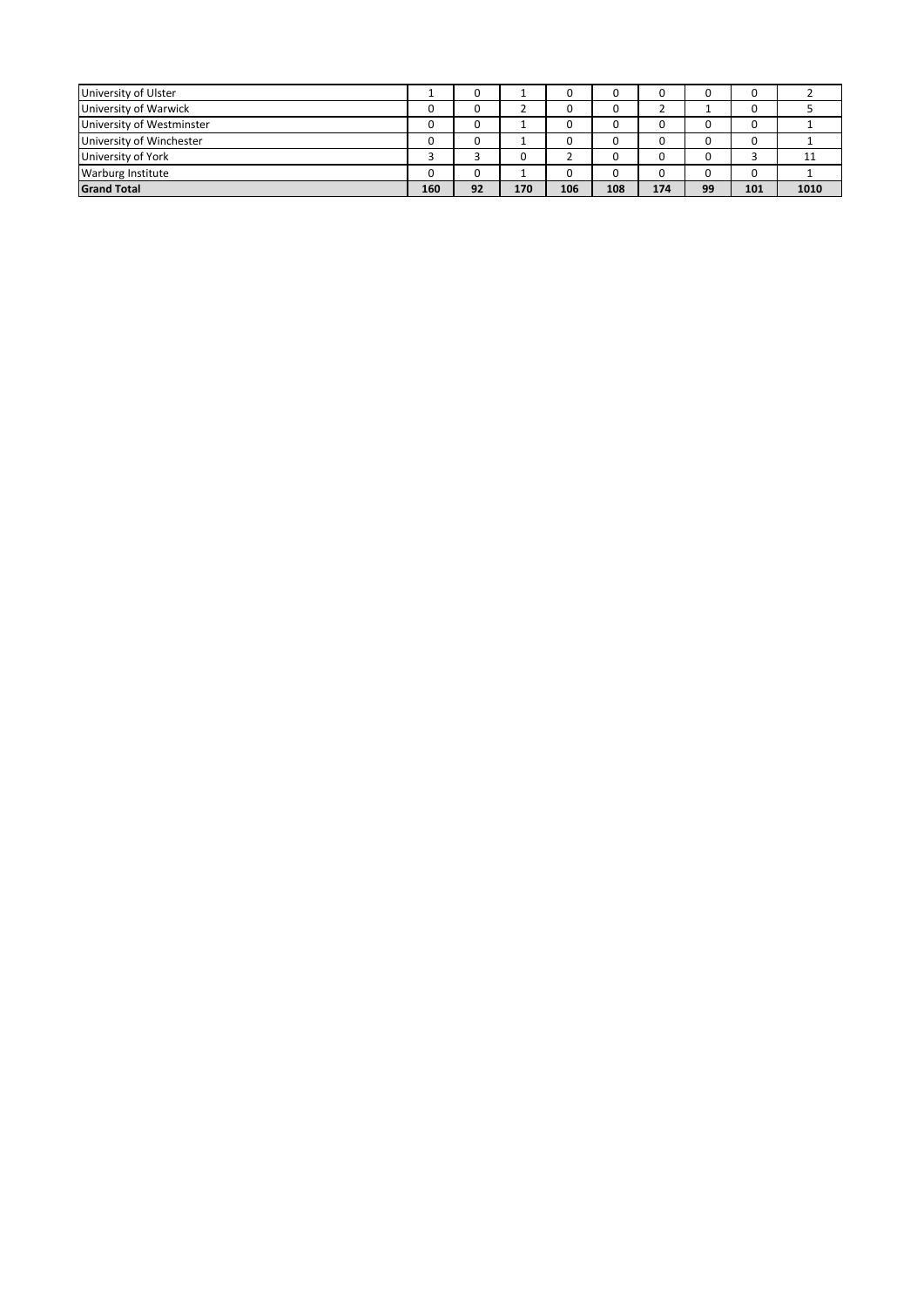| University of Ulster      |     |    |     | 0   |     |     |    |     |      |
|---------------------------|-----|----|-----|-----|-----|-----|----|-----|------|
| University of Warwick     |     |    |     | 0   |     |     |    |     |      |
| University of Westminster |     | C  |     | 0   |     |     |    |     |      |
| University of Winchester  |     |    |     | 0   |     |     |    |     |      |
| University of York        |     |    | n   |     |     |     |    |     |      |
| Warburg Institute         |     |    |     | 0   |     |     |    |     |      |
| <b>Grand Total</b>        | 160 | 92 | 170 | 106 | 108 | 174 | 99 | 101 | 1010 |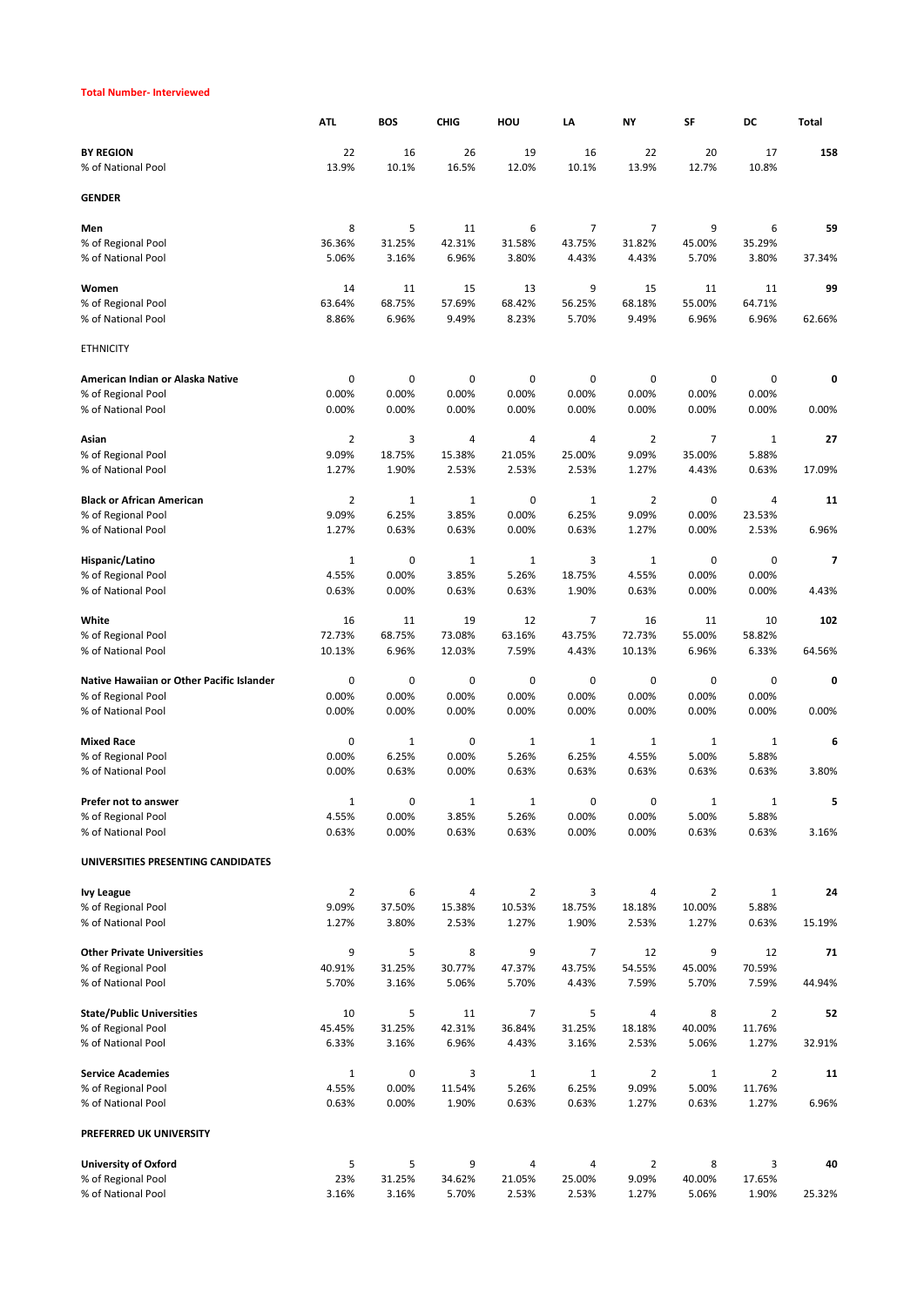#### **Total Number- Interviewed**

|                                           | <b>ATL</b>     | <b>BOS</b>   | <b>CHIG</b> | HOU            | LA           | NΥ             | SF             | DC           | Total                   |
|-------------------------------------------|----------------|--------------|-------------|----------------|--------------|----------------|----------------|--------------|-------------------------|
| <b>BY REGION</b>                          | 22             | 16           | 26          | 19             | 16           | 22             | 20             | 17           | 158                     |
| % of National Pool                        | 13.9%          | 10.1%        | 16.5%       | 12.0%          | 10.1%        | 13.9%          | 12.7%          | 10.8%        |                         |
| <b>GENDER</b>                             |                |              |             |                |              |                |                |              |                         |
| Men                                       | 8              | 5            | 11          | 6              | 7            | $\overline{7}$ | 9              | 6            | 59                      |
| % of Regional Pool                        | 36.36%         | 31.25%       | 42.31%      | 31.58%         | 43.75%       | 31.82%         | 45.00%         | 35.29%       |                         |
| % of National Pool                        | 5.06%          | 3.16%        | 6.96%       | 3.80%          | 4.43%        | 4.43%          | 5.70%          | 3.80%        | 37.34%                  |
| Women                                     | 14             | 11           | 15          | 13             | 9            | 15             | 11             | 11           | 99                      |
| % of Regional Pool                        | 63.64%         | 68.75%       | 57.69%      | 68.42%         | 56.25%       | 68.18%         | 55.00%         | 64.71%       |                         |
| % of National Pool                        | 8.86%          | 6.96%        | 9.49%       | 8.23%          | 5.70%        | 9.49%          | 6.96%          | 6.96%        | 62.66%                  |
| <b>ETHNICITY</b>                          |                |              |             |                |              |                |                |              |                         |
| American Indian or Alaska Native          | 0              | 0            | $\mathbf 0$ | 0              | 0            | 0              | 0              | 0            | 0                       |
| % of Regional Pool                        | 0.00%          | 0.00%        | 0.00%       | 0.00%          | 0.00%        | 0.00%          | 0.00%          | 0.00%        |                         |
| % of National Pool                        | 0.00%          | 0.00%        | 0.00%       | 0.00%          | 0.00%        | 0.00%          | 0.00%          | 0.00%        | 0.00%                   |
| Asian                                     | $\overline{2}$ | 3            | 4           | 4              | 4            | $\overline{2}$ | $\overline{7}$ | $\mathbf{1}$ | 27                      |
| % of Regional Pool                        | 9.09%          | 18.75%       | 15.38%      | 21.05%         | 25.00%       | 9.09%          | 35.00%         | 5.88%        |                         |
| % of National Pool                        | 1.27%          | 1.90%        | 2.53%       | 2.53%          | 2.53%        | 1.27%          | 4.43%          | 0.63%        | 17.09%                  |
| <b>Black or African American</b>          | $\overline{2}$ | $\mathbf{1}$ | $1\,$       | 0              | $\mathbf{1}$ | $\overline{2}$ | 0              | 4            | 11                      |
| % of Regional Pool                        | 9.09%          | 6.25%        | 3.85%       | 0.00%          | 6.25%        | 9.09%          | 0.00%          | 23.53%       |                         |
| % of National Pool                        | 1.27%          | 0.63%        | 0.63%       | 0.00%          | 0.63%        | 1.27%          | 0.00%          | 2.53%        | 6.96%                   |
| Hispanic/Latino                           | 1              | 0            | 1           | 1              | 3            | 1              | 0              | 0            | $\overline{\mathbf{z}}$ |
| % of Regional Pool                        | 4.55%          | 0.00%        | 3.85%       | 5.26%          | 18.75%       | 4.55%          | 0.00%          | 0.00%        |                         |
| % of National Pool                        | 0.63%          | 0.00%        | 0.63%       | 0.63%          | 1.90%        | 0.63%          | 0.00%          | 0.00%        | 4.43%                   |
| White                                     | 16             | 11           | 19          | 12             | 7            | 16             | 11             | 10           | 102                     |
| % of Regional Pool                        | 72.73%         | 68.75%       | 73.08%      | 63.16%         | 43.75%       | 72.73%         | 55.00%         | 58.82%       |                         |
| % of National Pool                        | 10.13%         | 6.96%        | 12.03%      | 7.59%          | 4.43%        | 10.13%         | 6.96%          | 6.33%        | 64.56%                  |
| Native Hawaiian or Other Pacific Islander | 0              | 0            | $\mathbf 0$ | 0              | 0            | $\mathbf 0$    | 0              | 0            | 0                       |
| % of Regional Pool                        | 0.00%          | 0.00%        | 0.00%       | 0.00%          | 0.00%        | 0.00%          | 0.00%          | 0.00%        |                         |
| % of National Pool                        | 0.00%          | 0.00%        | 0.00%       | 0.00%          | 0.00%        | 0.00%          | 0.00%          | 0.00%        | 0.00%                   |
| <b>Mixed Race</b>                         | 0              | $\mathbf{1}$ | 0           | $\mathbf 1$    | 1            | $\mathbf 1$    | $\mathbf{1}$   | 1            | 6                       |
| % of Regional Pool                        | 0.00%          | 6.25%        | 0.00%       | 5.26%          | 6.25%        | 4.55%          | 5.00%          | 5.88%        |                         |
| % of National Pool                        | 0.00%          | 0.63%        | 0.00%       | 0.63%          | 0.63%        | 0.63%          | 0.63%          | 0.63%        | 3.80%                   |
| Prefer not to answer                      | 1              | 0            | 1           | 1              | 0            | 0              | 1              | 1            | 5                       |
| % of Regional Pool                        | 4.55%          | 0.00%        | 3.85%       | 5.26%          | 0.00%        | 0.00%          | 5.00%          | 5.88%        |                         |
| % of National Pool                        | 0.63%          | 0.00%        | 0.63%       | 0.63%          | 0.00%        | 0.00%          | 0.63%          | 0.63%        | 3.16%                   |
| UNIVERSITIES PRESENTING CANDIDATES        |                |              |             |                |              |                |                |              |                         |
| <b>Ivy League</b>                         | $\overline{2}$ | 6            | 4           | $\overline{2}$ | 3            | 4              | $\overline{2}$ | $\mathbf 1$  | 24                      |
| % of Regional Pool                        | 9.09%          | 37.50%       | 15.38%      | 10.53%         | 18.75%       | 18.18%         | 10.00%         | 5.88%        |                         |
| % of National Pool                        | 1.27%          | 3.80%        | 2.53%       | 1.27%          | 1.90%        | 2.53%          | 1.27%          | 0.63%        | 15.19%                  |
| <b>Other Private Universities</b>         | 9              | 5            | 8           | 9              | 7            | 12             | 9              | 12           | 71                      |
| % of Regional Pool                        | 40.91%         | 31.25%       | 30.77%      | 47.37%         | 43.75%       | 54.55%         | 45.00%         | 70.59%       |                         |
| % of National Pool                        | 5.70%          | 3.16%        | 5.06%       | 5.70%          | 4.43%        | 7.59%          | 5.70%          | 7.59%        | 44.94%                  |
| <b>State/Public Universities</b>          | 10             | 5            | 11          | 7              | 5            | $\overline{4}$ | 8              | 2            | 52                      |
| % of Regional Pool                        | 45.45%         | 31.25%       | 42.31%      | 36.84%         | 31.25%       | 18.18%         | 40.00%         | 11.76%       |                         |
| % of National Pool                        | 6.33%          | 3.16%        | 6.96%       | 4.43%          | 3.16%        | 2.53%          | 5.06%          | 1.27%        | 32.91%                  |
| <b>Service Academies</b>                  | $\mathbf{1}$   | 0            | 3           | 1              | 1            | 2              | $\mathbf{1}$   | 2            | 11                      |
| % of Regional Pool                        | 4.55%          | 0.00%        | 11.54%      | 5.26%          | 6.25%        | 9.09%          | 5.00%          | 11.76%       |                         |
| % of National Pool                        | 0.63%          | 0.00%        | 1.90%       | 0.63%          | 0.63%        | 1.27%          | 0.63%          | 1.27%        | 6.96%                   |
| PREFERRED UK UNIVERSITY                   |                |              |             |                |              |                |                |              |                         |
| <b>University of Oxford</b>               | 5              | 5            | 9           | 4              | 4            | 2              | 8              | 3            | 40                      |
| % of Regional Pool                        | 23%            | 31.25%       | 34.62%      | 21.05%         | 25.00%       | 9.09%          | 40.00%         | 17.65%       |                         |
| % of National Pool                        | 3.16%          | 3.16%        | 5.70%       | 2.53%          | 2.53%        | 1.27%          | 5.06%          | 1.90%        | 25.32%                  |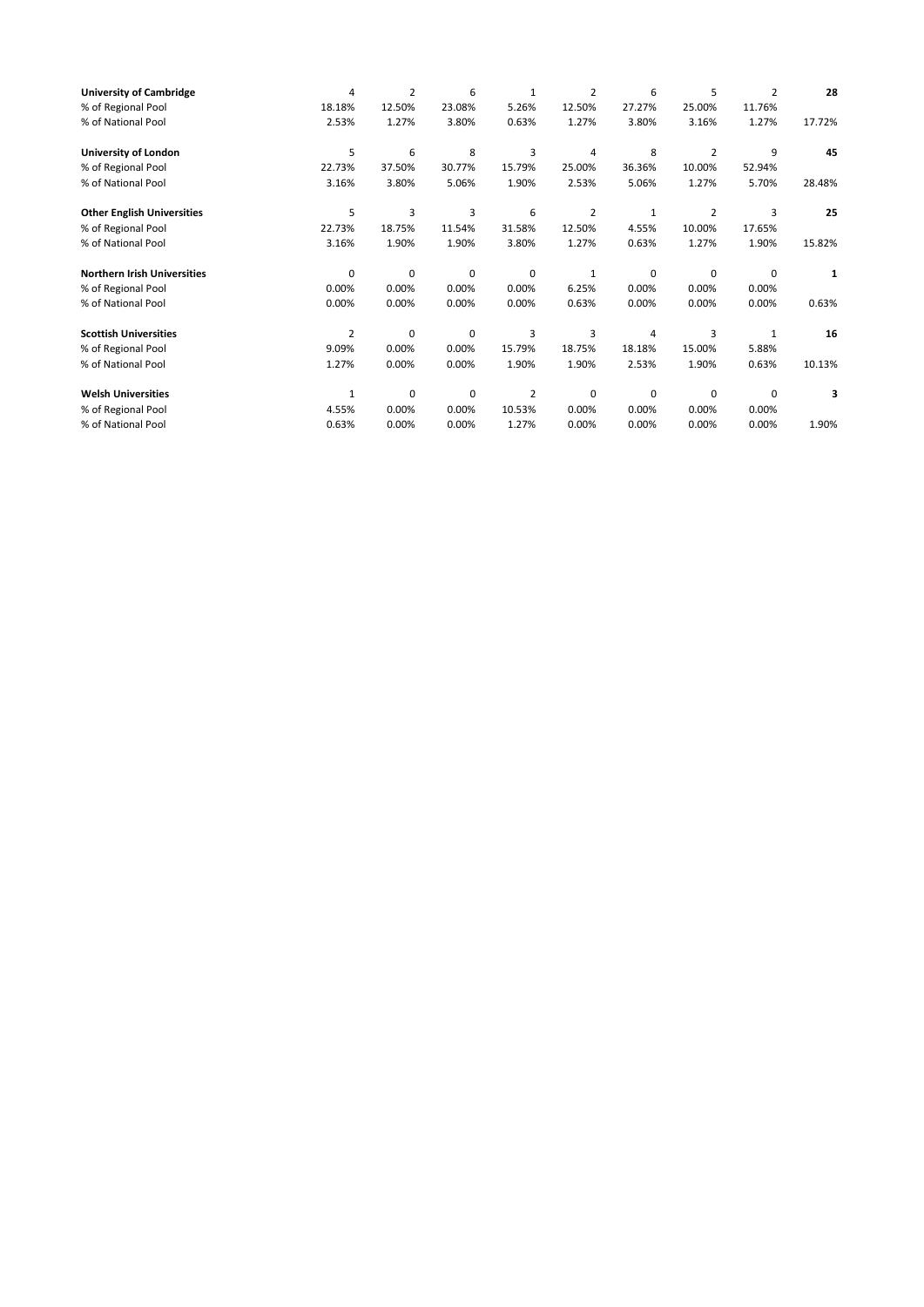| <b>University of Cambridge</b>     | 4              | $\overline{2}$ | 6        | $\mathbf{1}$   | $\overline{2}$ | 6        | 5              | $\overline{2}$ | 28     |
|------------------------------------|----------------|----------------|----------|----------------|----------------|----------|----------------|----------------|--------|
| % of Regional Pool                 | 18.18%         | 12.50%         | 23.08%   | 5.26%          | 12.50%         | 27.27%   | 25.00%         | 11.76%         |        |
| % of National Pool                 | 2.53%          | 1.27%          | 3.80%    | 0.63%          | 1.27%          | 3.80%    | 3.16%          | 1.27%          | 17.72% |
| University of London               | 5              | 6              | 8        | 3              | $\overline{4}$ | 8        | $\overline{2}$ | 9              | 45     |
| % of Regional Pool                 | 22.73%         | 37.50%         | 30.77%   | 15.79%         | 25.00%         | 36.36%   | 10.00%         | 52.94%         |        |
| % of National Pool                 | 3.16%          | 3.80%          | 5.06%    | 1.90%          | 2.53%          | 5.06%    | 1.27%          | 5.70%          | 28.48% |
| <b>Other English Universities</b>  | 5              | 3              | 3        | 6              | $\overline{2}$ | 1        | 2              | 3              | 25     |
| % of Regional Pool                 | 22.73%         | 18.75%         | 11.54%   | 31.58%         | 12.50%         | 4.55%    | 10.00%         | 17.65%         |        |
| % of National Pool                 | 3.16%          | 1.90%          | 1.90%    | 3.80%          | 1.27%          | 0.63%    | 1.27%          | 1.90%          | 15.82% |
| <b>Northern Irish Universities</b> | $\Omega$       | $\Omega$       | $\Omega$ | 0              | $\mathbf{1}$   | $\Omega$ | $\Omega$       | $\Omega$       | 1      |
| % of Regional Pool                 | 0.00%          | 0.00%          | 0.00%    | 0.00%          | 6.25%          | 0.00%    | 0.00%          | 0.00%          |        |
| % of National Pool                 | 0.00%          | 0.00%          | 0.00%    | 0.00%          | 0.63%          | 0.00%    | 0.00%          | 0.00%          | 0.63%  |
| <b>Scottish Universities</b>       | $\overline{2}$ | 0              | 0        | 3              | 3              | 4        | 3              | 1              | 16     |
| % of Regional Pool                 | 9.09%          | 0.00%          | 0.00%    | 15.79%         | 18.75%         | 18.18%   | 15.00%         | 5.88%          |        |
| % of National Pool                 | 1.27%          | 0.00%          | 0.00%    | 1.90%          | 1.90%          | 2.53%    | 1.90%          | 0.63%          | 10.13% |
| <b>Welsh Universities</b>          | 1              | $\Omega$       | $\Omega$ | $\overline{2}$ | $\Omega$       | 0        | 0              | $\Omega$       | 3      |
| % of Regional Pool                 | 4.55%          | 0.00%          | 0.00%    | 10.53%         | 0.00%          | 0.00%    | 0.00%          | 0.00%          |        |
| % of National Pool                 | 0.63%          | 0.00%          | 0.00%    | 1.27%          | 0.00%          | 0.00%    | 0.00%          | 0.00%          | 1.90%  |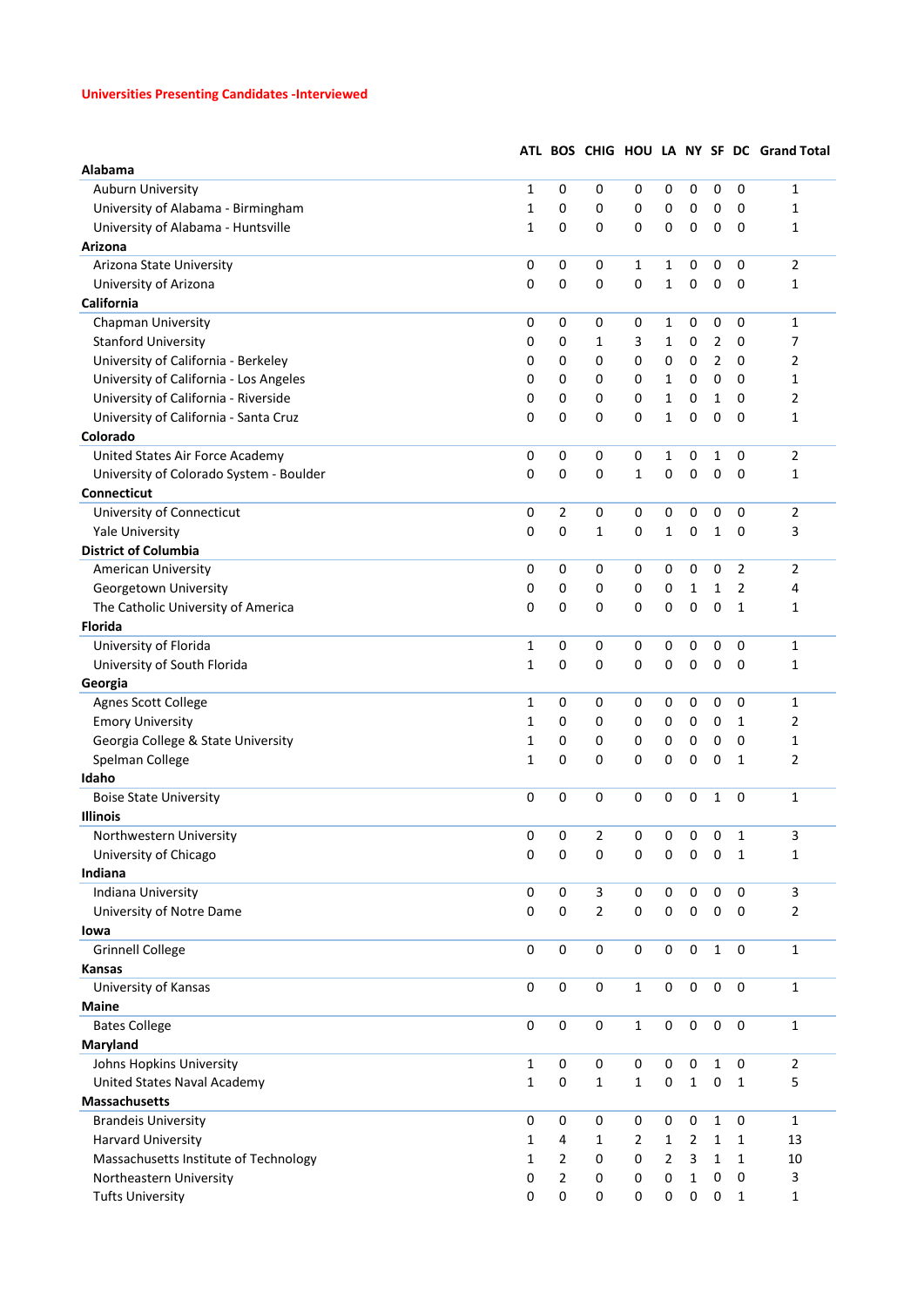## **Universities Presenting Candidates -Interviewed**

# **ATL BOS CHIG HOU LA NY SF DC Grand Total**

| Alabama                                 |              |                |                |              |                |              |              |              |                |
|-----------------------------------------|--------------|----------------|----------------|--------------|----------------|--------------|--------------|--------------|----------------|
| Auburn University                       | 1            | 0              | 0              | 0            | 0              | 0            | 0            | 0            | 1              |
| University of Alabama - Birmingham      | 1            | 0              | 0              | 0            | 0              | 0            | 0            | 0            | 1              |
| University of Alabama - Huntsville      | 1            | 0              | 0              | 0            | 0              | 0            | 0            | 0            | 1              |
| Arizona                                 |              |                |                |              |                |              |              |              |                |
| Arizona State University                | 0            | 0              | 0              | 1            | 1              | 0            | 0            | 0            | 2              |
| University of Arizona                   | 0            | 0              | 0              | 0            | 1              | 0            | 0            | 0            | 1              |
| California                              |              |                |                |              |                |              |              |              |                |
| Chapman University                      | 0            | 0              | 0              | 0            | 1              | 0            | 0            | 0            | 1              |
| <b>Stanford University</b>              | 0            | 0              | 1              | 3            | 1              | 0            | 2            | 0            | 7              |
| University of California - Berkeley     | 0            | 0              | 0              | 0            | 0              | 0            | 2            | 0            | 2              |
| University of California - Los Angeles  | 0            | 0              | 0              | 0            | 1              | 0            | 0            | 0            | 1              |
| University of California - Riverside    | 0            | 0              | 0              | 0            | 1              | 0            | 1            | 0            | 2              |
| University of California - Santa Cruz   | 0            | 0              | 0              | 0            | 1              | 0            | $\mathbf 0$  | 0            | 1              |
| Colorado                                |              |                |                |              |                |              |              |              |                |
| United States Air Force Academy         | 0            | 0              | 0              | 0            | 1              | 0            | 1            | 0            | 2              |
| University of Colorado System - Boulder | 0            | 0              | 0              | 1            | 0              | 0            | $\mathbf 0$  | 0            | 1              |
| Connecticut                             |              |                |                |              |                |              |              |              |                |
| University of Connecticut               | 0            | 2              | 0              | 0            | 0              | 0            | 0            | 0            | 2              |
| <b>Yale University</b>                  | 0            | 0              | 1              | 0            | 1              | 0            | 1            | 0            | 3              |
| <b>District of Columbia</b>             |              |                |                |              |                |              |              |              |                |
| American University                     | 0            | 0              | 0              | 0            | 0              | 0            | 0            | 2            | 2              |
| Georgetown University                   | 0            | 0              | 0              | 0            | 0              | 1            | 1            | 2            | 4              |
| The Catholic University of America      | 0            | 0              | 0              | 0            | 0              | 0            | 0            | 1            | 1              |
| Florida                                 |              |                |                |              |                |              |              |              |                |
| University of Florida                   | 1            | 0              | 0              | 0            | 0              | 0            | 0            | 0            | $\mathbf{1}$   |
| University of South Florida             | 1            | 0              | 0              | 0            | 0              | 0            | 0            | 0            | 1              |
| Georgia                                 |              |                |                |              |                |              |              |              |                |
| Agnes Scott College                     | 1            | 0              | 0              | 0            | 0              | 0            | 0            | 0            | 1              |
| <b>Emory University</b>                 | 1            | 0              | 0              | 0            | 0              | 0            | 0            | 1            | 2              |
| Georgia College & State University      | 1            | 0              | 0              | 0            | 0              | 0            | 0            | 0            | 1              |
| Spelman College                         | 1            | 0              | 0              | 0            | 0              | 0            | 0            | 1            | 2              |
| Idaho                                   |              |                |                |              |                |              |              |              |                |
| <b>Boise State University</b>           | 0            | 0              | 0              | 0            | 0              | 0            | 1            | 0            | 1              |
| <b>Illinois</b>                         |              |                |                |              |                |              |              |              |                |
| Northwestern University                 | 0            | 0              | $\overline{2}$ | 0            | 0              | 0            | 0            | 1            | 3              |
| University of Chicago                   | 0            | 0              | $\pmb{0}$      | 0            | $\pmb{0}$      | 0            | 0            | 1            |                |
| Indiana                                 |              |                |                |              |                |              |              |              |                |
| Indiana University                      | 0            | $\pmb{0}$      | $\mathbf{3}$   | 0            | 0              | 0            | $\pmb{0}$    | $\pmb{0}$    | 3              |
| University of Notre Dame                | 0            | 0              | $\overline{2}$ | 0            | $\mathsf 0$    | $\pmb{0}$    | $\pmb{0}$    | $\pmb{0}$    | $\overline{2}$ |
| lowa                                    |              |                |                |              |                |              |              |              |                |
| <b>Grinnell College</b>                 | 0            | $\pmb{0}$      | 0              | 0            | 0              | 0            | $\mathbf{1}$ | $\mathbf 0$  | $\mathbf{1}$   |
| Kansas                                  |              |                |                |              |                |              |              |              |                |
| University of Kansas                    | 0            | 0              | 0              | $\mathbf{1}$ | $\mathsf 0$    | $\pmb{0}$    | $\pmb{0}$    | $\pmb{0}$    | $\mathbf{1}$   |
| Maine                                   |              |                |                |              |                |              |              |              |                |
| <b>Bates College</b>                    | 0            | $\mathbf 0$    | 0              | 1            | 0              | 0            | $\pmb{0}$    | $\mathbf 0$  | $\mathbf{1}$   |
| Maryland                                |              |                |                |              |                |              |              |              |                |
|                                         |              | 0              |                |              |                |              |              | $\mathbf 0$  |                |
| Johns Hopkins University                | 1            |                | 0              | 0            | 0              | 0            | $\mathbf{1}$ |              | $\overline{2}$ |
| United States Naval Academy             | $\mathbf{1}$ | 0              | 1              | 1            | 0              | $\mathbf{1}$ | 0            | $\mathbf{1}$ | 5              |
| <b>Massachusetts</b>                    |              |                |                |              |                |              |              |              |                |
| <b>Brandeis University</b>              | 0            | 0              | 0              | 0            | 0              | 0            | $\mathbf{1}$ | $\mathbf 0$  | $\mathbf{1}$   |
| <b>Harvard University</b>               | 1            | 4              | 1              | 2            | 1              | $\mathbf{2}$ | $\mathbf{1}$ | 1            | 13             |
| Massachusetts Institute of Technology   | 1            | $\overline{2}$ | 0              | 0            | $\overline{2}$ | 3            | $\mathbf{1}$ | 1            | 10             |
| Northeastern University                 | 0            | $\overline{2}$ | 0              | 0            | 0              | $\mathbf{1}$ | 0            | 0            | 3              |
| <b>Tufts University</b>                 | 0            | 0              | 0              | 0            | 0              | 0            | $\pmb{0}$    | $\mathbf 1$  | 1              |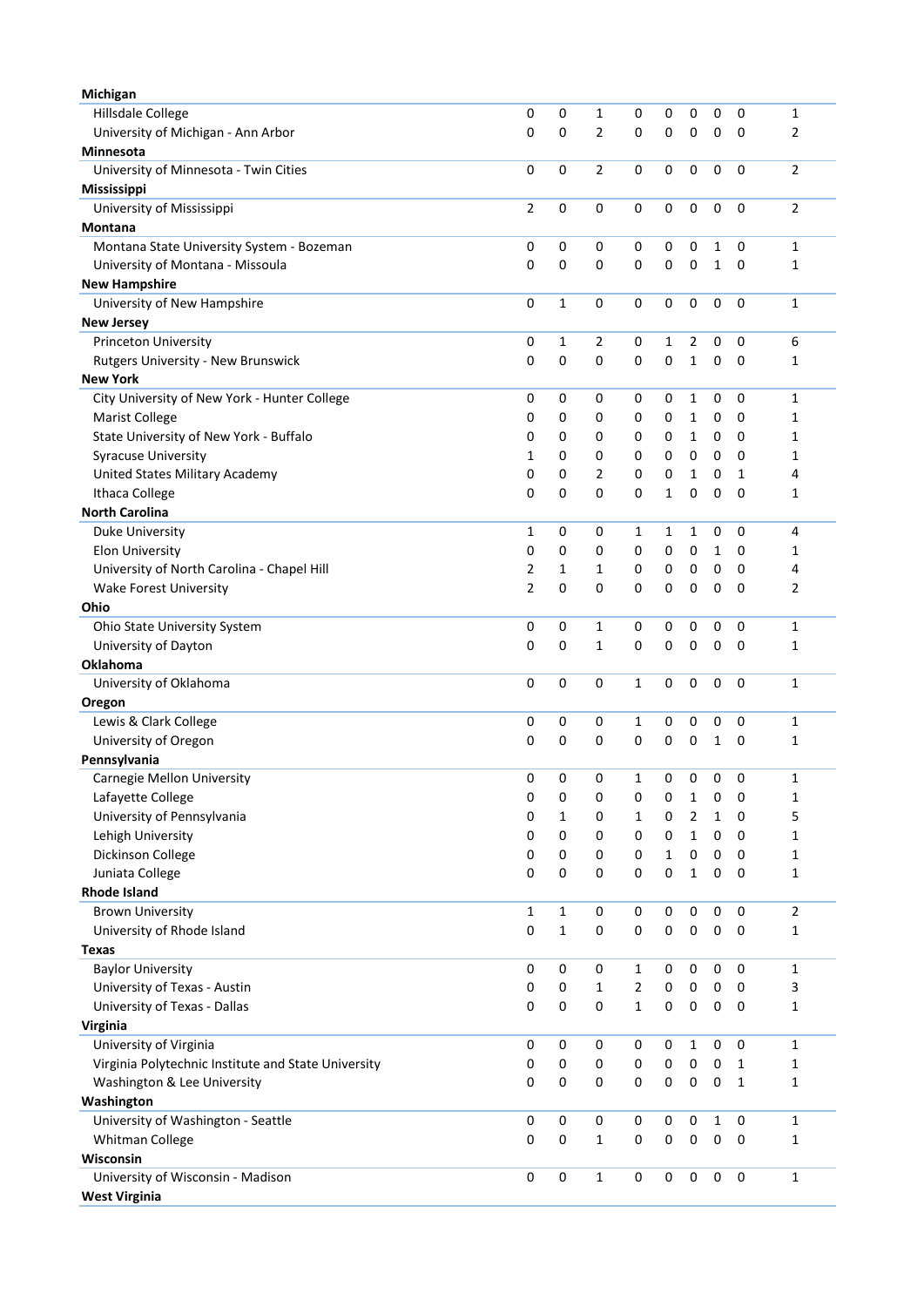| Michigan                                            |                |   |                |   |   |                |              |              |                |
|-----------------------------------------------------|----------------|---|----------------|---|---|----------------|--------------|--------------|----------------|
| Hillsdale College                                   | 0              | 0 | 1              | 0 | 0 | 0              | 0            | 0            | 1              |
| University of Michigan - Ann Arbor                  | 0              | 0 | $\overline{2}$ | 0 | 0 | 0              | 0            | 0            | 2              |
| <b>Minnesota</b>                                    |                |   |                |   |   |                |              |              |                |
| University of Minnesota - Twin Cities               | 0              | 0 | 2              | 0 | 0 | 0              | 0            | 0            | $\overline{2}$ |
| Mississippi                                         |                |   |                |   |   |                |              |              |                |
| University of Mississippi                           | $\overline{2}$ | 0 | 0              | 0 | 0 | 0              | 0            | 0            | $\overline{2}$ |
| Montana                                             |                |   |                |   |   |                |              |              |                |
| Montana State University System - Bozeman           | 0              | 0 | 0              | 0 | 0 | 0              | 1            | 0            | 1              |
| University of Montana - Missoula                    | 0              | 0 | 0              | 0 | 0 | 0              | $\mathbf{1}$ | 0            | 1              |
| <b>New Hampshire</b>                                |                |   |                |   |   |                |              |              |                |
| University of New Hampshire                         | 0              | 1 | 0              | 0 | 0 | 0              | 0            | 0            | 1              |
| <b>New Jersey</b>                                   |                |   |                |   |   |                |              |              |                |
|                                                     | 0              | 1 | 2              | 0 | 1 | 2              | 0            | 0            | 6              |
| Princeton University                                |                |   |                |   |   |                |              |              |                |
| Rutgers University - New Brunswick                  | 0              | 0 | 0              | 0 | 0 | $\mathbf{1}$   | 0            | 0            | 1              |
| <b>New York</b>                                     |                |   |                |   |   |                |              |              |                |
| City University of New York - Hunter College        | 0              | 0 | 0              | 0 | 0 | 1              | 0            | 0            | $\mathbf{1}$   |
| <b>Marist College</b>                               | 0              | 0 | 0              | 0 | 0 | 1              | 0            | 0            | 1              |
| State University of New York - Buffalo              | 0              | 0 | 0              | 0 | 0 | 1              | 0            | 0            | 1              |
| <b>Syracuse University</b>                          | 1              | 0 | 0              | 0 | 0 | 0              | 0            | 0            | 1              |
| United States Military Academy                      | 0              | 0 | 2              | 0 | 0 | 1              | 0            | 1            | 4              |
| Ithaca College                                      | 0              | 0 | 0              | 0 | 1 | 0              | 0            | 0            | 1              |
| <b>North Carolina</b>                               |                |   |                |   |   |                |              |              |                |
| Duke University                                     | 1              | 0 | 0              | 1 | 1 | 1              | 0            | 0            | 4              |
| <b>Elon University</b>                              | 0              | 0 | 0              | 0 | 0 | 0              | 1            | 0            | 1              |
| University of North Carolina - Chapel Hill          | 2              | 1 | 1              | 0 | 0 | 0              | 0            | 0            | 4              |
| Wake Forest University                              | $\overline{2}$ | 0 | 0              | 0 | 0 | 0              | 0            | 0            | 2              |
| Ohio                                                |                |   |                |   |   |                |              |              |                |
| Ohio State University System                        | 0              | 0 | 1              | 0 | 0 | 0              | 0            | 0            | 1              |
| University of Dayton                                | 0              | 0 | 1              | 0 | 0 | 0              | 0            | 0            | 1              |
| <b>Oklahoma</b>                                     |                |   |                |   |   |                |              |              |                |
| University of Oklahoma                              | 0              | 0 | 0              | 1 | 0 | 0              | 0            | 0            | 1              |
| Oregon                                              |                |   |                |   |   |                |              |              |                |
| Lewis & Clark College                               | 0              | 0 | 0              | 1 | 0 | 0              | 0            | 0            | $\mathbf{1}$   |
| University of Oregon                                | 0              | 0 | 0              | 0 | 0 | 0              | 1            | 0            | 1              |
|                                                     |                |   |                |   |   |                |              |              |                |
| Pennsylvania                                        |                |   |                |   |   |                |              |              | 1              |
| Carnegie Mellon University                          | 0              | 0 | 0              | 1 | 0 | 0              | 0            | 0            |                |
| Lafayette College                                   | 0              | 0 | 0              | 0 | 0 | 1              | 0            | 0            | 1              |
| University of Pennsylvania                          | 0              | 1 | 0              | 1 | 0 | $\overline{2}$ | 1            | 0            | 5              |
| Lehigh University                                   | 0              | 0 | 0              | 0 | 0 | 1              | 0            | 0            | 1              |
| Dickinson College                                   | 0              | 0 | 0              | 0 | 1 | 0              | 0            | 0            | $\mathbf{1}$   |
| Juniata College                                     | 0              | 0 | 0              | 0 | 0 | $\mathbf 1$    | 0            | 0            | $\mathbf{1}$   |
| <b>Rhode Island</b>                                 |                |   |                |   |   |                |              |              |                |
| <b>Brown University</b>                             | $\mathbf{1}$   | 1 | 0              | 0 | 0 | 0              | 0            | 0            | 2              |
| University of Rhode Island                          | 0              | 1 | 0              | 0 | 0 | 0              | 0            | 0            | 1              |
| <b>Texas</b>                                        |                |   |                |   |   |                |              |              |                |
| <b>Baylor University</b>                            | 0              | 0 | 0              | 1 | 0 | 0              | 0            | 0            | 1              |
| University of Texas - Austin                        | 0              | 0 | $\mathbf{1}$   | 2 | 0 | 0              | 0            | 0            | 3              |
| University of Texas - Dallas                        | 0              | 0 | 0              | 1 | 0 | 0              | $\pmb{0}$    | $\mathbf 0$  | 1              |
| Virginia                                            |                |   |                |   |   |                |              |              |                |
| University of Virginia                              | 0              | 0 | 0              | 0 | 0 | 1              | 0            | 0            | $\mathbf{1}$   |
| Virginia Polytechnic Institute and State University | 0              | 0 | 0              | 0 | 0 | 0              | 0            | 1            | 1              |
| Washington & Lee University                         | 0              | 0 | 0              | 0 | 0 | 0              | 0            | $\mathbf{1}$ | 1              |
| Washington                                          |                |   |                |   |   |                |              |              |                |
| University of Washington - Seattle                  | 0              | 0 | 0              | 0 | 0 | 0              | 1            | 0            | $\mathbf{1}$   |
| Whitman College                                     | 0              | 0 | 1              | 0 | 0 | 0              | 0            | 0            | 1              |
| Wisconsin                                           |                |   |                |   |   |                |              |              |                |
| University of Wisconsin - Madison                   | 0              | 0 | $\mathbf{1}$   | 0 | 0 | 0              | 0            | 0            | $\mathbf{1}$   |
| <b>West Virginia</b>                                |                |   |                |   |   |                |              |              |                |
|                                                     |                |   |                |   |   |                |              |              |                |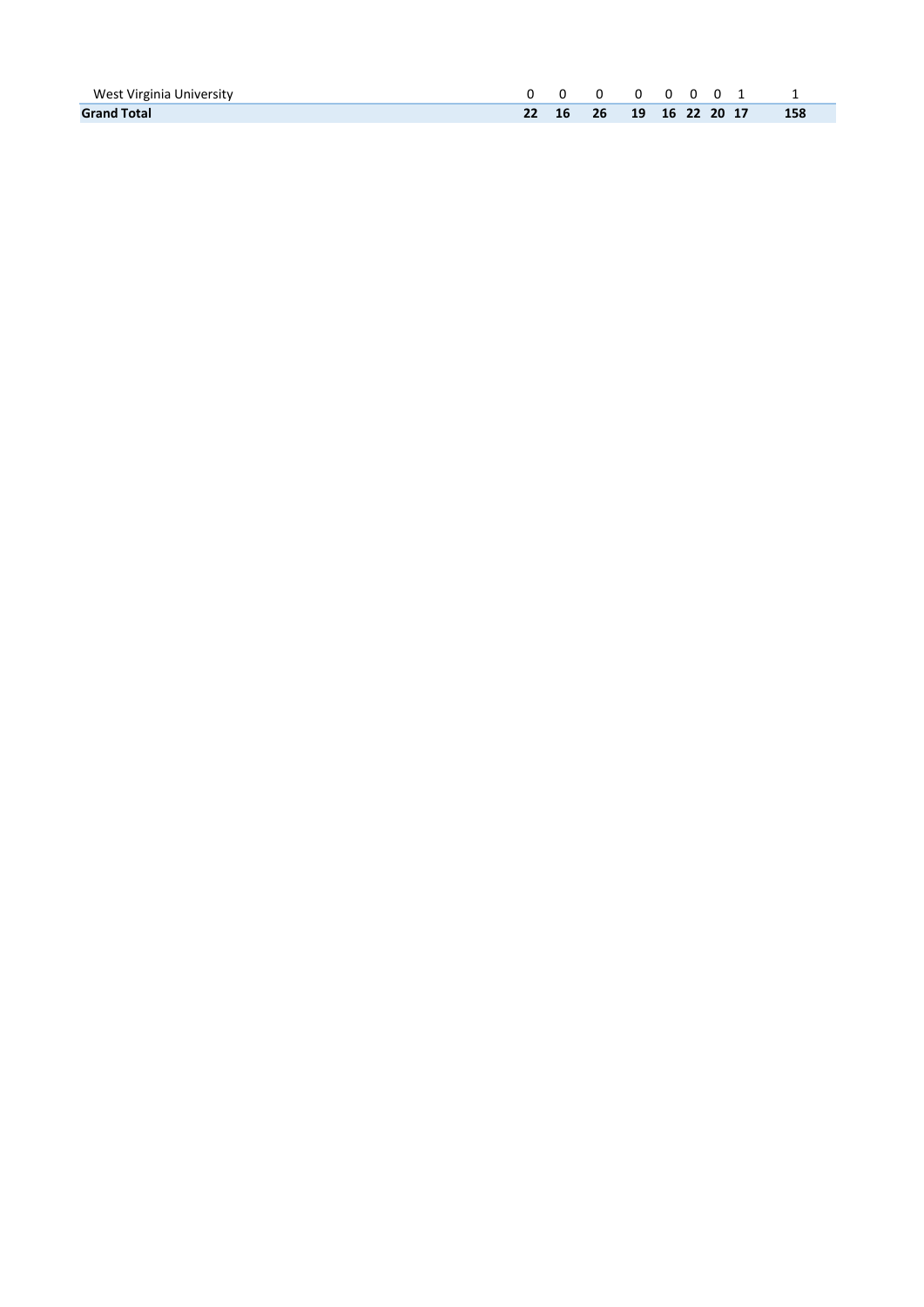| West Virginia University |  | 0 0 0 0 0 0 0 1         |  |  |     |
|--------------------------|--|-------------------------|--|--|-----|
| <b>Grand Total</b>       |  | 22 16 26 19 16 22 20 17 |  |  | 158 |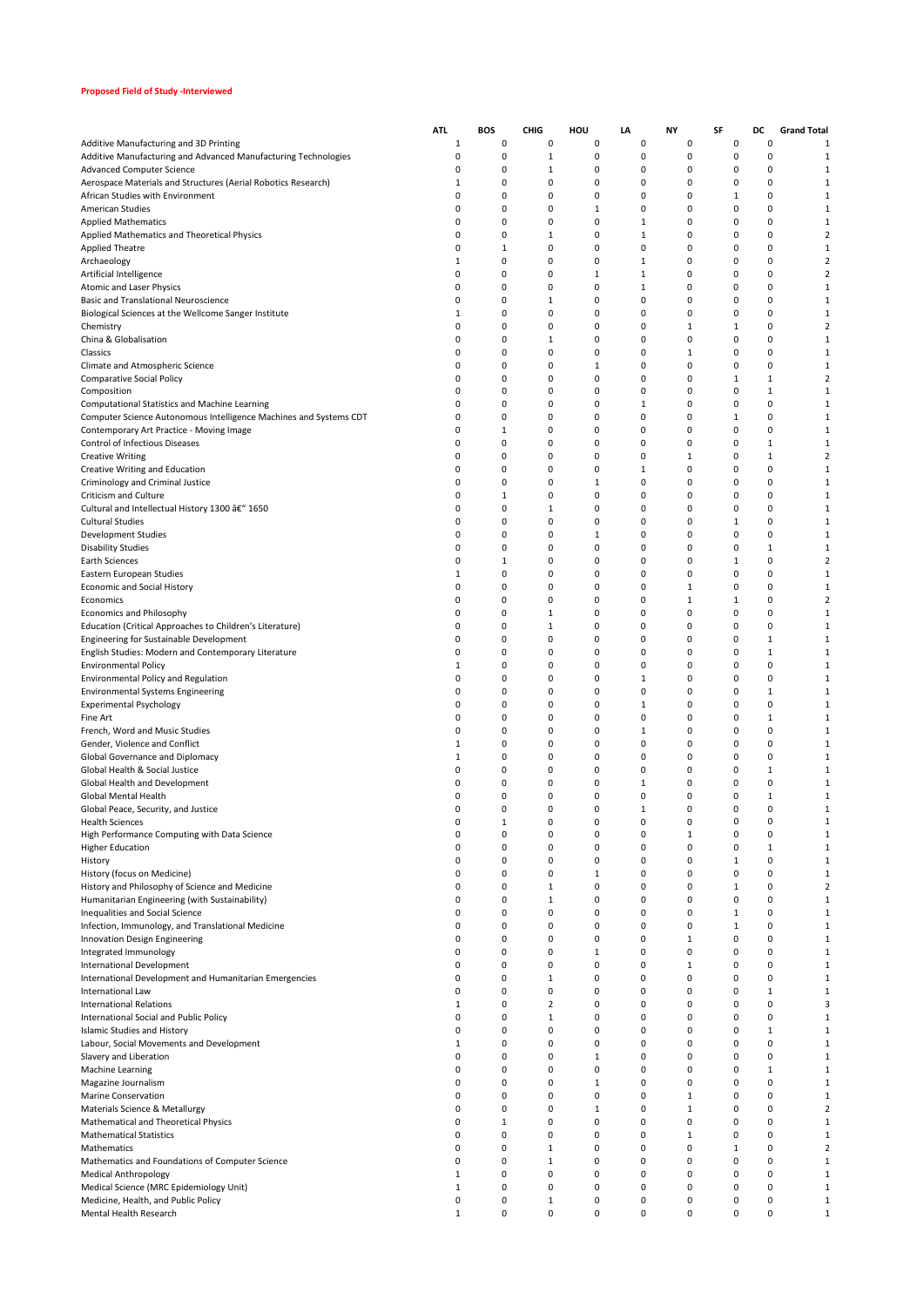#### **Proposed Field of Study -Interviewed**

|                                                                   | <b>ATL</b>   | BOS          | CHIG         | HOU         | LA | NY           | SF           | DC       | <b>Grand Total</b>       |
|-------------------------------------------------------------------|--------------|--------------|--------------|-------------|----|--------------|--------------|----------|--------------------------|
| Additive Manufacturing and 3D Printing                            | 1            | 0            | 0            | 0           | 0  | 0            | 0            | 0        | 1                        |
| Additive Manufacturing and Advanced Manufacturing Technologies    | 0            | 0            | 1            | 0           | 0  | 0            | 0            | 0        | 1                        |
| <b>Advanced Computer Science</b>                                  | 0            | 0            | $\mathbf{1}$ | 0           | 0  | 0            | 0            | 0        | 1                        |
| Aerospace Materials and Structures (Aerial Robotics Research)     | 1            | 0            | 0            | 0           | 0  | 0            | 0            | 0        | 1                        |
|                                                                   |              |              |              |             |    |              |              |          |                          |
| African Studies with Environment                                  | 0            | 0            | 0            | 0           | 0  | 0            | $1\,$        | 0        | 1                        |
| American Studies                                                  | 0            | 0            | 0            | 1           | 0  | 0            | 0            | 0        | 1                        |
| <b>Applied Mathematics</b>                                        | 0            | $\mathbf 0$  | 0            | 0           | 1  | 0            | 0            | 0        | 1                        |
| Applied Mathematics and Theoretical Physics                       | 0            | 0            | 1            | 0           | 1  | 0            | 0            | 0        | $\overline{2}$           |
| <b>Applied Theatre</b>                                            | 0            | 1            | 0            | 0           | 0  | 0            | 0            | 0        | 1                        |
| Archaeology                                                       | 1            | 0            | 0            | 0           | 1  | 0            | 0            | 0        | $\overline{\mathbf{c}}$  |
| Artificial Intelligence                                           | 0            | 0            | 0            | 1           | 1  | 0            | 0            | 0        | $\overline{2}$           |
| Atomic and Laser Physics                                          | 0            | $\mathbf 0$  | 0            | 0           | 1  | 0            | 0            | 0        | 1                        |
| Basic and Translational Neuroscience                              | 0            | 0            | 1            | 0           | 0  | 0            | 0            | 0        | 1                        |
| Biological Sciences at the Wellcome Sanger Institute              | 1            | 0            | 0            | 0           | 0  | 0            | 0            | 0        | 1                        |
|                                                                   | 0            | 0            | 0            | 0           |    |              |              | 0        | $\overline{\phantom{a}}$ |
| Chemistry                                                         |              |              |              |             | 0  | 1            | $\mathbf 1$  |          |                          |
| China & Globalisation                                             | 0            | 0            | $\mathbf{1}$ | 0           | 0  | 0            | 0            | 0        | 1                        |
| Classics                                                          | 0            | $\mathbf 0$  | 0            | 0           | 0  | $\mathbf 1$  | 0            | 0        | 1                        |
| Climate and Atmospheric Science                                   | 0            | 0            | 0            | 1           | 0  | 0            | 0            | 0        | 1                        |
| <b>Comparative Social Policy</b>                                  | 0            | 0            | 0            | 0           | 0  | 0            | 1            | 1        | $\overline{2}$           |
| Composition                                                       | 0            | 0            | 0            | 0           | 0  | 0            | 0            | 1        | 1                        |
| Computational Statistics and Machine Learning                     | 0            | 0            | 0            | 0           | 1  | 0            | 0            | 0        | $\mathbf{1}$             |
| Computer Science Autonomous Intelligence Machines and Systems CDT | 0            | $\mathbf 0$  | 0            | 0           | 0  | 0            | $\mathbf 1$  | 0        | 1                        |
| Contemporary Art Practice - Moving Image                          | 0            | $\mathbf{1}$ | 0            | 0           | 0  | 0            | 0            | 0        | 1                        |
|                                                                   |              |              |              |             |    |              |              |          |                          |
| Control of Infectious Diseases                                    | 0            | 0            | 0            | 0           | 0  | 0            | 0            | 1        | 1                        |
| <b>Creative Writing</b>                                           | 0            | 0            | 0            | 0           | 0  | 1            | 0            | 1        | $\overline{2}$           |
| Creative Writing and Education                                    | 0            | 0            | 0            | 0           | 1  | 0            | 0            | 0        | 1                        |
| Criminology and Criminal Justice                                  | 0            | $\mathbf 0$  | 0            | 1           | 0  | 0            | 0            | 0        | 1                        |
| Criticism and Culture                                             | 0            | 1            | 0            | 0           | 0  | 0            | 0            | 0        | $\mathbf{1}$             |
|                                                                   | 0            |              |              |             |    |              |              | 0        |                          |
| Cultural and Intellectual History 1300 â€" 1650                   |              | 0            | 1            | 0           | 0  | 0            | 0            |          | 1                        |
| <b>Cultural Studies</b>                                           | 0            | $\mathbf 0$  | 0            | 0           | 0  | 0            | $1\,$        | 0        | -1                       |
| Development Studies                                               | 0            | 0            | 0            | 1           | 0  | 0            | 0            | 0        | 1                        |
| <b>Disability Studies</b>                                         | 0            | $\mathbf 0$  | 0            | 0           | 0  | 0            | 0            | 1        | 1                        |
| Earth Sciences                                                    | 0            | 1            | 0            | 0           | 0  | 0            | 1            | 0        | $\overline{2}$           |
| Eastern European Studies                                          | $\mathbf{1}$ | $\pmb{0}$    | 0            | 0           | 0  | 0            | 0            | 0        | 1                        |
|                                                                   | 0            | 0            | 0            | 0           | 0  |              | 0            | 0        | 1                        |
| Economic and Social History                                       |              |              |              |             |    | 1            |              |          |                          |
| Economics                                                         | 0            | 0            | 0            | 0           | 0  | $\mathbf 1$  | 1            | 0        | $\overline{2}$           |
| Economics and Philosophy                                          | 0            | $\mathbf 0$  | 1            | 0           | 0  | 0            | 0            | 0        | 1                        |
| Education (Critical Approaches to Children's Literature)          | 0            | 0            | 1            | 0           | 0  | 0            | 0            | 0        | $\mathbf{1}$             |
| Engineering for Sustainable Development                           | 0            | 0            | 0            | 0           | 0  | 0            | 0            | 1        | 1                        |
| English Studies: Modern and Contemporary Literature               | 0            | 0            | 0            | 0           | 0  | 0            | 0            | 1        | -1                       |
| <b>Environmental Policy</b>                                       | 1            | 0            | 0            | 0           | 0  | 0            | 0            | 0        | 1                        |
|                                                                   |              |              |              |             |    |              |              |          |                          |
| Environmental Policy and Regulation                               | 0            | $\mathbf 0$  | 0            | 0           | 1  | 0            | 0            | 0        | 1                        |
| <b>Environmental Systems Engineering</b>                          | 0            | 0            | 0            | 0           | 0  | 0            | 0            | 1        | 1                        |
| <b>Experimental Psychology</b>                                    | 0            | 0            | 0            | 0           | 1  | 0            | 0            | 0        | 1                        |
| Fine Art                                                          | 0            | 0            | 0            | 0           | 0  | 0            | 0            | 1        | 1                        |
| French, Word and Music Studies                                    | 0            | 0            | 0            | 0           | 1  | 0            | 0            | 0        | 1                        |
| Gender, Violence and Conflict                                     | $\mathbf 1$  | $\mathbf 0$  | 0            | 0           | 0  | 0            | 0            | 0        | -1                       |
| Global Governance and Diplomacy                                   | 1            | 0            | 0            | 0           | 0  | 0            | 0            | 0        | $\mathbf{1}$             |
|                                                                   |              |              |              |             |    |              |              |          |                          |
| Global Health & Social Justice                                    | 0            | 0            | 0            | 0           | 0  | 0            | 0            | 1        | 1                        |
| Global Health and Development                                     | 0            | 0            | 0            | 0           | 1  | 0            | 0            | 0        | -1                       |
| Global Mental Health                                              | 0            | 0            | 0            | 0           | 0  | 0            | 0            | 1        | $\mathbf{1}$             |
| Global Peace, Security, and Justice                               | 0            | 0            | 0            | 0           | 1  | 0            | 0            | 0        | 1                        |
| Health Sciences                                                   |              |              |              |             | 0  | $\Omega$     | 0            | $\Omega$ |                          |
| High Performance Computing with Data Science                      | 0            | 0            | 0            | 0           | 0  | $\mathbf 1$  | 0            | 0        | 1                        |
|                                                                   | 0            | 0            | 0            |             | 0  | 0            | 0            | 1        |                          |
| <b>Higher Education</b>                                           |              |              |              | 0           |    |              |              |          | 1                        |
| History                                                           | 0            | 0            | 0            | 0           | 0  | 0            | $1\,$        | 0        | 1                        |
| History (focus on Medicine)                                       | 0            | 0            | 0            | 1           | 0  | 0            | 0            | 0        | 1                        |
| History and Philosophy of Science and Medicine                    | 0            | 0            | $\mathbf{1}$ | 0           | 0  | 0            | 1            | 0        | $\overline{2}$           |
| Humanitarian Engineering (with Sustainability)                    | 0            | 0            | $\mathbf{1}$ | 0           | 0  | 0            | 0            | 0        | 1                        |
| Inequalities and Social Science                                   | 0            | $\mathbf 0$  | 0            | 0           | 0  | 0            | $\mathbf 1$  | 0        | 1                        |
| Infection, Immunology, and Translational Medicine                 | 0            | 0            | 0            | 0           | 0  | 0            | $\mathbf{1}$ | 0        | 1                        |
|                                                                   | 0            | 0            | 0            | 0           | 0  | $\mathbf 1$  | 0            | 0        | 1                        |
| Innovation Design Engineering                                     |              |              |              |             |    |              |              |          |                          |
| Integrated Immunology                                             | 0            | 0            | 0            | $\mathbf 1$ | 0  | 0            | 0            | 0        | 1                        |
| International Development                                         | 0            | 0            | 0            | 0           | 0  | $\mathbf 1$  | 0            | 0        | 1                        |
| International Development and Humanitarian Emergencies            | 0            | 0            | $\mathbf{1}$ | 0           | 0  | 0            | 0            | 0        | 1                        |
| International Law                                                 | 0            | 0            | 0            | 0           | 0  | 0            | 0            | 1        | 1                        |
| <b>International Relations</b>                                    | 1            | 0            | 2            | 0           | 0  | 0            | 0            | 0        | 3                        |
| International Social and Public Policy                            | 0            | 0            | $\mathbf{1}$ | 0           | 0  | 0            | 0            | 0        |                          |
|                                                                   |              |              |              |             |    |              |              |          | 1                        |
| Islamic Studies and History                                       | 0            | 0            | 0            | 0           | 0  | 0            | 0            | 1        | 1                        |
| Labour, Social Movements and Development                          | 1            | $\mathbf 0$  | 0            | 0           | 0  | 0            | 0            | 0        | 1                        |
| Slavery and Liberation                                            | 0            | 0            | 0            | $\mathbf 1$ | 0  | 0            | 0            | 0        | 1                        |
| Machine Learning                                                  | 0            | 0            | 0            | 0           | 0  | 0            | 0            | 1        | 1                        |
| Magazine Journalism                                               | 0            | 0            | 0            | $\mathbf 1$ | 0  | 0            | 0            | 0        | 1                        |
|                                                                   |              |              |              |             |    |              |              |          |                          |
| Marine Conservation                                               | 0            | 0            | 0            | 0           | 0  | $\mathbf 1$  | 0            | 0        | 1                        |
| Materials Science & Metallurgy                                    | 0            | 0            | 0            | 1           | 0  | $\mathbf{1}$ | 0            | 0        | 2                        |
| Mathematical and Theoretical Physics                              | 0            | $\mathbf{1}$ | 0            | 0           | 0  | 0            | 0            | 0        | 1                        |
| <b>Mathematical Statistics</b>                                    | 0            | $\mathbf 0$  | 0            | 0           | 0  | $\mathbf 1$  | 0            | 0        | 1                        |
| Mathematics                                                       | 0            | 0            | $\mathbf{1}$ | 0           | 0  | 0            | $\mathbf{1}$ | 0        | $\overline{2}$           |
| Mathematics and Foundations of Computer Science                   | 0            | 0            | $\mathbf{1}$ | 0           | 0  | 0            | 0            | 0        | 1                        |
|                                                                   |              |              |              |             |    |              |              |          |                          |
| <b>Medical Anthropology</b>                                       | 1            | 0            | 0            | 0           | 0  | 0            | 0            | 0        | 1                        |
| Medical Science (MRC Epidemiology Unit)                           | $\mathbf 1$  | 0            | 0            | 0           | 0  | 0            | 0            | 0        | 1                        |
| Medicine, Health, and Public Policy                               | 0            | 0            | $\mathbf 1$  | 0           | 0  | 0            | 0            | 0        | 1                        |
| Mental Health Research                                            | 1            | 0            | 0            | 0           | 0  | 0            | 0            | 0        | 1                        |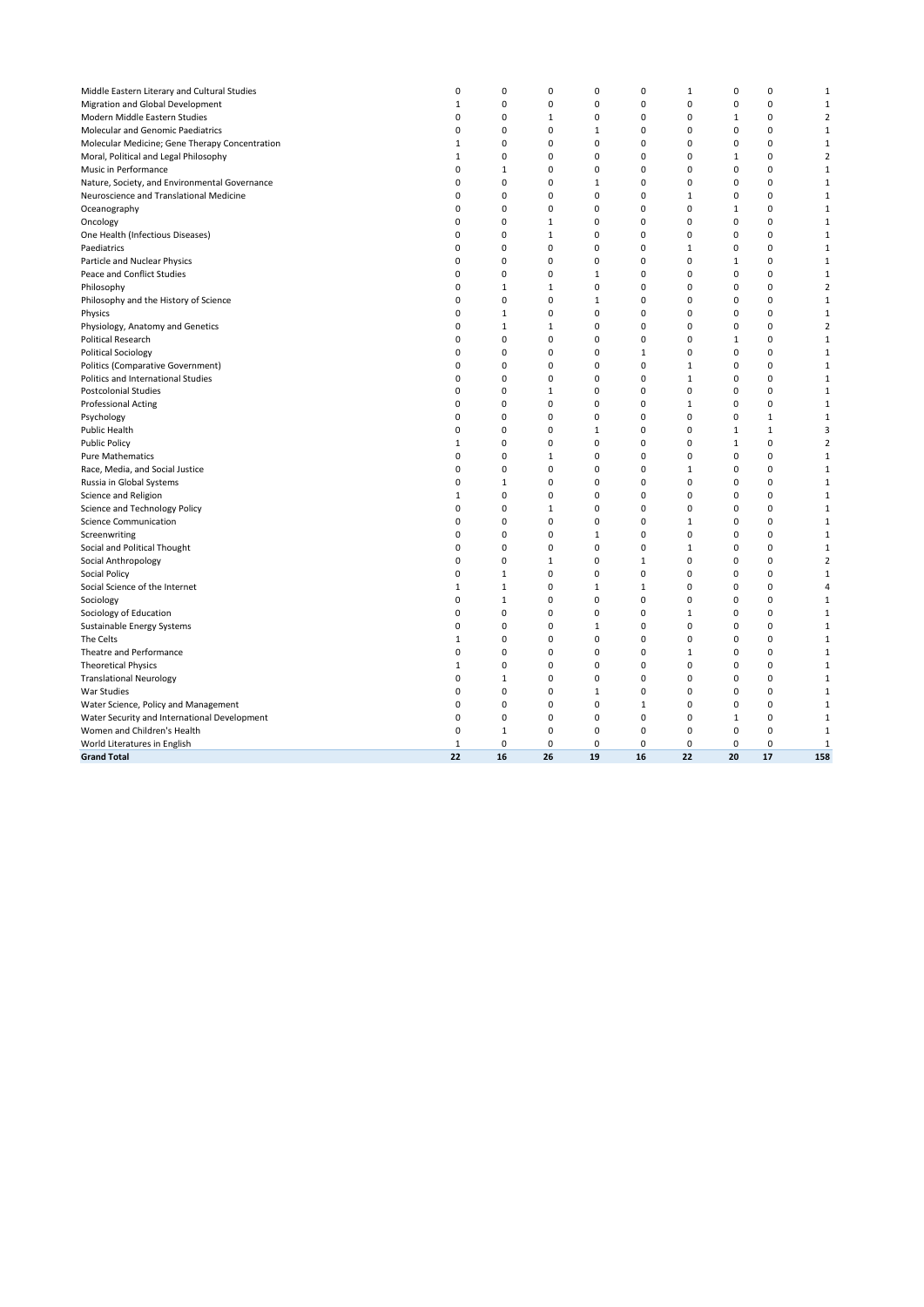| Middle Eastern Literary and Cultural Studies   | 0            | 0            | 0            | 0            | 0           | $\mathbf 1$  | 0            | $\mathbf 0$  | $\mathbf{1}$   |
|------------------------------------------------|--------------|--------------|--------------|--------------|-------------|--------------|--------------|--------------|----------------|
| Migration and Global Development               | $\mathbf 1$  | 0            | 0            | 0            | 0           | 0            | 0            | $\mathbf 0$  | $\mathbf{1}$   |
| Modern Middle Eastern Studies                  | 0            | 0            | 1            | 0            | 0           | 0            | $\mathbf{1}$ | 0            | $\overline{2}$ |
| Molecular and Genomic Paediatrics              | 0            | 0            | 0            | $\mathbf{1}$ | 0           | 0            | 0            | 0            | $\mathbf{1}$   |
| Molecular Medicine; Gene Therapy Concentration | $\mathbf{1}$ | 0            | 0            | 0            | 0           | 0            | 0            | 0            | $\mathbf 1$    |
| Moral, Political and Legal Philosophy          | $\mathbf{1}$ | 0            | 0            | 0            | 0           | 0            | $1\,$        | $\mathbf 0$  | $\overline{2}$ |
| Music in Performance                           | 0            | $\mathbf{1}$ | 0            | 0            | 0           | 0            | 0            | 0            | $\mathbf{1}$   |
| Nature, Society, and Environmental Governance  | 0            | 0            | 0            | 1            | 0           | 0            | $\mathbf 0$  | 0            | $\mathbf{1}$   |
| Neuroscience and Translational Medicine        | 0            | 0            | 0            | $\mathsf 0$  | 0           | $\mathbf 1$  | 0            | 0            | $\mathbf{1}$   |
| Oceanography                                   | 0            | 0            | 0            | 0            | 0           | 0            | $1\,$        | 0            | $\mathbf{1}$   |
| Oncology                                       | $\mathbf 0$  | 0            | $\mathbf{1}$ | $\mathbf 0$  | 0           | $\mathbf 0$  | 0            | 0            | $\mathbf{1}$   |
| One Health (Infectious Diseases)               | 0            | 0            | $\mathbf{1}$ | 0            | 0           | 0            | 0            | 0            | $\mathbf 1$    |
| Paediatrics                                    | 0            | 0            | 0            | 0            | 0           | $\mathbf{1}$ | 0            | 0            | $\mathbf{1}$   |
| Particle and Nuclear Physics                   | 0            | 0            | 0            | $\mathbf 0$  | 0           | 0            | $1\,$        | 0            | $\mathbf{1}$   |
| Peace and Conflict Studies                     | 0            | 0            | 0            | $1\,$        | 0           | 0            | 0            | 0            | $\mathbf{1}$   |
| Philosophy                                     | 0            | $\mathbf{1}$ | $\mathbf{1}$ | 0            | 0           | 0            | 0            | $\mathbf 0$  | $\overline{2}$ |
| Philosophy and the History of Science          | 0            | 0            | 0            | $\mathbf{1}$ | 0           | 0            | 0            | 0            | $\mathbf 1$    |
| Physics                                        | $\mathbf 0$  | $\mathbf{1}$ | $\Omega$     | 0            | 0           | 0            | $\mathbf 0$  | 0            | $\mathbf{1}$   |
| Physiology, Anatomy and Genetics               | 0            | $\mathbf{1}$ | $\mathbf 1$  | 0            | 0           | 0            | 0            | 0            | $\overline{2}$ |
| Political Research                             | 0            | 0            | 0            | $\mathbf 0$  | 0           | 0            | $\mathbf 1$  | 0            | $\mathbf{1}$   |
| Political Sociology                            | 0            | 0            | 0            | $\mathbf 0$  | $\mathbf 1$ | 0            | $\mathbf 0$  | 0            | $\mathbf{1}$   |
| Politics (Comparative Government)              | 0            | 0            | 0            | 0            | 0           | $\mathbf 1$  | 0            | 0            | $\mathbf{1}$   |
| Politics and International Studies             | 0            | 0            | 0            | 0            | 0           | $\mathbf{1}$ | $\mathbf 0$  | 0            | $\mathbf{1}$   |
| <b>Postcolonial Studies</b>                    | 0            | 0            | $\mathbf{1}$ | 0            | 0           | $\mathbf 0$  | 0            | 0            | $\mathbf{1}$   |
| Professional Acting                            | 0            | 0            | 0            | 0            | 0           | $\mathbf 1$  | 0            | 0            | $\mathbf 1$    |
| Psychology                                     | $\mathbf 0$  | 0            | 0            | 0            | 0           | 0            | 0            | $\mathbf 1$  | $\mathbf 1$    |
| Public Health                                  | 0            | 0            | 0            | $\mathbf{1}$ | 0           | 0            | $1\,$        | $\mathbf{1}$ | 3              |
| <b>Public Policy</b>                           | 1            | 0            | $\Omega$     | $\mathbf 0$  | 0           | 0            | $1\,$        | $\mathbf 0$  | $\overline{2}$ |
| <b>Pure Mathematics</b>                        | $\pmb{0}$    | 0            | $\mathbf 1$  | 0            | 0           | 0            | 0            | $\mathbf 0$  | $\mathbf{1}$   |
| Race, Media, and Social Justice                | 0            | 0            | 0            | 0            | 0           | $\mathbf 1$  | 0            | 0            | $\mathbf{1}$   |
| Russia in Global Systems                       | $\mathbf 0$  | $\mathbf 1$  | $\Omega$     | $\mathbf 0$  | 0           | 0            | $\mathbf 0$  | 0            | $\mathbf 1$    |
| Science and Religion                           | $1\,$        | 0            | 0            | 0            | 0           | 0            | 0            | 0            | $\mathbf 1$    |
| Science and Technology Policy                  | 0            | 0            | 1            | 0            | 0           | 0            | 0            | 0            | $\mathbf{1}$   |
| <b>Science Communication</b>                   | $\mathbf 0$  | $\Omega$     | 0            | $\mathbf 0$  | 0           | $\mathbf{1}$ | $\mathbf 0$  | 0            | $\mathbf{1}$   |
| Screenwriting                                  | 0            | 0            | 0            | 1            | 0           | 0            | 0            | 0            | $\mathbf{1}$   |
| Social and Political Thought                   | $\mathbf 0$  | 0            | 0            | $\mathbf 0$  | 0           | $\mathbf 1$  | $\mathbf 0$  | $\mathbf 0$  | $\mathbf{1}$   |
| Social Anthropology                            | 0            | 0            | $\mathbf 1$  | 0            | 1           | 0            | 0            | 0            | $\overline{2}$ |
| Social Policy                                  | $\mathbf 0$  | $\mathbf 1$  | $\Omega$     | $\mathbf 0$  | 0           | 0            | $\mathbf 0$  | 0            | $\mathbf{1}$   |
| Social Science of the Internet                 | $\mathbf{1}$ | $\mathbf 1$  | 0            | $\mathbf{1}$ | $\mathbf 1$ | 0            | 0            | 0            | $\overline{4}$ |
| Sociology                                      | 0            | $\mathbf 1$  | 0            | 0            | 0           | 0            | 0            | 0            | $\mathbf{1}$   |
| Sociology of Education                         | $\mathbf 0$  | $\Omega$     | $\Omega$     | $\mathbf 0$  | 0           | $\mathbf{1}$ | $\mathbf 0$  | 0            | $\mathbf{1}$   |
| Sustainable Energy Systems                     | 0            | 0            | 0            | $1\,$        | 0           | 0            | 0            | $\mathbf 0$  | $\mathbf{1}$   |
| The Celts                                      | $\mathbf{1}$ | 0            | 0            | 0            | 0           | 0            | $\mathbf 0$  | $\mathbf 0$  | $\mathbf{1}$   |
| Theatre and Performance                        | 0            | 0            | 0            | $\mathbf 0$  | 0           | $\mathbf{1}$ | 0            | 0            | $\mathbf{1}$   |
| <b>Theoretical Physics</b>                     | $1\,$        | 0            | 0            | 0            | 0           | 0            | 0            | 0            | $\mathbf 1$    |
| <b>Translational Neurology</b>                 | 0            | $\mathbf{1}$ | 0            | $\mathbf 0$  | 0           | 0            | 0            | $\mathbf 0$  | $\mathbf 1$    |
| War Studies                                    | 0            | 0            | 0            | $\mathbf{1}$ | 0           | 0            | 0            | 0            | $\mathbf{1}$   |
| Water Science, Policy and Management           | 0            | $\Omega$     | $\Omega$     | $\mathbf 0$  | 1           | $\Omega$     | $\mathbf 0$  | $\Omega$     | $\mathbf{1}$   |
| Water Security and International Development   | 0            | 0            | 0            | $\mathsf 0$  | 0           | 0            | $\mathbf 1$  | $\mathbf 0$  | $\mathbf{1}$   |
| Women and Children's Health                    | 0            | $\mathbf 1$  | 0            | $\pmb{0}$    | 0           | $\pmb{0}$    | 0            | 0            | $\mathbf{1}$   |
| World Literatures in English                   | $\mathbf{1}$ | 0            | 0            | $\mathbf 0$  | 0           | 0            | $\mathbf 0$  | 0            | $\mathbf{1}$   |
| <b>Grand Total</b>                             | 22           | 16           | 26           | 19           | 16          | 22           | 20           | 17           | 158            |
|                                                |              |              |              |              |             |              |              |              |                |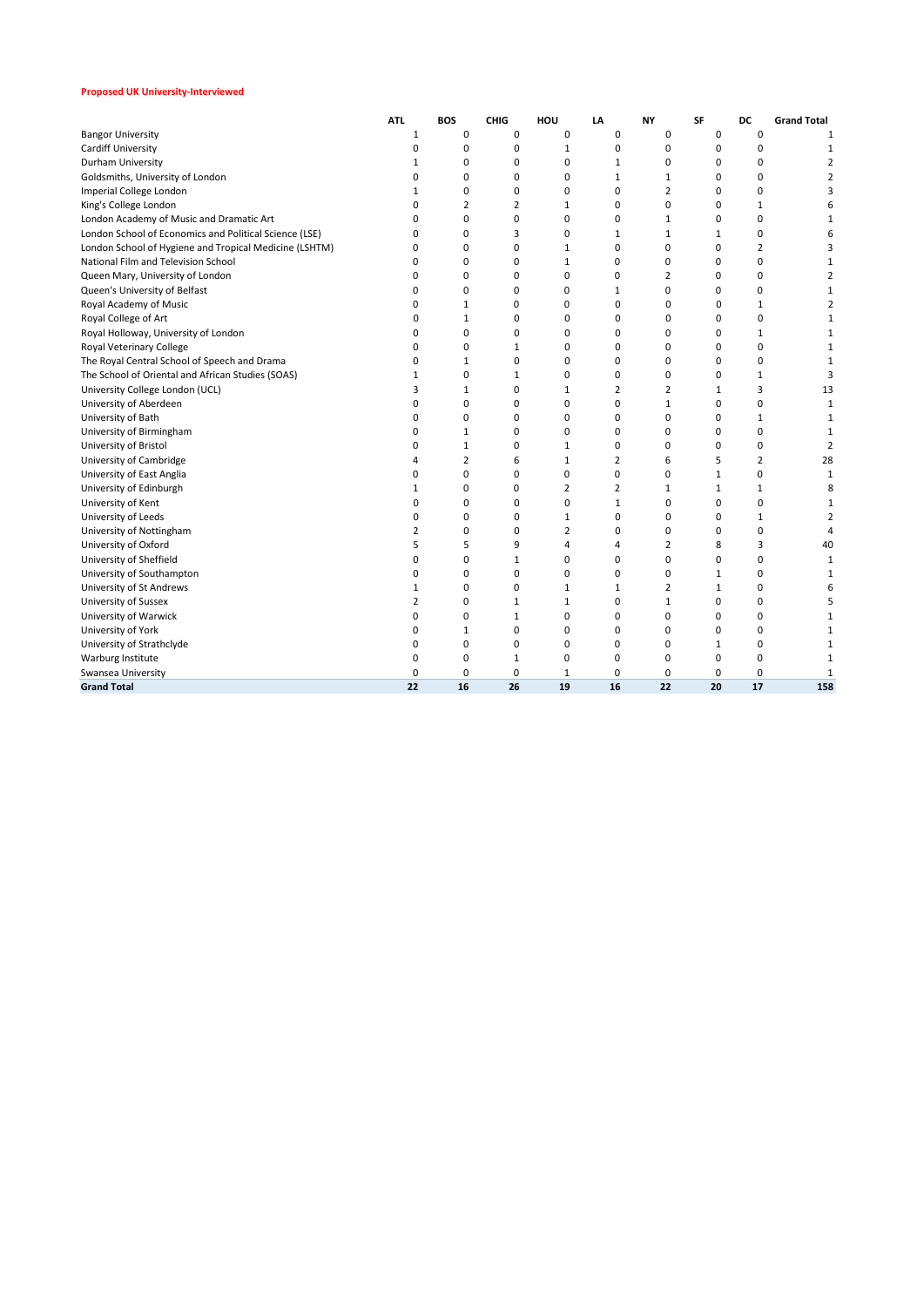#### **Proposed UK University-Interviewed**

|                                                        | ATI.           | <b>BOS</b>     | <b>CHIG</b>  | HOU            | LA             | NY             | SF           | DC             | <b>Grand Total</b>      |
|--------------------------------------------------------|----------------|----------------|--------------|----------------|----------------|----------------|--------------|----------------|-------------------------|
| <b>Bangor University</b>                               | $\mathbf{1}$   | 0              | 0            | 0              | 0              | 0              | 0            | $\mathbf 0$    | $\mathbf{1}$            |
| Cardiff University                                     | $\mathbf 0$    | 0              | 0            | $1\,$          | 0              | 0              | 0            | 0              | $\mathbf{1}$            |
| Durham University                                      | 1              | 0              | 0            | 0              | $\mathbf 1$    | 0              | 0            | 0              | 2                       |
| Goldsmiths, University of London                       | 0              | 0              | 0            | 0              | $\mathbf{1}$   | $\mathbf{1}$   | 0            | 0              | $\overline{\mathbf{c}}$ |
| Imperial College London                                | 1              | 0              | 0            | 0              | 0              | $\overline{2}$ | 0            | 0              | З                       |
| King's College London                                  | 0              | 2              | 2            | 1              | 0              | 0              | 0            | $\mathbf{1}$   | б                       |
| London Academy of Music and Dramatic Art               | 0              | 0              | 0            | 0              | 0              | 1              | 0            | $\Omega$       | 1                       |
| London School of Economics and Political Science (LSE) | 0              | 0              | 3            | 0              | $\mathbf{1}$   | $\mathbf{1}$   | $\mathbf{1}$ | 0              | 6                       |
| London School of Hygiene and Tropical Medicine (LSHTM) | 0              | 0              | 0            | 1              | 0              | 0              | 0            | $\overline{2}$ |                         |
| National Film and Television School                    | 0              | 0              | 0            | $\mathbf{1}$   | 0              | 0              | 0            | 0              | 1                       |
| Queen Mary, University of London                       | 0              | 0              | 0            | 0              | 0              | 2              | 0            | 0              | $\overline{2}$          |
| Queen's University of Belfast                          | 0              | 0              | 0            | 0              | $\mathbf{1}$   | 0              | 0            | 0              | 1                       |
| Royal Academy of Music                                 | 0              | 1              | 0            | 0              | 0              | 0              | 0            | 1              | $\overline{2}$          |
| Royal College of Art                                   | 0              | $\mathbf{1}$   | 0            | 0              | 0              | 0              | 0            | $\Omega$       | 1                       |
| Royal Holloway, University of London                   | $\Omega$       | 0              | 0            | 0              | $\Omega$       | $\Omega$       | 0            | $\mathbf{1}$   |                         |
| Royal Veterinary College                               | 0              | 0              | $\mathbf{1}$ | 0              | 0              | 0              | 0            | 0              | 1                       |
| The Royal Central School of Speech and Drama           | 0              | $\mathbf{1}$   | 0            | 0              | 0              | 0              | 0            | 0              | 1                       |
| The School of Oriental and African Studies (SOAS)      | $\mathbf{1}$   | 0              | $\mathbf 1$  | 0              | 0              | 0              | 0            | $\mathbf{1}$   | 3                       |
| University College London (UCL)                        | 3              | $1\,$          | 0            | $1\,$          | 2              | 2              | $\mathbf{1}$ | 3              | 13                      |
| University of Aberdeen                                 | 0              | 0              | 0            | 0              | 0              | 1              | 0            | 0              | 1                       |
| University of Bath                                     | 0              | 0              | $\Omega$     | 0              | $\Omega$       | 0              | 0            | 1              | 1                       |
| University of Birmingham                               | 0              | $\mathbf{1}$   | 0            | 0              | 0              | 0              | 0            | $\mathbf 0$    | 1                       |
| University of Bristol                                  | 0              | $\mathbf{1}$   | 0            | 1              | 0              | 0              | 0            | $\mathbf 0$    | $\overline{2}$          |
| University of Cambridge                                | 4              | $\overline{2}$ | 6            | $\mathbf{1}$   | $\overline{2}$ | 6              | 5            | $\overline{2}$ | 28                      |
| University of East Anglia                              | 0              | 0              | 0            | 0              | 0              | 0              | 1            | 0              | $\mathbf{1}$            |
| University of Edinburgh                                | $\mathbf{1}$   | 0              | 0            | 2              | 2              | 1              | $\mathbf{1}$ | $\mathbf{1}$   | 8                       |
| University of Kent                                     | 0              | 0              | 0            | 0              | $\mathbf{1}$   | 0              | 0            | 0              | 1                       |
| University of Leeds                                    | 0              | 0              | 0            | $\mathbf{1}$   | 0              | 0              | 0            | $\mathbf{1}$   | $\overline{2}$          |
| University of Nottingham                               | $\overline{2}$ | 0              | 0            | $\overline{2}$ | 0              | 0              | 0            | $\mathbf 0$    | 4                       |
| University of Oxford                                   | 5              | 5              | 9            | 4              | 4              | 2              | 8            | 3              | 40                      |
| University of Sheffield                                | 0              | 0              | $\mathbf{1}$ | 0              | 0              | 0              | 0            | 0              | 1                       |
| University of Southampton                              | 0              | 0              | 0            | 0              | 0              | 0              | 1            | 0              | 1                       |
| University of St Andrews                               | 1              | 0              | 0            | 1              | $\mathbf{1}$   | 2              | 1            | 0              | 6                       |
| University of Sussex                                   | $\overline{2}$ | 0              | $\mathbf{1}$ | $\mathbf{1}$   | 0              | $\mathbf{1}$   | 0            | 0              |                         |
| University of Warwick                                  | 0              | 0              | $\mathbf{1}$ | 0              | 0              | 0              | 0            | 0              | 1                       |
| University of York                                     | 0              | 1              | 0            | 0              | 0              | 0              | 0            | 0              | $\mathbf{1}$            |
| University of Strathclyde                              | 0              | 0              | 0            | 0              | 0              | 0              | 1            | 0              | 1                       |
| Warburg Institute                                      | 0              | 0              | $\mathbf{1}$ | 0              | 0              | 0              | 0            | $\mathbf 0$    |                         |
| Swansea University                                     | 0              | 0              | 0            | 1              | 0              | 0              | 0            | 0              | 1                       |
| <b>Grand Total</b>                                     | 22             | 16             | 26           | 19             | 16             | 22             | 20           | 17             | 158                     |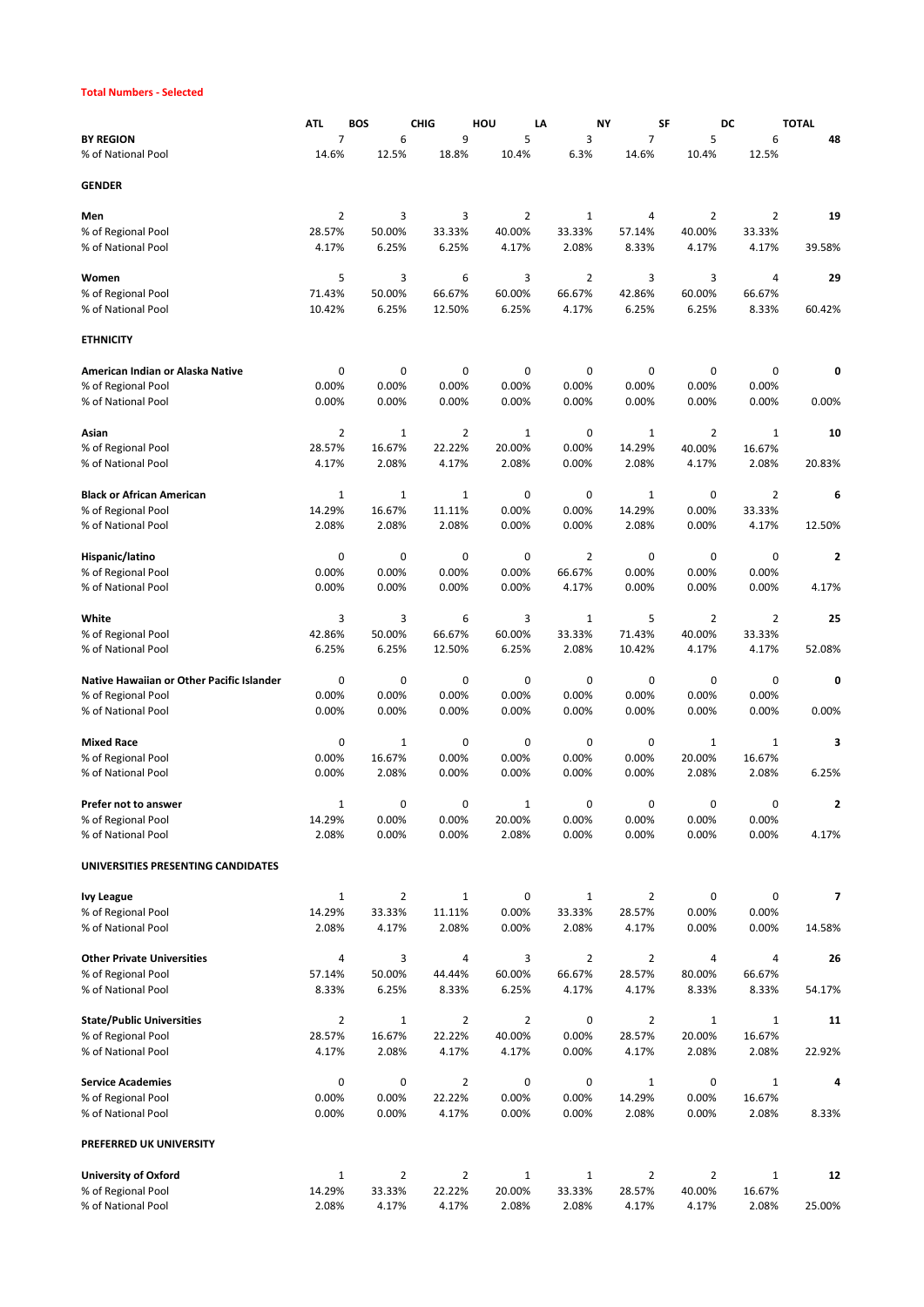#### **Total Numbers - Selected**

|                                                        | <b>ATL</b>      | <b>BOS</b>            | CHIG            | HOU             | LA                       | NΥ              | SF              | DC                    | <b>TOTAL</b>            |
|--------------------------------------------------------|-----------------|-----------------------|-----------------|-----------------|--------------------------|-----------------|-----------------|-----------------------|-------------------------|
| <b>BY REGION</b>                                       | $\overline{7}$  | 6                     | 9               | 5               | 3                        | 7               | 5               | 6                     | 48                      |
| % of National Pool                                     | 14.6%           | 12.5%                 | 18.8%           | 10.4%           | 6.3%                     | 14.6%           | 10.4%           | 12.5%                 |                         |
| <b>GENDER</b>                                          |                 |                       |                 |                 |                          |                 |                 |                       |                         |
| Men                                                    | $\overline{2}$  | 3                     | 3               | $\overline{2}$  | $\mathbf 1$              | 4               | $\overline{2}$  | $\overline{2}$        | 19                      |
| % of Regional Pool                                     | 28.57%          | 50.00%                | 33.33%          | 40.00%          | 33.33%                   | 57.14%          | 40.00%          | 33.33%                |                         |
| % of National Pool                                     | 4.17%           | 6.25%                 | 6.25%           | 4.17%           | 2.08%                    | 8.33%           | 4.17%           | 4.17%                 | 39.58%                  |
|                                                        |                 |                       |                 |                 |                          |                 |                 |                       |                         |
| Women                                                  | 5<br>71.43%     | 3                     | 6<br>66.67%     | 3               | $\overline{2}$<br>66.67% | 3               | 3<br>60.00%     | 4                     | 29                      |
| % of Regional Pool<br>% of National Pool               | 10.42%          | 50.00%<br>6.25%       | 12.50%          | 60.00%<br>6.25% | 4.17%                    | 42.86%<br>6.25% | 6.25%           | 66.67%<br>8.33%       | 60.42%                  |
|                                                        |                 |                       |                 |                 |                          |                 |                 |                       |                         |
| <b>ETHNICITY</b>                                       |                 |                       |                 |                 |                          |                 |                 |                       |                         |
| American Indian or Alaska Native                       | 0               | 0                     | 0               | 0               | 0                        | 0               | 0               | 0                     | 0                       |
| % of Regional Pool                                     | 0.00%           | 0.00%                 | 0.00%           | 0.00%           | 0.00%                    | 0.00%           | 0.00%           | 0.00%                 |                         |
| % of National Pool                                     | 0.00%           | 0.00%                 | 0.00%           | 0.00%           | 0.00%                    | 0.00%           | 0.00%           | 0.00%                 | 0.00%                   |
| Asian                                                  | 2               | 1                     | 2               | 1               | 0                        | 1               | 2               | 1                     | 10                      |
| % of Regional Pool                                     | 28.57%          | 16.67%                | 22.22%          | 20.00%          | 0.00%                    | 14.29%          | 40.00%          | 16.67%                |                         |
| % of National Pool                                     | 4.17%           | 2.08%                 | 4.17%           | 2.08%           | 0.00%                    | 2.08%           | 4.17%           | 2.08%                 | 20.83%                  |
|                                                        |                 |                       |                 |                 |                          |                 |                 |                       |                         |
| <b>Black or African American</b>                       | $\mathbf{1}$    | $\mathbf{1}$          | $\mathbf 1$     | 0               | 0                        | $\mathbf{1}$    | $\mathbf 0$     | $\overline{2}$        | 6                       |
| % of Regional Pool                                     | 14.29%          | 16.67%                | 11.11%          | 0.00%           | 0.00%                    | 14.29%          | 0.00%           | 33.33%                |                         |
| % of National Pool                                     | 2.08%           | 2.08%                 | 2.08%           | 0.00%           | 0.00%                    | 2.08%           | 0.00%           | 4.17%                 | 12.50%                  |
| Hispanic/latino                                        | 0               | 0                     | 0               | 0               | $\overline{2}$           | 0               | 0               | 0                     | $\overline{\mathbf{2}}$ |
| % of Regional Pool                                     | 0.00%           | 0.00%                 | 0.00%           | 0.00%           | 66.67%                   | 0.00%           | 0.00%           | 0.00%                 |                         |
| % of National Pool                                     | 0.00%           | 0.00%                 | 0.00%           | 0.00%           | 4.17%                    | 0.00%           | 0.00%           | 0.00%                 | 4.17%                   |
|                                                        |                 |                       |                 |                 |                          |                 |                 |                       |                         |
| White                                                  | 3               | 3                     | 6               | 3               | $\mathbf{1}$             | 5               | 2               | 2                     | 25                      |
| % of Regional Pool                                     | 42.86%          | 50.00%                | 66.67%          | 60.00%          | 33.33%                   | 71.43%          | 40.00%          | 33.33%                |                         |
| % of National Pool                                     | 6.25%           | 6.25%                 | 12.50%          | 6.25%           | 2.08%                    | 10.42%          | 4.17%           | 4.17%                 | 52.08%                  |
| Native Hawaiian or Other Pacific Islander              | 0               | 0                     | 0               | 0               | 0                        | 0               | 0               | 0                     | 0                       |
| % of Regional Pool                                     | 0.00%           | 0.00%                 | 0.00%           | 0.00%           | 0.00%                    | 0.00%           | 0.00%           | 0.00%                 |                         |
| % of National Pool                                     | 0.00%           | 0.00%                 | 0.00%           | 0.00%           | 0.00%                    | 0.00%           | 0.00%           | 0.00%                 | 0.00%                   |
|                                                        |                 |                       |                 |                 |                          |                 |                 |                       |                         |
| <b>Mixed Race</b>                                      | 0               | $\mathbf{1}$          | 0               | 0               | 0                        | 0               | $\mathbf{1}$    | $\mathbf{1}$          | 3                       |
| % of Regional Pool<br>% of National Pool               | 0.00%<br>0.00%  | 16.67%<br>2.08%       | 0.00%<br>0.00%  | 0.00%<br>0.00%  | 0.00%<br>0.00%           | 0.00%<br>0.00%  | 20.00%<br>2.08% | 16.67%<br>2.08%       | 6.25%                   |
|                                                        |                 |                       |                 |                 |                          |                 |                 |                       |                         |
| Prefer not to answer                                   | $\mathbf{1}$    | 0                     | 0               | $\mathbf{1}$    | 0                        | 0               | 0               | 0                     | 2                       |
| % of Regional Pool                                     | 14.29%          | 0.00%                 | 0.00%           | 20.00%          | 0.00%                    | 0.00%           | 0.00%           | 0.00%                 |                         |
| % of National Pool                                     | 2.08%           | 0.00%                 | 0.00%           | 2.08%           | 0.00%                    | 0.00%           | 0.00%           | 0.00%                 | 4.17%                   |
| UNIVERSITIES PRESENTING CANDIDATES                     |                 |                       |                 |                 |                          |                 |                 |                       |                         |
|                                                        |                 |                       |                 |                 |                          |                 |                 |                       |                         |
| <b>Ivy League</b>                                      | $\mathbf{1}$    | $\overline{2}$        | $\mathbf{1}$    | 0               | 1                        | $\overline{2}$  | 0               | 0                     | 7                       |
| % of Regional Pool<br>% of National Pool               | 14.29%<br>2.08% | 33.33%<br>4.17%       | 11.11%<br>2.08% | 0.00%<br>0.00%  | 33.33%<br>2.08%          | 28.57%<br>4.17% | 0.00%<br>0.00%  | 0.00%<br>0.00%        | 14.58%                  |
|                                                        |                 |                       |                 |                 |                          |                 |                 |                       |                         |
| <b>Other Private Universities</b>                      | 4               | 3                     | 4               | 3               | 2                        | 2               | 4               | 4                     | 26                      |
| % of Regional Pool                                     | 57.14%          | 50.00%                | 44.44%          | 60.00%          | 66.67%                   | 28.57%          | 80.00%          | 66.67%                |                         |
| % of National Pool                                     | 8.33%           | 6.25%                 | 8.33%           | 6.25%           | 4.17%                    | 4.17%           | 8.33%           | 8.33%                 | 54.17%                  |
|                                                        |                 |                       |                 |                 |                          |                 |                 |                       |                         |
| <b>State/Public Universities</b><br>% of Regional Pool | 2<br>28.57%     | $\mathbf 1$<br>16.67% | 2<br>22.22%     | 2<br>40.00%     | 0<br>0.00%               | 2<br>28.57%     | 1<br>20.00%     | $\mathbf 1$<br>16.67% | 11                      |
| % of National Pool                                     | 4.17%           | 2.08%                 | 4.17%           | 4.17%           | 0.00%                    | 4.17%           | 2.08%           | 2.08%                 | 22.92%                  |
|                                                        |                 |                       |                 |                 |                          |                 |                 |                       |                         |
| <b>Service Academies</b>                               | 0               | 0                     | $\overline{2}$  | 0               | 0                        | $\mathbf{1}$    | 0               | 1                     | 4                       |
| % of Regional Pool                                     | 0.00%           | 0.00%                 | 22.22%          | 0.00%           | 0.00%                    | 14.29%          | 0.00%           | 16.67%                |                         |
| % of National Pool                                     | 0.00%           | 0.00%                 | 4.17%           | 0.00%           | 0.00%                    | 2.08%           | 0.00%           | 2.08%                 | 8.33%                   |
| PREFERRED UK UNIVERSITY                                |                 |                       |                 |                 |                          |                 |                 |                       |                         |
| <b>University of Oxford</b>                            | $\mathbf{1}$    | $\overline{2}$        | $\overline{2}$  | $\mathbf 1$     | 1                        | $\overline{2}$  | $\overline{2}$  | 1                     | 12                      |
| % of Regional Pool                                     | 14.29%          | 33.33%                | 22.22%          | 20.00%          | 33.33%                   | 28.57%          | 40.00%          | 16.67%                |                         |
| % of National Pool                                     | 2.08%           | 4.17%                 | 4.17%           | 2.08%           | 2.08%                    | 4.17%           | 4.17%           | 2.08%                 | 25.00%                  |
|                                                        |                 |                       |                 |                 |                          |                 |                 |                       |                         |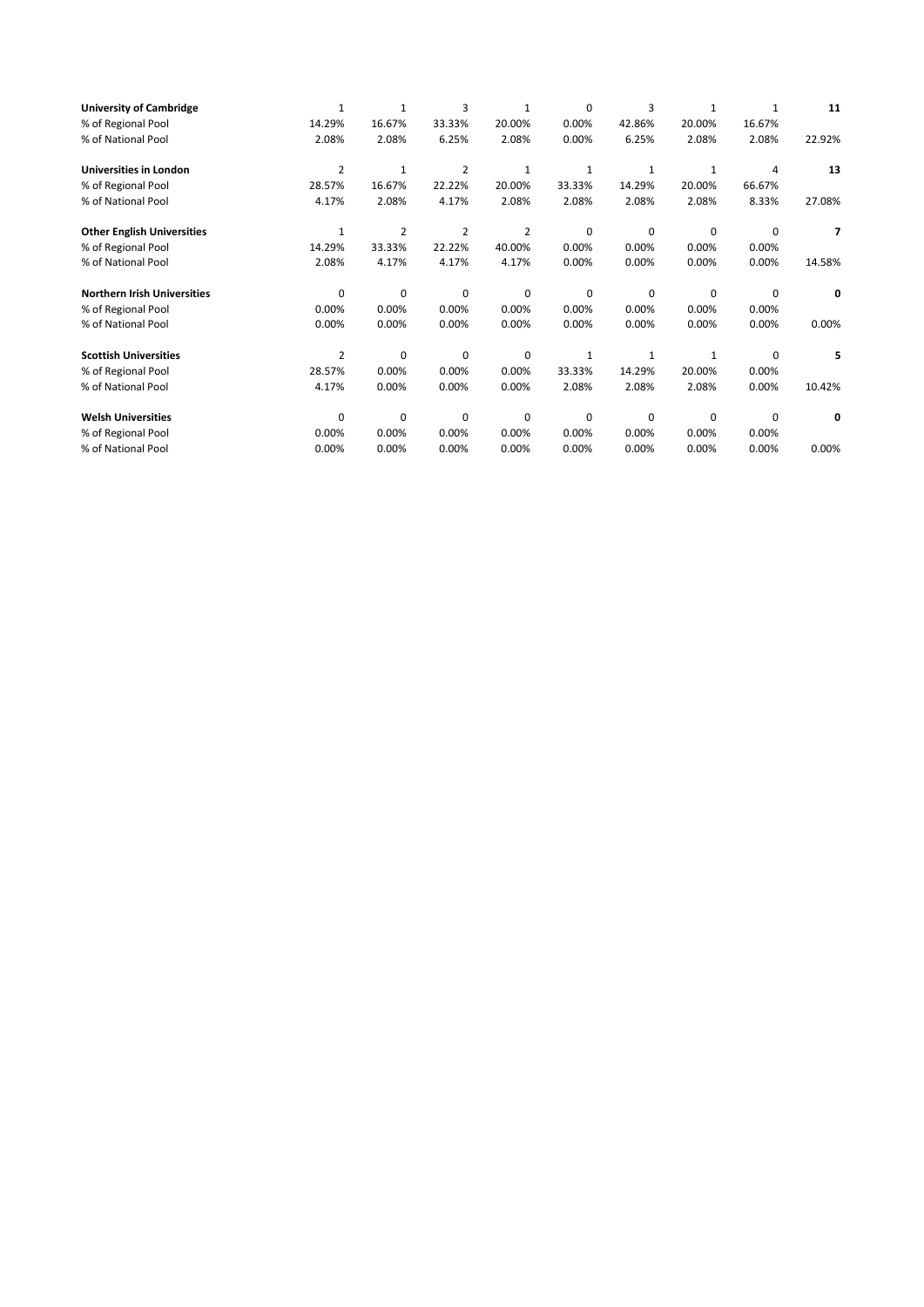| <b>University of Cambridge</b>     | $\mathbf{1}$   | $\mathbf{1}$ | 3              | $\mathbf{1}$ | 0        | 3        | 1      |          | 11     |
|------------------------------------|----------------|--------------|----------------|--------------|----------|----------|--------|----------|--------|
| % of Regional Pool                 | 14.29%         | 16.67%       | 33.33%         | 20.00%       | 0.00%    | 42.86%   | 20.00% | 16.67%   |        |
| % of National Pool                 | 2.08%          | 2.08%        | 6.25%          | 2.08%        | 0.00%    | 6.25%    | 2.08%  | 2.08%    | 22.92% |
| <b>Universities in London</b>      | $\overline{2}$ | 1            | $\overline{2}$ |              |          |          |        | 4        | 13     |
| % of Regional Pool                 | 28.57%         | 16.67%       | 22.22%         | 20.00%       | 33.33%   | 14.29%   | 20.00% | 66.67%   |        |
| % of National Pool                 | 4.17%          | 2.08%        | 4.17%          | 2.08%        | 2.08%    | 2.08%    | 2.08%  | 8.33%    | 27.08% |
| <b>Other English Universities</b>  | 1              | 2            | 2              | 2            | 0        | 0        | 0      | 0        | 7      |
| % of Regional Pool                 | 14.29%         | 33.33%       | 22.22%         | 40.00%       | 0.00%    | 0.00%    | 0.00%  | 0.00%    |        |
| % of National Pool                 | 2.08%          | 4.17%        | 4.17%          | 4.17%        | 0.00%    | 0.00%    | 0.00%  | 0.00%    | 14.58% |
| <b>Northern Irish Universities</b> | $\Omega$       | 0            | 0              | $\Omega$     | $\Omega$ | 0        | 0      | 0        | 0      |
| % of Regional Pool                 | 0.00%          | 0.00%        | 0.00%          | 0.00%        | 0.00%    | 0.00%    | 0.00%  | 0.00%    |        |
| % of National Pool                 | 0.00%          | 0.00%        | 0.00%          | 0.00%        | 0.00%    | 0.00%    | 0.00%  | 0.00%    | 0.00%  |
| <b>Scottish Universities</b>       | 2              | 0            | 0              | 0            |          | 1        |        | 0        | 5      |
| % of Regional Pool                 | 28.57%         | 0.00%        | 0.00%          | 0.00%        | 33.33%   | 14.29%   | 20.00% | 0.00%    |        |
| % of National Pool                 | 4.17%          | 0.00%        | 0.00%          | 0.00%        | 2.08%    | 2.08%    | 2.08%  | 0.00%    | 10.42% |
| <b>Welsh Universities</b>          | $\Omega$       | 0            | $\Omega$       | $\Omega$     | $\Omega$ | $\Omega$ | 0      | $\Omega$ | 0      |
| % of Regional Pool                 | 0.00%          | 0.00%        | 0.00%          | 0.00%        | 0.00%    | 0.00%    | 0.00%  | 0.00%    |        |
| % of National Pool                 | 0.00%          | 0.00%        | 0.00%          | 0.00%        | 0.00%    | 0.00%    | 0.00%  | 0.00%    | 0.00%  |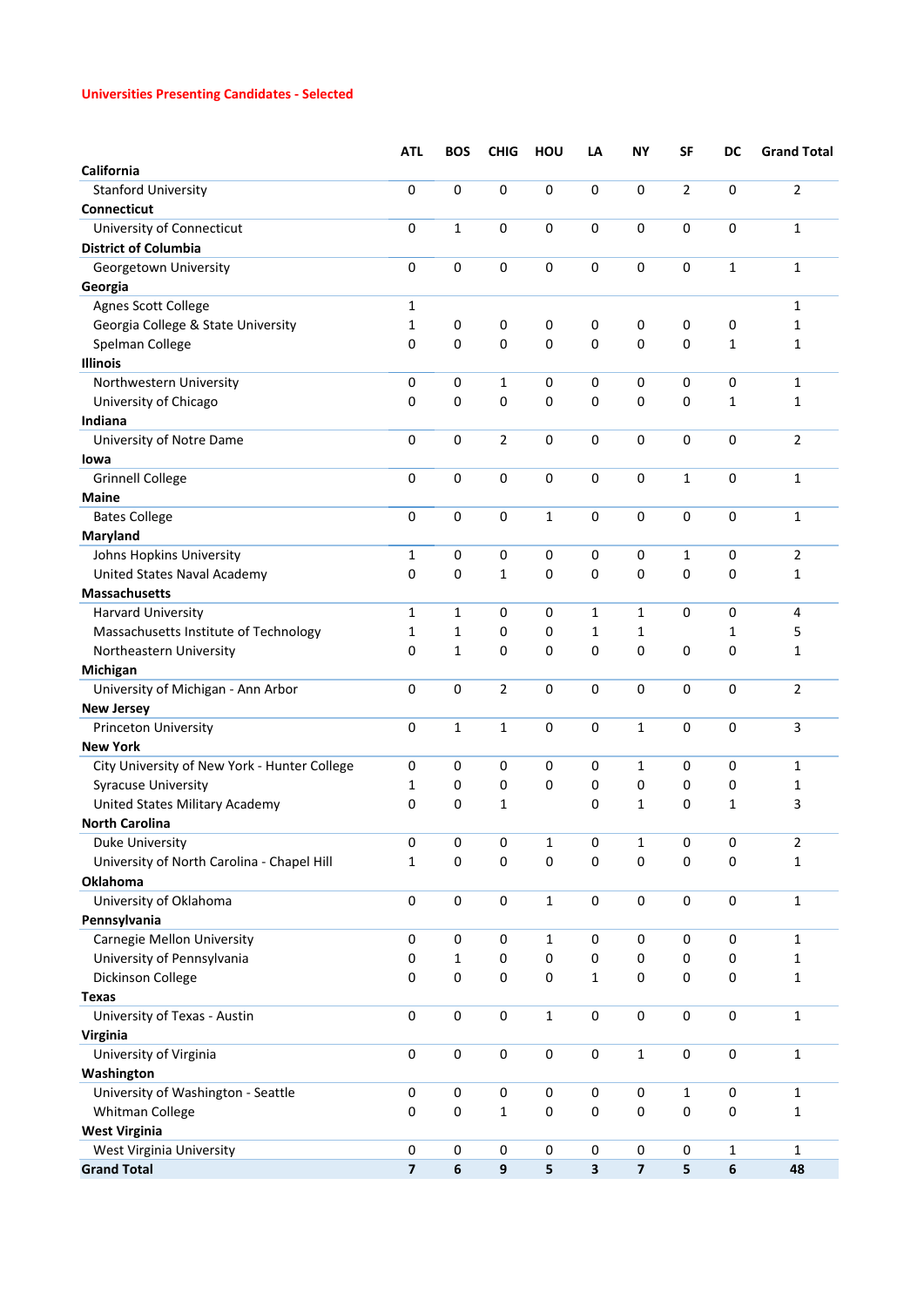# **Universities Presenting Candidates - Selected**

|                                              | <b>ATL</b>              | <b>BOS</b>   | <b>CHIG</b>      | HOU         | LA                      | NΥ                      | <b>SF</b>      | <b>DC</b> | <b>Grand Total</b> |
|----------------------------------------------|-------------------------|--------------|------------------|-------------|-------------------------|-------------------------|----------------|-----------|--------------------|
| California                                   |                         |              |                  |             |                         |                         |                |           |                    |
| <b>Stanford University</b>                   | $\pmb{0}$               | 0            | 0                | 0           | 0                       | 0                       | $\overline{2}$ | 0         | $\overline{2}$     |
| Connecticut                                  |                         |              |                  |             |                         |                         |                |           |                    |
| University of Connecticut                    | $\mathbf 0$             | 1            | 0                | $\mathbf 0$ | 0                       | 0                       | 0              | 0         | 1                  |
| <b>District of Columbia</b>                  |                         |              |                  |             |                         |                         |                |           |                    |
| Georgetown University                        | $\pmb{0}$               | 0            | $\mathbf 0$      | 0           | 0                       | 0                       | $\mathbf 0$    | 1         | 1                  |
| Georgia                                      |                         |              |                  |             |                         |                         |                |           |                    |
| Agnes Scott College                          | 1                       |              |                  |             |                         |                         |                |           | 1                  |
| Georgia College & State University           | $\mathbf{1}$            | 0            | 0                | 0           | 0                       | 0                       | 0              | 0         | 1                  |
| Spelman College                              | 0                       | 0            | 0                | $\pmb{0}$   | 0                       | 0                       | 0              | 1         | 1                  |
| <b>Illinois</b>                              |                         |              |                  |             |                         |                         |                |           |                    |
| Northwestern University                      | 0                       | 0            | 1                | 0           | 0                       | 0                       | 0              | 0         | 1                  |
| University of Chicago                        | 0                       | 0            | 0                | 0           | 0                       | 0                       | 0              | 1         | 1                  |
| Indiana                                      |                         |              |                  |             |                         |                         |                |           |                    |
| University of Notre Dame                     | 0                       | 0            | 2                | 0           | 0                       | 0                       | 0              | 0         | 2                  |
| lowa                                         |                         |              |                  |             |                         |                         |                |           |                    |
| <b>Grinnell College</b>                      | $\pmb{0}$               | 0            | 0                | 0           | 0                       | 0                       | $1\,$          | 0         | 1                  |
| <b>Maine</b>                                 |                         |              |                  |             |                         |                         |                |           |                    |
| <b>Bates College</b>                         | $\pmb{0}$               | 0            | $\pmb{0}$        | 1           | $\pmb{0}$               | $\pmb{0}$               | 0              | 0         | 1                  |
| Maryland                                     |                         |              |                  |             |                         |                         |                |           |                    |
| Johns Hopkins University                     | $\mathbf{1}$            | 0            | 0                | 0           | 0                       | 0                       | 1              | 0         | 2                  |
| United States Naval Academy                  | 0                       | 0            | 1                | 0           | 0                       | 0                       | $\mathbf 0$    | 0         | 1                  |
| Massachusetts                                |                         |              |                  |             |                         |                         |                |           |                    |
| Harvard University                           | 1                       | 1            | 0                | 0           | 1                       | $\mathbf{1}$            | 0              | 0         | 4                  |
| Massachusetts Institute of Technology        | 1                       | 1            | 0                | 0           | 1                       | 1                       |                | 1         | 5                  |
| Northeastern University                      | 0                       | $\mathbf{1}$ | 0                | 0           | 0                       | 0                       | 0              | 0         | 1                  |
| Michigan                                     |                         |              |                  |             |                         |                         |                |           |                    |
| University of Michigan - Ann Arbor           | $\pmb{0}$               | $\mathbf 0$  | $\overline{2}$   | $\pmb{0}$   | $\mathbf 0$             | $\mathbf 0$             | 0              | 0         | $\overline{2}$     |
| <b>New Jersey</b>                            |                         |              |                  |             |                         |                         |                |           |                    |
| Princeton University                         | $\pmb{0}$               | $\mathbf{1}$ | $\mathbf{1}$     | $\pmb{0}$   | 0                       | $\mathbf{1}$            | 0              | 0         | 3                  |
| <b>New York</b>                              |                         |              |                  |             |                         |                         |                |           |                    |
| City University of New York - Hunter College | 0                       | 0            | 0                | 0           | 0                       | $\mathbf{1}$            | 0              | 0         | $\mathbf{1}$       |
| <b>Syracuse University</b>                   | 1                       | 0            | 0                | 0           | 0                       | 0                       | 0              | 0         | 1                  |
| United States Military Academy               | 0                       | 0            | 1                |             | 0                       | 1                       | 0              | 1         | 3                  |
| <b>North Carolina</b>                        |                         |              |                  |             |                         |                         |                |           |                    |
| Duke University                              | 0                       | 0            | $\mathbf 0$      | 1           | 0                       | 1                       | 0              | 0         | 2                  |
| University of North Carolina - Chapel Hill   | 1                       | 0            | $\pmb{0}$        | $\pmb{0}$   | $\mathbf 0$             | $\pmb{0}$               | 0              | 0         | 1                  |
| Oklahoma                                     |                         |              |                  |             |                         |                         |                |           |                    |
| University of Oklahoma                       | $\pmb{0}$               | $\pmb{0}$    | $\pmb{0}$        | 1           | $\pmb{0}$               | $\pmb{0}$               | 0              | $\pmb{0}$ | 1                  |
| Pennsylvania                                 |                         |              |                  |             |                         |                         |                |           |                    |
| Carnegie Mellon University                   | $\pmb{0}$               | 0            | 0                | 1           | $\pmb{0}$               | $\pmb{0}$               | 0              | $\pmb{0}$ | 1                  |
| University of Pennsylvania                   | 0                       | $\mathbf{1}$ | 0                | 0           | $\pmb{0}$               | 0                       | 0              | 0         | 1                  |
| Dickinson College                            | 0                       | 0            | 0                | 0           | $\mathbf{1}$            | $\pmb{0}$               | 0              | 0         | 1                  |
| <b>Texas</b>                                 |                         |              |                  |             |                         |                         |                |           |                    |
| University of Texas - Austin                 | $\pmb{0}$               | $\pmb{0}$    | 0                | 1           | $\pmb{0}$               | $\pmb{0}$               | 0              | $\pmb{0}$ | 1                  |
| Virginia                                     |                         |              |                  |             |                         |                         |                |           |                    |
| University of Virginia                       | $\pmb{0}$               | $\pmb{0}$    | 0                | $\pmb{0}$   | $\pmb{0}$               | 1                       | 0              | $\pmb{0}$ | 1                  |
| Washington                                   |                         |              |                  |             |                         |                         |                |           |                    |
| University of Washington - Seattle           | $\pmb{0}$               | 0            | 0                | 0           | 0                       | 0                       | $\mathbf{1}$   | 0         | 1                  |
| Whitman College                              | 0                       | 0            | 1                | 0           | 0                       | $\pmb{0}$               | $\pmb{0}$      | 0         | $\mathbf{1}$       |
| <b>West Virginia</b>                         |                         |              |                  |             |                         |                         |                |           |                    |
| West Virginia University                     | $\pmb{0}$               | 0            | 0                | 0           | 0                       | 0                       | 0              | 1         | 1                  |
| <b>Grand Total</b>                           | $\overline{\mathbf{z}}$ | 6            | $\boldsymbol{9}$ | 5           | $\overline{\mathbf{3}}$ | $\overline{\mathbf{z}}$ | 5              | $\bf 6$   | 48                 |
|                                              |                         |              |                  |             |                         |                         |                |           |                    |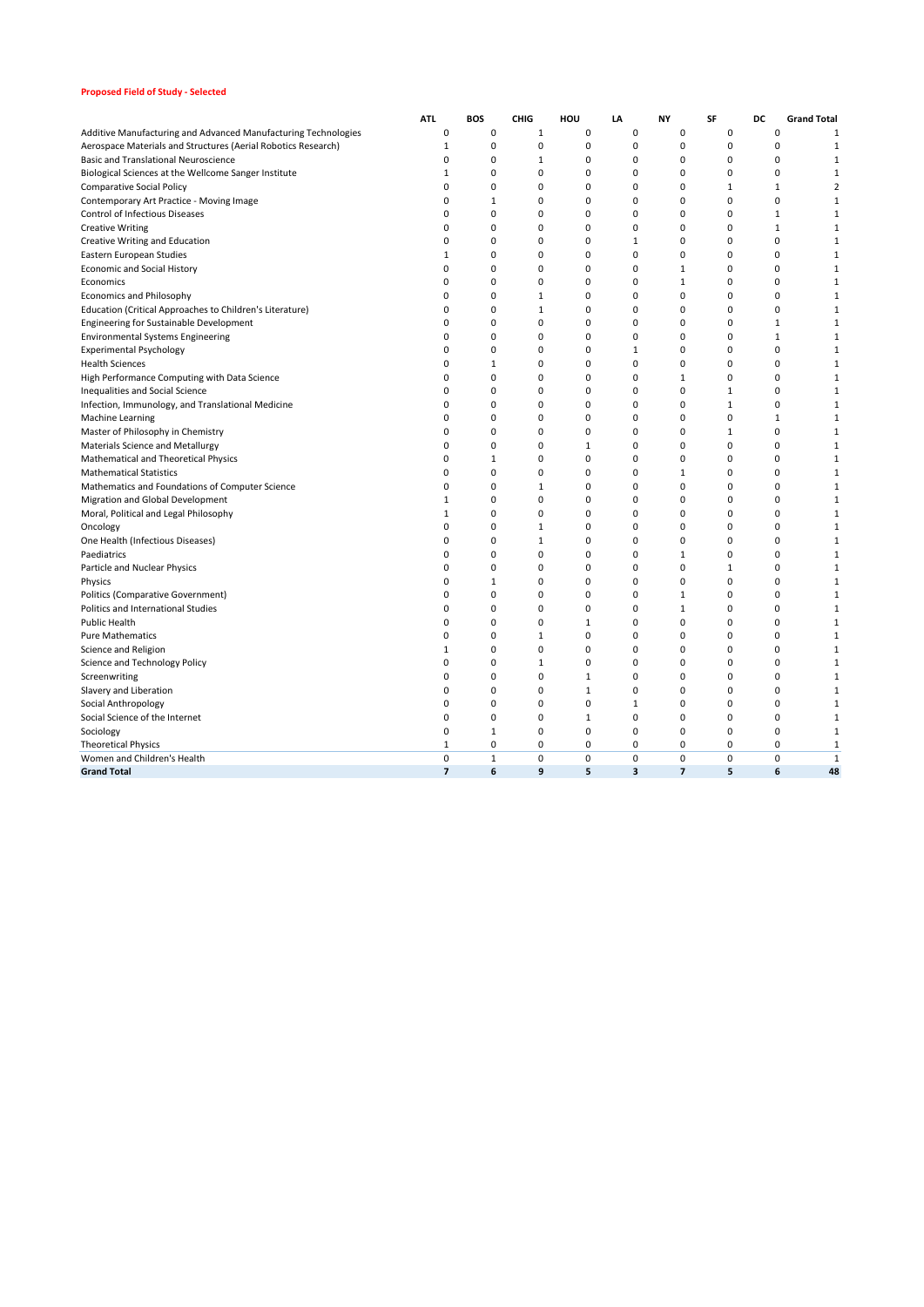#### **Proposed Field of Study - Selected**

|                                                                | ATI.           | <b>BOS</b>   | CHIG         | HOU          | LA           | NY             | SF           | DC           | <b>Grand Total</b> |
|----------------------------------------------------------------|----------------|--------------|--------------|--------------|--------------|----------------|--------------|--------------|--------------------|
| Additive Manufacturing and Advanced Manufacturing Technologies | 0              | 0            | 1            | 0            | 0            | 0              | $\mathbf 0$  | 0            | 1                  |
| Aerospace Materials and Structures (Aerial Robotics Research)  | 1              | $\mathbf 0$  | 0            | 0            | 0            | 0              | $\Omega$     | $\Omega$     | $\mathbf 1$        |
| Basic and Translational Neuroscience                           | $\Omega$       | 0            | 1            | $\Omega$     | $\Omega$     | 0              | $\Omega$     | $\Omega$     | 1                  |
| Biological Sciences at the Wellcome Sanger Institute           | 1              | 0            | 0            | 0            | 0            | 0              | 0            | $\Omega$     | 1                  |
| <b>Comparative Social Policy</b>                               | 0              | 0            | 0            | 0            | $\Omega$     | 0              | $\mathbf{1}$ | $\mathbf{1}$ | 2                  |
| Contemporary Art Practice - Moving Image                       | $\Omega$       | $\mathbf{1}$ | 0            | 0            | 0            | 0              | 0            | 0            | 1                  |
| Control of Infectious Diseases                                 | $\Omega$       | $\mathbf 0$  | 0            | 0            | 0            | 0              | 0            | $\mathbf{1}$ | 1                  |
| <b>Creative Writing</b>                                        | 0              | 0            | 0            | $\mathbf 0$  | 0            | 0              | 0            | $\mathbf{1}$ | $\mathbf{1}$       |
| Creative Writing and Education                                 | $\Omega$       | $\mathbf 0$  | $\mathbf 0$  | 0            | $\mathbf{1}$ | 0              | 0            | 0            | $\mathbf 1$        |
| Eastern European Studies                                       | 1              | $\mathbf 0$  | 0            | $\mathbf 0$  | 0            | 0              | $\Omega$     | $\mathbf 0$  | $\mathbf 1$        |
| <b>Economic and Social History</b>                             | 0              | $\mathbf 0$  | 0            | $\mathbf 0$  | 0            | $\mathbf 1$    | $\Omega$     | $\mathbf 0$  | $\mathbf 1$        |
| Economics                                                      | 0              | 0            | 0            | 0            | 0            | $\mathbf 1$    | 0            | $\pmb{0}$    | 1                  |
| <b>Economics and Philosophy</b>                                | 0              | $\mathbf 0$  | $\mathbf{1}$ | 0            | 0            | 0              | 0            | 0            | 1                  |
| Education (Critical Approaches to Children's Literature)       | $\Omega$       | $\mathbf 0$  | 1            | 0            | $\Omega$     | 0              | 0            | $\Omega$     | 1                  |
| Engineering for Sustainable Development                        | $\Omega$       | 0            | 0            | $\mathbf 0$  | 0            | 0              | 0            | $\mathbf{1}$ | $\mathbf{1}$       |
| <b>Environmental Systems Engineering</b>                       | $\Omega$       | 0            | 0            | 0            | 0            | 0              | 0            | $\mathbf{1}$ | 1                  |
| <b>Experimental Psychology</b>                                 | $\Omega$       | 0            | 0            | 0            | 1            | 0              | 0            | 0            | 1                  |
| <b>Health Sciences</b>                                         | 0              | $\mathbf{1}$ | 0            | 0            | 0            | 0              | $\Omega$     | 0            | 1                  |
| High Performance Computing with Data Science                   | $\Omega$       | 0            | 0            | 0            | 0            | 1              | 0            | 0            | 1                  |
| Inequalities and Social Science                                | $\Omega$       | 0            | 0            | 0            | 0            | 0              | $\mathbf{1}$ | 0            | 1                  |
| Infection, Immunology, and Translational Medicine              | $\Omega$       | $\mathbf 0$  | 0            | $\mathbf 0$  | 0            | 0              | $\mathbf{1}$ | 0            | $\mathbf 1$        |
| Machine Learning                                               | $\Omega$       | $\mathbf 0$  | 0            | 0            | 0            | 0              | 0            | $\mathbf{1}$ | 1                  |
| Master of Philosophy in Chemistry                              | $\Omega$       | 0            | 0            | $\mathbf 0$  | 0            | 0              | $\mathbf{1}$ | 0            | $\mathbf 1$        |
| Materials Science and Metallurgy                               | $\Omega$       | 0            | 0            | 1            | 0            | 0              | 0            | $\mathbf 0$  | 1                  |
| Mathematical and Theoretical Physics                           | 0              | $\mathbf 1$  | 0            | $\mathbf 0$  | 0            | 0              | 0            | $\pmb{0}$    | $\mathbf 1$        |
| <b>Mathematical Statistics</b>                                 | 0              | $\mathbf 0$  | 0            | 0            | 0            | 1              | 0            | $\Omega$     | 1                  |
| Mathematics and Foundations of Computer Science                | $\Omega$       | $\mathbf 0$  | $\mathbf{1}$ | 0            | 0            | 0              | 0            | $\Omega$     | $\mathbf{1}$       |
| Migration and Global Development                               | 1              | $\mathbf 0$  | 0            | 0            | $\Omega$     | 0              | $\Omega$     | $\Omega$     | 1                  |
| Moral, Political and Legal Philosophy                          | 1              | 0            | 0            | 0            | $\Omega$     | 0              | $\Omega$     | $\Omega$     | 1                  |
| Oncology                                                       | 0              | $\mathbf 0$  | 1            | 0            | 0            | 0              | 0            | $\Omega$     | 1                  |
| One Health (Infectious Diseases)                               | 0              | 0            | 1            | 0            | 0            | 0              | 0            | 0            | 1                  |
| Paediatrics                                                    | 0              | 0            | 0            | 0            | 0            | 1              | 0            | 0            | 1                  |
| Particle and Nuclear Physics                                   | $\Omega$       | 0            | 0            | 0            | 0            | 0              | 1            | 0            | 1                  |
| Physics                                                        | 0              | $\mathbf 1$  | $\mathbf 0$  | $\mathbf 0$  | 0            | 0              | $\mathbf 0$  | 0            | $\mathbf 1$        |
| Politics (Comparative Government)                              | $\Omega$       | 0            | 0            | $\mathbf 0$  | 0            | $\mathbf 1$    | 0            | 0            | 1                  |
| Politics and International Studies                             | $\Omega$       | 0            | $\mathbf 0$  | $\mathbf 0$  | 0            | $\mathbf 1$    | 0            | 0            | $\mathbf 1$        |
| <b>Public Health</b>                                           | $\Omega$       | 0            | 0            | 1            | 0            | 0              | $\Omega$     | 0            | 1                  |
| <b>Pure Mathematics</b>                                        | $\Omega$       | 0            | $\mathbf 1$  | $\mathbf 0$  | 0            | 0              | $\Omega$     | 0            | 1                  |
| Science and Religion                                           | 1              | $\Omega$     | 0            | $\Omega$     | $\Omega$     | 0              | $\Omega$     | $\Omega$     | 1                  |
| Science and Technology Policy                                  | 0              | 0            | 1            | 0            | $\Omega$     | 0              | $\Omega$     | $\Omega$     | 1                  |
| Screenwriting                                                  | $\Omega$       | $\mathbf 0$  | 0            | $\mathbf{1}$ | $\Omega$     | 0              | $\Omega$     | $\Omega$     | 1                  |
| Slavery and Liberation                                         | 0              | $\mathbf 0$  | 0            | $\mathbf{1}$ | 0            | 0              | 0            | 0            | 1                  |
| Social Anthropology                                            | 0              | $\mathbf 0$  | 0            | $\mathbf 0$  | 1            | 0              | 0            | 0            | 1                  |
| Social Science of the Internet                                 | 0              | 0            | 0            | $\mathbf{1}$ | 0            | 0              | 0            | 0            | 1                  |
| Sociology                                                      | $\Omega$       | $\mathbf{1}$ | 0            | $\mathbf 0$  | 0            | 0              | 0            | 0            | 1                  |
| <b>Theoretical Physics</b>                                     | $\mathbf{1}$   | 0            | 0            | 0            | 0            | 0              | 0            | 0            | $\mathbf 1$        |
| Women and Children's Health                                    | $\mathbf 0$    | $\mathbf{1}$ | $\mathbf 0$  | $\mathbf 0$  | 0            | 0              | $\mathbf 0$  | 0            | $\mathbf 1$        |
| <b>Grand Total</b>                                             | $\overline{ }$ | 6            | 9            | 5            | 3            | $\overline{7}$ | 5            | 6            | 48                 |